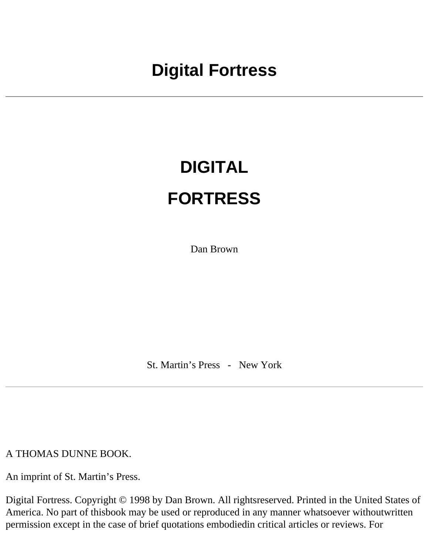# **DIGITAL FORTRESS**

Dan Brown

St. Martin's Press - New York

A THOMAS DUNNE BOOK.

An imprint of St. Martin's Press.

Digital Fortress. Copyright © 1998 by Dan Brown. All rightsreserved. Printed in the United States of America. No part of thisbook may be used or reproduced in any manner whatsoever withoutwritten permission except in the case of brief quotations embodiedin critical articles or reviews. For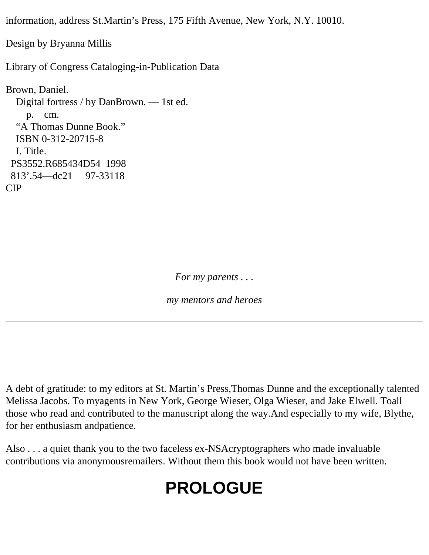information, address St.Martin's Press, 175 Fifth Avenue, New York, N.Y. 10010.

Design by Bryanna Millis

Library of Congress Cataloging-in-Publication Data

```
Brown, Daniel.
   Digital fortress / by DanBrown. — 1st ed.
     p. cm.
   "A Thomas Dunne Book."
   ISBN 0-312-20715-8
   I. Title.
  PS3552.R685434D54 1998
  813'.54—dc21 97-33118 
CIP
```
*For my parents . . .*

*my mentors and heroes*

A debt of gratitude: to my editors at St. Martin's Press,Thomas Dunne and the exceptionally talented Melissa Jacobs. To myagents in New York, George Wieser, Olga Wieser, and Jake Elwell. Toall those who read and contributed to the manuscript along the way.And especially to my wife, Blythe, for her enthusiasm andpatience.

Also . . . a quiet thank you to the two faceless ex-NSAcryptographers who made invaluable contributions via anonymousremailers. Without them this book would not have been written.

# **PROLOGUE**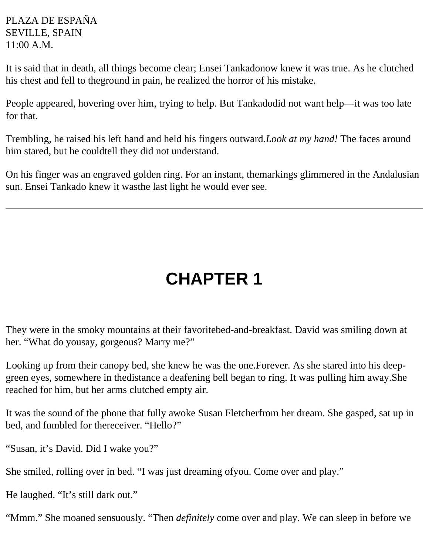#### PLAZA DE ESPAÑA SEVILLE, SPAIN 11:00 A.M.

It is said that in death, all things become clear; Ensei Tankadonow knew it was true. As he clutched his chest and fell to theground in pain, he realized the horror of his mistake.

People appeared, hovering over him, trying to help. But Tankadodid not want help—it was too late for that.

Trembling, he raised his left hand and held his fingers outward.*Look at my hand!* The faces around him stared, but he couldtell they did not understand.

On his finger was an engraved golden ring. For an instant, themarkings glimmered in the Andalusian sun. Ensei Tankado knew it wasthe last light he would ever see.

### **CHAPTER 1**

They were in the smoky mountains at their favoritebed-and-breakfast. David was smiling down at her. "What do yousay, gorgeous? Marry me?"

Looking up from their canopy bed, she knew he was the one.Forever. As she stared into his deepgreen eyes, somewhere in thedistance a deafening bell began to ring. It was pulling him away.She reached for him, but her arms clutched empty air.

It was the sound of the phone that fully awoke Susan Fletcherfrom her dream. She gasped, sat up in bed, and fumbled for thereceiver. "Hello?"

"Susan, it's David. Did I wake you?"

She smiled, rolling over in bed. "I was just dreaming ofyou. Come over and play."

He laughed. "It's still dark out."

"Mmm." She moaned sensuously. "Then *definitely* come over and play. We can sleep in before we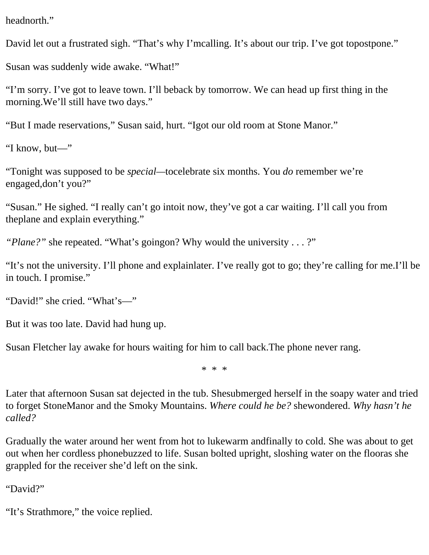headnorth."

David let out a frustrated sigh. "That's why I'mcalling. It's about our trip. I've got topostpone."

Susan was suddenly wide awake. "What!"

"I'm sorry. I've got to leave town. I'll beback by tomorrow. We can head up first thing in the morning.We'll still have two days."

"But I made reservations," Susan said, hurt. "Igot our old room at Stone Manor."

"I know, but—"

"Tonight was supposed to be *special—*tocelebrate six months. You *do* remember we're engaged,don't you?"

"Susan." He sighed. "I really can't go intoit now, they've got a car waiting. I'll call you from theplane and explain everything."

*"Plane?"* she repeated. "What's goingon? Why would the university . . . ?"

"It's not the university. I'll phone and explainlater. I've really got to go; they're calling for me.I'll be in touch. I promise."

"David!" she cried. "What's—"

But it was too late. David had hung up.

Susan Fletcher lay awake for hours waiting for him to call back.The phone never rang.

\* \* \*

Later that afternoon Susan sat dejected in the tub. Shesubmerged herself in the soapy water and tried to forget StoneManor and the Smoky Mountains. *Where could he be?* shewondered. *Why hasn't he called?*

Gradually the water around her went from hot to lukewarm andfinally to cold. She was about to get out when her cordless phonebuzzed to life. Susan bolted upright, sloshing water on the flooras she grappled for the receiver she'd left on the sink.

"David?"

"It's Strathmore," the voice replied.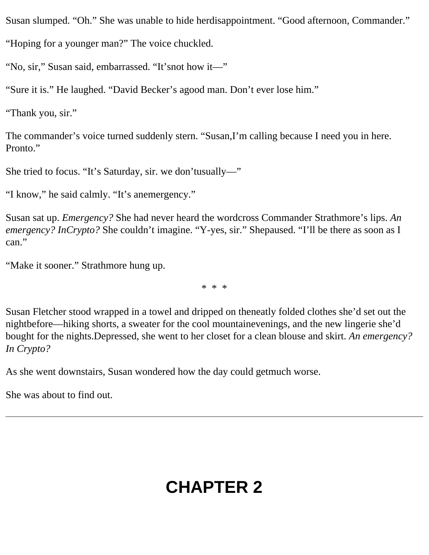Susan slumped. "Oh." She was unable to hide herdisappointment. "Good afternoon, Commander."

"Hoping for a younger man?" The voice chuckled.

"No, sir," Susan said, embarrassed. "It'snot how it—"

"Sure it is." He laughed. "David Becker's agood man. Don't ever lose him."

"Thank you, sir."

The commander's voice turned suddenly stern. "Susan,I'm calling because I need you in here. Pronto."

She tried to focus. "It's Saturday, sir. we don'tusually—"

"I know," he said calmly. "It's anemergency."

Susan sat up. *Emergency?* She had never heard the wordcross Commander Strathmore's lips. *An emergency? InCrypto?* She couldn't imagine. "Y-yes, sir." Shepaused. "I'll be there as soon as I can."

"Make it sooner." Strathmore hung up.

\* \* \*

Susan Fletcher stood wrapped in a towel and dripped on theneatly folded clothes she'd set out the nightbefore—hiking shorts, a sweater for the cool mountainevenings, and the new lingerie she'd bought for the nights.Depressed, she went to her closet for a clean blouse and skirt. *An emergency? In Crypto?*

As she went downstairs, Susan wondered how the day could getmuch worse.

She was about to find out.

# **CHAPTER 2**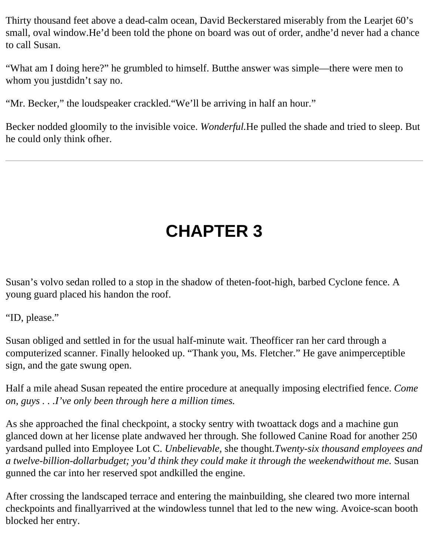Thirty thousand feet above a dead-calm ocean, David Beckerstared miserably from the Learjet 60's small, oval window.He'd been told the phone on board was out of order, andhe'd never had a chance to call Susan.

"What am I doing here?" he grumbled to himself. Butthe answer was simple—there were men to whom you justdidn't say no.

"Mr. Becker," the loudspeaker crackled."We'll be arriving in half an hour."

Becker nodded gloomily to the invisible voice. *Wonderful.*He pulled the shade and tried to sleep. But he could only think ofher.

## **CHAPTER 3**

Susan's volvo sedan rolled to a stop in the shadow of theten-foot-high, barbed Cyclone fence. A young guard placed his handon the roof.

"ID, please."

Susan obliged and settled in for the usual half-minute wait. Theofficer ran her card through a computerized scanner. Finally helooked up. "Thank you, Ms. Fletcher." He gave animperceptible sign, and the gate swung open.

Half a mile ahead Susan repeated the entire procedure at anequally imposing electrified fence. *Come on, guys . . .I've only been through here a million times.*

As she approached the final checkpoint, a stocky sentry with twoattack dogs and a machine gun glanced down at her license plate andwaved her through. She followed Canine Road for another 250 yardsand pulled into Employee Lot C. *Unbelievable,* she thought.*Twenty-six thousand employees and a twelve-billion-dollarbudget; you'd think they could make it through the weekendwithout me.* Susan gunned the car into her reserved spot andkilled the engine.

After crossing the landscaped terrace and entering the mainbuilding, she cleared two more internal checkpoints and finallyarrived at the windowless tunnel that led to the new wing. Avoice-scan booth blocked her entry.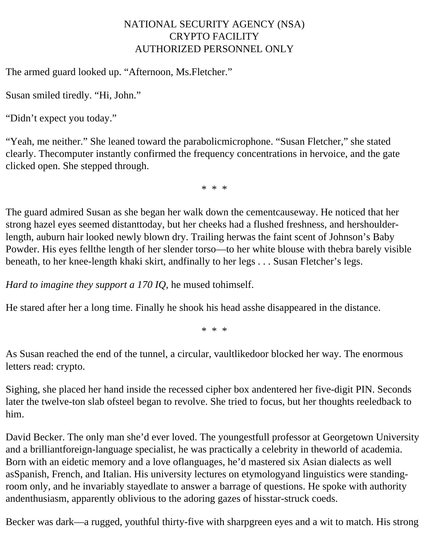#### NATIONAL SECURITY AGENCY (NSA) CRYPTO FACILITY AUTHORIZED PERSONNEL ONLY

The armed guard looked up. "Afternoon, Ms.Fletcher."

Susan smiled tiredly. "Hi, John."

"Didn't expect you today."

"Yeah, me neither." She leaned toward the parabolicmicrophone. "Susan Fletcher," she stated clearly. Thecomputer instantly confirmed the frequency concentrations in hervoice, and the gate clicked open. She stepped through.

\* \* \*

The guard admired Susan as she began her walk down the cementcauseway. He noticed that her strong hazel eyes seemed distanttoday, but her cheeks had a flushed freshness, and hershoulderlength, auburn hair looked newly blown dry. Trailing herwas the faint scent of Johnson's Baby Powder. His eyes fellthe length of her slender torso—to her white blouse with thebra barely visible beneath, to her knee-length khaki skirt, andfinally to her legs . . . Susan Fletcher's legs.

*Hard to imagine they support a 170 IQ,* he mused tohimself.

He stared after her a long time. Finally he shook his head asshe disappeared in the distance.

\* \* \*

As Susan reached the end of the tunnel, a circular, vaultlikedoor blocked her way. The enormous letters read: crypto.

Sighing, she placed her hand inside the recessed cipher box andentered her five-digit PIN. Seconds later the twelve-ton slab ofsteel began to revolve. She tried to focus, but her thoughts reeledback to him.

David Becker. The only man she'd ever loved. The youngestfull professor at Georgetown University and a brilliantforeign-language specialist, he was practically a celebrity in theworld of academia. Born with an eidetic memory and a love oflanguages, he'd mastered six Asian dialects as well asSpanish, French, and Italian. His university lectures on etymologyand linguistics were standingroom only, and he invariably stayedlate to answer a barrage of questions. He spoke with authority andenthusiasm, apparently oblivious to the adoring gazes of hisstar-struck coeds.

Becker was dark—a rugged, youthful thirty-five with sharpgreen eyes and a wit to match. His strong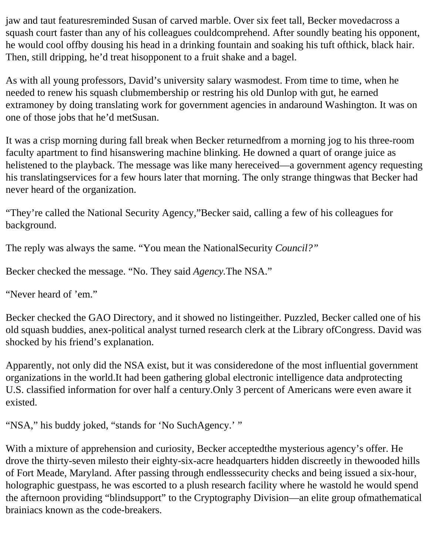jaw and taut featuresreminded Susan of carved marble. Over six feet tall, Becker movedacross a squash court faster than any of his colleagues couldcomprehend. After soundly beating his opponent, he would cool offby dousing his head in a drinking fountain and soaking his tuft ofthick, black hair. Then, still dripping, he'd treat hisopponent to a fruit shake and a bagel.

As with all young professors, David's university salary wasmodest. From time to time, when he needed to renew his squash clubmembership or restring his old Dunlop with gut, he earned extramoney by doing translating work for government agencies in andaround Washington. It was on one of those jobs that he'd metSusan.

It was a crisp morning during fall break when Becker returnedfrom a morning jog to his three-room faculty apartment to find hisanswering machine blinking. He downed a quart of orange juice as helistened to the playback. The message was like many hereceived—a government agency requesting his translatingservices for a few hours later that morning. The only strange thingwas that Becker had never heard of the organization.

"They're called the National Security Agency,"Becker said, calling a few of his colleagues for background.

The reply was always the same. "You mean the NationalSecurity *Council?"*

Becker checked the message. "No. They said *Agency.*The NSA."

"Never heard of 'em."

Becker checked the GAO Directory, and it showed no listingeither. Puzzled, Becker called one of his old squash buddies, anex-political analyst turned research clerk at the Library ofCongress. David was shocked by his friend's explanation.

Apparently, not only did the NSA exist, but it was consideredone of the most influential government organizations in the world.It had been gathering global electronic intelligence data andprotecting U.S. classified information for over half a century.Only 3 percent of Americans were even aware it existed.

"NSA," his buddy joked, "stands for 'No SuchAgency.' "

With a mixture of apprehension and curiosity, Becker acceptedthe mysterious agency's offer. He drove the thirty-seven milesto their eighty-six-acre headquarters hidden discreetly in thewooded hills of Fort Meade, Maryland. After passing through endlesssecurity checks and being issued a six-hour, holographic guestpass, he was escorted to a plush research facility where he wastold he would spend the afternoon providing "blindsupport" to the Cryptography Division—an elite group ofmathematical brainiacs known as the code-breakers.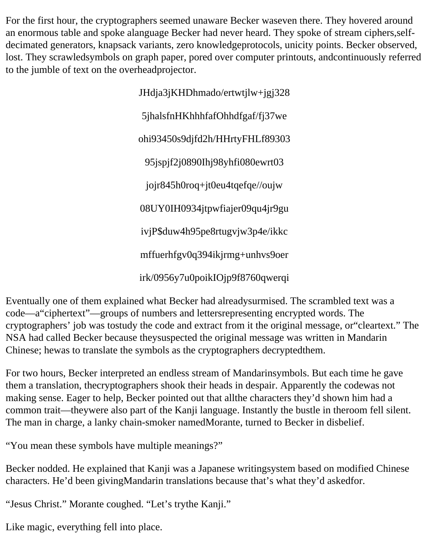For the first hour, the cryptographers seemed unaware Becker waseven there. They hovered around an enormous table and spoke alanguage Becker had never heard. They spoke of stream ciphers,selfdecimated generators, knapsack variants, zero knowledgeprotocols, unicity points. Becker observed, lost. They scrawledsymbols on graph paper, pored over computer printouts, andcontinuously referred to the jumble of text on the overheadprojector.

> JHdja3jKHDhmado/ertwtjlw+jgj328 5jhalsfnHKhhhfafOhhdfgaf/fj37we ohi93450s9djfd2h/HHrtyFHLf89303 95jspjf2j0890Ihj98yhfi080ewrt03 jojr845h0roq+jt0eu4tqefqe//oujw 08UY0IH0934jtpwfiajer09qu4jr9gu ivjP\$duw4h95pe8rtugvjw3p4e/ikkc mffuerhfgv0q394ikjrmg+unhvs9oer irk/0956y7u0poikIOjp9f8760qwerqi

Eventually one of them explained what Becker had alreadysurmised. The scrambled text was a code—a"ciphertext"—groups of numbers and lettersrepresenting encrypted words. The cryptographers' job was tostudy the code and extract from it the original message, or"cleartext." The NSA had called Becker because theysuspected the original message was written in Mandarin Chinese; hewas to translate the symbols as the cryptographers decryptedthem.

For two hours, Becker interpreted an endless stream of Mandarinsymbols. But each time he gave them a translation, thecryptographers shook their heads in despair. Apparently the codewas not making sense. Eager to help, Becker pointed out that allthe characters they'd shown him had a common trait—theywere also part of the Kanji language. Instantly the bustle in theroom fell silent. The man in charge, a lanky chain-smoker namedMorante, turned to Becker in disbelief.

"You mean these symbols have multiple meanings?"

Becker nodded. He explained that Kanji was a Japanese writingsystem based on modified Chinese characters. He'd been givingMandarin translations because that's what they'd askedfor.

"Jesus Christ." Morante coughed. "Let's trythe Kanji."

Like magic, everything fell into place.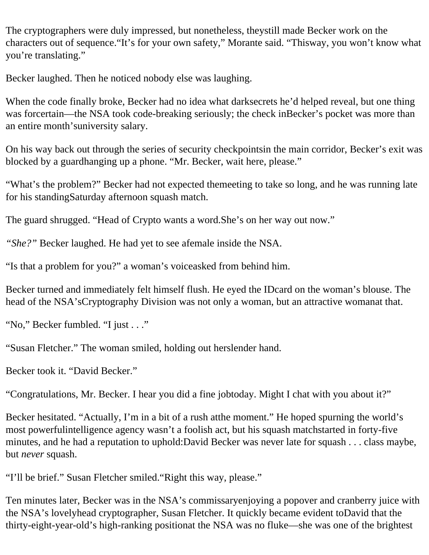The cryptographers were duly impressed, but nonetheless, theystill made Becker work on the characters out of sequence."It's for your own safety," Morante said. "Thisway, you won't know what you're translating."

Becker laughed. Then he noticed nobody else was laughing.

When the code finally broke, Becker had no idea what darksecrets he'd helped reveal, but one thing was forcertain—the NSA took code-breaking seriously; the check inBecker's pocket was more than an entire month'suniversity salary.

On his way back out through the series of security checkpointsin the main corridor, Becker's exit was blocked by a guardhanging up a phone. "Mr. Becker, wait here, please."

"What's the problem?" Becker had not expected themeeting to take so long, and he was running late for his standingSaturday afternoon squash match.

The guard shrugged. "Head of Crypto wants a word.She's on her way out now."

*"She?"* Becker laughed. He had yet to see afemale inside the NSA.

"Is that a problem for you?" a woman's voiceasked from behind him.

Becker turned and immediately felt himself flush. He eyed the IDcard on the woman's blouse. The head of the NSA'sCryptography Division was not only a woman, but an attractive womanat that.

"No," Becker fumbled. "I just . . ."

"Susan Fletcher." The woman smiled, holding out herslender hand.

Becker took it. "David Becker."

"Congratulations, Mr. Becker. I hear you did a fine jobtoday. Might I chat with you about it?"

Becker hesitated. "Actually, I'm in a bit of a rush atthe moment." He hoped spurning the world's most powerfulintelligence agency wasn't a foolish act, but his squash matchstarted in forty-five minutes, and he had a reputation to uphold:David Becker was never late for squash . . . class maybe, but *never* squash.

"I'll be brief." Susan Fletcher smiled."Right this way, please."

Ten minutes later, Becker was in the NSA's commissaryenjoying a popover and cranberry juice with the NSA's lovelyhead cryptographer, Susan Fletcher. It quickly became evident toDavid that the thirty-eight-year-old's high-ranking positionat the NSA was no fluke—she was one of the brightest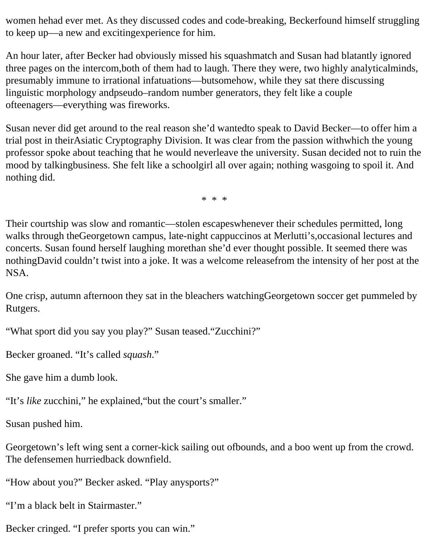women hehad ever met. As they discussed codes and code-breaking, Beckerfound himself struggling to keep up—a new and excitingexperience for him.

An hour later, after Becker had obviously missed his squashmatch and Susan had blatantly ignored three pages on the intercom,both of them had to laugh. There they were, two highly analyticalminds, presumably immune to irrational infatuations—butsomehow, while they sat there discussing linguistic morphology andpseudo–random number generators, they felt like a couple ofteenagers—everything was fireworks.

Susan never did get around to the real reason she'd wantedto speak to David Becker—to offer him a trial post in theirAsiatic Cryptography Division. It was clear from the passion withwhich the young professor spoke about teaching that he would neverleave the university. Susan decided not to ruin the mood by talkingbusiness. She felt like a schoolgirl all over again; nothing wasgoing to spoil it. And nothing did.

\* \* \*

Their courtship was slow and romantic—stolen escapeswhenever their schedules permitted, long walks through theGeorgetown campus, late-night cappuccinos at Merlutti's,occasional lectures and concerts. Susan found herself laughing morethan she'd ever thought possible. It seemed there was nothingDavid couldn't twist into a joke. It was a welcome releasefrom the intensity of her post at the NSA.

One crisp, autumn afternoon they sat in the bleachers watchingGeorgetown soccer get pummeled by Rutgers.

"What sport did you say you play?" Susan teased."Zucchini?"

Becker groaned. "It's called *squash*."

She gave him a dumb look.

"It's *like* zucchini," he explained,"but the court's smaller."

Susan pushed him.

Georgetown's left wing sent a corner-kick sailing out ofbounds, and a boo went up from the crowd. The defensemen hurriedback downfield.

"How about you?" Becker asked. "Play anysports?"

"I'm a black belt in Stairmaster."

Becker cringed. "I prefer sports you can win."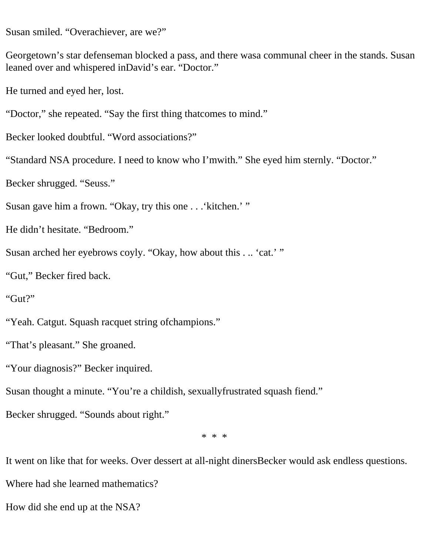Susan smiled. "Overachiever, are we?"

Georgetown's star defenseman blocked a pass, and there wasa communal cheer in the stands. Susan leaned over and whispered inDavid's ear. "Doctor."

He turned and eyed her, lost.

"Doctor," she repeated. "Say the first thing thatcomes to mind."

Becker looked doubtful. "Word associations?"

"Standard NSA procedure. I need to know who I'mwith." She eyed him sternly. "Doctor."

Becker shrugged. "Seuss."

Susan gave him a frown. "Okay, try this one . . . 'kitchen.' "

He didn't hesitate. "Bedroom."

Susan arched her eyebrows coyly. "Okay, how about this . .. 'cat.' "

"Gut," Becker fired back.

"Gut?"

"Yeah. Catgut. Squash racquet string ofchampions."

"That's pleasant." She groaned.

"Your diagnosis?" Becker inquired.

Susan thought a minute. "You're a childish, sexuallyfrustrated squash fiend."

Becker shrugged. "Sounds about right."

\* \* \*

It went on like that for weeks. Over dessert at all-night dinersBecker would ask endless questions.

Where had she learned mathematics?

How did she end up at the NSA?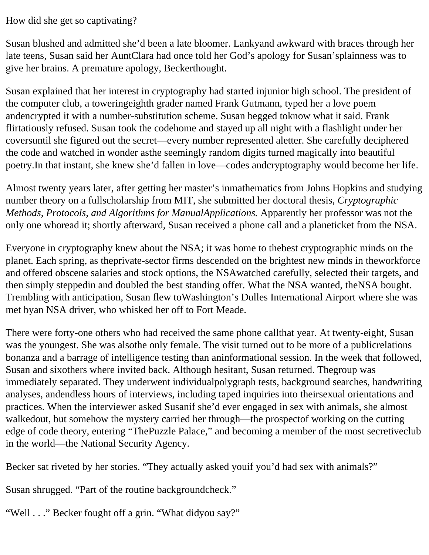How did she get so captivating?

Susan blushed and admitted she'd been a late bloomer. Lankyand awkward with braces through her late teens, Susan said her AuntClara had once told her God's apology for Susan'splainness was to give her brains. A premature apology, Beckerthought.

Susan explained that her interest in cryptography had started injunior high school. The president of the computer club, a toweringeighth grader named Frank Gutmann, typed her a love poem andencrypted it with a number-substitution scheme. Susan begged toknow what it said. Frank flirtatiously refused. Susan took the codehome and stayed up all night with a flashlight under her coversuntil she figured out the secret—every number represented aletter. She carefully deciphered the code and watched in wonder asthe seemingly random digits turned magically into beautiful poetry.In that instant, she knew she'd fallen in love—codes andcryptography would become her life.

Almost twenty years later, after getting her master's inmathematics from Johns Hopkins and studying number theory on a fullscholarship from MIT, she submitted her doctoral thesis, *Cryptographic Methods, Protocols, and Algorithms for ManualApplications.* Apparently her professor was not the only one whoread it; shortly afterward, Susan received a phone call and a planeticket from the NSA.

Everyone in cryptography knew about the NSA; it was home to thebest cryptographic minds on the planet. Each spring, as theprivate-sector firms descended on the brightest new minds in theworkforce and offered obscene salaries and stock options, the NSAwatched carefully, selected their targets, and then simply steppedin and doubled the best standing offer. What the NSA wanted, theNSA bought. Trembling with anticipation, Susan flew toWashington's Dulles International Airport where she was met byan NSA driver, who whisked her off to Fort Meade.

There were forty-one others who had received the same phone callthat year. At twenty-eight, Susan was the youngest. She was alsothe only female. The visit turned out to be more of a publicrelations bonanza and a barrage of intelligence testing than aninformational session. In the week that followed, Susan and sixothers where invited back. Although hesitant, Susan returned. Thegroup was immediately separated. They underwent individualpolygraph tests, background searches, handwriting analyses, andendless hours of interviews, including taped inquiries into theirsexual orientations and practices. When the interviewer asked Susanif she'd ever engaged in sex with animals, she almost walkedout, but somehow the mystery carried her through—the prospectof working on the cutting edge of code theory, entering "ThePuzzle Palace," and becoming a member of the most secretiveclub in the world—the National Security Agency.

Becker sat riveted by her stories. "They actually asked youif you'd had sex with animals?"

Susan shrugged. "Part of the routine backgroundcheck."

"Well . . ." Becker fought off a grin. "What didyou say?"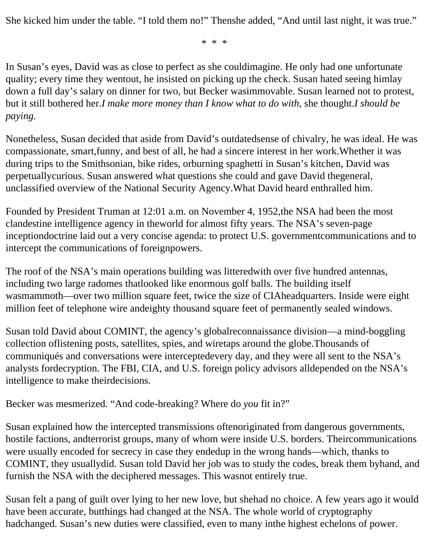She kicked him under the table. "I told them no!" Thenshe added, "And until last night, it was true."

\* \* \*

In Susan's eyes, David was as close to perfect as she couldimagine. He only had one unfortunate quality; every time they wentout, he insisted on picking up the check. Susan hated seeing himlay down a full day's salary on dinner for two, but Becker wasimmovable. Susan learned not to protest, but it still bothered her.*I make more money than I know what to do with,* she thought.*I should be paying.*

Nonetheless, Susan decided that aside from David's outdatedsense of chivalry, he was ideal. He was compassionate, smart,funny, and best of all, he had a sincere interest in her work.Whether it was during trips to the Smithsonian, bike rides, orburning spaghetti in Susan's kitchen, David was perpetuallycurious. Susan answered what questions she could and gave David thegeneral, unclassified overview of the National Security Agency.What David heard enthralled him.

Founded by President Truman at 12:01 a.m. on November 4, 1952,the NSA had been the most clandestine intelligence agency in theworld for almost fifty years. The NSA's seven-page inceptiondoctrine laid out a very concise agenda: to protect U.S. governmentcommunications and to intercept the communications of foreignpowers.

The roof of the NSA's main operations building was litteredwith over five hundred antennas, including two large radomes thatlooked like enormous golf balls. The building itself wasmammoth—over two million square feet, twice the size of CIAheadquarters. Inside were eight million feet of telephone wire andeighty thousand square feet of permanently sealed windows.

Susan told David about COMINT, the agency's globalreconnaissance division—a mind-boggling collection oflistening posts, satellites, spies, and wiretaps around the globe.Thousands of communiqués and conversations were interceptedevery day, and they were all sent to the NSA's analysts fordecryption. The FBI, CIA, and U.S. foreign policy advisors alldepended on the NSA's intelligence to make theirdecisions.

Becker was mesmerized. "And code-breaking? Where do *you* fit in?"

Susan explained how the intercepted transmissions oftenoriginated from dangerous governments, hostile factions, andterrorist groups, many of whom were inside U.S. borders. Theircommunications were usually encoded for secrecy in case they endedup in the wrong hands—which, thanks to COMINT, they usuallydid. Susan told David her job was to study the codes, break them byhand, and furnish the NSA with the deciphered messages. This wasnot entirely true.

Susan felt a pang of guilt over lying to her new love, but shehad no choice. A few years ago it would have been accurate, butthings had changed at the NSA. The whole world of cryptography hadchanged. Susan's new duties were classified, even to many inthe highest echelons of power.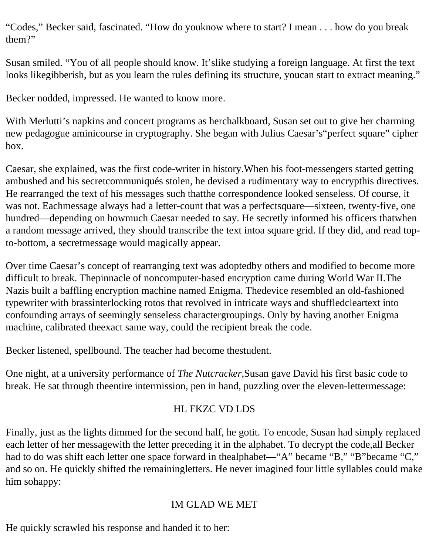"Codes," Becker said, fascinated. "How do youknow where to start? I mean . . . how do you break them?"

Susan smiled. "You of all people should know. It'slike studying a foreign language. At first the text looks likegibberish, but as you learn the rules defining its structure, youcan start to extract meaning."

Becker nodded, impressed. He wanted to know more.

With Merlutti's napkins and concert programs as herchalkboard, Susan set out to give her charming new pedagogue aminicourse in cryptography. She began with Julius Caesar's"perfect square" cipher box.

Caesar, she explained, was the first code-writer in history.When his foot-messengers started getting ambushed and his secretcommuniqués stolen, he devised a rudimentary way to encrypthis directives. He rearranged the text of his messages such thatthe correspondence looked senseless. Of course, it was not. Eachmessage always had a letter-count that was a perfectsquare—sixteen, twenty-five, one hundred—depending on howmuch Caesar needed to say. He secretly informed his officers thatwhen a random message arrived, they should transcribe the text intoa square grid. If they did, and read topto-bottom, a secretmessage would magically appear.

Over time Caesar's concept of rearranging text was adoptedby others and modified to become more difficult to break. Thepinnacle of noncomputer-based encryption came during World War II.The Nazis built a baffling encryption machine named Enigma. Thedevice resembled an old-fashioned typewriter with brassinterlocking rotos that revolved in intricate ways and shuffledcleartext into confounding arrays of seemingly senseless charactergroupings. Only by having another Enigma machine, calibrated theexact same way, could the recipient break the code.

Becker listened, spellbound. The teacher had become thestudent.

One night, at a university performance of *The Nutcracker,*Susan gave David his first basic code to break. He sat through theentire intermission, pen in hand, puzzling over the eleven-lettermessage:

### HL FKZC VD LDS

Finally, just as the lights dimmed for the second half, he gotit. To encode, Susan had simply replaced each letter of her messagewith the letter preceding it in the alphabet. To decrypt the code,all Becker had to do was shift each letter one space forward in thealphabet—"A" became "B," "B"became "C," and so on. He quickly shifted the remainingletters. He never imagined four little syllables could make him sohappy:

### IM GLAD WE MET

He quickly scrawled his response and handed it to her: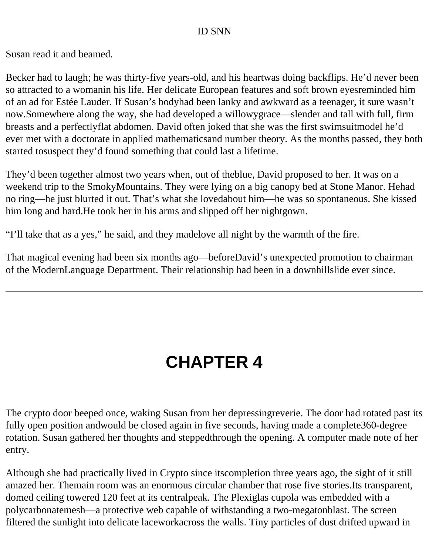#### ID SNN

Susan read it and beamed.

Becker had to laugh; he was thirty-five years-old, and his heartwas doing backflips. He'd never been so attracted to a womanin his life. Her delicate European features and soft brown eyesreminded him of an ad for Estée Lauder. If Susan's bodyhad been lanky and awkward as a teenager, it sure wasn't now.Somewhere along the way, she had developed a willowygrace—slender and tall with full, firm breasts and a perfectlyflat abdomen. David often joked that she was the first swimsuitmodel he'd ever met with a doctorate in applied mathematicsand number theory. As the months passed, they both started tosuspect they'd found something that could last a lifetime.

They'd been together almost two years when, out of theblue, David proposed to her. It was on a weekend trip to the SmokyMountains. They were lying on a big canopy bed at Stone Manor. Hehad no ring—he just blurted it out. That's what she lovedabout him—he was so spontaneous. She kissed him long and hard.He took her in his arms and slipped off her nightgown.

"I'll take that as a yes," he said, and they madelove all night by the warmth of the fire.

That magical evening had been six months ago—beforeDavid's unexpected promotion to chairman of the ModernLanguage Department. Their relationship had been in a downhillslide ever since.

## **CHAPTER 4**

The crypto door beeped once, waking Susan from her depressingreverie. The door had rotated past its fully open position andwould be closed again in five seconds, having made a complete360-degree rotation. Susan gathered her thoughts and steppedthrough the opening. A computer made note of her entry.

Although she had practically lived in Crypto since itscompletion three years ago, the sight of it still amazed her. Themain room was an enormous circular chamber that rose five stories.Its transparent, domed ceiling towered 120 feet at its centralpeak. The Plexiglas cupola was embedded with a polycarbonatemesh—a protective web capable of withstanding a two-megatonblast. The screen filtered the sunlight into delicate laceworkacross the walls. Tiny particles of dust drifted upward in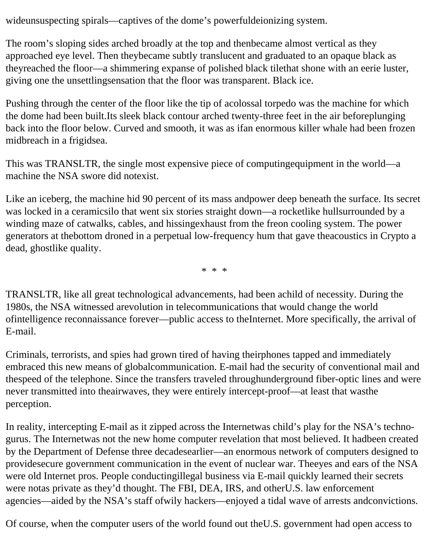wideunsuspecting spirals—captives of the dome's powerfuldeionizing system.

The room's sloping sides arched broadly at the top and thenbecame almost vertical as they approached eye level. Then theybecame subtly translucent and graduated to an opaque black as theyreached the floor—a shimmering expanse of polished black tilethat shone with an eerie luster, giving one the unsettlingsensation that the floor was transparent. Black ice.

Pushing through the center of the floor like the tip of acolossal torpedo was the machine for which the dome had been built.Its sleek black contour arched twenty-three feet in the air beforeplunging back into the floor below. Curved and smooth, it was as ifan enormous killer whale had been frozen midbreach in a frigidsea.

This was TRANSLTR, the single most expensive piece of computingequipment in the world—a machine the NSA swore did notexist.

Like an iceberg, the machine hid 90 percent of its mass andpower deep beneath the surface. Its secret was locked in a ceramicsilo that went six stories straight down—a rocketlike hullsurrounded by a winding maze of catwalks, cables, and hissingexhaust from the freon cooling system. The power generators at thebottom droned in a perpetual low-frequency hum that gave theacoustics in Crypto a dead, ghostlike quality.

\* \* \*

TRANSLTR, like all great technological advancements, had been achild of necessity. During the 1980s, the NSA witnessed arevolution in telecommunications that would change the world ofintelligence reconnaissance forever—public access to theInternet. More specifically, the arrival of E-mail.

Criminals, terrorists, and spies had grown tired of having theirphones tapped and immediately embraced this new means of globalcommunication. E-mail had the security of conventional mail and thespeed of the telephone. Since the transfers traveled throughunderground fiber-optic lines and were never transmitted into theairwaves, they were entirely intercept-proof—at least that wasthe perception.

In reality, intercepting E-mail as it zipped across the Internetwas child's play for the NSA's technogurus. The Internetwas not the new home computer revelation that most believed. It hadbeen created by the Department of Defense three decadesearlier—an enormous network of computers designed to providesecure government communication in the event of nuclear war. Theeyes and ears of the NSA were old Internet pros. People conductingillegal business via E-mail quickly learned their secrets were notas private as they'd thought. The FBI, DEA, IRS, and otherU.S. law enforcement agencies—aided by the NSA's staff ofwily hackers—enjoyed a tidal wave of arrests andconvictions.

Of course, when the computer users of the world found out theU.S. government had open access to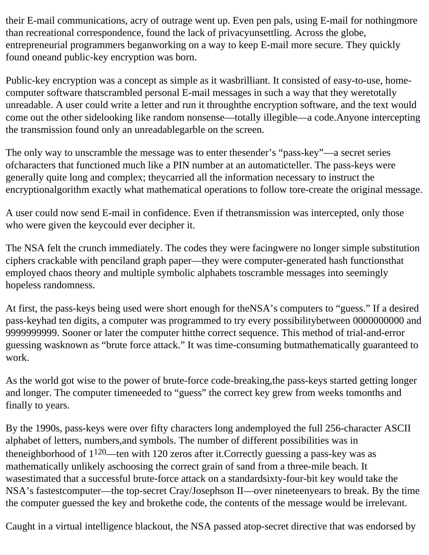their E-mail communications, acry of outrage went up. Even pen pals, using E-mail for nothingmore than recreational correspondence, found the lack of privacyunsettling. Across the globe, entrepreneurial programmers beganworking on a way to keep E-mail more secure. They quickly found oneand public-key encryption was born.

Public-key encryption was a concept as simple as it wasbrilliant. It consisted of easy-to-use, homecomputer software thatscrambled personal E-mail messages in such a way that they weretotally unreadable. A user could write a letter and run it throughthe encryption software, and the text would come out the other sidelooking like random nonsense—totally illegible—a code.Anyone intercepting the transmission found only an unreadablegarble on the screen.

The only way to unscramble the message was to enter thesender's "pass-key"—a secret series ofcharacters that functioned much like a PIN number at an automaticteller. The pass-keys were generally quite long and complex; theycarried all the information necessary to instruct the encryptionalgorithm exactly what mathematical operations to follow tore-create the original message.

A user could now send E-mail in confidence. Even if thetransmission was intercepted, only those who were given the keycould ever decipher it.

The NSA felt the crunch immediately. The codes they were facingwere no longer simple substitution ciphers crackable with penciland graph paper—they were computer-generated hash functionsthat employed chaos theory and multiple symbolic alphabets toscramble messages into seemingly hopeless randomness.

At first, the pass-keys being used were short enough for theNSA's computers to "guess." If a desired pass-keyhad ten digits, a computer was programmed to try every possibilitybetween 0000000000 and 9999999999. Sooner or later the computer hitthe correct sequence. This method of trial-and-error guessing wasknown as "brute force attack." It was time-consuming butmathematically guaranteed to work.

As the world got wise to the power of brute-force code-breaking,the pass-keys started getting longer and longer. The computer timeneeded to "guess" the correct key grew from weeks tomonths and finally to years.

By the 1990s, pass-keys were over fifty characters long andemployed the full 256-character ASCII alphabet of letters, numbers,and symbols. The number of different possibilities was in theneighborhood of  $1^{120}$ —ten with 120 zeros after it. Correctly guessing a pass-key was as mathematically unlikely aschoosing the correct grain of sand from a three-mile beach. It wasestimated that a successful brute-force attack on a standardsixty-four-bit key would take the NSA's fastestcomputer—the top-secret Cray/Josephson II—over nineteenyears to break. By the time the computer guessed the key and brokethe code, the contents of the message would be irrelevant.

Caught in a virtual intelligence blackout, the NSA passed atop-secret directive that was endorsed by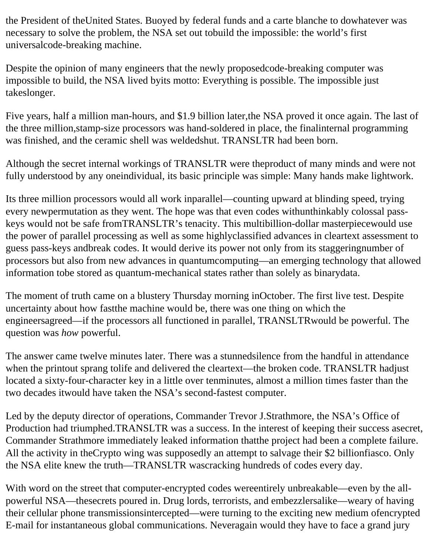the President of theUnited States. Buoyed by federal funds and a carte blanche to dowhatever was necessary to solve the problem, the NSA set out tobuild the impossible: the world's first universalcode-breaking machine.

Despite the opinion of many engineers that the newly proposedcode-breaking computer was impossible to build, the NSA lived byits motto: Everything is possible. The impossible just takeslonger.

Five years, half a million man-hours, and \$1.9 billion later,the NSA proved it once again. The last of the three million,stamp-size processors was hand-soldered in place, the finalinternal programming was finished, and the ceramic shell was weldedshut. TRANSLTR had been born.

Although the secret internal workings of TRANSLTR were theproduct of many minds and were not fully understood by any oneindividual, its basic principle was simple: Many hands make lightwork.

Its three million processors would all work inparallel—counting upward at blinding speed, trying every newpermutation as they went. The hope was that even codes withunthinkably colossal passkeys would not be safe fromTRANSLTR's tenacity. This multibillion-dollar masterpiecewould use the power of parallel processing as well as some highlyclassified advances in cleartext assessment to guess pass-keys andbreak codes. It would derive its power not only from its staggeringnumber of processors but also from new advances in quantumcomputing—an emerging technology that allowed information tobe stored as quantum-mechanical states rather than solely as binarydata.

The moment of truth came on a blustery Thursday morning inOctober. The first live test. Despite uncertainty about how fastthe machine would be, there was one thing on which the engineersagreed—if the processors all functioned in parallel, TRANSLTRwould be powerful. The question was *how* powerful.

The answer came twelve minutes later. There was a stunnedsilence from the handful in attendance when the printout sprang tolife and delivered the cleartext—the broken code. TRANSLTR hadjust located a sixty-four-character key in a little over tenminutes, almost a million times faster than the two decades itwould have taken the NSA's second-fastest computer.

Led by the deputy director of operations, Commander Trevor J.Strathmore, the NSA's Office of Production had triumphed.TRANSLTR was a success. In the interest of keeping their success asecret, Commander Strathmore immediately leaked information thatthe project had been a complete failure. All the activity in theCrypto wing was supposedly an attempt to salvage their \$2 billionfiasco. Only the NSA elite knew the truth—TRANSLTR wascracking hundreds of codes every day.

With word on the street that computer-encrypted codes wereentirely unbreakable—even by the allpowerful NSA—thesecrets poured in. Drug lords, terrorists, and embezzlersalike—weary of having their cellular phone transmissionsintercepted—were turning to the exciting new medium ofencrypted E-mail for instantaneous global communications. Neveragain would they have to face a grand jury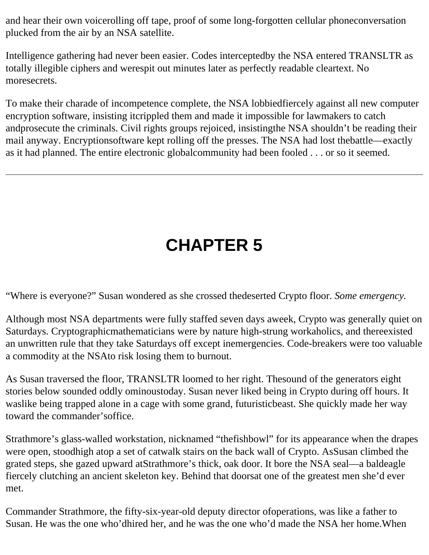and hear their own voicerolling off tape, proof of some long-forgotten cellular phoneconversation plucked from the air by an NSA satellite.

Intelligence gathering had never been easier. Codes interceptedby the NSA entered TRANSLTR as totally illegible ciphers and werespit out minutes later as perfectly readable cleartext. No moresecrets.

To make their charade of incompetence complete, the NSA lobbiedfiercely against all new computer encryption software, insisting itcrippled them and made it impossible for lawmakers to catch andprosecute the criminals. Civil rights groups rejoiced, insistingthe NSA shouldn't be reading their mail anyway. Encryptionsoftware kept rolling off the presses. The NSA had lost thebattle—exactly as it had planned. The entire electronic globalcommunity had been fooled . . . or so it seemed.

## **CHAPTER 5**

"Where is everyone?" Susan wondered as she crossed thedeserted Crypto floor. *Some emergency.*

Although most NSA departments were fully staffed seven days aweek, Crypto was generally quiet on Saturdays. Cryptographicmathematicians were by nature high-strung workaholics, and thereexisted an unwritten rule that they take Saturdays off except inemergencies. Code-breakers were too valuable a commodity at the NSAto risk losing them to burnout.

As Susan traversed the floor, TRANSLTR loomed to her right. Thesound of the generators eight stories below sounded oddly ominoustoday. Susan never liked being in Crypto during off hours. It waslike being trapped alone in a cage with some grand, futuristicbeast. She quickly made her way toward the commander'soffice.

Strathmore's glass-walled workstation, nicknamed "thefishbowl" for its appearance when the drapes were open, stoodhigh atop a set of catwalk stairs on the back wall of Crypto. AsSusan climbed the grated steps, she gazed upward atStrathmore's thick, oak door. It bore the NSA seal—a baldeagle fiercely clutching an ancient skeleton key. Behind that doorsat one of the greatest men she'd ever met.

Commander Strathmore, the fifty-six-year-old deputy director ofoperations, was like a father to Susan. He was the one who'dhired her, and he was the one who'd made the NSA her home.When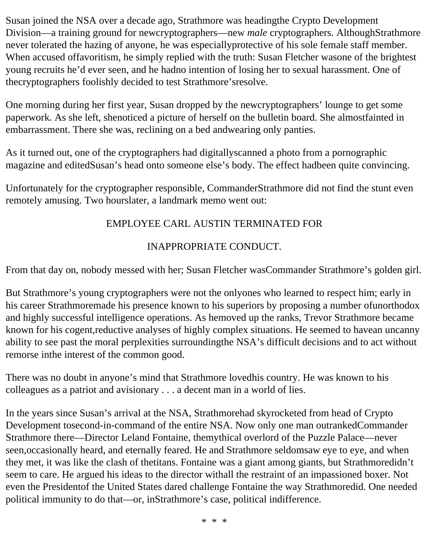Susan joined the NSA over a decade ago, Strathmore was headingthe Crypto Development Division—a training ground for newcryptographers—new *male* cryptographers. AlthoughStrathmore never tolerated the hazing of anyone, he was especiallyprotective of his sole female staff member. When accused offavoritism, he simply replied with the truth: Susan Fletcher wasone of the brightest young recruits he'd ever seen, and he hadno intention of losing her to sexual harassment. One of thecryptographers foolishly decided to test Strathmore'sresolve.

One morning during her first year, Susan dropped by the newcryptographers' lounge to get some paperwork. As she left, shenoticed a picture of herself on the bulletin board. She almostfainted in embarrassment. There she was, reclining on a bed andwearing only panties.

As it turned out, one of the cryptographers had digitallyscanned a photo from a pornographic magazine and editedSusan's head onto someone else's body. The effect hadbeen quite convincing.

Unfortunately for the cryptographer responsible, CommanderStrathmore did not find the stunt even remotely amusing. Two hourslater, a landmark memo went out:

### EMPLOYEE CARL AUSTIN TERMINATED FOR

### INAPPROPRIATE CONDUCT.

From that day on, nobody messed with her; Susan Fletcher wasCommander Strathmore's golden girl.

But Strathmore's young cryptographers were not the onlyones who learned to respect him; early in his career Strathmoremade his presence known to his superiors by proposing a number ofunorthodox and highly successful intelligence operations. As hemoved up the ranks, Trevor Strathmore became known for his cogent,reductive analyses of highly complex situations. He seemed to havean uncanny ability to see past the moral perplexities surroundingthe NSA's difficult decisions and to act without remorse inthe interest of the common good.

There was no doubt in anyone's mind that Strathmore lovedhis country. He was known to his colleagues as a patriot and avisionary . . . a decent man in a world of lies.

In the years since Susan's arrival at the NSA, Strathmorehad skyrocketed from head of Crypto Development tosecond-in-command of the entire NSA. Now only one man outrankedCommander Strathmore there—Director Leland Fontaine, themythical overlord of the Puzzle Palace—never seen,occasionally heard, and eternally feared. He and Strathmore seldomsaw eye to eye, and when they met, it was like the clash of thetitans. Fontaine was a giant among giants, but Strathmoredidn't seem to care. He argued his ideas to the director withall the restraint of an impassioned boxer. Not even the Presidentof the United States dared challenge Fontaine the way Strathmoredid. One needed political immunity to do that—or, inStrathmore's case, political indifference.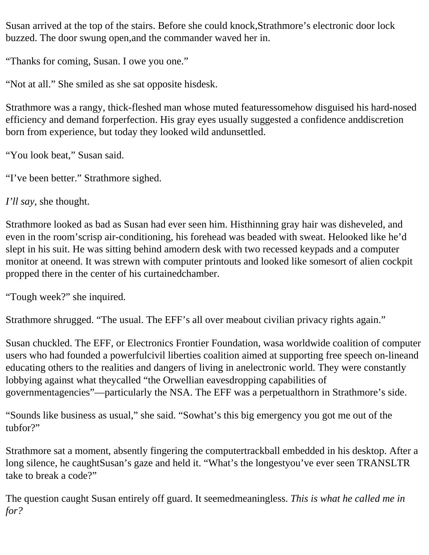Susan arrived at the top of the stairs. Before she could knock,Strathmore's electronic door lock buzzed. The door swung open,and the commander waved her in.

"Thanks for coming, Susan. I owe you one."

"Not at all." She smiled as she sat opposite hisdesk.

Strathmore was a rangy, thick-fleshed man whose muted featuressomehow disguised his hard-nosed efficiency and demand forperfection. His gray eyes usually suggested a confidence anddiscretion born from experience, but today they looked wild andunsettled.

"You look beat," Susan said.

"I've been better." Strathmore sighed.

*I'll say,* she thought.

Strathmore looked as bad as Susan had ever seen him. Histhinning gray hair was disheveled, and even in the room'scrisp air-conditioning, his forehead was beaded with sweat. Helooked like he'd slept in his suit. He was sitting behind amodern desk with two recessed keypads and a computer monitor at oneend. It was strewn with computer printouts and looked like somesort of alien cockpit propped there in the center of his curtainedchamber.

"Tough week?" she inquired.

Strathmore shrugged. "The usual. The EFF's all over meabout civilian privacy rights again."

Susan chuckled. The EFF, or Electronics Frontier Foundation, wasa worldwide coalition of computer users who had founded a powerfulcivil liberties coalition aimed at supporting free speech on-lineand educating others to the realities and dangers of living in anelectronic world. They were constantly lobbying against what theycalled "the Orwellian eavesdropping capabilities of governmentagencies"—particularly the NSA. The EFF was a perpetualthorn in Strathmore's side.

"Sounds like business as usual," she said. "Sowhat's this big emergency you got me out of the tubfor?"

Strathmore sat a moment, absently fingering the computertrackball embedded in his desktop. After a long silence, he caughtSusan's gaze and held it. "What's the longestyou've ever seen TRANSLTR take to break a code?"

The question caught Susan entirely off guard. It seemedmeaningless. *This is what he called me in for?*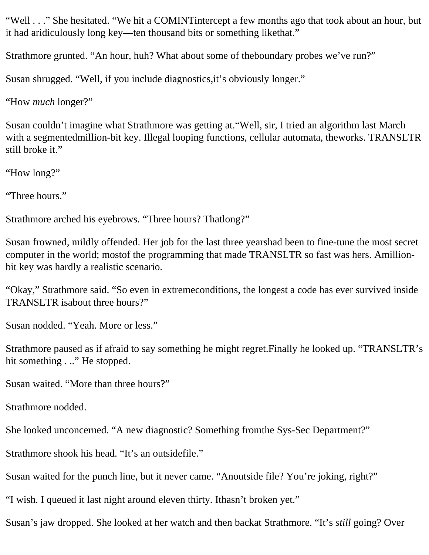"Well . . ." She hesitated. "We hit a COMINTintercept a few months ago that took about an hour, but it had aridiculously long key—ten thousand bits or something likethat."

Strathmore grunted. "An hour, huh? What about some of theboundary probes we've run?"

Susan shrugged. "Well, if you include diagnostics,it's obviously longer."

"How *much* longer?"

Susan couldn't imagine what Strathmore was getting at."Well, sir, I tried an algorithm last March with a segmentedmillion-bit key. Illegal looping functions, cellular automata, theworks. TRANSLTR still broke it."

"How long?"

"Three hours."

Strathmore arched his eyebrows. "Three hours? Thatlong?"

Susan frowned, mildly offended. Her job for the last three yearshad been to fine-tune the most secret computer in the world; mostof the programming that made TRANSLTR so fast was hers. Amillionbit key was hardly a realistic scenario.

"Okay," Strathmore said. "So even in extremeconditions, the longest a code has ever survived inside TRANSLTR isabout three hours?"

Susan nodded. "Yeah. More or less."

Strathmore paused as if afraid to say something he might regret.Finally he looked up. "TRANSLTR's hit something . .." He stopped.

Susan waited. "More than three hours?"

Strathmore nodded.

She looked unconcerned. "A new diagnostic? Something fromthe Sys-Sec Department?"

Strathmore shook his head. "It's an outsidefile."

Susan waited for the punch line, but it never came. "Anoutside file? You're joking, right?"

"I wish. I queued it last night around eleven thirty. Ithasn't broken yet."

Susan's jaw dropped. She looked at her watch and then backat Strathmore. "It's *still* going? Over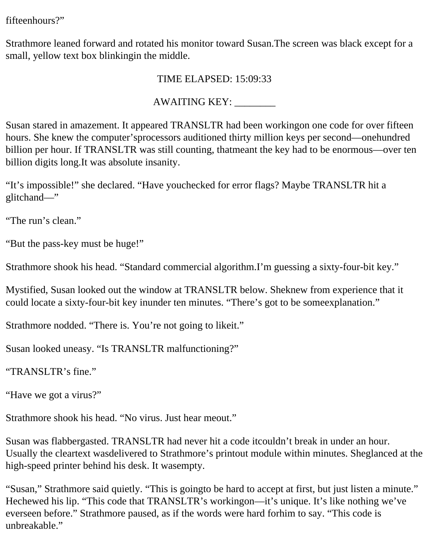fifteenhours?"

Strathmore leaned forward and rotated his monitor toward Susan.The screen was black except for a small, yellow text box blinkingin the middle.

TIME ELAPSED: 15:09:33

AWAITING KEY:

Susan stared in amazement. It appeared TRANSLTR had been workingon one code for over fifteen hours. She knew the computer'sprocessors auditioned thirty million keys per second—onehundred billion per hour. If TRANSLTR was still counting, thatmeant the key had to be enormous—over ten billion digits long.It was absolute insanity.

"It's impossible!" she declared. "Have youchecked for error flags? Maybe TRANSLTR hit a glitchand—"

"The run's clean."

"But the pass-key must be huge!"

Strathmore shook his head. "Standard commercial algorithm.I'm guessing a sixty-four-bit key."

Mystified, Susan looked out the window at TRANSLTR below. Sheknew from experience that it could locate a sixty-four-bit key inunder ten minutes. "There's got to be someexplanation."

Strathmore nodded. "There is. You're not going to likeit."

Susan looked uneasy. "Is TRANSLTR malfunctioning?"

"TRANSLTR's fine."

"Have we got a virus?"

Strathmore shook his head. "No virus. Just hear meout."

Susan was flabbergasted. TRANSLTR had never hit a code itcouldn't break in under an hour. Usually the cleartext wasdelivered to Strathmore's printout module within minutes. Sheglanced at the high-speed printer behind his desk. It wasempty.

"Susan," Strathmore said quietly. "This is goingto be hard to accept at first, but just listen a minute." Hechewed his lip. "This code that TRANSLTR's workingon—it's unique. It's like nothing we've everseen before." Strathmore paused, as if the words were hard forhim to say. "This code is unbreakable."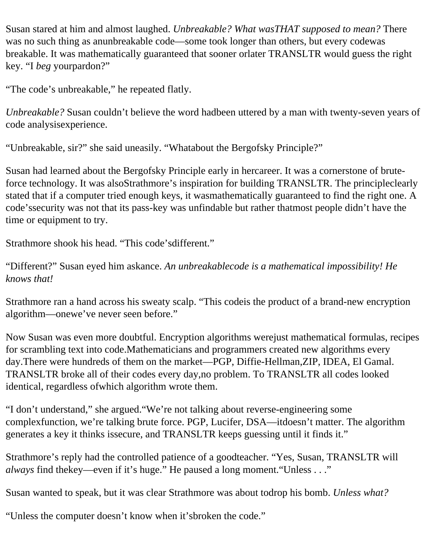Susan stared at him and almost laughed. *Unbreakable? What wasTHAT supposed to mean?* There was no such thing as anunbreakable code—some took longer than others, but every codewas breakable. It was mathematically guaranteed that sooner orlater TRANSLTR would guess the right key. "I *beg* yourpardon?"

"The code's unbreakable," he repeated flatly.

*Unbreakable?* Susan couldn't believe the word hadbeen uttered by a man with twenty-seven years of code analysisexperience.

"Unbreakable, sir?" she said uneasily. "Whatabout the Bergofsky Principle?"

Susan had learned about the Bergofsky Principle early in hercareer. It was a cornerstone of bruteforce technology. It was alsoStrathmore's inspiration for building TRANSLTR. The principleclearly stated that if a computer tried enough keys, it wasmathematically guaranteed to find the right one. A code'ssecurity was not that its pass-key was unfindable but rather thatmost people didn't have the time or equipment to try.

Strathmore shook his head. "This code'sdifferent."

"Different?" Susan eyed him askance. *An unbreakablecode is a mathematical impossibility! He knows that!*

Strathmore ran a hand across his sweaty scalp. "This codeis the product of a brand-new encryption algorithm—onewe've never seen before."

Now Susan was even more doubtful. Encryption algorithms werejust mathematical formulas, recipes for scrambling text into code.Mathematicians and programmers created new algorithms every day.There were hundreds of them on the market—PGP, Diffie-Hellman,ZIP, IDEA, El Gamal. TRANSLTR broke all of their codes every day,no problem. To TRANSLTR all codes looked identical, regardless ofwhich algorithm wrote them.

"I don't understand," she argued."We're not talking about reverse-engineering some complexfunction, we're talking brute force. PGP, Lucifer, DSA—itdoesn't matter. The algorithm generates a key it thinks issecure, and TRANSLTR keeps guessing until it finds it."

Strathmore's reply had the controlled patience of a goodteacher. "Yes, Susan, TRANSLTR will *always* find thekey—even if it's huge." He paused a long moment."Unless . . ."

Susan wanted to speak, but it was clear Strathmore was about todrop his bomb. *Unless what?*

"Unless the computer doesn't know when it'sbroken the code."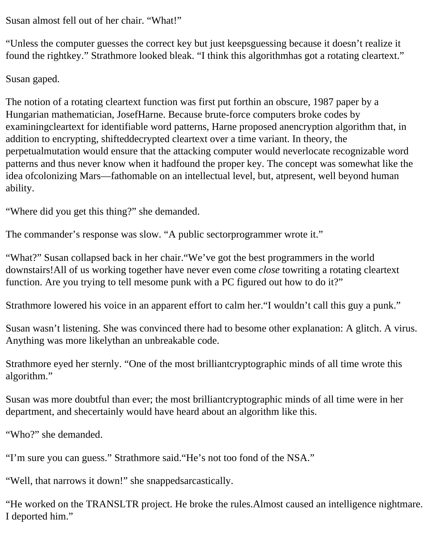Susan almost fell out of her chair. "What!"

"Unless the computer guesses the correct key but just keepsguessing because it doesn't realize it found the rightkey." Strathmore looked bleak. "I think this algorithmhas got a rotating cleartext."

Susan gaped.

The notion of a rotating cleartext function was first put forthin an obscure, 1987 paper by a Hungarian mathematician, JosefHarne. Because brute-force computers broke codes by examiningcleartext for identifiable word patterns, Harne proposed anencryption algorithm that, in addition to encrypting, shifteddecrypted cleartext over a time variant. In theory, the perpetualmutation would ensure that the attacking computer would neverlocate recognizable word patterns and thus never know when it hadfound the proper key. The concept was somewhat like the idea ofcolonizing Mars—fathomable on an intellectual level, but, atpresent, well beyond human ability.

"Where did you get this thing?" she demanded.

The commander's response was slow. "A public sectorprogrammer wrote it."

"What?" Susan collapsed back in her chair."We've got the best programmers in the world downstairs!All of us working together have never even come *close* towriting a rotating cleartext function. Are you trying to tell mesome punk with a PC figured out how to do it?"

Strathmore lowered his voice in an apparent effort to calm her."I wouldn't call this guy a punk."

Susan wasn't listening. She was convinced there had to besome other explanation: A glitch. A virus. Anything was more likelythan an unbreakable code.

Strathmore eyed her sternly. "One of the most brilliantcryptographic minds of all time wrote this algorithm."

Susan was more doubtful than ever; the most brilliantcryptographic minds of all time were in her department, and shecertainly would have heard about an algorithm like this.

"Who?" she demanded.

"I'm sure you can guess." Strathmore said."He's not too fond of the NSA."

"Well, that narrows it down!" she snappedsarcastically.

"He worked on the TRANSLTR project. He broke the rules.Almost caused an intelligence nightmare. I deported him."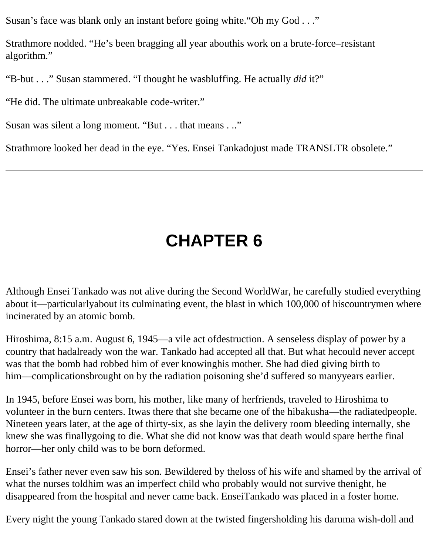Susan's face was blank only an instant before going white. "Oh my God . . ."

Strathmore nodded. "He's been bragging all year abouthis work on a brute-force–resistant algorithm."

"B-but . . ." Susan stammered. "I thought he wasbluffing. He actually *did* it?"

"He did. The ultimate unbreakable code-writer."

Susan was silent a long moment. "But . . . that means . .."

Strathmore looked her dead in the eye. "Yes. Ensei Tankadojust made TRANSLTR obsolete."

# **CHAPTER 6**

Although Ensei Tankado was not alive during the Second WorldWar, he carefully studied everything about it—particularlyabout its culminating event, the blast in which 100,000 of hiscountrymen where incinerated by an atomic bomb.

Hiroshima, 8:15 a.m. August 6, 1945—a vile act ofdestruction. A senseless display of power by a country that hadalready won the war. Tankado had accepted all that. But what hecould never accept was that the bomb had robbed him of ever knowinghis mother. She had died giving birth to him—complicationsbrought on by the radiation poisoning she'd suffered so manyyears earlier.

In 1945, before Ensei was born, his mother, like many of herfriends, traveled to Hiroshima to volunteer in the burn centers. Itwas there that she became one of the hibakusha—the radiatedpeople. Nineteen years later, at the age of thirty-six, as she layin the delivery room bleeding internally, she knew she was finallygoing to die. What she did not know was that death would spare herthe final horror—her only child was to be born deformed.

Ensei's father never even saw his son. Bewildered by theloss of his wife and shamed by the arrival of what the nurses toldhim was an imperfect child who probably would not survive thenight, he disappeared from the hospital and never came back. EnseiTankado was placed in a foster home.

Every night the young Tankado stared down at the twisted fingersholding his daruma wish-doll and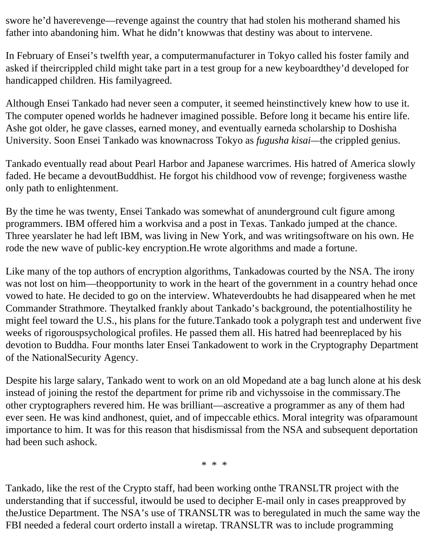swore he'd haverevenge—revenge against the country that had stolen his motherand shamed his father into abandoning him. What he didn't knowwas that destiny was about to intervene.

In February of Ensei's twelfth year, a computermanufacturer in Tokyo called his foster family and asked if theircrippled child might take part in a test group for a new keyboardthey'd developed for handicapped children. His familyagreed.

Although Ensei Tankado had never seen a computer, it seemed heinstinctively knew how to use it. The computer opened worlds he hadnever imagined possible. Before long it became his entire life. Ashe got older, he gave classes, earned money, and eventually earneda scholarship to Doshisha University. Soon Ensei Tankado was knownacross Tokyo as *fugusha kisai—*the crippled genius.

Tankado eventually read about Pearl Harbor and Japanese warcrimes. His hatred of America slowly faded. He became a devoutBuddhist. He forgot his childhood vow of revenge; forgiveness wasthe only path to enlightenment.

By the time he was twenty, Ensei Tankado was somewhat of anunderground cult figure among programmers. IBM offered him a workvisa and a post in Texas. Tankado jumped at the chance. Three yearslater he had left IBM, was living in New York, and was writingsoftware on his own. He rode the new wave of public-key encryption.He wrote algorithms and made a fortune.

Like many of the top authors of encryption algorithms, Tankadowas courted by the NSA. The irony was not lost on him—theopportunity to work in the heart of the government in a country hehad once vowed to hate. He decided to go on the interview. Whateverdoubts he had disappeared when he met Commander Strathmore. Theytalked frankly about Tankado's background, the potentialhostility he might feel toward the U.S., his plans for the future.Tankado took a polygraph test and underwent five weeks of rigorouspsychological profiles. He passed them all. His hatred had beenreplaced by his devotion to Buddha. Four months later Ensei Tankadowent to work in the Cryptography Department of the NationalSecurity Agency.

Despite his large salary, Tankado went to work on an old Mopedand ate a bag lunch alone at his desk instead of joining the restof the department for prime rib and vichyssoise in the commissary.The other cryptographers revered him. He was brilliant—ascreative a programmer as any of them had ever seen. He was kind andhonest, quiet, and of impeccable ethics. Moral integrity was ofparamount importance to him. It was for this reason that hisdismissal from the NSA and subsequent deportation had been such ashock.

\* \* \*

Tankado, like the rest of the Crypto staff, had been working onthe TRANSLTR project with the understanding that if successful, itwould be used to decipher E-mail only in cases preapproved by theJustice Department. The NSA's use of TRANSLTR was to beregulated in much the same way the FBI needed a federal court orderto install a wiretap. TRANSLTR was to include programming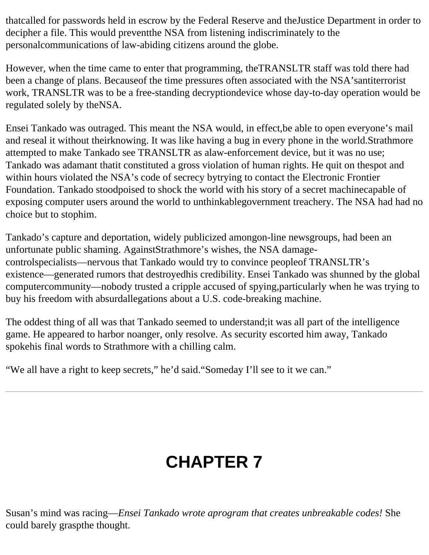thatcalled for passwords held in escrow by the Federal Reserve and theJustice Department in order to decipher a file. This would preventthe NSA from listening indiscriminately to the personalcommunications of law-abiding citizens around the globe.

However, when the time came to enter that programming, theTRANSLTR staff was told there had been a change of plans. Becauseof the time pressures often associated with the NSA'santiterrorist work, TRANSLTR was to be a free-standing decryptiondevice whose day-to-day operation would be regulated solely by theNSA.

Ensei Tankado was outraged. This meant the NSA would, in effect,be able to open everyone's mail and reseal it without theirknowing. It was like having a bug in every phone in the world.Strathmore attempted to make Tankado see TRANSLTR as alaw-enforcement device, but it was no use; Tankado was adamant thatit constituted a gross violation of human rights. He quit on thespot and within hours violated the NSA's code of secrecy bytrying to contact the Electronic Frontier Foundation. Tankado stoodpoised to shock the world with his story of a secret machinecapable of exposing computer users around the world to unthinkablegovernment treachery. The NSA had had no choice but to stophim.

Tankado's capture and deportation, widely publicized amongon-line newsgroups, had been an unfortunate public shaming. AgainstStrathmore's wishes, the NSA damagecontrolspecialists—nervous that Tankado would try to convince peopleof TRANSLTR's existence—generated rumors that destroyedhis credibility. Ensei Tankado was shunned by the global computercommunity—nobody trusted a cripple accused of spying,particularly when he was trying to buy his freedom with absurdallegations about a U.S. code-breaking machine.

The oddest thing of all was that Tankado seemed to understand;it was all part of the intelligence game. He appeared to harbor noanger, only resolve. As security escorted him away, Tankado spokehis final words to Strathmore with a chilling calm.

"We all have a right to keep secrets," he'd said."Someday I'll see to it we can."

### **CHAPTER 7**

Susan's mind was racing—*Ensei Tankado wrote aprogram that creates unbreakable codes!* She could barely graspthe thought.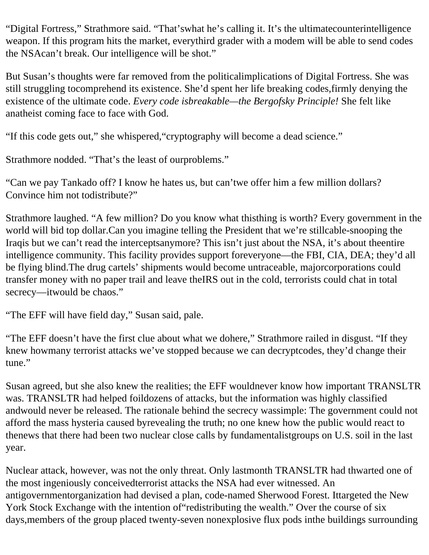"Digital Fortress," Strathmore said. "That'swhat he's calling it. It's the ultimatecounterintelligence weapon. If this program hits the market, everythird grader with a modem will be able to send codes the NSAcan't break. Our intelligence will be shot."

But Susan's thoughts were far removed from the politicalimplications of Digital Fortress. She was still struggling tocomprehend its existence. She'd spent her life breaking codes,firmly denying the existence of the ultimate code. *Every code isbreakable—the Bergofsky Principle!* She felt like anatheist coming face to face with God.

"If this code gets out," she whispered,"cryptography will become a dead science."

Strathmore nodded. "That's the least of ourproblems."

"Can we pay Tankado off? I know he hates us, but can'twe offer him a few million dollars? Convince him not todistribute?"

Strathmore laughed. "A few million? Do you know what thisthing is worth? Every government in the world will bid top dollar.Can you imagine telling the President that we're stillcable-snooping the Iraqis but we can't read the interceptsanymore? This isn't just about the NSA, it's about theentire intelligence community. This facility provides support foreveryone—the FBI, CIA, DEA; they'd all be flying blind.The drug cartels' shipments would become untraceable, majorcorporations could transfer money with no paper trail and leave theIRS out in the cold, terrorists could chat in total secrecy—itwould be chaos."

"The EFF will have field day," Susan said, pale.

"The EFF doesn't have the first clue about what we dohere," Strathmore railed in disgust. "If they knew howmany terrorist attacks we've stopped because we can decryptcodes, they'd change their tune."

Susan agreed, but she also knew the realities; the EFF wouldnever know how important TRANSLTR was. TRANSLTR had helped foildozens of attacks, but the information was highly classified andwould never be released. The rationale behind the secrecy wassimple: The government could not afford the mass hysteria caused byrevealing the truth; no one knew how the public would react to thenews that there had been two nuclear close calls by fundamentalistgroups on U.S. soil in the last year.

Nuclear attack, however, was not the only threat. Only lastmonth TRANSLTR had thwarted one of the most ingeniously conceivedterrorist attacks the NSA had ever witnessed. An antigovernmentorganization had devised a plan, code-named Sherwood Forest. Ittargeted the New York Stock Exchange with the intention of "redistributing the wealth." Over the course of six days,members of the group placed twenty-seven nonexplosive flux pods inthe buildings surrounding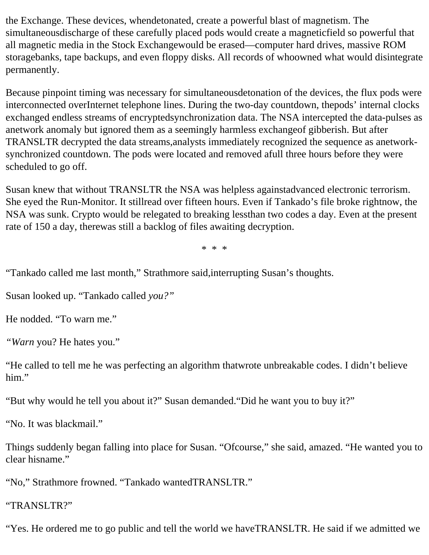the Exchange. These devices, whendetonated, create a powerful blast of magnetism. The simultaneousdischarge of these carefully placed pods would create a magneticfield so powerful that all magnetic media in the Stock Exchangewould be erased—computer hard drives, massive ROM storagebanks, tape backups, and even floppy disks. All records of whoowned what would disintegrate permanently.

Because pinpoint timing was necessary for simultaneousdetonation of the devices, the flux pods were interconnected overInternet telephone lines. During the two-day countdown, thepods' internal clocks exchanged endless streams of encryptedsynchronization data. The NSA intercepted the data-pulses as anetwork anomaly but ignored them as a seemingly harmless exchangeof gibberish. But after TRANSLTR decrypted the data streams,analysts immediately recognized the sequence as anetworksynchronized countdown. The pods were located and removed afull three hours before they were scheduled to go off.

Susan knew that without TRANSLTR the NSA was helpless againstadvanced electronic terrorism. She eyed the Run-Monitor. It stillread over fifteen hours. Even if Tankado's file broke rightnow, the NSA was sunk. Crypto would be relegated to breaking lessthan two codes a day. Even at the present rate of 150 a day, therewas still a backlog of files awaiting decryption.

\* \* \*

"Tankado called me last month," Strathmore said,interrupting Susan's thoughts.

Susan looked up. "Tankado called *you?"*

He nodded. "To warn me."

*"Warn* you? He hates you."

"He called to tell me he was perfecting an algorithm thatwrote unbreakable codes. I didn't believe him."

"But why would he tell you about it?" Susan demanded."Did he want you to buy it?"

"No. It was blackmail."

Things suddenly began falling into place for Susan. "Ofcourse," she said, amazed. "He wanted you to clear hisname."

"No," Strathmore frowned. "Tankado wantedTRANSLTR."

"TRANSLTR?"

"Yes. He ordered me to go public and tell the world we haveTRANSLTR. He said if we admitted we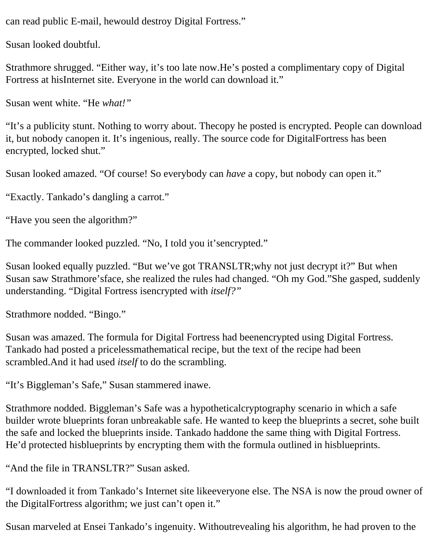can read public E-mail, hewould destroy Digital Fortress."

Susan looked doubtful.

Strathmore shrugged. "Either way, it's too late now.He's posted a complimentary copy of Digital Fortress at hisInternet site. Everyone in the world can download it."

Susan went white. "He *what!"*

"It's a publicity stunt. Nothing to worry about. Thecopy he posted is encrypted. People can download it, but nobody canopen it. It's ingenious, really. The source code for DigitalFortress has been encrypted, locked shut."

Susan looked amazed. "Of course! So everybody can *have* a copy, but nobody can open it."

"Exactly. Tankado's dangling a carrot."

"Have you seen the algorithm?"

The commander looked puzzled. "No, I told you it'sencrypted."

Susan looked equally puzzled. "But we've got TRANSLTR;why not just decrypt it?" But when Susan saw Strathmore'sface, she realized the rules had changed. "Oh my God."She gasped, suddenly understanding. "Digital Fortress isencrypted with *itself?"*

Strathmore nodded. "Bingo."

Susan was amazed. The formula for Digital Fortress had beenencrypted using Digital Fortress. Tankado had posted a pricelessmathematical recipe, but the text of the recipe had been scrambled.And it had used *itself* to do the scrambling.

"It's Biggleman's Safe," Susan stammered inawe.

Strathmore nodded. Biggleman's Safe was a hypotheticalcryptography scenario in which a safe builder wrote blueprints foran unbreakable safe. He wanted to keep the blueprints a secret, sohe built the safe and locked the blueprints inside. Tankado haddone the same thing with Digital Fortress. He'd protected hisblueprints by encrypting them with the formula outlined in hisblueprints.

"And the file in TRANSLTR?" Susan asked.

"I downloaded it from Tankado's Internet site likeeveryone else. The NSA is now the proud owner of the DigitalFortress algorithm; we just can't open it."

Susan marveled at Ensei Tankado's ingenuity. Withoutrevealing his algorithm, he had proven to the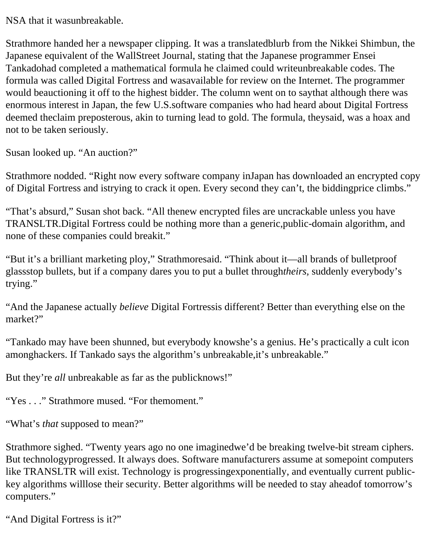NSA that it wasunbreakable.

Strathmore handed her a newspaper clipping. It was a translatedblurb from the Nikkei Shimbun, the Japanese equivalent of the WallStreet Journal, stating that the Japanese programmer Ensei Tankadohad completed a mathematical formula he claimed could writeunbreakable codes. The formula was called Digital Fortress and wasavailable for review on the Internet. The programmer would beauctioning it off to the highest bidder. The column went on to saythat although there was enormous interest in Japan, the few U.S.software companies who had heard about Digital Fortress deemed theclaim preposterous, akin to turning lead to gold. The formula, theysaid, was a hoax and not to be taken seriously.

Susan looked up. "An auction?"

Strathmore nodded. "Right now every software company inJapan has downloaded an encrypted copy of Digital Fortress and istrying to crack it open. Every second they can't, the biddingprice climbs."

"That's absurd," Susan shot back. "All thenew encrypted files are uncrackable unless you have TRANSLTR.Digital Fortress could be nothing more than a generic,public-domain algorithm, and none of these companies could breakit."

"But it's a brilliant marketing ploy," Strathmoresaid. "Think about it—all brands of bulletproof glassstop bullets, but if a company dares you to put a bullet through*theirs,* suddenly everybody's trying."

"And the Japanese actually *believe* Digital Fortressis different? Better than everything else on the market?"

"Tankado may have been shunned, but everybody knowshe's a genius. He's practically a cult icon amonghackers. If Tankado says the algorithm's unbreakable,it's unbreakable."

But they're *all* unbreakable as far as the publicknows!"

"Yes . . ." Strathmore mused. "For themoment."

"What's *that* supposed to mean?"

Strathmore sighed. "Twenty years ago no one imaginedwe'd be breaking twelve-bit stream ciphers. But technologyprogressed. It always does. Software manufacturers assume at somepoint computers like TRANSLTR will exist. Technology is progressingexponentially, and eventually current publickey algorithms willlose their security. Better algorithms will be needed to stay aheadof tomorrow's computers."

"And Digital Fortress is it?"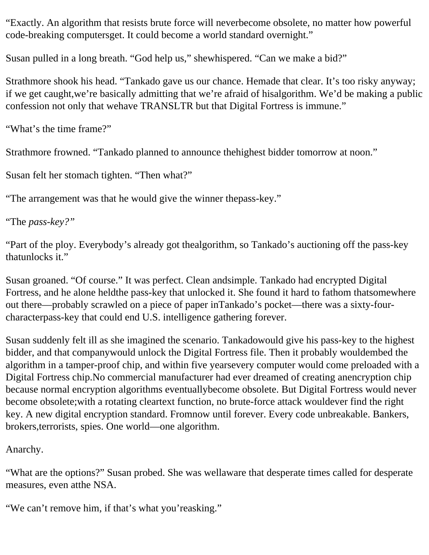"Exactly. An algorithm that resists brute force will neverbecome obsolete, no matter how powerful code-breaking computersget. It could become a world standard overnight."

Susan pulled in a long breath. "God help us," shewhispered. "Can we make a bid?"

Strathmore shook his head. "Tankado gave us our chance. Hemade that clear. It's too risky anyway; if we get caught,we're basically admitting that we're afraid of hisalgorithm. We'd be making a public confession not only that wehave TRANSLTR but that Digital Fortress is immune."

"What's the time frame?"

Strathmore frowned. "Tankado planned to announce thehighest bidder tomorrow at noon."

Susan felt her stomach tighten. "Then what?"

"The arrangement was that he would give the winner thepass-key."

"The *pass-key?"*

"Part of the ploy. Everybody's already got thealgorithm, so Tankado's auctioning off the pass-key thatunlocks it."

Susan groaned. "Of course." It was perfect. Clean andsimple. Tankado had encrypted Digital Fortress, and he alone heldthe pass-key that unlocked it. She found it hard to fathom thatsomewhere out there—probably scrawled on a piece of paper inTankado's pocket—there was a sixty-fourcharacterpass-key that could end U.S. intelligence gathering forever.

Susan suddenly felt ill as she imagined the scenario. Tankadowould give his pass-key to the highest bidder, and that companywould unlock the Digital Fortress file. Then it probably wouldembed the algorithm in a tamper-proof chip, and within five yearsevery computer would come preloaded with a Digital Fortress chip.No commercial manufacturer had ever dreamed of creating anencryption chip because normal encryption algorithms eventuallybecome obsolete. But Digital Fortress would never become obsolete;with a rotating cleartext function, no brute-force attack wouldever find the right key. A new digital encryption standard. Fromnow until forever. Every code unbreakable. Bankers, brokers,terrorists, spies. One world—one algorithm.

Anarchy.

"What are the options?" Susan probed. She was wellaware that desperate times called for desperate measures, even atthe NSA.

"We can't remove him, if that's what you'reasking."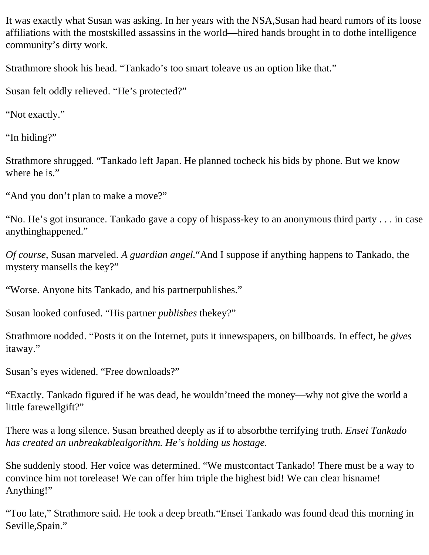It was exactly what Susan was asking. In her years with the NSA,Susan had heard rumors of its loose affiliations with the mostskilled assassins in the world—hired hands brought in to dothe intelligence community's dirty work.

Strathmore shook his head. "Tankado's too smart toleave us an option like that."

Susan felt oddly relieved. "He's protected?"

"Not exactly."

"In hiding?"

Strathmore shrugged. "Tankado left Japan. He planned tocheck his bids by phone. But we know where he is."

"And you don't plan to make a move?"

"No. He's got insurance. Tankado gave a copy of hispass-key to an anonymous third party . . . in case anythinghappened."

*Of course,* Susan marveled. *A guardian angel.*"And I suppose if anything happens to Tankado, the mystery mansells the key?"

"Worse. Anyone hits Tankado, and his partnerpublishes."

Susan looked confused. "His partner *publishes* thekey?"

Strathmore nodded. "Posts it on the Internet, puts it innewspapers, on billboards. In effect, he *gives* itaway."

Susan's eyes widened. "Free downloads?"

"Exactly. Tankado figured if he was dead, he wouldn'tneed the money—why not give the world a little farewellgift?"

There was a long silence. Susan breathed deeply as if to absorbthe terrifying truth. *Ensei Tankado has created an unbreakablealgorithm. He's holding us hostage.*

She suddenly stood. Her voice was determined. "We mustcontact Tankado! There must be a way to convince him not torelease! We can offer him triple the highest bid! We can clear hisname! Anything!"

"Too late," Strathmore said. He took a deep breath."Ensei Tankado was found dead this morning in Seville,Spain."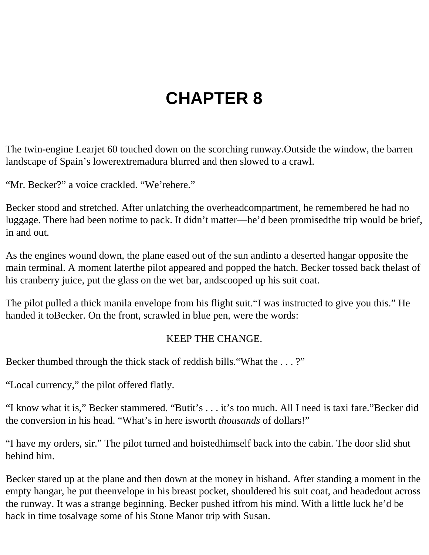### **CHAPTER 8**

The twin-engine Learjet 60 touched down on the scorching runway.Outside the window, the barren landscape of Spain's lowerextremadura blurred and then slowed to a crawl.

"Mr. Becker?" a voice crackled. "We'rehere."

Becker stood and stretched. After unlatching the overheadcompartment, he remembered he had no luggage. There had been notime to pack. It didn't matter—he'd been promisedthe trip would be brief, in and out.

As the engines wound down, the plane eased out of the sun andinto a deserted hangar opposite the main terminal. A moment laterthe pilot appeared and popped the hatch. Becker tossed back thelast of his cranberry juice, put the glass on the wet bar, andscooped up his suit coat.

The pilot pulled a thick manila envelope from his flight suit."I was instructed to give you this." He handed it toBecker. On the front, scrawled in blue pen, were the words:

#### KEEP THE CHANGE.

Becker thumbed through the thick stack of reddish bills. "What the ...?"

"Local currency," the pilot offered flatly.

"I know what it is," Becker stammered. "Butit's . . . it's too much. All I need is taxi fare."Becker did the conversion in his head. "What's in here isworth *thousands* of dollars!"

"I have my orders, sir." The pilot turned and hoistedhimself back into the cabin. The door slid shut behind him.

Becker stared up at the plane and then down at the money in hishand. After standing a moment in the empty hangar, he put theenvelope in his breast pocket, shouldered his suit coat, and headedout across the runway. It was a strange beginning. Becker pushed itfrom his mind. With a little luck he'd be back in time tosalvage some of his Stone Manor trip with Susan.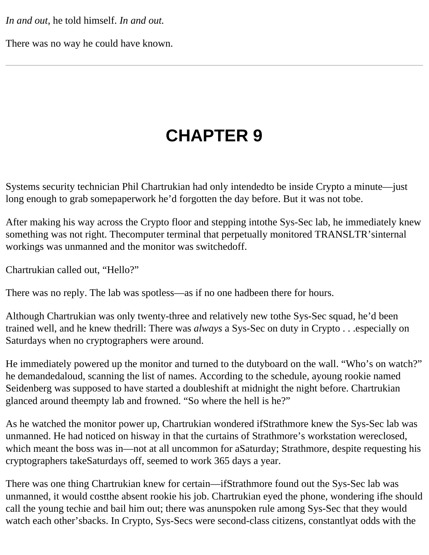There was no way he could have known.

## **CHAPTER 9**

Systems security technician Phil Chartrukian had only intendedto be inside Crypto a minute—just long enough to grab somepaperwork he'd forgotten the day before. But it was not tobe.

After making his way across the Crypto floor and stepping intothe Sys-Sec lab, he immediately knew something was not right. Thecomputer terminal that perpetually monitored TRANSLTR'sinternal workings was unmanned and the monitor was switchedoff.

Chartrukian called out, "Hello?"

There was no reply. The lab was spotless—as if no one hadbeen there for hours.

Although Chartrukian was only twenty-three and relatively new tothe Sys-Sec squad, he'd been trained well, and he knew thedrill: There was *always* a Sys-Sec on duty in Crypto . . .especially on Saturdays when no cryptographers were around.

He immediately powered up the monitor and turned to the dutyboard on the wall. "Who's on watch?" he demandedaloud, scanning the list of names. According to the schedule, ayoung rookie named Seidenberg was supposed to have started a doubleshift at midnight the night before. Chartrukian glanced around theempty lab and frowned. "So where the hell is he?"

As he watched the monitor power up, Chartrukian wondered ifStrathmore knew the Sys-Sec lab was unmanned. He had noticed on hisway in that the curtains of Strathmore's workstation wereclosed, which meant the boss was in—not at all uncommon for aSaturday; Strathmore, despite requesting his cryptographers takeSaturdays off, seemed to work 365 days a year.

There was one thing Chartrukian knew for certain—ifStrathmore found out the Sys-Sec lab was unmanned, it would costthe absent rookie his job. Chartrukian eyed the phone, wondering ifhe should call the young techie and bail him out; there was anunspoken rule among Sys-Sec that they would watch each other'sbacks. In Crypto, Sys-Secs were second-class citizens, constantlyat odds with the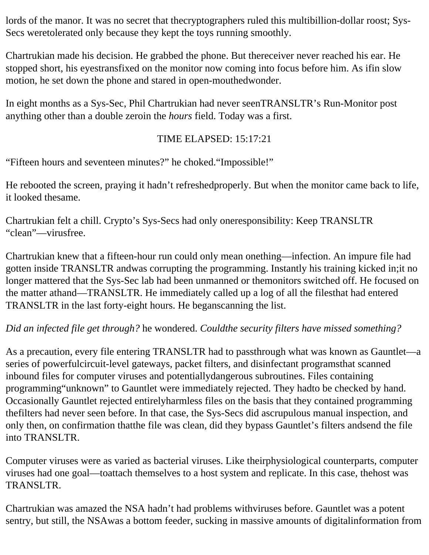lords of the manor. It was no secret that thecryptographers ruled this multibillion-dollar roost; Sys-Secs weretolerated only because they kept the toys running smoothly.

Chartrukian made his decision. He grabbed the phone. But thereceiver never reached his ear. He stopped short, his eyestransfixed on the monitor now coming into focus before him. As ifin slow motion, he set down the phone and stared in open-mouthedwonder.

In eight months as a Sys-Sec, Phil Chartrukian had never seenTRANSLTR's Run-Monitor post anything other than a double zeroin the *hours* field. Today was a first.

#### TIME ELAPSED: 15:17:21

"Fifteen hours and seventeen minutes?" he choked."Impossible!"

He rebooted the screen, praying it hadn't refreshedproperly. But when the monitor came back to life, it looked thesame.

Chartrukian felt a chill. Crypto's Sys-Secs had only oneresponsibility: Keep TRANSLTR "clean"—virusfree.

Chartrukian knew that a fifteen-hour run could only mean onething—infection. An impure file had gotten inside TRANSLTR andwas corrupting the programming. Instantly his training kicked in;it no longer mattered that the Sys-Sec lab had been unmanned or themonitors switched off. He focused on the matter athand—TRANSLTR. He immediately called up a log of all the filesthat had entered TRANSLTR in the last forty-eight hours. He beganscanning the list.

#### *Did an infected file get through?* he wondered. *Couldthe security filters have missed something?*

As a precaution, every file entering TRANSLTR had to passthrough what was known as Gauntlet—a series of powerfulcircuit-level gateways, packet filters, and disinfectant programsthat scanned inbound files for computer viruses and potentiallydangerous subroutines. Files containing programming"unknown" to Gauntlet were immediately rejected. They hadto be checked by hand. Occasionally Gauntlet rejected entirelyharmless files on the basis that they contained programming thefilters had never seen before. In that case, the Sys-Secs did ascrupulous manual inspection, and only then, on confirmation thatthe file was clean, did they bypass Gauntlet's filters andsend the file into TRANSLTR.

Computer viruses were as varied as bacterial viruses. Like theirphysiological counterparts, computer viruses had one goal—toattach themselves to a host system and replicate. In this case, thehost was TRANSLTR.

Chartrukian was amazed the NSA hadn't had problems withviruses before. Gauntlet was a potent sentry, but still, the NSAwas a bottom feeder, sucking in massive amounts of digitalinformation from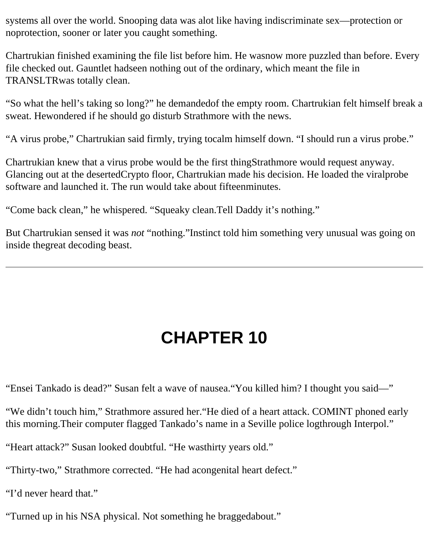systems all over the world. Snooping data was alot like having indiscriminate sex—protection or noprotection, sooner or later you caught something.

Chartrukian finished examining the file list before him. He wasnow more puzzled than before. Every file checked out. Gauntlet hadseen nothing out of the ordinary, which meant the file in TRANSLTRwas totally clean.

"So what the hell's taking so long?" he demandedof the empty room. Chartrukian felt himself break a sweat. Hewondered if he should go disturb Strathmore with the news.

"A virus probe," Chartrukian said firmly, trying tocalm himself down. "I should run a virus probe."

Chartrukian knew that a virus probe would be the first thingStrathmore would request anyway. Glancing out at the desertedCrypto floor, Chartrukian made his decision. He loaded the viralprobe software and launched it. The run would take about fifteenminutes.

"Come back clean," he whispered. "Squeaky clean.Tell Daddy it's nothing."

But Chartrukian sensed it was *not* "nothing."Instinct told him something very unusual was going on inside thegreat decoding beast.

### **CHAPTER 10**

"Ensei Tankado is dead?" Susan felt a wave of nausea."You killed him? I thought you said—"

"We didn't touch him," Strathmore assured her."He died of a heart attack. COMINT phoned early this morning.Their computer flagged Tankado's name in a Seville police logthrough Interpol."

"Heart attack?" Susan looked doubtful. "He wasthirty years old."

"Thirty-two," Strathmore corrected. "He had acongenital heart defect."

"I'd never heard that."

"Turned up in his NSA physical. Not something he braggedabout."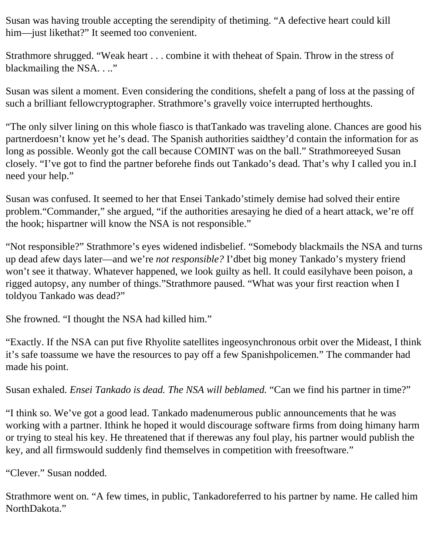Susan was having trouble accepting the serendipity of thetiming. "A defective heart could kill him—just likethat?" It seemed too convenient.

Strathmore shrugged. "Weak heart . . . combine it with theheat of Spain. Throw in the stress of blackmailing the NSA. . .."

Susan was silent a moment. Even considering the conditions, shefelt a pang of loss at the passing of such a brilliant fellowcryptographer. Strathmore's gravelly voice interrupted herthoughts.

"The only silver lining on this whole fiasco is thatTankado was traveling alone. Chances are good his partnerdoesn't know yet he's dead. The Spanish authorities saidthey'd contain the information for as long as possible. Weonly got the call because COMINT was on the ball." Strathmoreeyed Susan closely. "I've got to find the partner beforehe finds out Tankado's dead. That's why I called you in.I need your help."

Susan was confused. It seemed to her that Ensei Tankado'stimely demise had solved their entire problem."Commander," she argued, "if the authorities aresaying he died of a heart attack, we're off the hook; hispartner will know the NSA is not responsible."

"Not responsible?" Strathmore's eyes widened indisbelief. "Somebody blackmails the NSA and turns up dead afew days later—and we're *not responsible?* I'dbet big money Tankado's mystery friend won't see it thatway. Whatever happened, we look guilty as hell. It could easilyhave been poison, a rigged autopsy, any number of things."Strathmore paused. "What was your first reaction when I toldyou Tankado was dead?"

She frowned. "I thought the NSA had killed him."

"Exactly. If the NSA can put five Rhyolite satellites ingeosynchronous orbit over the Mideast, I think it's safe toassume we have the resources to pay off a few Spanishpolicemen." The commander had made his point.

Susan exhaled. *Ensei Tankado is dead. The NSA will beblamed.* "Can we find his partner in time?"

"I think so. We've got a good lead. Tankado madenumerous public announcements that he was working with a partner. Ithink he hoped it would discourage software firms from doing himany harm or trying to steal his key. He threatened that if therewas any foul play, his partner would publish the key, and all firmswould suddenly find themselves in competition with freesoftware."

"Clever." Susan nodded.

Strathmore went on. "A few times, in public, Tankadoreferred to his partner by name. He called him NorthDakota."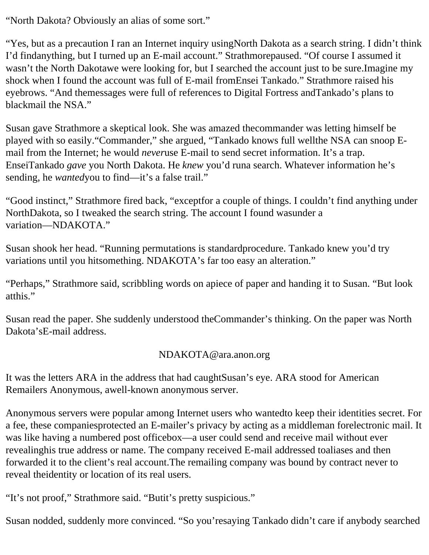"North Dakota? Obviously an alias of some sort."

"Yes, but as a precaution I ran an Internet inquiry usingNorth Dakota as a search string. I didn't think I'd findanything, but I turned up an E-mail account." Strathmorepaused. "Of course I assumed it wasn't the North Dakotawe were looking for, but I searched the account just to be sure.Imagine my shock when I found the account was full of E-mail fromEnsei Tankado." Strathmore raised his eyebrows. "And themessages were full of references to Digital Fortress andTankado's plans to blackmail the NSA."

Susan gave Strathmore a skeptical look. She was amazed thecommander was letting himself be played with so easily."Commander," she argued, "Tankado knows full wellthe NSA can snoop Email from the Internet; he would *never*use E-mail to send secret information. It's a trap. EnseiTankado *gave* you North Dakota. He *knew* you'd runa search. Whatever information he's sending, he *wanted*you to find—it's a false trail."

"Good instinct," Strathmore fired back, "exceptfor a couple of things. I couldn't find anything under NorthDakota, so I tweaked the search string. The account I found wasunder a variation—NDAKOTA."

Susan shook her head. "Running permutations is standardprocedure. Tankado knew you'd try variations until you hitsomething. NDAKOTA's far too easy an alteration."

"Perhaps," Strathmore said, scribbling words on apiece of paper and handing it to Susan. "But look atthis."

Susan read the paper. She suddenly understood theCommander's thinking. On the paper was North Dakota'sE-mail address.

#### NDAKOTA@ara.anon.org

It was the letters ARA in the address that had caughtSusan's eye. ARA stood for American Remailers Anonymous, awell-known anonymous server.

Anonymous servers were popular among Internet users who wantedto keep their identities secret. For a fee, these companiesprotected an E-mailer's privacy by acting as a middleman forelectronic mail. It was like having a numbered post officebox—a user could send and receive mail without ever revealinghis true address or name. The company received E-mail addressed toaliases and then forwarded it to the client's real account.The remailing company was bound by contract never to reveal theidentity or location of its real users.

"It's not proof," Strathmore said. "Butit's pretty suspicious."

Susan nodded, suddenly more convinced. "So you'resaying Tankado didn't care if anybody searched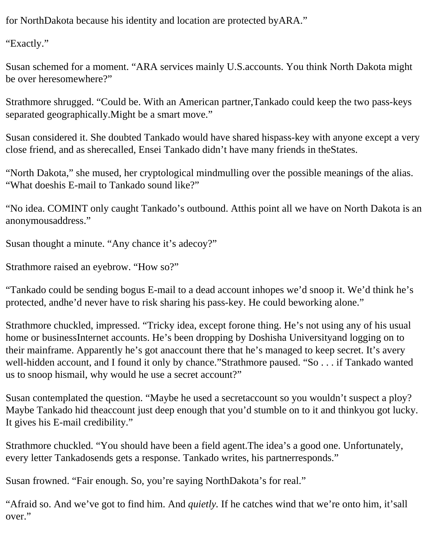for NorthDakota because his identity and location are protected byARA."

"Exactly."

Susan schemed for a moment. "ARA services mainly U.S.accounts. You think North Dakota might be over heresomewhere?"

Strathmore shrugged. "Could be. With an American partner,Tankado could keep the two pass-keys separated geographically.Might be a smart move."

Susan considered it. She doubted Tankado would have shared hispass-key with anyone except a very close friend, and as sherecalled, Ensei Tankado didn't have many friends in theStates.

"North Dakota," she mused, her cryptological mindmulling over the possible meanings of the alias. "What doeshis E-mail to Tankado sound like?"

"No idea. COMINT only caught Tankado's outbound. Atthis point all we have on North Dakota is an anonymousaddress."

Susan thought a minute. "Any chance it's adecoy?"

Strathmore raised an eyebrow. "How so?"

"Tankado could be sending bogus E-mail to a dead account inhopes we'd snoop it. We'd think he's protected, andhe'd never have to risk sharing his pass-key. He could beworking alone."

Strathmore chuckled, impressed. "Tricky idea, except forone thing. He's not using any of his usual home or businessInternet accounts. He's been dropping by Doshisha Universityand logging on to their mainframe. Apparently he's got anaccount there that he's managed to keep secret. It's avery well-hidden account, and I found it only by chance."Strathmore paused. "So . . . if Tankado wanted us to snoop hismail, why would he use a secret account?"

Susan contemplated the question. "Maybe he used a secretaccount so you wouldn't suspect a ploy? Maybe Tankado hid theaccount just deep enough that you'd stumble on to it and thinkyou got lucky. It gives his E-mail credibility."

Strathmore chuckled. "You should have been a field agent.The idea's a good one. Unfortunately, every letter Tankadosends gets a response. Tankado writes, his partnerresponds."

Susan frowned. "Fair enough. So, you're saying NorthDakota's for real."

"Afraid so. And we've got to find him. And *quietly.* If he catches wind that we're onto him, it'sall over."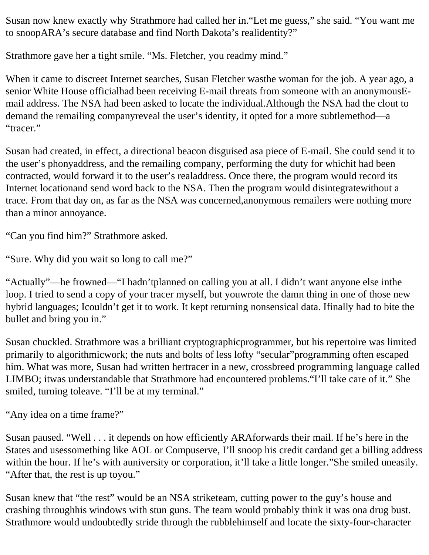Susan now knew exactly why Strathmore had called her in."Let me guess," she said. "You want me to snoopARA's secure database and find North Dakota's realidentity?"

Strathmore gave her a tight smile. "Ms. Fletcher, you readmy mind."

When it came to discreet Internet searches, Susan Fletcher wasthe woman for the job. A year ago, a senior White House officialhad been receiving E-mail threats from someone with an anonymousEmail address. The NSA had been asked to locate the individual.Although the NSA had the clout to demand the remailing companyreveal the user's identity, it opted for a more subtlemethod—a "tracer."

Susan had created, in effect, a directional beacon disguised asa piece of E-mail. She could send it to the user's phonyaddress, and the remailing company, performing the duty for whichit had been contracted, would forward it to the user's realaddress. Once there, the program would record its Internet locationand send word back to the NSA. Then the program would disintegratewithout a trace. From that day on, as far as the NSA was concerned,anonymous remailers were nothing more than a minor annoyance.

"Can you find him?" Strathmore asked.

"Sure. Why did you wait so long to call me?"

"Actually"—he frowned—"I hadn'tplanned on calling you at all. I didn't want anyone else inthe loop. I tried to send a copy of your tracer myself, but youwrote the damn thing in one of those new hybrid languages; Icouldn't get it to work. It kept returning nonsensical data. Ifinally had to bite the bullet and bring you in."

Susan chuckled. Strathmore was a brilliant cryptographicprogrammer, but his repertoire was limited primarily to algorithmicwork; the nuts and bolts of less lofty "secular"programming often escaped him. What was more, Susan had written hertracer in a new, crossbreed programming language called LIMBO; itwas understandable that Strathmore had encountered problems."I'll take care of it." She smiled, turning toleave. "I'll be at my terminal."

"Any idea on a time frame?"

Susan paused. "Well . . . it depends on how efficiently ARAforwards their mail. If he's here in the States and usessomething like AOL or Compuserve, I'll snoop his credit cardand get a billing address within the hour. If he's with auniversity or corporation, it'll take a little longer."She smiled uneasily. "After that, the rest is up toyou."

Susan knew that "the rest" would be an NSA striketeam, cutting power to the guy's house and crashing throughhis windows with stun guns. The team would probably think it was ona drug bust. Strathmore would undoubtedly stride through the rubblehimself and locate the sixty-four-character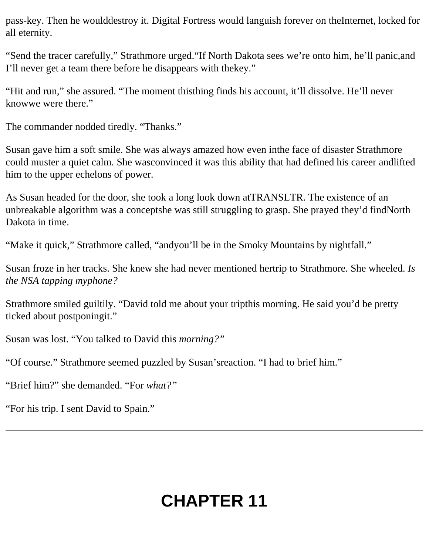pass-key. Then he woulddestroy it. Digital Fortress would languish forever on theInternet, locked for all eternity.

"Send the tracer carefully," Strathmore urged."If North Dakota sees we're onto him, he'll panic,and I'll never get a team there before he disappears with thekey."

"Hit and run," she assured. "The moment thisthing finds his account, it'll dissolve. He'll never knowwe were there."

The commander nodded tiredly. "Thanks."

Susan gave him a soft smile. She was always amazed how even inthe face of disaster Strathmore could muster a quiet calm. She wasconvinced it was this ability that had defined his career andlifted him to the upper echelons of power.

As Susan headed for the door, she took a long look down atTRANSLTR. The existence of an unbreakable algorithm was a conceptshe was still struggling to grasp. She prayed they'd findNorth Dakota in time.

"Make it quick," Strathmore called, "andyou'll be in the Smoky Mountains by nightfall."

Susan froze in her tracks. She knew she had never mentioned hertrip to Strathmore. She wheeled. *Is the NSA tapping myphone?*

Strathmore smiled guiltily. "David told me about your tripthis morning. He said you'd be pretty ticked about postponingit."

Susan was lost. "You talked to David this *morning?"*

"Of course." Strathmore seemed puzzled by Susan'sreaction. "I had to brief him."

"Brief him?" she demanded. "For *what?"*

"For his trip. I sent David to Spain."

# **CHAPTER 11**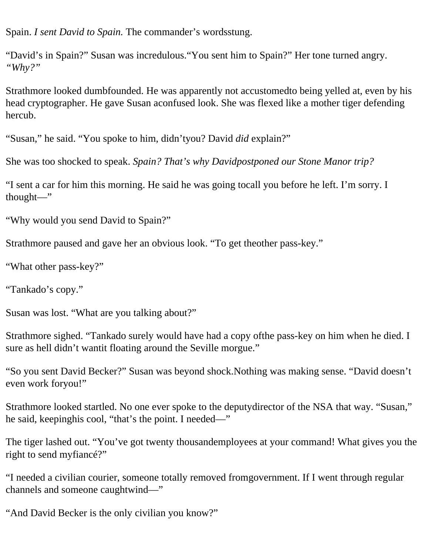Spain. *I sent David to Spain.* The commander's wordsstung.

"David's in Spain?" Susan was incredulous."You sent him to Spain?" Her tone turned angry. *"Why?"*

Strathmore looked dumbfounded. He was apparently not accustomedto being yelled at, even by his head cryptographer. He gave Susan aconfused look. She was flexed like a mother tiger defending hercub.

"Susan," he said. "You spoke to him, didn'tyou? David *did* explain?"

She was too shocked to speak. *Spain? That's why Davidpostponed our Stone Manor trip?*

"I sent a car for him this morning. He said he was going tocall you before he left. I'm sorry. I thought—"

"Why would you send David to Spain?"

Strathmore paused and gave her an obvious look. "To get theother pass-key."

"What other pass-key?"

"Tankado's copy."

Susan was lost. "What are you talking about?"

Strathmore sighed. "Tankado surely would have had a copy ofthe pass-key on him when he died. I sure as hell didn't wantit floating around the Seville morgue."

"So you sent David Becker?" Susan was beyond shock.Nothing was making sense. "David doesn't even work foryou!"

Strathmore looked startled. No one ever spoke to the deputydirector of the NSA that way. "Susan," he said, keepinghis cool, "that's the point. I needed—"

The tiger lashed out. "You've got twenty thousandemployees at your command! What gives you the right to send myfiancé?"

"I needed a civilian courier, someone totally removed fromgovernment. If I went through regular channels and someone caughtwind—"

"And David Becker is the only civilian you know?"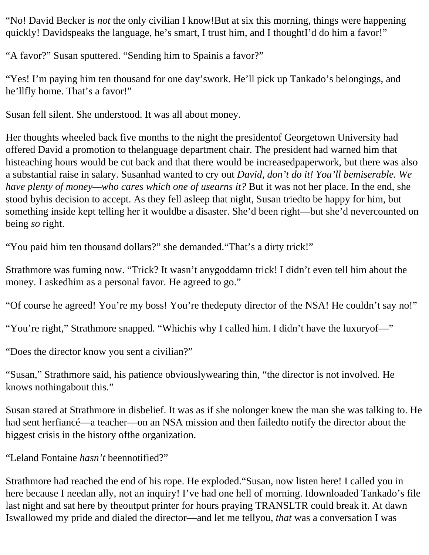"No! David Becker is *not* the only civilian I know!But at six this morning, things were happening quickly! Davidspeaks the language, he's smart, I trust him, and I thoughtI'd do him a favor!"

"A favor?" Susan sputtered. "Sending him to Spainis a favor?"

"Yes! I'm paying him ten thousand for one day'swork. He'll pick up Tankado's belongings, and he'llfly home. That's a favor!"

Susan fell silent. She understood. It was all about money.

Her thoughts wheeled back five months to the night the presidentof Georgetown University had offered David a promotion to thelanguage department chair. The president had warned him that histeaching hours would be cut back and that there would be increasedpaperwork, but there was also a substantial raise in salary. Susanhad wanted to cry out *David, don't do it! You'll bemiserable. We have plenty of money—who cares which one of usearns it?* But it was not her place. In the end, she stood byhis decision to accept. As they fell asleep that night, Susan triedto be happy for him, but something inside kept telling her it wouldbe a disaster. She'd been right—but she'd nevercounted on being *so* right.

"You paid him ten thousand dollars?" she demanded."That's a dirty trick!"

Strathmore was fuming now. "Trick? It wasn't anygoddamn trick! I didn't even tell him about the money. I askedhim as a personal favor. He agreed to go."

"Of course he agreed! You're my boss! You're thedeputy director of the NSA! He couldn't say no!"

"You're right," Strathmore snapped. "Whichis why I called him. I didn't have the luxuryof—"

"Does the director know you sent a civilian?"

"Susan," Strathmore said, his patience obviouslywearing thin, "the director is not involved. He knows nothingabout this."

Susan stared at Strathmore in disbelief. It was as if she nolonger knew the man she was talking to. He had sent herfiancé—a teacher—on an NSA mission and then failedto notify the director about the biggest crisis in the history ofthe organization.

"Leland Fontaine *hasn't* beennotified?"

Strathmore had reached the end of his rope. He exploded."Susan, now listen here! I called you in here because I needan ally, not an inquiry! I've had one hell of morning. Idownloaded Tankado's file last night and sat here by theoutput printer for hours praying TRANSLTR could break it. At dawn Iswallowed my pride and dialed the director—and let me tellyou, *that* was a conversation I was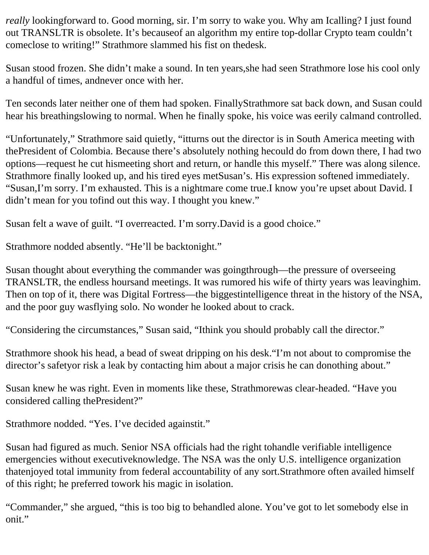*really* lookingforward to. Good morning, sir. I'm sorry to wake you. Why am Icalling? I just found out TRANSLTR is obsolete. It's becauseof an algorithm my entire top-dollar Crypto team couldn't comeclose to writing!" Strathmore slammed his fist on thedesk.

Susan stood frozen. She didn't make a sound. In ten years,she had seen Strathmore lose his cool only a handful of times, andnever once with her.

Ten seconds later neither one of them had spoken. FinallyStrathmore sat back down, and Susan could hear his breathingslowing to normal. When he finally spoke, his voice was eerily calmand controlled.

"Unfortunately," Strathmore said quietly, "itturns out the director is in South America meeting with thePresident of Colombia. Because there's absolutely nothing hecould do from down there, I had two options—request he cut hismeeting short and return, or handle this myself." There was along silence. Strathmore finally looked up, and his tired eyes metSusan's. His expression softened immediately. "Susan,I'm sorry. I'm exhausted. This is a nightmare come true.I know you're upset about David. I didn't mean for you tofind out this way. I thought you knew."

Susan felt a wave of guilt. "I overreacted. I'm sorry.David is a good choice."

Strathmore nodded absently. "He'll be backtonight."

Susan thought about everything the commander was goingthrough—the pressure of overseeing TRANSLTR, the endless hoursand meetings. It was rumored his wife of thirty years was leavinghim. Then on top of it, there was Digital Fortress—the biggestintelligence threat in the history of the NSA, and the poor guy wasflying solo. No wonder he looked about to crack.

"Considering the circumstances," Susan said, "Ithink you should probably call the director."

Strathmore shook his head, a bead of sweat dripping on his desk."I'm not about to compromise the director's safetyor risk a leak by contacting him about a major crisis he can donothing about."

Susan knew he was right. Even in moments like these, Strathmorewas clear-headed. "Have you considered calling thePresident?"

Strathmore nodded. "Yes. I've decided againstit."

Susan had figured as much. Senior NSA officials had the right tohandle verifiable intelligence emergencies without executiveknowledge. The NSA was the only U.S. intelligence organization thatenjoyed total immunity from federal accountability of any sort.Strathmore often availed himself of this right; he preferred towork his magic in isolation.

"Commander," she argued, "this is too big to behandled alone. You've got to let somebody else in onit."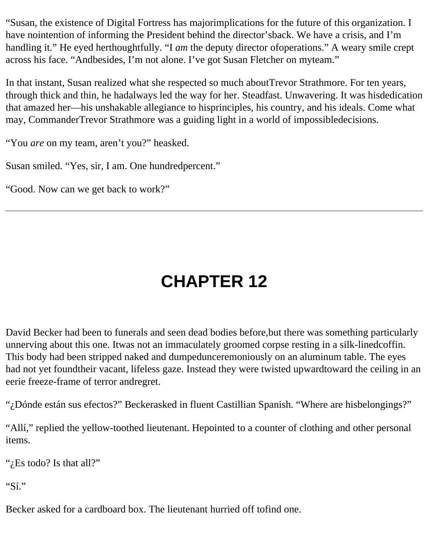"Susan, the existence of Digital Fortress has majorimplications for the future of this organization. I have nointention of informing the President behind the director'sback. We have a crisis, and I'm handling it." He eyed herthoughtfully. "I *am* the deputy director ofoperations." A weary smile crept across his face. "Andbesides, I'm not alone. I've got Susan Fletcher on myteam."

In that instant, Susan realized what she respected so much aboutTrevor Strathmore. For ten years, through thick and thin, he hadalways led the way for her. Steadfast. Unwavering. It was hisdedication that amazed her—his unshakable allegiance to hisprinciples, his country, and his ideals. Come what may, CommanderTrevor Strathmore was a guiding light in a world of impossibledecisions.

"You *are* on my team, aren't you?" heasked.

Susan smiled. "Yes, sir, I am. One hundredpercent."

"Good. Now can we get back to work?"

# **CHAPTER 12**

David Becker had been to funerals and seen dead bodies before,but there was something particularly unnerving about this one. Itwas not an immaculately groomed corpse resting in a silk-linedcoffin. This body had been stripped naked and dumpedunceremoniously on an aluminum table. The eyes had not yet foundtheir vacant, lifeless gaze. Instead they were twisted upwardtoward the ceiling in an eerie freeze-frame of terror andregret.

"¿Dónde están sus efectos?" Beckerasked in fluent Castillian Spanish. "Where are hisbelongings?"

"Allí," replied the yellow-toothed lieutenant. Hepointed to a counter of clothing and other personal items.

"¿Es todo? Is that all?"

"Sí."

Becker asked for a cardboard box. The lieutenant hurried off tofind one.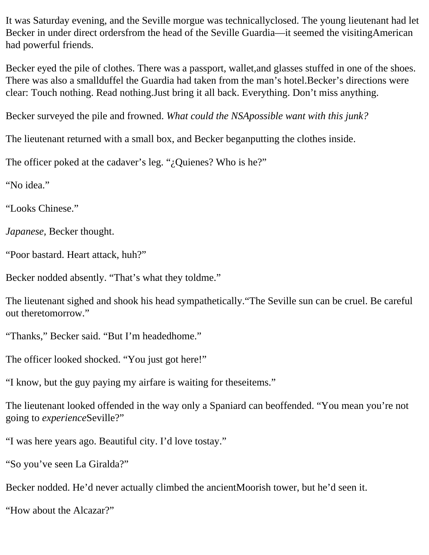It was Saturday evening, and the Seville morgue was technicallyclosed. The young lieutenant had let Becker in under direct ordersfrom the head of the Seville Guardia—it seemed the visitingAmerican had powerful friends.

Becker eyed the pile of clothes. There was a passport, wallet,and glasses stuffed in one of the shoes. There was also a smallduffel the Guardia had taken from the man's hotel.Becker's directions were clear: Touch nothing. Read nothing.Just bring it all back. Everything. Don't miss anything.

Becker surveyed the pile and frowned. *What could the NSApossible want with this junk?*

The lieutenant returned with a small box, and Becker beganputting the clothes inside.

The officer poked at the cadaver's leg. "¿Quienes? Who is he?"

"No idea."

"Looks Chinese."

*Japanese,* Becker thought.

"Poor bastard. Heart attack, huh?"

Becker nodded absently. "That's what they toldme."

The lieutenant sighed and shook his head sympathetically."The Seville sun can be cruel. Be careful out theretomorrow."

"Thanks," Becker said. "But I'm headedhome."

The officer looked shocked. "You just got here!"

"I know, but the guy paying my airfare is waiting for theseitems."

The lieutenant looked offended in the way only a Spaniard can beoffended. "You mean you're not going to *experience*Seville?"

"I was here years ago. Beautiful city. I'd love tostay."

"So you've seen La Giralda?"

Becker nodded. He'd never actually climbed the ancientMoorish tower, but he'd seen it.

"How about the Alcazar?"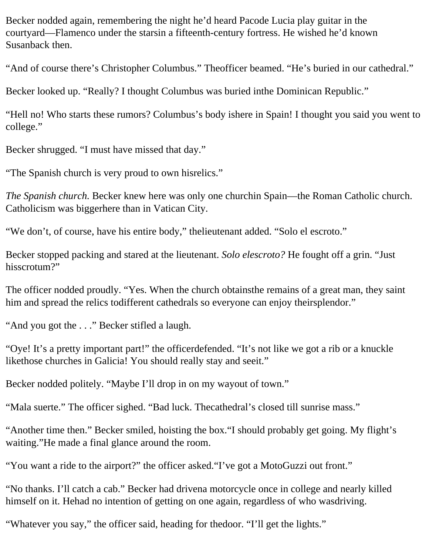Becker nodded again, remembering the night he'd heard Pacode Lucia play guitar in the courtyard—Flamenco under the starsin a fifteenth-century fortress. He wished he'd known Susanback then.

"And of course there's Christopher Columbus." Theofficer beamed. "He's buried in our cathedral."

Becker looked up. "Really? I thought Columbus was buried inthe Dominican Republic."

"Hell no! Who starts these rumors? Columbus's body ishere in Spain! I thought you said you went to college."

Becker shrugged. "I must have missed that day."

"The Spanish church is very proud to own hisrelics."

*The Spanish church.* Becker knew here was only one churchin Spain—the Roman Catholic church. Catholicism was biggerhere than in Vatican City.

"We don't, of course, have his entire body," thelieutenant added. "Solo el escroto."

Becker stopped packing and stared at the lieutenant. *Solo elescroto?* He fought off a grin. "Just hisscrotum?"

The officer nodded proudly. "Yes. When the church obtainsthe remains of a great man, they saint him and spread the relics todifferent cathedrals so everyone can enjoy theirsplendor."

"And you got the . . ." Becker stifled a laugh.

"Oye! It's a pretty important part!" the officerdefended. "It's not like we got a rib or a knuckle likethose churches in Galicia! You should really stay and seeit."

Becker nodded politely. "Maybe I'll drop in on my wayout of town."

"Mala suerte." The officer sighed. "Bad luck. Thecathedral's closed till sunrise mass."

"Another time then." Becker smiled, hoisting the box."I should probably get going. My flight's waiting."He made a final glance around the room.

"You want a ride to the airport?" the officer asked."I've got a MotoGuzzi out front."

"No thanks. I'll catch a cab." Becker had drivena motorcycle once in college and nearly killed himself on it. Hehad no intention of getting on one again, regardless of who wasdriving.

"Whatever you say," the officer said, heading for thedoor. "I'll get the lights."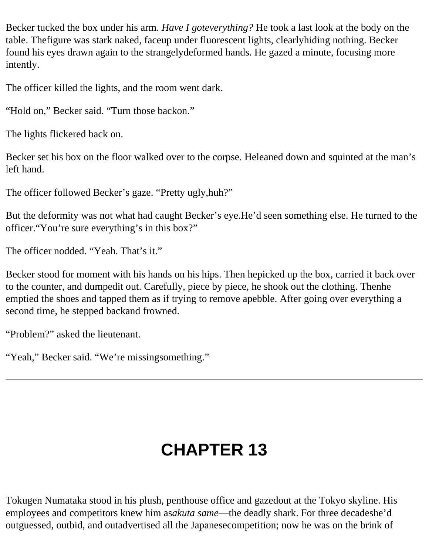Becker tucked the box under his arm. *Have I goteverything?* He took a last look at the body on the table. Thefigure was stark naked, faceup under fluorescent lights, clearlyhiding nothing. Becker found his eyes drawn again to the strangelydeformed hands. He gazed a minute, focusing more intently.

The officer killed the lights, and the room went dark.

"Hold on," Becker said. "Turn those backon."

The lights flickered back on.

Becker set his box on the floor walked over to the corpse. Heleaned down and squinted at the man's left hand.

The officer followed Becker's gaze. "Pretty ugly,huh?"

But the deformity was not what had caught Becker's eye.He'd seen something else. He turned to the officer."You're sure everything's in this box?"

The officer nodded. "Yeah. That's it."

Becker stood for moment with his hands on his hips. Then hepicked up the box, carried it back over to the counter, and dumpedit out. Carefully, piece by piece, he shook out the clothing. Thenhe emptied the shoes and tapped them as if trying to remove apebble. After going over everything a second time, he stepped backand frowned.

"Problem?" asked the lieutenant.

"Yeah," Becker said. "We're missingsomething."

# **CHAPTER 13**

Tokugen Numataka stood in his plush, penthouse office and gazedout at the Tokyo skyline. His employees and competitors knew him as*akuta same*—the deadly shark. For three decadeshe'd outguessed, outbid, and outadvertised all the Japanesecompetition; now he was on the brink of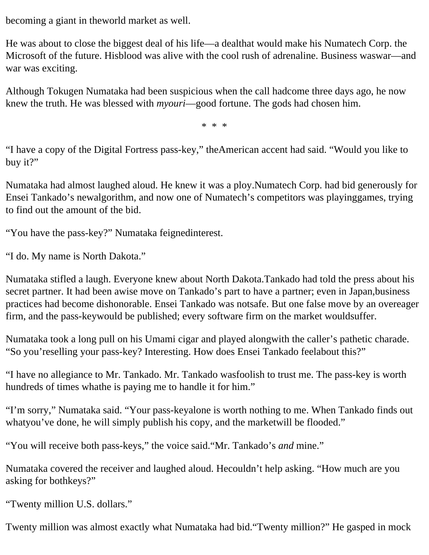becoming a giant in theworld market as well.

He was about to close the biggest deal of his life—a dealthat would make his Numatech Corp. the Microsoft of the future. Hisblood was alive with the cool rush of adrenaline. Business waswar—and war was exciting.

Although Tokugen Numataka had been suspicious when the call hadcome three days ago, he now knew the truth. He was blessed with *myouri*—good fortune. The gods had chosen him.

\* \* \*

"I have a copy of the Digital Fortress pass-key," theAmerican accent had said. "Would you like to buy it?"

Numataka had almost laughed aloud. He knew it was a ploy.Numatech Corp. had bid generously for Ensei Tankado's newalgorithm, and now one of Numatech's competitors was playinggames, trying to find out the amount of the bid.

"You have the pass-key?" Numataka feignedinterest.

"I do. My name is North Dakota."

Numataka stifled a laugh. Everyone knew about North Dakota.Tankado had told the press about his secret partner. It had been awise move on Tankado's part to have a partner; even in Japan, business practices had become dishonorable. Ensei Tankado was notsafe. But one false move by an overeager firm, and the pass-keywould be published; every software firm on the market wouldsuffer.

Numataka took a long pull on his Umami cigar and played alongwith the caller's pathetic charade. "So you'reselling your pass-key? Interesting. How does Ensei Tankado feelabout this?"

"I have no allegiance to Mr. Tankado. Mr. Tankado wasfoolish to trust me. The pass-key is worth hundreds of times whathe is paying me to handle it for him."

"I'm sorry," Numataka said. "Your pass-keyalone is worth nothing to me. When Tankado finds out whatyou've done, he will simply publish his copy, and the marketwill be flooded."

"You will receive both pass-keys," the voice said."Mr. Tankado's *and* mine."

Numataka covered the receiver and laughed aloud. Hecouldn't help asking. "How much are you asking for bothkeys?"

"Twenty million U.S. dollars."

Twenty million was almost exactly what Numataka had bid."Twenty million?" He gasped in mock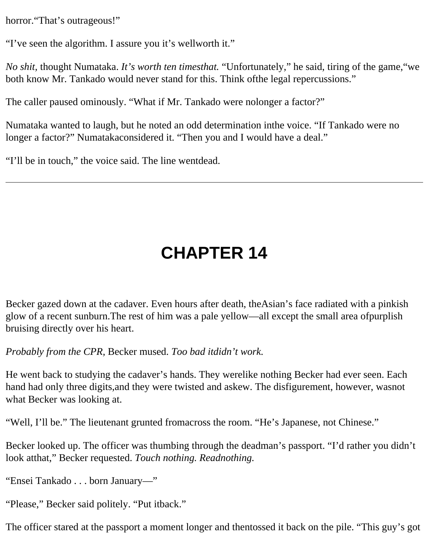horror."That's outrageous!"

"I've seen the algorithm. I assure you it's wellworth it."

*No shit,* thought Numataka. *It's worth ten timesthat.* "Unfortunately," he said, tiring of the game,"we both know Mr. Tankado would never stand for this. Think ofthe legal repercussions."

The caller paused ominously. "What if Mr. Tankado were nolonger a factor?"

Numataka wanted to laugh, but he noted an odd determination inthe voice. "If Tankado were no longer a factor?" Numatakaconsidered it. "Then you and I would have a deal."

"I'll be in touch," the voice said. The line wentdead.

### **CHAPTER 14**

Becker gazed down at the cadaver. Even hours after death, theAsian's face radiated with a pinkish glow of a recent sunburn.The rest of him was a pale yellow—all except the small area ofpurplish bruising directly over his heart.

*Probably from the CPR,* Becker mused. *Too bad itdidn't work.*

He went back to studying the cadaver's hands. They werelike nothing Becker had ever seen. Each hand had only three digits,and they were twisted and askew. The disfigurement, however, wasnot what Becker was looking at.

"Well, I'll be." The lieutenant grunted fromacross the room. "He's Japanese, not Chinese."

Becker looked up. The officer was thumbing through the deadman's passport. "I'd rather you didn't look atthat," Becker requested. *Touch nothing. Readnothing.*

"Ensei Tankado . . . born January—"

"Please," Becker said politely. "Put itback."

The officer stared at the passport a moment longer and thentossed it back on the pile. "This guy's got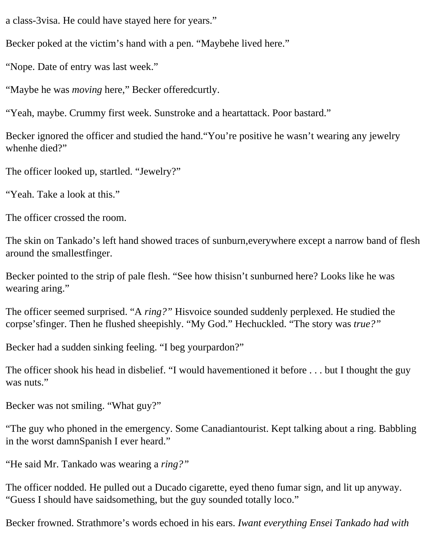a class-3visa. He could have stayed here for years."

Becker poked at the victim's hand with a pen. "Maybehe lived here."

"Nope. Date of entry was last week."

"Maybe he was *moving* here," Becker offeredcurtly.

"Yeah, maybe. Crummy first week. Sunstroke and a heartattack. Poor bastard."

Becker ignored the officer and studied the hand."You're positive he wasn't wearing any jewelry whenhe died?"

The officer looked up, startled. "Jewelry?"

"Yeah. Take a look at this."

The officer crossed the room.

The skin on Tankado's left hand showed traces of sunburn,everywhere except a narrow band of flesh around the smallestfinger.

Becker pointed to the strip of pale flesh. "See how thisisn't sunburned here? Looks like he was wearing aring."

The officer seemed surprised. "A *ring?"* Hisvoice sounded suddenly perplexed. He studied the corpse'sfinger. Then he flushed sheepishly. "My God." Hechuckled. "The story was *true?"*

Becker had a sudden sinking feeling. "I beg yourpardon?"

The officer shook his head in disbelief. "I would havementioned it before . . . but I thought the guy was nuts."

Becker was not smiling. "What guy?"

"The guy who phoned in the emergency. Some Canadiantourist. Kept talking about a ring. Babbling in the worst damnSpanish I ever heard."

"He said Mr. Tankado was wearing a *ring?"*

The officer nodded. He pulled out a Ducado cigarette, eyed theno fumar sign, and lit up anyway. "Guess I should have saidsomething, but the guy sounded totally loco."

Becker frowned. Strathmore's words echoed in his ears. *Iwant everything Ensei Tankado had with*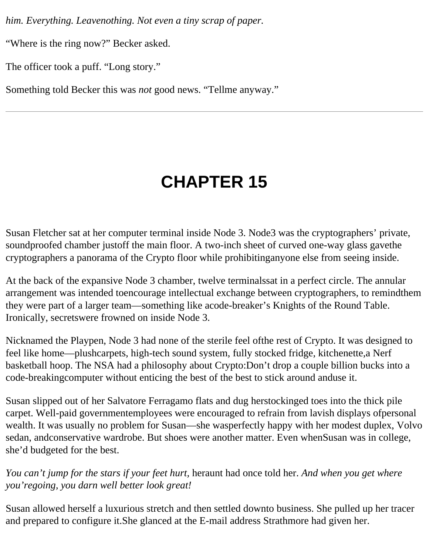*him. Everything. Leavenothing. Not even a tiny scrap of paper.*

"Where is the ring now?" Becker asked.

The officer took a puff. "Long story."

Something told Becker this was *not* good news. "Tellme anyway."

# **CHAPTER 15**

Susan Fletcher sat at her computer terminal inside Node 3. Node3 was the cryptographers' private, soundproofed chamber justoff the main floor. A two-inch sheet of curved one-way glass gavethe cryptographers a panorama of the Crypto floor while prohibitinganyone else from seeing inside.

At the back of the expansive Node 3 chamber, twelve terminalssat in a perfect circle. The annular arrangement was intended toencourage intellectual exchange between cryptographers, to remindthem they were part of a larger team—something like acode-breaker's Knights of the Round Table. Ironically, secretswere frowned on inside Node 3.

Nicknamed the Playpen, Node 3 had none of the sterile feel ofthe rest of Crypto. It was designed to feel like home—plushcarpets, high-tech sound system, fully stocked fridge, kitchenette,a Nerf basketball hoop. The NSA had a philosophy about Crypto:Don't drop a couple billion bucks into a code-breakingcomputer without enticing the best of the best to stick around anduse it.

Susan slipped out of her Salvatore Ferragamo flats and dug herstockinged toes into the thick pile carpet. Well-paid governmentemployees were encouraged to refrain from lavish displays ofpersonal wealth. It was usually no problem for Susan—she wasperfectly happy with her modest duplex, Volvo sedan, andconservative wardrobe. But shoes were another matter. Even whenSusan was in college, she'd budgeted for the best.

*You can't jump for the stars if your feet hurt,* heraunt had once told her. *And when you get where you'regoing, you darn well better look great!*

Susan allowed herself a luxurious stretch and then settled downto business. She pulled up her tracer and prepared to configure it.She glanced at the E-mail address Strathmore had given her.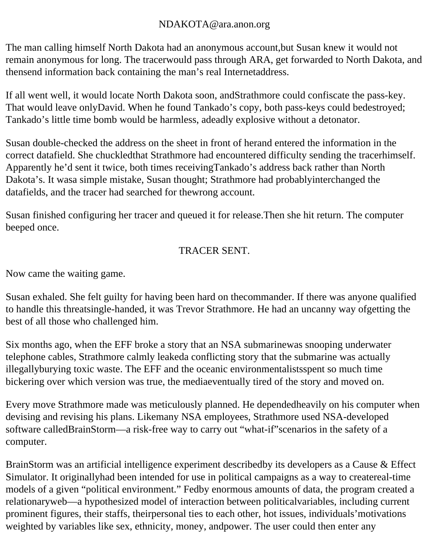#### NDAKOTA@ara.anon.org

The man calling himself North Dakota had an anonymous account,but Susan knew it would not remain anonymous for long. The tracerwould pass through ARA, get forwarded to North Dakota, and thensend information back containing the man's real Internetaddress.

If all went well, it would locate North Dakota soon, andStrathmore could confiscate the pass-key. That would leave onlyDavid. When he found Tankado's copy, both pass-keys could bedestroyed; Tankado's little time bomb would be harmless, adeadly explosive without a detonator.

Susan double-checked the address on the sheet in front of herand entered the information in the correct datafield. She chuckledthat Strathmore had encountered difficulty sending the tracerhimself. Apparently he'd sent it twice, both times receivingTankado's address back rather than North Dakota's. It wasa simple mistake, Susan thought; Strathmore had probablyinterchanged the datafields, and the tracer had searched for thewrong account.

Susan finished configuring her tracer and queued it for release.Then she hit return. The computer beeped once.

#### TRACER SENT.

Now came the waiting game.

Susan exhaled. She felt guilty for having been hard on thecommander. If there was anyone qualified to handle this threatsingle-handed, it was Trevor Strathmore. He had an uncanny way ofgetting the best of all those who challenged him.

Six months ago, when the EFF broke a story that an NSA submarinewas snooping underwater telephone cables, Strathmore calmly leakeda conflicting story that the submarine was actually illegallyburying toxic waste. The EFF and the oceanic environmentalistsspent so much time bickering over which version was true, the mediaeventually tired of the story and moved on.

Every move Strathmore made was meticulously planned. He dependedheavily on his computer when devising and revising his plans. Likemany NSA employees, Strathmore used NSA-developed software calledBrainStorm—a risk-free way to carry out "what-if"scenarios in the safety of a computer.

BrainStorm was an artificial intelligence experiment describedby its developers as a Cause & Effect Simulator. It originallyhad been intended for use in political campaigns as a way to createreal-time models of a given "political environment." Fedby enormous amounts of data, the program created a relationaryweb—a hypothesized model of interaction between politicalvariables, including current prominent figures, their staffs, theirpersonal ties to each other, hot issues, individuals'motivations weighted by variables like sex, ethnicity, money, andpower. The user could then enter any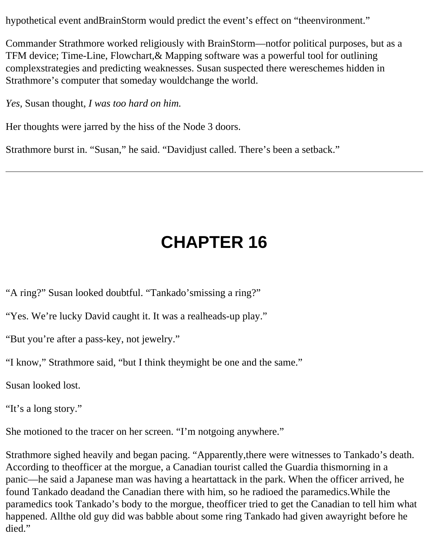hypothetical event andBrainStorm would predict the event's effect on "theenvironment."

Commander Strathmore worked religiously with BrainStorm—notfor political purposes, but as a TFM device; Time-Line, Flowchart,& Mapping software was a powerful tool for outlining complexstrategies and predicting weaknesses. Susan suspected there wereschemes hidden in Strathmore's computer that someday wouldchange the world.

*Yes,* Susan thought, *I was too hard on him.*

Her thoughts were jarred by the hiss of the Node 3 doors.

Strathmore burst in. "Susan," he said. "Davidjust called. There's been a setback."

### **CHAPTER 16**

"A ring?" Susan looked doubtful. "Tankado'smissing a ring?"

"Yes. We're lucky David caught it. It was a realheads-up play."

"But you're after a pass-key, not jewelry."

"I know," Strathmore said, "but I think theymight be one and the same."

Susan looked lost.

"It's a long story."

She motioned to the tracer on her screen. "I'm notgoing anywhere."

Strathmore sighed heavily and began pacing. "Apparently,there were witnesses to Tankado's death. According to theofficer at the morgue, a Canadian tourist called the Guardia thismorning in a panic—he said a Japanese man was having a heartattack in the park. When the officer arrived, he found Tankado deadand the Canadian there with him, so he radioed the paramedics.While the paramedics took Tankado's body to the morgue, theofficer tried to get the Canadian to tell him what happened. Allthe old guy did was babble about some ring Tankado had given awayright before he died."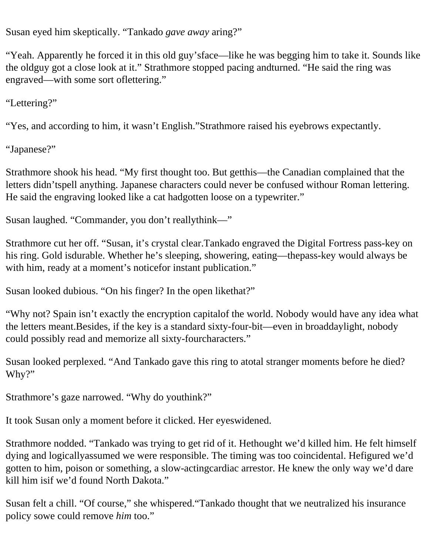Susan eyed him skeptically. "Tankado *gave away* aring?"

"Yeah. Apparently he forced it in this old guy'sface—like he was begging him to take it. Sounds like the oldguy got a close look at it." Strathmore stopped pacing andturned. "He said the ring was engraved—with some sort oflettering."

"Lettering?"

"Yes, and according to him, it wasn't English."Strathmore raised his eyebrows expectantly.

"Japanese?"

Strathmore shook his head. "My first thought too. But getthis—the Canadian complained that the letters didn'tspell anything. Japanese characters could never be confused withour Roman lettering. He said the engraving looked like a cat hadgotten loose on a typewriter."

Susan laughed. "Commander, you don't reallythink—"

Strathmore cut her off. "Susan, it's crystal clear.Tankado engraved the Digital Fortress pass-key on his ring. Gold isdurable. Whether he's sleeping, showering, eating—thepass-key would always be with him, ready at a moment's noticefor instant publication."

Susan looked dubious. "On his finger? In the open likethat?"

"Why not? Spain isn't exactly the encryption capitalof the world. Nobody would have any idea what the letters meant.Besides, if the key is a standard sixty-four-bit—even in broaddaylight, nobody could possibly read and memorize all sixty-fourcharacters."

Susan looked perplexed. "And Tankado gave this ring to atotal stranger moments before he died? Why?"

Strathmore's gaze narrowed. "Why do youthink?"

It took Susan only a moment before it clicked. Her eyeswidened.

Strathmore nodded. "Tankado was trying to get rid of it. Hethought we'd killed him. He felt himself dying and logicallyassumed we were responsible. The timing was too coincidental. Hefigured we'd gotten to him, poison or something, a slow-actingcardiac arrestor. He knew the only way we'd dare kill him isif we'd found North Dakota."

Susan felt a chill. "Of course," she whispered."Tankado thought that we neutralized his insurance policy sowe could remove *him* too."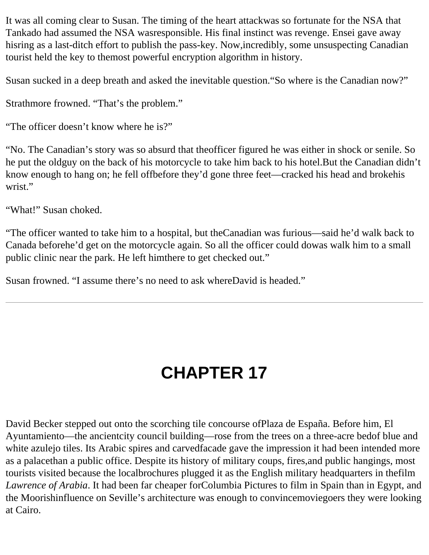It was all coming clear to Susan. The timing of the heart attackwas so fortunate for the NSA that Tankado had assumed the NSA wasresponsible. His final instinct was revenge. Ensei gave away hisring as a last-ditch effort to publish the pass-key. Now,incredibly, some unsuspecting Canadian tourist held the key to themost powerful encryption algorithm in history.

Susan sucked in a deep breath and asked the inevitable question."So where is the Canadian now?"

Strathmore frowned. "That's the problem."

"The officer doesn't know where he is?"

"No. The Canadian's story was so absurd that theofficer figured he was either in shock or senile. So he put the oldguy on the back of his motorcycle to take him back to his hotel.But the Canadian didn't know enough to hang on; he fell offbefore they'd gone three feet—cracked his head and brokehis wrist."

"What!" Susan choked.

"The officer wanted to take him to a hospital, but theCanadian was furious—said he'd walk back to Canada beforehe'd get on the motorcycle again. So all the officer could dowas walk him to a small public clinic near the park. He left himthere to get checked out."

Susan frowned. "I assume there's no need to ask whereDavid is headed."

## **CHAPTER 17**

David Becker stepped out onto the scorching tile concourse ofPlaza de España. Before him, El Ayuntamiento—the ancientcity council building—rose from the trees on a three-acre bedof blue and white azulejo tiles. Its Arabic spires and carvedfacade gave the impression it had been intended more as a palacethan a public office. Despite its history of military coups, fires,and public hangings, most tourists visited because the localbrochures plugged it as the English military headquarters in thefilm *Lawrence of Arabia*. It had been far cheaper forColumbia Pictures to film in Spain than in Egypt, and the Moorishinfluence on Seville's architecture was enough to convincemoviegoers they were looking at Cairo.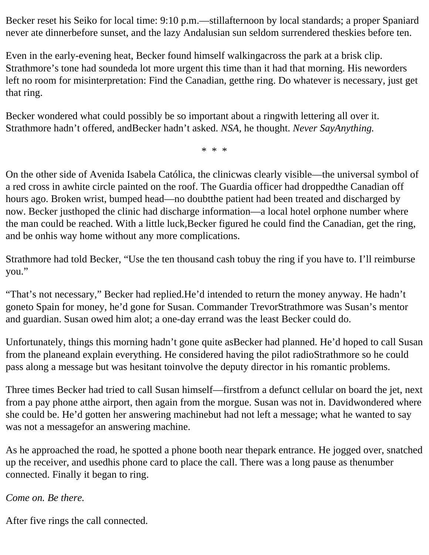Becker reset his Seiko for local time: 9:10 p.m.—stillafternoon by local standards; a proper Spaniard never ate dinnerbefore sunset, and the lazy Andalusian sun seldom surrendered theskies before ten.

Even in the early-evening heat, Becker found himself walkingacross the park at a brisk clip. Strathmore's tone had soundeda lot more urgent this time than it had that morning. His neworders left no room for misinterpretation: Find the Canadian, getthe ring. Do whatever is necessary, just get that ring.

Becker wondered what could possibly be so important about a ringwith lettering all over it. Strathmore hadn't offered, andBecker hadn't asked. *NSA,* he thought. *Never SayAnything.*

\* \* \*

On the other side of Avenida Isabela Católica, the clinicwas clearly visible—the universal symbol of a red cross in awhite circle painted on the roof. The Guardia officer had droppedthe Canadian off hours ago. Broken wrist, bumped head—no doubtthe patient had been treated and discharged by now. Becker justhoped the clinic had discharge information—a local hotel orphone number where the man could be reached. With a little luck,Becker figured he could find the Canadian, get the ring, and be onhis way home without any more complications.

Strathmore had told Becker, "Use the ten thousand cash tobuy the ring if you have to. I'll reimburse you."

"That's not necessary," Becker had replied.He'd intended to return the money anyway. He hadn't goneto Spain for money, he'd gone for Susan. Commander TrevorStrathmore was Susan's mentor and guardian. Susan owed him alot; a one-day errand was the least Becker could do.

Unfortunately, things this morning hadn't gone quite asBecker had planned. He'd hoped to call Susan from the planeand explain everything. He considered having the pilot radioStrathmore so he could pass along a message but was hesitant toinvolve the deputy director in his romantic problems.

Three times Becker had tried to call Susan himself—firstfrom a defunct cellular on board the jet, next from a pay phone atthe airport, then again from the morgue. Susan was not in. Davidwondered where she could be. He'd gotten her answering machinebut had not left a message; what he wanted to say was not a messagefor an answering machine.

As he approached the road, he spotted a phone booth near thepark entrance. He jogged over, snatched up the receiver, and usedhis phone card to place the call. There was a long pause as thenumber connected. Finally it began to ring.

#### *Come on. Be there.*

After five rings the call connected.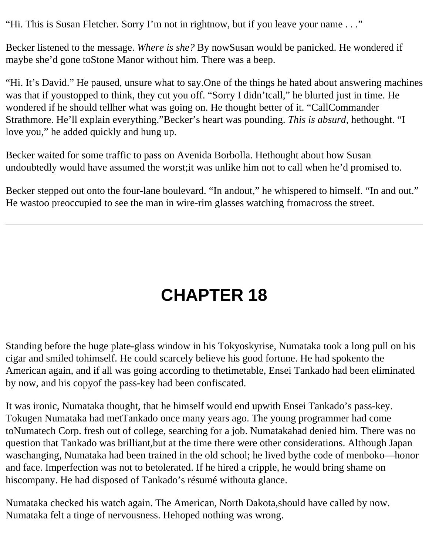"Hi. This is Susan Fletcher. Sorry I'm not in rightnow, but if you leave your name . . ."

Becker listened to the message. *Where is she?* By nowSusan would be panicked. He wondered if maybe she'd gone toStone Manor without him. There was a beep.

"Hi. It's David." He paused, unsure what to say.One of the things he hated about answering machines was that if youstopped to think, they cut you off. "Sorry I didn'tcall," he blurted just in time. He wondered if he should tellher what was going on. He thought better of it. "CallCommander Strathmore. He'll explain everything."Becker's heart was pounding. *This is absurd,* hethought. "I love you," he added quickly and hung up.

Becker waited for some traffic to pass on Avenida Borbolla. Hethought about how Susan undoubtedly would have assumed the worst;it was unlike him not to call when he'd promised to.

Becker stepped out onto the four-lane boulevard. "In andout," he whispered to himself. "In and out." He wastoo preoccupied to see the man in wire-rim glasses watching fromacross the street.

### **CHAPTER 18**

Standing before the huge plate-glass window in his Tokyoskyrise, Numataka took a long pull on his cigar and smiled tohimself. He could scarcely believe his good fortune. He had spokento the American again, and if all was going according to thetimetable, Ensei Tankado had been eliminated by now, and his copyof the pass-key had been confiscated.

It was ironic, Numataka thought, that he himself would end upwith Ensei Tankado's pass-key. Tokugen Numataka had metTankado once many years ago. The young programmer had come toNumatech Corp. fresh out of college, searching for a job. Numatakahad denied him. There was no question that Tankado was brilliant,but at the time there were other considerations. Although Japan waschanging, Numataka had been trained in the old school; he lived bythe code of menboko—honor and face. Imperfection was not to betolerated. If he hired a cripple, he would bring shame on hiscompany. He had disposed of Tankado's résumé withouta glance.

Numataka checked his watch again. The American, North Dakota,should have called by now. Numataka felt a tinge of nervousness. Hehoped nothing was wrong.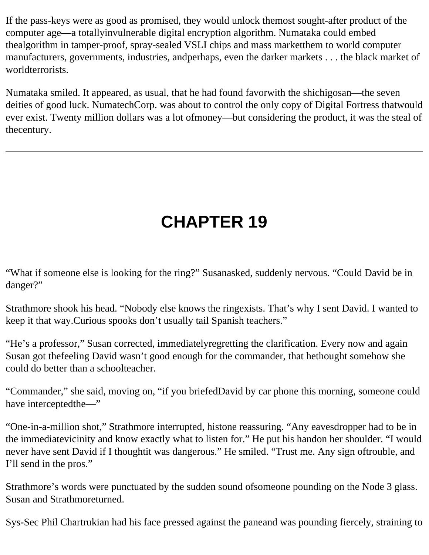If the pass-keys were as good as promised, they would unlock themost sought-after product of the computer age—a totallyinvulnerable digital encryption algorithm. Numataka could embed thealgorithm in tamper-proof, spray-sealed VSLI chips and mass marketthem to world computer manufacturers, governments, industries, andperhaps, even the darker markets . . . the black market of worldterrorists.

Numataka smiled. It appeared, as usual, that he had found favorwith the shichigosan—the seven deities of good luck. NumatechCorp. was about to control the only copy of Digital Fortress thatwould ever exist. Twenty million dollars was a lot ofmoney—but considering the product, it was the steal of thecentury.

# **CHAPTER 19**

"What if someone else is looking for the ring?" Susanasked, suddenly nervous. "Could David be in danger?"

Strathmore shook his head. "Nobody else knows the ringexists. That's why I sent David. I wanted to keep it that way.Curious spooks don't usually tail Spanish teachers."

"He's a professor," Susan corrected, immediatelyregretting the clarification. Every now and again Susan got thefeeling David wasn't good enough for the commander, that hethought somehow she could do better than a schoolteacher.

"Commander," she said, moving on, "if you briefedDavid by car phone this morning, someone could have interceptedthe—"

"One-in-a-million shot," Strathmore interrupted, histone reassuring. "Any eavesdropper had to be in the immediatevicinity and know exactly what to listen for." He put his handon her shoulder. "I would never have sent David if I thoughtit was dangerous." He smiled. "Trust me. Any sign oftrouble, and I'll send in the pros."

Strathmore's words were punctuated by the sudden sound ofsomeone pounding on the Node 3 glass. Susan and Strathmoreturned.

Sys-Sec Phil Chartrukian had his face pressed against the paneand was pounding fiercely, straining to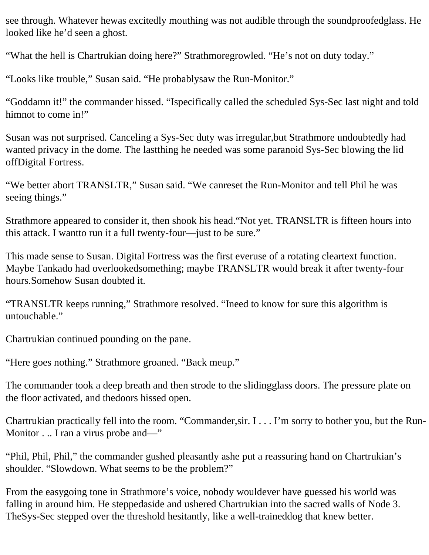see through. Whatever hewas excitedly mouthing was not audible through the soundproofedglass. He looked like he'd seen a ghost.

"What the hell is Chartrukian doing here?" Strathmoregrowled. "He's not on duty today."

"Looks like trouble," Susan said. "He probablysaw the Run-Monitor."

"Goddamn it!" the commander hissed. "Ispecifically called the scheduled Sys-Sec last night and told himnot to come in!"

Susan was not surprised. Canceling a Sys-Sec duty was irregular,but Strathmore undoubtedly had wanted privacy in the dome. The lastthing he needed was some paranoid Sys-Sec blowing the lid offDigital Fortress.

"We better abort TRANSLTR," Susan said. "We canreset the Run-Monitor and tell Phil he was seeing things."

Strathmore appeared to consider it, then shook his head."Not yet. TRANSLTR is fifteen hours into this attack. I wantto run it a full twenty-four—just to be sure."

This made sense to Susan. Digital Fortress was the first everuse of a rotating cleartext function. Maybe Tankado had overlookedsomething; maybe TRANSLTR would break it after twenty-four hours.Somehow Susan doubted it.

"TRANSLTR keeps running," Strathmore resolved. "Ineed to know for sure this algorithm is untouchable."

Chartrukian continued pounding on the pane.

"Here goes nothing." Strathmore groaned. "Back meup."

The commander took a deep breath and then strode to the slidingglass doors. The pressure plate on the floor activated, and thedoors hissed open.

Chartrukian practically fell into the room. "Commander,sir. I . . . I'm sorry to bother you, but the Run-Monitor . .. I ran a virus probe and—"

"Phil, Phil, Phil," the commander gushed pleasantly ashe put a reassuring hand on Chartrukian's shoulder. "Slowdown. What seems to be the problem?"

From the easygoing tone in Strathmore's voice, nobody wouldever have guessed his world was falling in around him. He steppedaside and ushered Chartrukian into the sacred walls of Node 3. TheSys-Sec stepped over the threshold hesitantly, like a well-traineddog that knew better.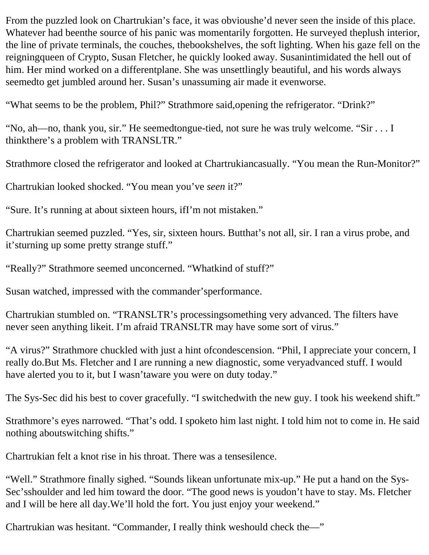From the puzzled look on Chartrukian's face, it was obvioushe'd never seen the inside of this place. Whatever had beenthe source of his panic was momentarily forgotten. He surveyed theplush interior, the line of private terminals, the couches, thebookshelves, the soft lighting. When his gaze fell on the reigningqueen of Crypto, Susan Fletcher, he quickly looked away. Susanintimidated the hell out of him. Her mind worked on a differentplane. She was unsettlingly beautiful, and his words always seemedto get jumbled around her. Susan's unassuming air made it evenworse.

"What seems to be the problem, Phil?" Strathmore said,opening the refrigerator. "Drink?"

"No, ah—no, thank you, sir." He seemedtongue-tied, not sure he was truly welcome. "Sir . . . I thinkthere's a problem with TRANSLTR."

Strathmore closed the refrigerator and looked at Chartrukiancasually. "You mean the Run-Monitor?"

Chartrukian looked shocked. "You mean you've *seen* it?"

"Sure. It's running at about sixteen hours, ifI'm not mistaken."

Chartrukian seemed puzzled. "Yes, sir, sixteen hours. Butthat's not all, sir. I ran a virus probe, and it'sturning up some pretty strange stuff."

"Really?" Strathmore seemed unconcerned. "Whatkind of stuff?"

Susan watched, impressed with the commander'sperformance.

Chartrukian stumbled on. "TRANSLTR's processingsomething very advanced. The filters have never seen anything likeit. I'm afraid TRANSLTR may have some sort of virus."

"A virus?" Strathmore chuckled with just a hint ofcondescension. "Phil, I appreciate your concern, I really do.But Ms. Fletcher and I are running a new diagnostic, some veryadvanced stuff. I would have alerted you to it, but I wasn'taware you were on duty today."

The Sys-Sec did his best to cover gracefully. "I switchedwith the new guy. I took his weekend shift."

Strathmore's eyes narrowed. "That's odd. I spoketo him last night. I told him not to come in. He said nothing aboutswitching shifts."

Chartrukian felt a knot rise in his throat. There was a tensesilence.

"Well." Strathmore finally sighed. "Sounds likean unfortunate mix-up." He put a hand on the Sys-Sec'sshoulder and led him toward the door. "The good news is youdon't have to stay. Ms. Fletcher and I will be here all day.We'll hold the fort. You just enjoy your weekend."

Chartrukian was hesitant. "Commander, I really think weshould check the—"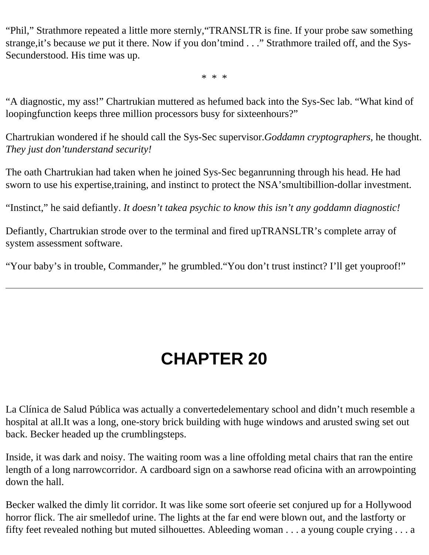"Phil," Strathmore repeated a little more sternly,"TRANSLTR is fine. If your probe saw something strange,it's because *we* put it there. Now if you don'tmind . . ." Strathmore trailed off, and the Sys-Secunderstood. His time was up.

\* \* \*

"A diagnostic, my ass!" Chartrukian muttered as hefumed back into the Sys-Sec lab. "What kind of loopingfunction keeps three million processors busy for sixteenhours?"

Chartrukian wondered if he should call the Sys-Sec supervisor.*Goddamn cryptographers,* he thought. *They just don'tunderstand security!*

The oath Chartrukian had taken when he joined Sys-Sec beganrunning through his head. He had sworn to use his expertise,training, and instinct to protect the NSA'smultibillion-dollar investment.

"Instinct," he said defiantly. *It doesn't takea psychic to know this isn't any goddamn diagnostic!*

Defiantly, Chartrukian strode over to the terminal and fired upTRANSLTR's complete array of system assessment software.

"Your baby's in trouble, Commander," he grumbled."You don't trust instinct? I'll get youproof!"

### **CHAPTER 20**

La Clínica de Salud Pública was actually a convertedelementary school and didn't much resemble a hospital at all.It was a long, one-story brick building with huge windows and arusted swing set out back. Becker headed up the crumblingsteps.

Inside, it was dark and noisy. The waiting room was a line offolding metal chairs that ran the entire length of a long narrowcorridor. A cardboard sign on a sawhorse read oficina with an arrowpointing down the hall.

Becker walked the dimly lit corridor. It was like some sort ofeerie set conjured up for a Hollywood horror flick. The air smelledof urine. The lights at the far end were blown out, and the lastforty or fifty feet revealed nothing but muted silhouettes. Ableeding woman . . . a young couple crying . . . a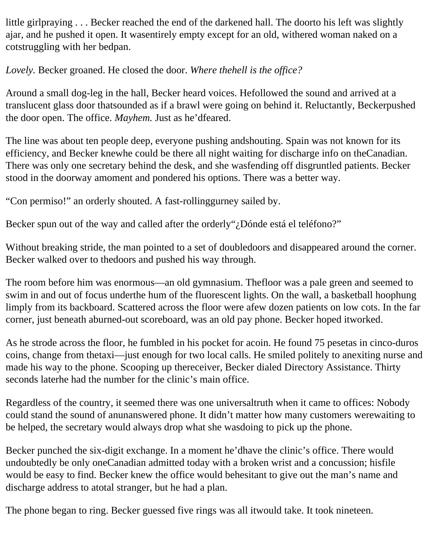little girlpraying . . . Becker reached the end of the darkened hall. The doorto his left was slightly ajar, and he pushed it open. It wasentirely empty except for an old, withered woman naked on a cotstruggling with her bedpan.

*Lovely.* Becker groaned. He closed the door. *Where thehell is the office?*

Around a small dog-leg in the hall, Becker heard voices. Hefollowed the sound and arrived at a translucent glass door thatsounded as if a brawl were going on behind it. Reluctantly, Beckerpushed the door open. The office. *Mayhem.* Just as he'dfeared.

The line was about ten people deep, everyone pushing andshouting. Spain was not known for its efficiency, and Becker knewhe could be there all night waiting for discharge info on theCanadian. There was only one secretary behind the desk, and she wasfending off disgruntled patients. Becker stood in the doorway amoment and pondered his options. There was a better way.

"Con permiso!" an orderly shouted. A fast-rollinggurney sailed by.

Becker spun out of the way and called after the orderly"; Dónde está el teléfono?"

Without breaking stride, the man pointed to a set of doubledoors and disappeared around the corner. Becker walked over to thedoors and pushed his way through.

The room before him was enormous—an old gymnasium. Thefloor was a pale green and seemed to swim in and out of focus underthe hum of the fluorescent lights. On the wall, a basketball hoophung limply from its backboard. Scattered across the floor were afew dozen patients on low cots. In the far corner, just beneath aburned-out scoreboard, was an old pay phone. Becker hoped itworked.

As he strode across the floor, he fumbled in his pocket for acoin. He found 75 pesetas in cinco-duros coins, change from thetaxi—just enough for two local calls. He smiled politely to anexiting nurse and made his way to the phone. Scooping up thereceiver, Becker dialed Directory Assistance. Thirty seconds laterhe had the number for the clinic's main office.

Regardless of the country, it seemed there was one universaltruth when it came to offices: Nobody could stand the sound of anunanswered phone. It didn't matter how many customers werewaiting to be helped, the secretary would always drop what she wasdoing to pick up the phone.

Becker punched the six-digit exchange. In a moment he'dhave the clinic's office. There would undoubtedly be only oneCanadian admitted today with a broken wrist and a concussion; hisfile would be easy to find. Becker knew the office would behesitant to give out the man's name and discharge address to atotal stranger, but he had a plan.

The phone began to ring. Becker guessed five rings was all itwould take. It took nineteen.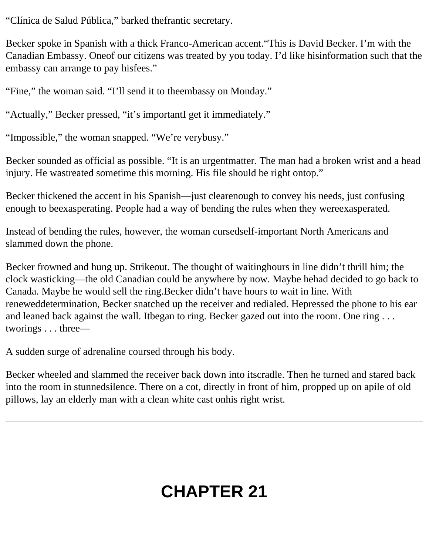"Clínica de Salud Pública," barked thefrantic secretary.

Becker spoke in Spanish with a thick Franco-American accent."This is David Becker. I'm with the Canadian Embassy. Oneof our citizens was treated by you today. I'd like hisinformation such that the embassy can arrange to pay hisfees."

"Fine," the woman said. "I'll send it to theembassy on Monday."

"Actually," Becker pressed, "it's importantI get it immediately."

"Impossible," the woman snapped. "We're verybusy."

Becker sounded as official as possible. "It is an urgentmatter. The man had a broken wrist and a head injury. He wastreated sometime this morning. His file should be right ontop."

Becker thickened the accent in his Spanish—just clearenough to convey his needs, just confusing enough to beexasperating. People had a way of bending the rules when they wereexasperated.

Instead of bending the rules, however, the woman cursedself-important North Americans and slammed down the phone.

Becker frowned and hung up. Strikeout. The thought of waitinghours in line didn't thrill him; the clock wasticking—the old Canadian could be anywhere by now. Maybe hehad decided to go back to Canada. Maybe he would sell the ring.Becker didn't have hours to wait in line. With reneweddetermination, Becker snatched up the receiver and redialed. Hepressed the phone to his ear and leaned back against the wall. Itbegan to ring. Becker gazed out into the room. One ring . . . tworings . . . three—

A sudden surge of adrenaline coursed through his body.

Becker wheeled and slammed the receiver back down into itscradle. Then he turned and stared back into the room in stunnedsilence. There on a cot, directly in front of him, propped up on apile of old pillows, lay an elderly man with a clean white cast onhis right wrist.

# **CHAPTER 21**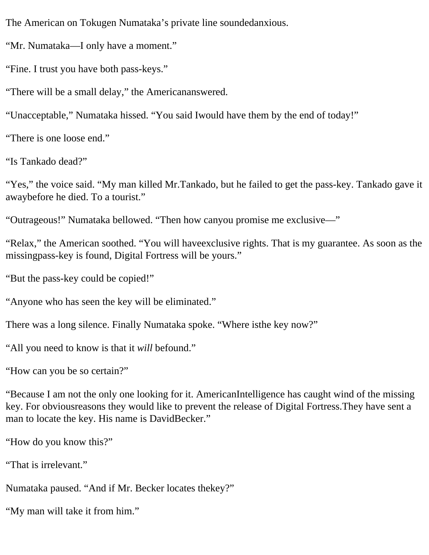The American on Tokugen Numataka's private line soundedanxious.

"Mr. Numataka—I only have a moment."

"Fine. I trust you have both pass-keys."

"There will be a small delay," the Americananswered.

"Unacceptable," Numataka hissed. "You said Iwould have them by the end of today!"

"There is one loose end."

"Is Tankado dead?"

"Yes," the voice said. "My man killed Mr.Tankado, but he failed to get the pass-key. Tankado gave it awaybefore he died. To a tourist."

"Outrageous!" Numataka bellowed. "Then how canyou promise me exclusive—"

"Relax," the American soothed. "You will haveexclusive rights. That is my guarantee. As soon as the missingpass-key is found, Digital Fortress will be yours."

"But the pass-key could be copied!"

"Anyone who has seen the key will be eliminated."

There was a long silence. Finally Numataka spoke. "Where isthe key now?"

"All you need to know is that it *will* befound."

"How can you be so certain?"

"Because I am not the only one looking for it. AmericanIntelligence has caught wind of the missing key. For obviousreasons they would like to prevent the release of Digital Fortress.They have sent a man to locate the key. His name is DavidBecker."

"How do you know this?"

"That is irrelevant."

Numataka paused. "And if Mr. Becker locates thekey?"

"My man will take it from him."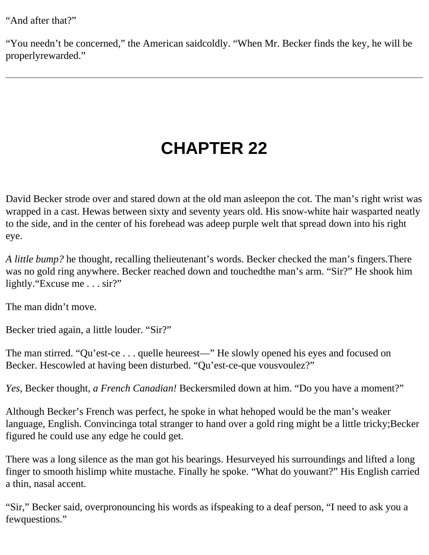"You needn't be concerned," the American saidcoldly. "When Mr. Becker finds the key, he will be properlyrewarded."

## **CHAPTER 22**

David Becker strode over and stared down at the old man asleepon the cot. The man's right wrist was wrapped in a cast. Hewas between sixty and seventy years old. His snow-white hair wasparted neatly to the side, and in the center of his forehead was adeep purple welt that spread down into his right eye.

*A little bump?* he thought, recalling thelieutenant's words. Becker checked the man's fingers.There was no gold ring anywhere. Becker reached down and touchedthe man's arm. "Sir?" He shook him lightly."Excuse me . . . sir?"

The man didn't move.

Becker tried again, a little louder. "Sir?"

The man stirred. "Qu'est-ce . . . quelle heureest—" He slowly opened his eyes and focused on Becker. Hescowled at having been disturbed. "Qu'est-ce-que vousvoulez?"

*Yes,* Becker thought, *a French Canadian!* Beckersmiled down at him. "Do you have a moment?"

Although Becker's French was perfect, he spoke in what hehoped would be the man's weaker language, English. Convincinga total stranger to hand over a gold ring might be a little tricky;Becker figured he could use any edge he could get.

There was a long silence as the man got his bearings. Hesurveyed his surroundings and lifted a long finger to smooth hislimp white mustache. Finally he spoke. "What do youwant?" His English carried a thin, nasal accent.

"Sir," Becker said, overpronouncing his words as ifspeaking to a deaf person, "I need to ask you a fewquestions."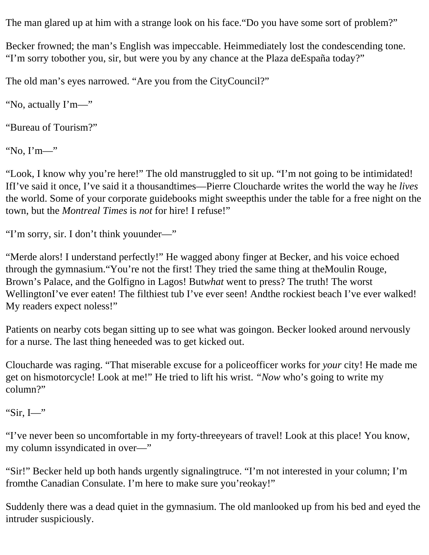The man glared up at him with a strange look on his face."Do you have some sort of problem?"

Becker frowned; the man's English was impeccable. Heimmediately lost the condescending tone. "I'm sorry tobother you, sir, but were you by any chance at the Plaza deEspaña today?"

The old man's eyes narrowed. "Are you from the CityCouncil?"

"No, actually I'm—"

"Bureau of Tourism?"

"No,  $\Gamma$ m—"

"Look, I know why you're here!" The old manstruggled to sit up. "I'm not going to be intimidated! IfI've said it once, I've said it a thousandtimes—Pierre Cloucharde writes the world the way he *lives* the world. Some of your corporate guidebooks might sweepthis under the table for a free night on the town, but the *Montreal Times* is *not* for hire! I refuse!"

"I'm sorry, sir. I don't think youunder—"

"Merde alors! I understand perfectly!" He wagged abony finger at Becker, and his voice echoed through the gymnasium."You're not the first! They tried the same thing at theMoulin Rouge, Brown's Palace, and the Golfigno in Lagos! But*what* went to press? The truth! The worst WellingtonI've ever eaten! The filthiest tub I've ever seen! Andthe rockiest beach I've ever walked! My readers expect noless!"

Patients on nearby cots began sitting up to see what was goingon. Becker looked around nervously for a nurse. The last thing heneeded was to get kicked out.

Cloucharde was raging. "That miserable excuse for a policeofficer works for *your* city! He made me get on hismotorcycle! Look at me!" He tried to lift his wrist. *"Now* who's going to write my column?"

"Sir, I—"

"I've never been so uncomfortable in my forty-threeyears of travel! Look at this place! You know, my column issyndicated in over—"

"Sir!" Becker held up both hands urgently signalingtruce. "I'm not interested in your column; I'm fromthe Canadian Consulate. I'm here to make sure you'reokay!"

Suddenly there was a dead quiet in the gymnasium. The old manlooked up from his bed and eyed the intruder suspiciously.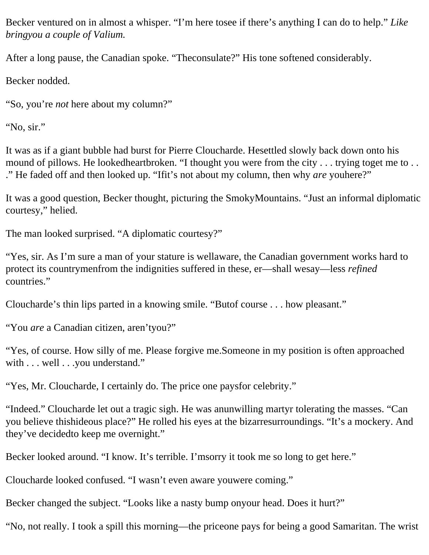Becker ventured on in almost a whisper. "I'm here tosee if there's anything I can do to help." *Like bringyou a couple of Valium.*

After a long pause, the Canadian spoke. "Theconsulate?" His tone softened considerably.

Becker nodded.

"So, you're *not* here about my column?"

"No, sir."

It was as if a giant bubble had burst for Pierre Cloucharde. Hesettled slowly back down onto his mound of pillows. He lookedheartbroken. "I thought you were from the city . . . trying toget me to . . ." He faded off and then looked up. "Ifit's not about my column, then why *are* youhere?"

It was a good question, Becker thought, picturing the SmokyMountains. "Just an informal diplomatic courtesy," helied.

The man looked surprised. "A diplomatic courtesy?"

"Yes, sir. As I'm sure a man of your stature is wellaware, the Canadian government works hard to protect its countrymenfrom the indignities suffered in these, er—shall wesay—less *refined* countries."

Cloucharde's thin lips parted in a knowing smile. "Butof course . . . how pleasant."

"You *are* a Canadian citizen, aren'tyou?"

"Yes, of course. How silly of me. Please forgive me.Someone in my position is often approached with . . . well . . . you understand."

"Yes, Mr. Cloucharde, I certainly do. The price one paysfor celebrity."

"Indeed." Cloucharde let out a tragic sigh. He was anunwilling martyr tolerating the masses. "Can you believe thishideous place?" He rolled his eyes at the bizarresurroundings. "It's a mockery. And they've decidedto keep me overnight."

Becker looked around. "I know. It's terrible. I'msorry it took me so long to get here."

Cloucharde looked confused. "I wasn't even aware youwere coming."

Becker changed the subject. "Looks like a nasty bump onyour head. Does it hurt?"

"No, not really. I took a spill this morning—the priceone pays for being a good Samaritan. The wrist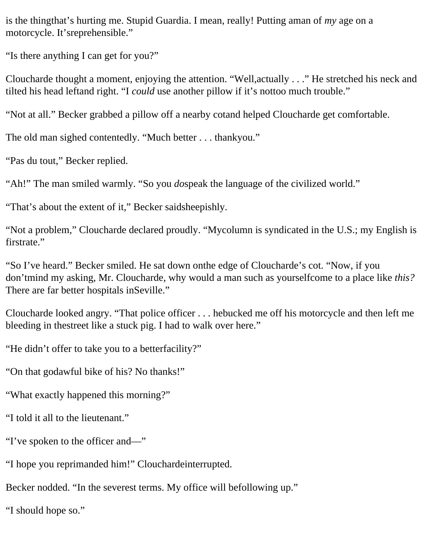is the thingthat's hurting me. Stupid Guardia. I mean, really! Putting aman of *my* age on a motorcycle. It'sreprehensible."

"Is there anything I can get for you?"

Cloucharde thought a moment, enjoying the attention. "Well,actually . . ." He stretched his neck and tilted his head leftand right. "I *could* use another pillow if it's nottoo much trouble."

"Not at all." Becker grabbed a pillow off a nearby cotand helped Cloucharde get comfortable.

The old man sighed contentedly. "Much better . . . thankyou."

"Pas du tout," Becker replied.

"Ah!" The man smiled warmly. "So you *do*speak the language of the civilized world."

"That's about the extent of it," Becker saidsheepishly.

"Not a problem," Cloucharde declared proudly. "Mycolumn is syndicated in the U.S.; my English is firstrate."

"So I've heard." Becker smiled. He sat down onthe edge of Cloucharde's cot. "Now, if you don'tmind my asking, Mr. Cloucharde, why would a man such as yourselfcome to a place like *this?* There are far better hospitals inSeville."

Cloucharde looked angry. "That police officer . . . hebucked me off his motorcycle and then left me bleeding in thestreet like a stuck pig. I had to walk over here."

"He didn't offer to take you to a betterfacility?"

"On that godawful bike of his? No thanks!"

"What exactly happened this morning?"

"I told it all to the lieutenant."

"I've spoken to the officer and—"

"I hope you reprimanded him!" Clouchardeinterrupted.

Becker nodded. "In the severest terms. My office will befollowing up."

"I should hope so."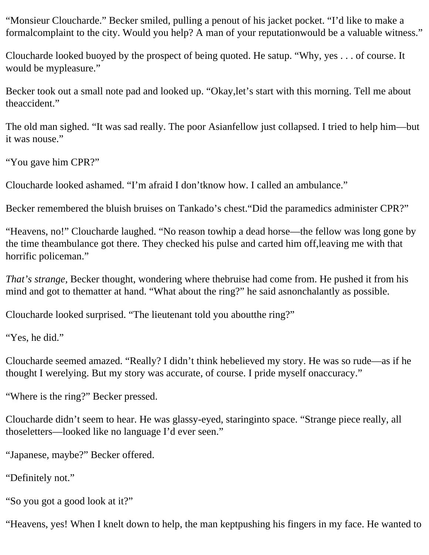"Monsieur Cloucharde." Becker smiled, pulling a penout of his jacket pocket. "I'd like to make a formalcomplaint to the city. Would you help? A man of your reputationwould be a valuable witness."

Cloucharde looked buoyed by the prospect of being quoted. He satup. "Why, yes . . . of course. It would be mypleasure."

Becker took out a small note pad and looked up. "Okay,let's start with this morning. Tell me about theaccident."

The old man sighed. "It was sad really. The poor Asianfellow just collapsed. I tried to help him—but it was nouse."

"You gave him CPR?"

Cloucharde looked ashamed. "I'm afraid I don'tknow how. I called an ambulance."

Becker remembered the bluish bruises on Tankado's chest."Did the paramedics administer CPR?"

"Heavens, no!" Cloucharde laughed. "No reason towhip a dead horse—the fellow was long gone by the time theambulance got there. They checked his pulse and carted him off,leaving me with that horrific policeman."

*That's strange,* Becker thought, wondering where thebruise had come from. He pushed it from his mind and got to thematter at hand. "What about the ring?" he said asnonchalantly as possible.

Cloucharde looked surprised. "The lieutenant told you aboutthe ring?"

"Yes, he did."

Cloucharde seemed amazed. "Really? I didn't think hebelieved my story. He was so rude—as if he thought I werelying. But my story was accurate, of course. I pride myself onaccuracy."

"Where is the ring?" Becker pressed.

Cloucharde didn't seem to hear. He was glassy-eyed, staringinto space. "Strange piece really, all thoseletters—looked like no language I'd ever seen."

"Japanese, maybe?" Becker offered.

"Definitely not."

"So you got a good look at it?"

"Heavens, yes! When I knelt down to help, the man keptpushing his fingers in my face. He wanted to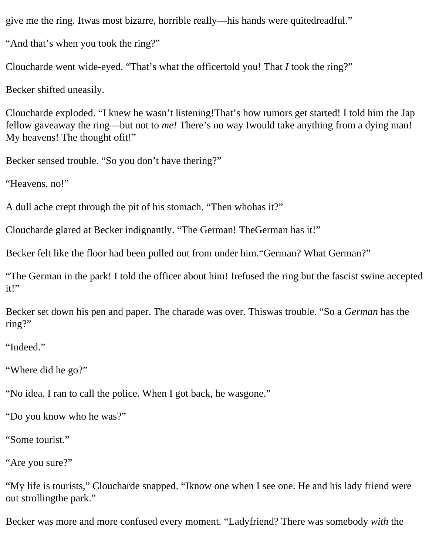give me the ring. Itwas most bizarre, horrible really—his hands were quitedreadful."

"And that's when you took the ring?"

Cloucharde went wide-eyed. "That's what the officertold you! That *I* took the ring?"

Becker shifted uneasily.

Cloucharde exploded. "I knew he wasn't listening!That's how rumors get started! I told him the Jap fellow gaveaway the ring—but not to *me!* There's no way Iwould take anything from a dying man! My heavens! The thought ofit!"

Becker sensed trouble. "So you don't have thering?"

"Heavens, no!"

A dull ache crept through the pit of his stomach. "Then whohas it?"

Cloucharde glared at Becker indignantly. "The German! TheGerman has it!"

Becker felt like the floor had been pulled out from under him."German? What German?"

"The German in the park! I told the officer about him! Irefused the ring but the fascist swine accepted it!"

Becker set down his pen and paper. The charade was over. Thiswas trouble. "So a *German* has the ring?"

"Indeed."

"Where did he go?"

"No idea. I ran to call the police. When I got back, he wasgone."

"Do you know who he was?"

"Some tourist."

"Are you sure?"

"My life is tourists," Cloucharde snapped. "Iknow one when I see one. He and his lady friend were out strollingthe park."

Becker was more and more confused every moment. "Ladyfriend? There was somebody *with* the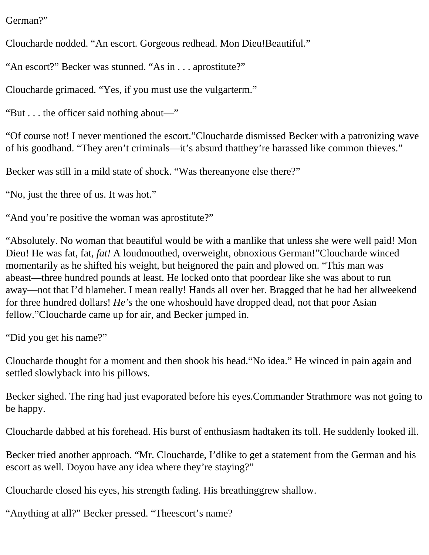German?"

Cloucharde nodded. "An escort. Gorgeous redhead. Mon Dieu!Beautiful."

"An escort?" Becker was stunned. "As in . . . aprostitute?"

Cloucharde grimaced. "Yes, if you must use the vulgarterm."

"But . . . the officer said nothing about—"

"Of course not! I never mentioned the escort."Cloucharde dismissed Becker with a patronizing wave of his goodhand. "They aren't criminals—it's absurd thatthey're harassed like common thieves."

Becker was still in a mild state of shock. "Was thereanyone else there?"

"No, just the three of us. It was hot."

"And you're positive the woman was aprostitute?"

"Absolutely. No woman that beautiful would be with a manlike that unless she were well paid! Mon Dieu! He was fat, fat, *fat!* A loudmouthed, overweight, obnoxious German!"Cloucharde winced momentarily as he shifted his weight, but heignored the pain and plowed on. "This man was abeast—three hundred pounds at least. He locked onto that poordear like she was about to run away—not that I'd blameher. I mean really! Hands all over her. Bragged that he had her allweekend for three hundred dollars! *He's* the one whoshould have dropped dead, not that poor Asian fellow."Cloucharde came up for air, and Becker jumped in.

"Did you get his name?"

Cloucharde thought for a moment and then shook his head."No idea." He winced in pain again and settled slowlyback into his pillows.

Becker sighed. The ring had just evaporated before his eyes.Commander Strathmore was not going to be happy.

Cloucharde dabbed at his forehead. His burst of enthusiasm hadtaken its toll. He suddenly looked ill.

Becker tried another approach. "Mr. Cloucharde, I'dlike to get a statement from the German and his escort as well. Doyou have any idea where they're staying?"

Cloucharde closed his eyes, his strength fading. His breathinggrew shallow.

"Anything at all?" Becker pressed. "Theescort's name?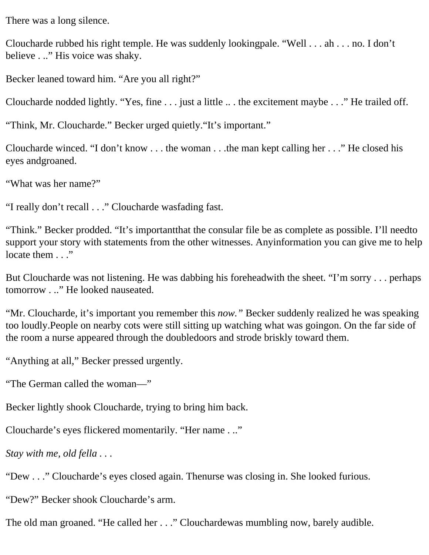There was a long silence.

Cloucharde rubbed his right temple. He was suddenly lookingpale. "Well . . . ah . . . no. I don't believe . .." His voice was shaky.

Becker leaned toward him. "Are you all right?"

Cloucharde nodded lightly. "Yes, fine . . . just a little .. . the excitement maybe . . ." He trailed off.

"Think, Mr. Cloucharde." Becker urged quietly."It's important."

Cloucharde winced. "I don't know . . . the woman . . .the man kept calling her . . ." He closed his eyes andgroaned.

"What was her name?"

"I really don't recall . . ." Cloucharde wasfading fast.

"Think." Becker prodded. "It's importantthat the consular file be as complete as possible. I'll needto support your story with statements from the other witnesses. Anyinformation you can give me to help locate them . . ."

But Cloucharde was not listening. He was dabbing his foreheadwith the sheet. "I'm sorry . . . perhaps tomorrow . .." He looked nauseated.

"Mr. Cloucharde, it's important you remember this *now."* Becker suddenly realized he was speaking too loudly.People on nearby cots were still sitting up watching what was goingon. On the far side of the room a nurse appeared through the doubledoors and strode briskly toward them.

"Anything at all," Becker pressed urgently.

"The German called the woman—"

Becker lightly shook Cloucharde, trying to bring him back.

Cloucharde's eyes flickered momentarily. "Her name . .."

*Stay with me, old fella . . .*

"Dew . . ." Cloucharde's eyes closed again. Thenurse was closing in. She looked furious.

"Dew?" Becker shook Cloucharde's arm.

The old man groaned. "He called her . . ." Clouchardewas mumbling now, barely audible.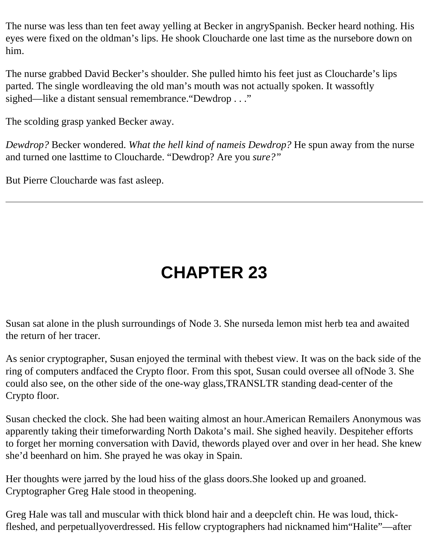The nurse was less than ten feet away yelling at Becker in angrySpanish. Becker heard nothing. His eyes were fixed on the oldman's lips. He shook Cloucharde one last time as the nursebore down on him.

The nurse grabbed David Becker's shoulder. She pulled himto his feet just as Cloucharde's lips parted. The single wordleaving the old man's mouth was not actually spoken. It wassoftly sighed—like a distant sensual remembrance."Dewdrop . . ."

The scolding grasp yanked Becker away.

*Dewdrop?* Becker wondered. *What the hell kind of nameis Dewdrop?* He spun away from the nurse and turned one lasttime to Cloucharde. "Dewdrop? Are you *sure?"*

But Pierre Cloucharde was fast asleep.

## **CHAPTER 23**

Susan sat alone in the plush surroundings of Node 3. She nurseda lemon mist herb tea and awaited the return of her tracer.

As senior cryptographer, Susan enjoyed the terminal with thebest view. It was on the back side of the ring of computers andfaced the Crypto floor. From this spot, Susan could oversee all ofNode 3. She could also see, on the other side of the one-way glass,TRANSLTR standing dead-center of the Crypto floor.

Susan checked the clock. She had been waiting almost an hour.American Remailers Anonymous was apparently taking their timeforwarding North Dakota's mail. She sighed heavily. Despiteher efforts to forget her morning conversation with David, thewords played over and over in her head. She knew she'd beenhard on him. She prayed he was okay in Spain.

Her thoughts were jarred by the loud hiss of the glass doors.She looked up and groaned. Cryptographer Greg Hale stood in theopening.

Greg Hale was tall and muscular with thick blond hair and a deepcleft chin. He was loud, thickfleshed, and perpetuallyoverdressed. His fellow cryptographers had nicknamed him"Halite"—after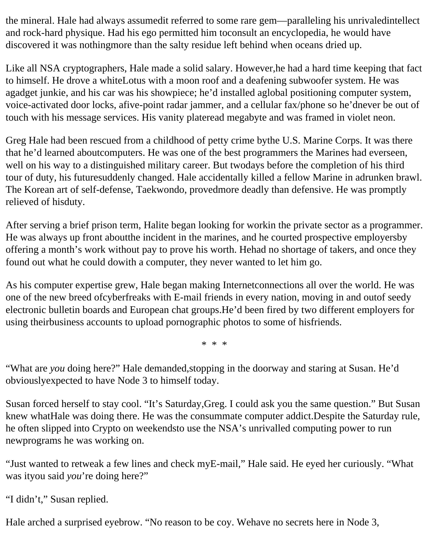the mineral. Hale had always assumedit referred to some rare gem—paralleling his unrivaledintellect and rock-hard physique. Had his ego permitted him toconsult an encyclopedia, he would have discovered it was nothingmore than the salty residue left behind when oceans dried up.

Like all NSA cryptographers, Hale made a solid salary. However,he had a hard time keeping that fact to himself. He drove a whiteLotus with a moon roof and a deafening subwoofer system. He was agadget junkie, and his car was his showpiece; he'd installed aglobal positioning computer system, voice-activated door locks, afive-point radar jammer, and a cellular fax/phone so he'dnever be out of touch with his message services. His vanity plateread megabyte and was framed in violet neon.

Greg Hale had been rescued from a childhood of petty crime bythe U.S. Marine Corps. It was there that he'd learned aboutcomputers. He was one of the best programmers the Marines had everseen, well on his way to a distinguished military career. But twodays before the completion of his third tour of duty, his futuresuddenly changed. Hale accidentally killed a fellow Marine in adrunken brawl. The Korean art of self-defense, Taekwondo, provedmore deadly than defensive. He was promptly relieved of hisduty.

After serving a brief prison term, Halite began looking for workin the private sector as a programmer. He was always up front aboutthe incident in the marines, and he courted prospective employersby offering a month's work without pay to prove his worth. Hehad no shortage of takers, and once they found out what he could dowith a computer, they never wanted to let him go.

As his computer expertise grew, Hale began making Internetconnections all over the world. He was one of the new breed ofcyberfreaks with E-mail friends in every nation, moving in and outof seedy electronic bulletin boards and European chat groups.He'd been fired by two different employers for using theirbusiness accounts to upload pornographic photos to some of hisfriends.

\* \* \*

"What are *you* doing here?" Hale demanded,stopping in the doorway and staring at Susan. He'd obviouslyexpected to have Node 3 to himself today.

Susan forced herself to stay cool. "It's Saturday,Greg. I could ask you the same question." But Susan knew whatHale was doing there. He was the consummate computer addict.Despite the Saturday rule, he often slipped into Crypto on weekendsto use the NSA's unrivalled computing power to run newprograms he was working on.

"Just wanted to retweak a few lines and check myE-mail," Hale said. He eyed her curiously. "What was ityou said *you*'re doing here?"

"I didn't," Susan replied.

Hale arched a surprised eyebrow. "No reason to be coy. Wehave no secrets here in Node 3,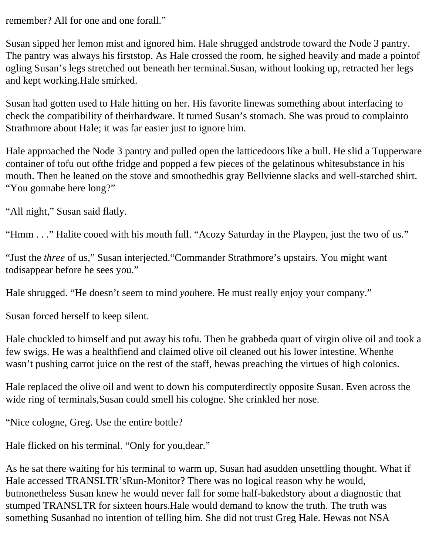remember? All for one and one forall."

Susan sipped her lemon mist and ignored him. Hale shrugged andstrode toward the Node 3 pantry. The pantry was always his firststop. As Hale crossed the room, he sighed heavily and made a pointof ogling Susan's legs stretched out beneath her terminal.Susan, without looking up, retracted her legs and kept working.Hale smirked.

Susan had gotten used to Hale hitting on her. His favorite linewas something about interfacing to check the compatibility of theirhardware. It turned Susan's stomach. She was proud to complainto Strathmore about Hale; it was far easier just to ignore him.

Hale approached the Node 3 pantry and pulled open the latticedoors like a bull. He slid a Tupperware container of tofu out ofthe fridge and popped a few pieces of the gelatinous whitesubstance in his mouth. Then he leaned on the stove and smoothedhis gray Bellvienne slacks and well-starched shirt. "You gonnabe here long?"

"All night," Susan said flatly.

"Hmm . . ." Halite cooed with his mouth full. "Acozy Saturday in the Playpen, just the two of us."

"Just the *three* of us," Susan interjected."Commander Strathmore's upstairs. You might want todisappear before he sees you."

Hale shrugged. "He doesn't seem to mind *you*here. He must really enjoy your company."

Susan forced herself to keep silent.

Hale chuckled to himself and put away his tofu. Then he grabbeda quart of virgin olive oil and took a few swigs. He was a healthfiend and claimed olive oil cleaned out his lower intestine. Whenhe wasn't pushing carrot juice on the rest of the staff, hewas preaching the virtues of high colonics.

Hale replaced the olive oil and went to down his computerdirectly opposite Susan. Even across the wide ring of terminals,Susan could smell his cologne. She crinkled her nose.

"Nice cologne, Greg. Use the entire bottle?

Hale flicked on his terminal. "Only for you,dear."

As he sat there waiting for his terminal to warm up, Susan had asudden unsettling thought. What if Hale accessed TRANSLTR'sRun-Monitor? There was no logical reason why he would, butnonetheless Susan knew he would never fall for some half-bakedstory about a diagnostic that stumped TRANSLTR for sixteen hours.Hale would demand to know the truth. The truth was something Susanhad no intention of telling him. She did not trust Greg Hale. Hewas not NSA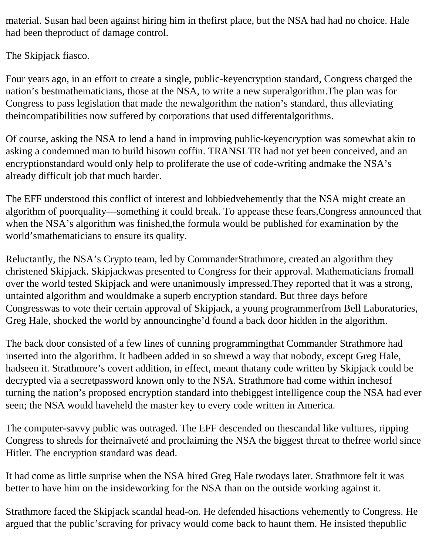material. Susan had been against hiring him in thefirst place, but the NSA had had no choice. Hale had been theproduct of damage control.

The Skipjack fiasco.

Four years ago, in an effort to create a single, public-keyencryption standard, Congress charged the nation's bestmathematicians, those at the NSA, to write a new superalgorithm.The plan was for Congress to pass legislation that made the newalgorithm the nation's standard, thus alleviating theincompatibilities now suffered by corporations that used differentalgorithms.

Of course, asking the NSA to lend a hand in improving public-keyencryption was somewhat akin to asking a condemned man to build hisown coffin. TRANSLTR had not yet been conceived, and an encryptionstandard would only help to proliferate the use of code-writing andmake the NSA's already difficult job that much harder.

The EFF understood this conflict of interest and lobbiedvehemently that the NSA might create an algorithm of poorquality—something it could break. To appease these fears,Congress announced that when the NSA's algorithm was finished,the formula would be published for examination by the world'smathematicians to ensure its quality.

Reluctantly, the NSA's Crypto team, led by CommanderStrathmore, created an algorithm they christened Skipjack. Skipjackwas presented to Congress for their approval. Mathematicians fromall over the world tested Skipjack and were unanimously impressed.They reported that it was a strong, untainted algorithm and wouldmake a superb encryption standard. But three days before Congresswas to vote their certain approval of Skipjack, a young programmerfrom Bell Laboratories, Greg Hale, shocked the world by announcinghe'd found a back door hidden in the algorithm.

The back door consisted of a few lines of cunning programmingthat Commander Strathmore had inserted into the algorithm. It hadbeen added in so shrewd a way that nobody, except Greg Hale, hadseen it. Strathmore's covert addition, in effect, meant thatany code written by Skipjack could be decrypted via a secretpassword known only to the NSA. Strathmore had come within inchesof turning the nation's proposed encryption standard into thebiggest intelligence coup the NSA had ever seen; the NSA would haveheld the master key to every code written in America.

The computer-savvy public was outraged. The EFF descended on thescandal like vultures, ripping Congress to shreds for theirnaïveté and proclaiming the NSA the biggest threat to thefree world since Hitler. The encryption standard was dead.

It had come as little surprise when the NSA hired Greg Hale twodays later. Strathmore felt it was better to have him on the insideworking for the NSA than on the outside working against it.

Strathmore faced the Skipjack scandal head-on. He defended hisactions vehemently to Congress. He argued that the public'scraving for privacy would come back to haunt them. He insisted thepublic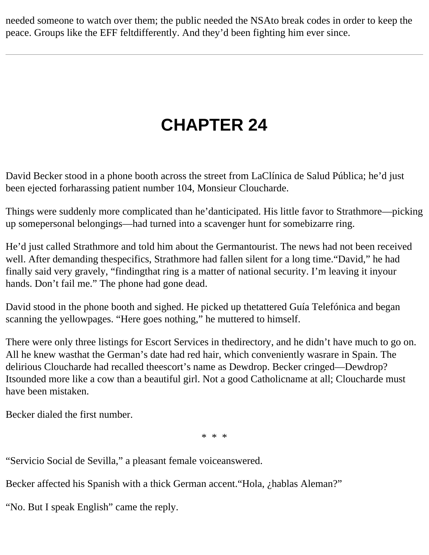needed someone to watch over them; the public needed the NSAto break codes in order to keep the peace. Groups like the EFF feltdifferently. And they'd been fighting him ever since.

# **CHAPTER 24**

David Becker stood in a phone booth across the street from LaClínica de Salud Pública; he'd just been ejected forharassing patient number 104, Monsieur Cloucharde.

Things were suddenly more complicated than he'danticipated. His little favor to Strathmore—picking up somepersonal belongings—had turned into a scavenger hunt for somebizarre ring.

He'd just called Strathmore and told him about the Germantourist. The news had not been received well. After demanding thespecifics, Strathmore had fallen silent for a long time."David," he had finally said very gravely, "findingthat ring is a matter of national security. I'm leaving it inyour hands. Don't fail me." The phone had gone dead.

David stood in the phone booth and sighed. He picked up thetattered Guía Telefónica and began scanning the yellowpages. "Here goes nothing," he muttered to himself.

There were only three listings for Escort Services in thedirectory, and he didn't have much to go on. All he knew wasthat the German's date had red hair, which conveniently wasrare in Spain. The delirious Cloucharde had recalled theescort's name as Dewdrop. Becker cringed—Dewdrop? Itsounded more like a cow than a beautiful girl. Not a good Catholicname at all; Cloucharde must have been mistaken.

Becker dialed the first number.

\* \* \*

"Servicio Social de Sevilla," a pleasant female voiceanswered.

Becker affected his Spanish with a thick German accent. "Hola, ¿hablas Aleman?"

"No. But I speak English" came the reply.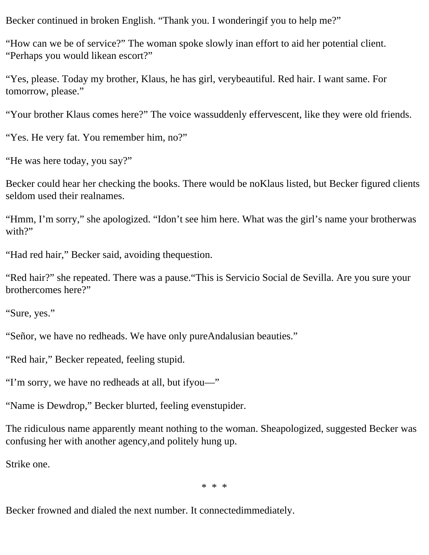Becker continued in broken English. "Thank you. I wonderingif you to help me?"

"How can we be of service?" The woman spoke slowly inan effort to aid her potential client. "Perhaps you would likean escort?"

"Yes, please. Today my brother, Klaus, he has girl, verybeautiful. Red hair. I want same. For tomorrow, please."

"Your brother Klaus comes here?" The voice wassuddenly effervescent, like they were old friends.

"Yes. He very fat. You remember him, no?"

"He was here today, you say?"

Becker could hear her checking the books. There would be noKlaus listed, but Becker figured clients seldom used their realnames.

"Hmm, I'm sorry," she apologized. "Idon't see him here. What was the girl's name your brotherwas with?"

"Had red hair," Becker said, avoiding thequestion.

"Red hair?" she repeated. There was a pause."This is Servicio Social de Sevilla. Are you sure your brothercomes here?"

"Sure, yes."

"Señor, we have no redheads. We have only pureAndalusian beauties."

"Red hair," Becker repeated, feeling stupid.

"I'm sorry, we have no redheads at all, but ifyou—"

"Name is Dewdrop," Becker blurted, feeling evenstupider.

The ridiculous name apparently meant nothing to the woman. Sheapologized, suggested Becker was confusing her with another agency,and politely hung up.

Strike one.

\* \* \*

Becker frowned and dialed the next number. It connectedimmediately.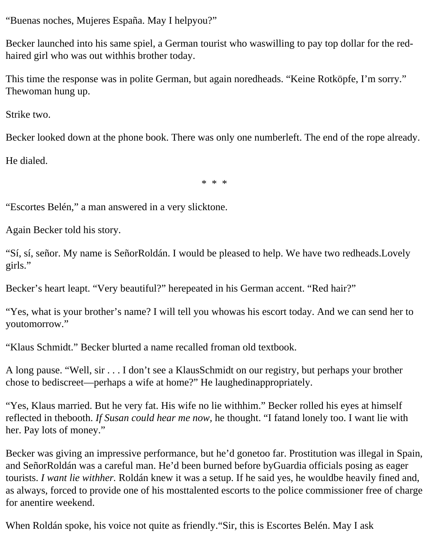"Buenas noches, Mujeres España. May I helpyou?"

Becker launched into his same spiel, a German tourist who waswilling to pay top dollar for the redhaired girl who was out withhis brother today.

This time the response was in polite German, but again noredheads. "Keine Rotköpfe, I'm sorry." Thewoman hung up.

Strike two.

Becker looked down at the phone book. There was only one numberleft. The end of the rope already.

He dialed.

\* \* \*

"Escortes Belén," a man answered in a very slicktone.

Again Becker told his story.

"Sí, sí, señor. My name is SeñorRoldán. I would be pleased to help. We have two redheads.Lovely girls."

Becker's heart leapt. "Very beautiful?" herepeated in his German accent. "Red hair?"

"Yes, what is your brother's name? I will tell you whowas his escort today. And we can send her to youtomorrow."

"Klaus Schmidt." Becker blurted a name recalled froman old textbook.

A long pause. "Well, sir . . . I don't see a KlausSchmidt on our registry, but perhaps your brother chose to bediscreet—perhaps a wife at home?" He laughedinappropriately.

"Yes, Klaus married. But he very fat. His wife no lie withhim." Becker rolled his eyes at himself reflected in thebooth. *If Susan could hear me now,* he thought. "I fatand lonely too. I want lie with her. Pay lots of money."

Becker was giving an impressive performance, but he'd gonetoo far. Prostitution was illegal in Spain, and SeñorRoldán was a careful man. He'd been burned before byGuardia officials posing as eager tourists. *I want lie withher.* Roldán knew it was a setup. If he said yes, he wouldbe heavily fined and, as always, forced to provide one of his mosttalented escorts to the police commissioner free of charge for anentire weekend.

When Roldán spoke, his voice not quite as friendly."Sir, this is Escortes Belén. May I ask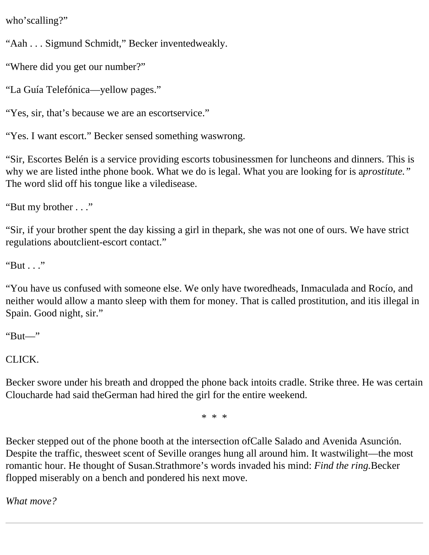who'scalling?"

"Aah . . . Sigmund Schmidt," Becker inventedweakly.

"Where did you get our number?"

"La Guía Telefónica—yellow pages."

"Yes, sir, that's because we are an escortservice."

"Yes. I want escort." Becker sensed something waswrong.

"Sir, Escortes Belén is a service providing escorts tobusinessmen for luncheons and dinners. This is why we are listed inthe phone book. What we do is legal. What you are looking for is a*prostitute."* The word slid off his tongue like a viledisease.

"But my brother . . ."

"Sir, if your brother spent the day kissing a girl in thepark, she was not one of ours. We have strict regulations aboutclient-escort contact."

"But . . ."

"You have us confused with someone else. We only have tworedheads, Inmaculada and Rocío, and neither would allow a manto sleep with them for money. That is called prostitution, and itis illegal in Spain. Good night, sir."

" $But$ —"

#### CLICK.

Becker swore under his breath and dropped the phone back intoits cradle. Strike three. He was certain Cloucharde had said theGerman had hired the girl for the entire weekend.

\* \* \*

Becker stepped out of the phone booth at the intersection ofCalle Salado and Avenida Asunción. Despite the traffic, thesweet scent of Seville oranges hung all around him. It wastwilight—the most romantic hour. He thought of Susan.Strathmore's words invaded his mind: *Find the ring.*Becker flopped miserably on a bench and pondered his next move.

*What move?*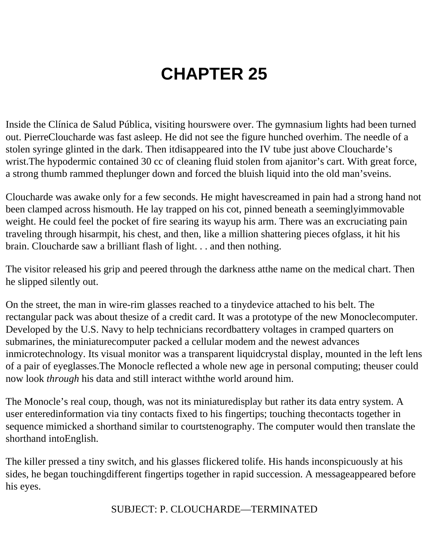# **CHAPTER 25**

Inside the Clínica de Salud Pública, visiting hourswere over. The gymnasium lights had been turned out. PierreCloucharde was fast asleep. He did not see the figure hunched overhim. The needle of a stolen syringe glinted in the dark. Then itdisappeared into the IV tube just above Cloucharde's wrist.The hypodermic contained 30 cc of cleaning fluid stolen from ajanitor's cart. With great force, a strong thumb rammed theplunger down and forced the bluish liquid into the old man'sveins.

Cloucharde was awake only for a few seconds. He might havescreamed in pain had a strong hand not been clamped across hismouth. He lay trapped on his cot, pinned beneath a seeminglyimmovable weight. He could feel the pocket of fire searing its wayup his arm. There was an excruciating pain traveling through hisarmpit, his chest, and then, like a million shattering pieces ofglass, it hit his brain. Cloucharde saw a brilliant flash of light. . . and then nothing.

The visitor released his grip and peered through the darkness atthe name on the medical chart. Then he slipped silently out.

On the street, the man in wire-rim glasses reached to a tinydevice attached to his belt. The rectangular pack was about thesize of a credit card. It was a prototype of the new Monoclecomputer. Developed by the U.S. Navy to help technicians recordbattery voltages in cramped quarters on submarines, the miniaturecomputer packed a cellular modem and the newest advances inmicrotechnology. Its visual monitor was a transparent liquidcrystal display, mounted in the left lens of a pair of eyeglasses.The Monocle reflected a whole new age in personal computing; theuser could now look *through* his data and still interact withthe world around him.

The Monocle's real coup, though, was not its miniaturedisplay but rather its data entry system. A user enteredinformation via tiny contacts fixed to his fingertips; touching thecontacts together in sequence mimicked a shorthand similar to courtstenography. The computer would then translate the shorthand intoEnglish.

The killer pressed a tiny switch, and his glasses flickered tolife. His hands inconspicuously at his sides, he began touchingdifferent fingertips together in rapid succession. A messageappeared before his eyes.

SUBJECT: P. CLOUCHARDE—TERMINATED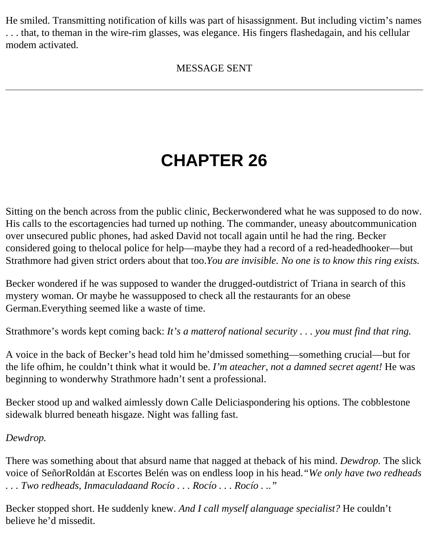He smiled. Transmitting notification of kills was part of hisassignment. But including victim's names . . . that, to theman in the wire-rim glasses, was elegance. His fingers flashedagain, and his cellular modem activated.

#### MESSAGE SENT

### **CHAPTER 26**

Sitting on the bench across from the public clinic, Beckerwondered what he was supposed to do now. His calls to the escortagencies had turned up nothing. The commander, uneasy aboutcommunication over unsecured public phones, had asked David not tocall again until he had the ring. Becker considered going to thelocal police for help—maybe they had a record of a red-headedhooker—but Strathmore had given strict orders about that too.*You are invisible. No one is to know this ring exists.*

Becker wondered if he was supposed to wander the drugged-outdistrict of Triana in search of this mystery woman. Or maybe he wassupposed to check all the restaurants for an obese German.Everything seemed like a waste of time.

Strathmore's words kept coming back: *It's a matterof national security . . . you must find that ring.*

A voice in the back of Becker's head told him he'dmissed something—something crucial—but for the life ofhim, he couldn't think what it would be. *I'm ateacher, not a damned secret agent!* He was beginning to wonderwhy Strathmore hadn't sent a professional.

Becker stood up and walked aimlessly down Calle Deliciaspondering his options. The cobblestone sidewalk blurred beneath hisgaze. Night was falling fast.

#### *Dewdrop.*

There was something about that absurd name that nagged at theback of his mind. *Dewdrop.* The slick voice of SeñorRoldán at Escortes Belén was on endless loop in his head.*"We only have two redheads . . . Two redheads, Inmaculadaand Rocío . . . Rocío . . . Rocío . .."*

Becker stopped short. He suddenly knew. *And I call myself alanguage specialist?* He couldn't believe he'd missedit.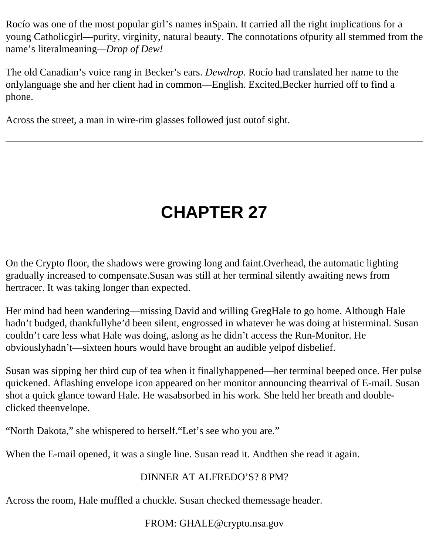Rocío was one of the most popular girl's names inSpain. It carried all the right implications for a young Catholicgirl—purity, virginity, natural beauty. The connotations ofpurity all stemmed from the name's literalmeaning*—Drop of Dew!*

The old Canadian's voice rang in Becker's ears. *Dewdrop.* Rocío had translated her name to the onlylanguage she and her client had in common—English. Excited,Becker hurried off to find a phone.

Across the street, a man in wire-rim glasses followed just outof sight.

# **CHAPTER 27**

On the Crypto floor, the shadows were growing long and faint.Overhead, the automatic lighting gradually increased to compensate.Susan was still at her terminal silently awaiting news from hertracer. It was taking longer than expected.

Her mind had been wandering—missing David and willing GregHale to go home. Although Hale hadn't budged, thankfullyhe'd been silent, engrossed in whatever he was doing at histerminal. Susan couldn't care less what Hale was doing, aslong as he didn't access the Run-Monitor. He obviouslyhadn't—sixteen hours would have brought an audible yelpof disbelief.

Susan was sipping her third cup of tea when it finallyhappened—her terminal beeped once. Her pulse quickened. Aflashing envelope icon appeared on her monitor announcing thearrival of E-mail. Susan shot a quick glance toward Hale. He wasabsorbed in his work. She held her breath and doubleclicked theenvelope.

"North Dakota," she whispered to herself."Let's see who you are."

When the E-mail opened, it was a single line. Susan read it. Andthen she read it again.

#### DINNER AT ALFREDO'S? 8 PM?

Across the room, Hale muffled a chuckle. Susan checked themessage header.

#### FROM: GHALE@crypto.nsa.gov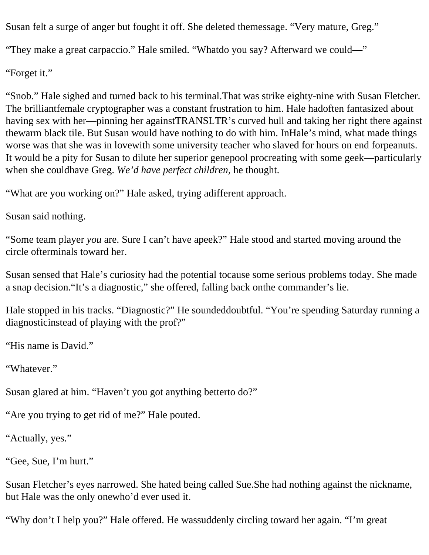Susan felt a surge of anger but fought it off. She deleted themessage. "Very mature, Greg."

"They make a great carpaccio." Hale smiled. "Whatdo you say? Afterward we could—"

"Forget it."

"Snob." Hale sighed and turned back to his terminal.That was strike eighty-nine with Susan Fletcher. The brilliantfemale cryptographer was a constant frustration to him. Hale hadoften fantasized about having sex with her—pinning her againstTRANSLTR's curved hull and taking her right there against thewarm black tile. But Susan would have nothing to do with him. InHale's mind, what made things worse was that she was in lovewith some university teacher who slaved for hours on end forpeanuts. It would be a pity for Susan to dilute her superior genepool procreating with some geek—particularly when she couldhave Greg. *We'd have perfect children,* he thought.

"What are you working on?" Hale asked, trying adifferent approach.

Susan said nothing.

"Some team player *you* are. Sure I can't have apeek?" Hale stood and started moving around the circle ofterminals toward her.

Susan sensed that Hale's curiosity had the potential tocause some serious problems today. She made a snap decision."It's a diagnostic," she offered, falling back onthe commander's lie.

Hale stopped in his tracks. "Diagnostic?" He soundeddoubtful. "You're spending Saturday running a diagnosticinstead of playing with the prof?"

"His name is David."

"Whatever."

Susan glared at him. "Haven't you got anything betterto do?"

"Are you trying to get rid of me?" Hale pouted.

"Actually, yes."

"Gee, Sue, I'm hurt."

Susan Fletcher's eyes narrowed. She hated being called Sue.She had nothing against the nickname, but Hale was the only onewho'd ever used it.

"Why don't I help you?" Hale offered. He wassuddenly circling toward her again. "I'm great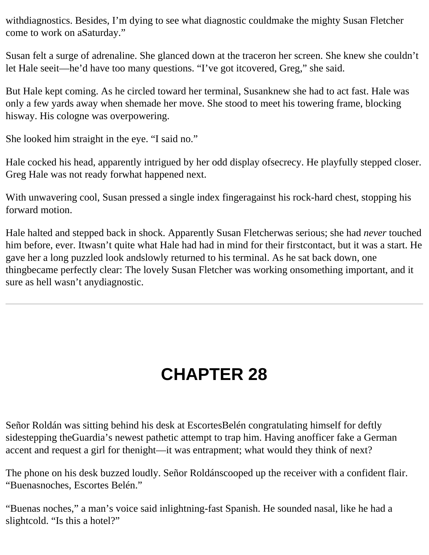withdiagnostics. Besides, I'm dying to see what diagnostic couldmake the mighty Susan Fletcher come to work on aSaturday."

Susan felt a surge of adrenaline. She glanced down at the traceron her screen. She knew she couldn't let Hale seeit—he'd have too many questions. "I've got itcovered, Greg," she said.

But Hale kept coming. As he circled toward her terminal, Susanknew she had to act fast. Hale was only a few yards away when shemade her move. She stood to meet his towering frame, blocking hisway. His cologne was overpowering.

She looked him straight in the eye. "I said no."

Hale cocked his head, apparently intrigued by her odd display ofsecrecy. He playfully stepped closer. Greg Hale was not ready forwhat happened next.

With unwavering cool, Susan pressed a single index fingeragainst his rock-hard chest, stopping his forward motion.

Hale halted and stepped back in shock. Apparently Susan Fletcherwas serious; she had *never* touched him before, ever. Itwasn't quite what Hale had had in mind for their firstcontact, but it was a start. He gave her a long puzzled look andslowly returned to his terminal. As he sat back down, one thingbecame perfectly clear: The lovely Susan Fletcher was working onsomething important, and it sure as hell wasn't anydiagnostic.

## **CHAPTER 28**

Señor Roldán was sitting behind his desk at EscortesBelén congratulating himself for deftly sidestepping theGuardia's newest pathetic attempt to trap him. Having anofficer fake a German accent and request a girl for thenight—it was entrapment; what would they think of next?

The phone on his desk buzzed loudly. Señor Roldánscooped up the receiver with a confident flair. "Buenasnoches, Escortes Belén."

"Buenas noches," a man's voice said inlightning-fast Spanish. He sounded nasal, like he had a slightcold. "Is this a hotel?"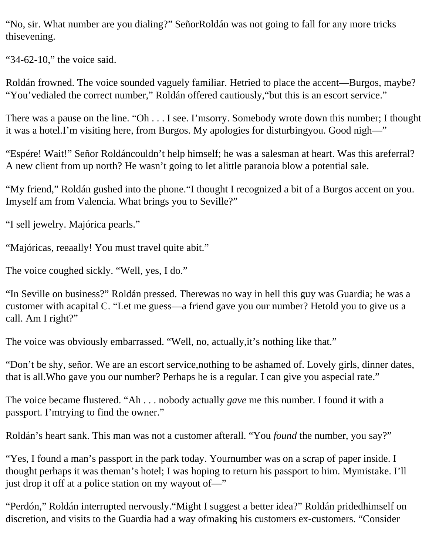"No, sir. What number are you dialing?" SeñorRoldán was not going to fall for any more tricks thisevening.

"34-62-10," the voice said.

Roldán frowned. The voice sounded vaguely familiar. Hetried to place the accent—Burgos, maybe? "You'vedialed the correct number," Roldán offered cautiously,"but this is an escort service."

There was a pause on the line. "Oh . . . I see. I'msorry. Somebody wrote down this number; I thought it was a hotel.I'm visiting here, from Burgos. My apologies for disturbingyou. Good nigh—"

"Espére! Wait!" Señor Roldáncouldn't help himself; he was a salesman at heart. Was this areferral? A new client from up north? He wasn't going to let alittle paranoia blow a potential sale.

"My friend," Roldán gushed into the phone."I thought I recognized a bit of a Burgos accent on you. Imyself am from Valencia. What brings you to Seville?"

"I sell jewelry. Majórica pearls."

"Majóricas, reeaally! You must travel quite abit."

The voice coughed sickly. "Well, yes, I do."

"In Seville on business?" Roldán pressed. Therewas no way in hell this guy was Guardia; he was a customer with acapital C. "Let me guess—a friend gave you our number? Hetold you to give us a call. Am I right?"

The voice was obviously embarrassed. "Well, no, actually,it's nothing like that."

"Don't be shy, señor. We are an escort service,nothing to be ashamed of. Lovely girls, dinner dates, that is all.Who gave you our number? Perhaps he is a regular. I can give you aspecial rate."

The voice became flustered. "Ah . . . nobody actually *gave* me this number. I found it with a passport. I'mtrying to find the owner."

Roldán's heart sank. This man was not a customer afterall. "You *found* the number, you say?"

"Yes, I found a man's passport in the park today. Yournumber was on a scrap of paper inside. I thought perhaps it was theman's hotel; I was hoping to return his passport to him. Mymistake. I'll just drop it off at a police station on my wayout of—"

"Perdón," Roldán interrupted nervously."Might I suggest a better idea?" Roldán pridedhimself on discretion, and visits to the Guardia had a way ofmaking his customers ex-customers. "Consider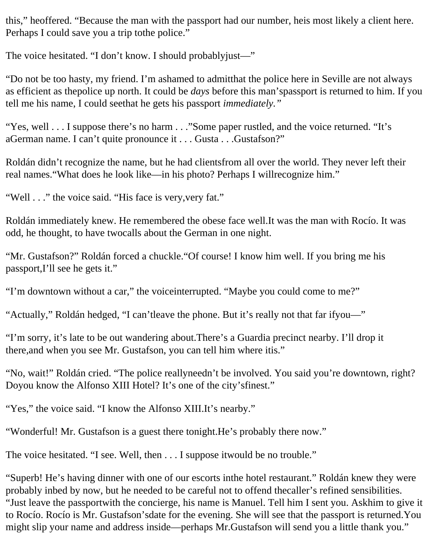this," heoffered. "Because the man with the passport had our number, heis most likely a client here. Perhaps I could save you a trip tothe police."

The voice hesitated. "I don't know. I should probably just—"

"Do not be too hasty, my friend. I'm ashamed to admitthat the police here in Seville are not always as efficient as thepolice up north. It could be *days* before this man'spassport is returned to him. If you tell me his name, I could seethat he gets his passport *immediately."*

"Yes, well . . . I suppose there's no harm . . ."Some paper rustled, and the voice returned. "It's aGerman name. I can't quite pronounce it . . . Gusta . . .Gustafson?"

Roldán didn't recognize the name, but he had clientsfrom all over the world. They never left their real names."What does he look like—in his photo? Perhaps I willrecognize him."

"Well . . ." the voice said. "His face is very, very fat."

Roldán immediately knew. He remembered the obese face well.It was the man with Rocío. It was odd, he thought, to have twocalls about the German in one night.

"Mr. Gustafson?" Roldán forced a chuckle."Of course! I know him well. If you bring me his passport,I'll see he gets it."

"I'm downtown without a car," the voiceinterrupted. "Maybe you could come to me?"

"Actually," Roldán hedged, "I can'tleave the phone. But it's really not that far ifyou—"

"I'm sorry, it's late to be out wandering about.There's a Guardia precinct nearby. I'll drop it there,and when you see Mr. Gustafson, you can tell him where itis."

"No, wait!" Roldán cried. "The police reallyneedn't be involved. You said you're downtown, right? Doyou know the Alfonso XIII Hotel? It's one of the city'sfinest."

"Yes," the voice said. "I know the Alfonso XIII.It's nearby."

"Wonderful! Mr. Gustafson is a guest there tonight.He's probably there now."

The voice hesitated. "I see. Well, then . . . I suppose itwould be no trouble."

"Superb! He's having dinner with one of our escorts inthe hotel restaurant." Roldán knew they were probably inbed by now, but he needed to be careful not to offend thecaller's refined sensibilities. "Just leave the passportwith the concierge, his name is Manuel. Tell him I sent you. Askhim to give it to Rocío. Rocío is Mr. Gustafson'sdate for the evening. She will see that the passport is returned.You might slip your name and address inside—perhaps Mr.Gustafson will send you a little thank you."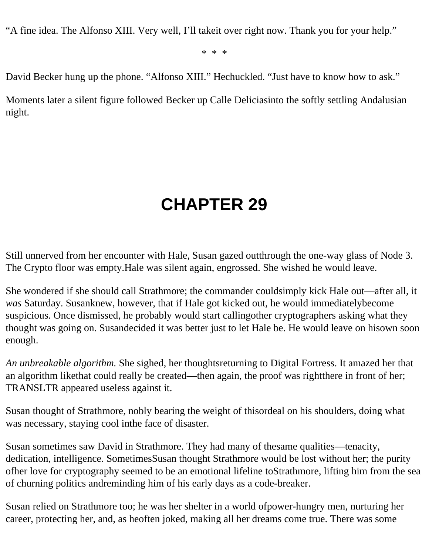"A fine idea. The Alfonso XIII. Very well, I'll takeit over right now. Thank you for your help."

\* \* \*

David Becker hung up the phone. "Alfonso XIII." Hechuckled. "Just have to know how to ask."

Moments later a silent figure followed Becker up Calle Deliciasinto the softly settling Andalusian night.

## **CHAPTER 29**

Still unnerved from her encounter with Hale, Susan gazed outthrough the one-way glass of Node 3. The Crypto floor was empty.Hale was silent again, engrossed. She wished he would leave.

She wondered if she should call Strathmore; the commander couldsimply kick Hale out—after all, it *was* Saturday. Susanknew, however, that if Hale got kicked out, he would immediatelybecome suspicious. Once dismissed, he probably would start callingother cryptographers asking what they thought was going on. Susandecided it was better just to let Hale be. He would leave on hisown soon enough.

*An unbreakable algorithm.* She sighed, her thoughtsreturning to Digital Fortress. It amazed her that an algorithm likethat could really be created—then again, the proof was rightthere in front of her; TRANSLTR appeared useless against it.

Susan thought of Strathmore, nobly bearing the weight of thisordeal on his shoulders, doing what was necessary, staying cool inthe face of disaster.

Susan sometimes saw David in Strathmore. They had many of thesame qualities—tenacity, dedication, intelligence. SometimesSusan thought Strathmore would be lost without her; the purity ofher love for cryptography seemed to be an emotional lifeline toStrathmore, lifting him from the sea of churning politics andreminding him of his early days as a code-breaker.

Susan relied on Strathmore too; he was her shelter in a world ofpower-hungry men, nurturing her career, protecting her, and, as heoften joked, making all her dreams come true. There was some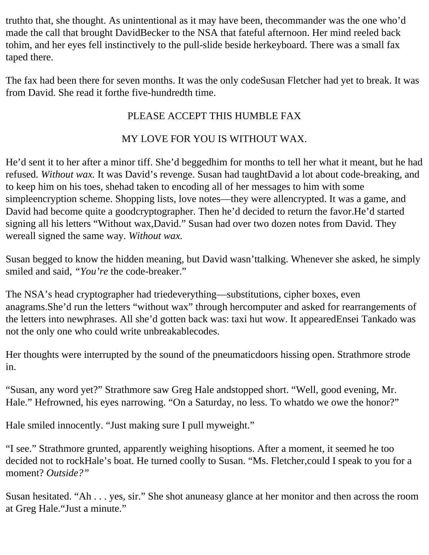truthto that, she thought. As unintentional as it may have been, thecommander was the one who'd made the call that brought DavidBecker to the NSA that fateful afternoon. Her mind reeled back tohim, and her eyes fell instinctively to the pull-slide beside herkeyboard. There was a small fax taped there.

The fax had been there for seven months. It was the only codeSusan Fletcher had yet to break. It was from David. She read it forthe five-hundredth time.

#### PLEASE ACCEPT THIS HUMBLE FAX

#### MY LOVE FOR YOU IS WITHOUT WAX.

He'd sent it to her after a minor tiff. She'd beggedhim for months to tell her what it meant, but he had refused. *Without wax.* It was David's revenge. Susan had taughtDavid a lot about code-breaking, and to keep him on his toes, shehad taken to encoding all of her messages to him with some simpleencryption scheme. Shopping lists, love notes—they were allencrypted. It was a game, and David had become quite a goodcryptographer. Then he'd decided to return the favor.He'd started signing all his letters "Without wax,David." Susan had over two dozen notes from David. They wereall signed the same way. *Without wax.*

Susan begged to know the hidden meaning, but David wasn'ttalking. Whenever she asked, he simply smiled and said, *"You're* the code-breaker."

The NSA's head cryptographer had triedeverything—substitutions, cipher boxes, even anagrams.She'd run the letters "without wax" through hercomputer and asked for rearrangements of the letters into newphrases. All she'd gotten back was: taxi hut wow. It appearedEnsei Tankado was not the only one who could write unbreakablecodes.

Her thoughts were interrupted by the sound of the pneumaticdoors hissing open. Strathmore strode in.

"Susan, any word yet?" Strathmore saw Greg Hale andstopped short. "Well, good evening, Mr. Hale." Hefrowned, his eyes narrowing. "On a Saturday, no less. To whatdo we owe the honor?"

Hale smiled innocently. "Just making sure I pull myweight."

"I see." Strathmore grunted, apparently weighing hisoptions. After a moment, it seemed he too decided not to rockHale's boat. He turned coolly to Susan. "Ms. Fletcher,could I speak to you for a moment? *Outside?"*

Susan hesitated. "Ah . . . yes, sir." She shot anuneasy glance at her monitor and then across the room at Greg Hale."Just a minute."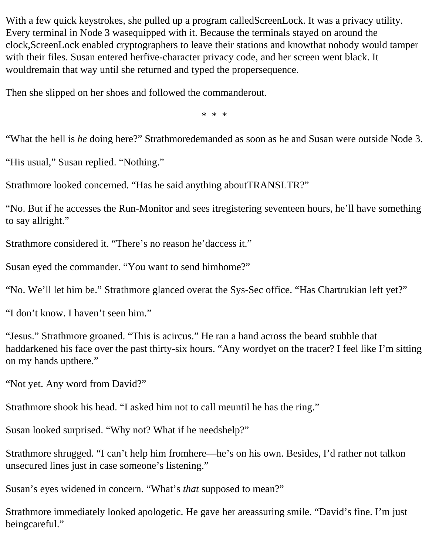With a few quick keystrokes, she pulled up a program calledScreenLock. It was a privacy utility. Every terminal in Node 3 wasequipped with it. Because the terminals stayed on around the clock,ScreenLock enabled cryptographers to leave their stations and knowthat nobody would tamper with their files. Susan entered herfive-character privacy code, and her screen went black. It wouldremain that way until she returned and typed the propersequence.

Then she slipped on her shoes and followed the commanderout.

\* \* \*

"What the hell is *he* doing here?" Strathmoredemanded as soon as he and Susan were outside Node 3.

"His usual," Susan replied. "Nothing."

Strathmore looked concerned. "Has he said anything aboutTRANSLTR?"

"No. But if he accesses the Run-Monitor and sees itregistering seventeen hours, he'll have something to say allright."

Strathmore considered it. "There's no reason he'daccess it."

Susan eyed the commander. "You want to send himhome?"

"No. We'll let him be." Strathmore glanced overat the Sys-Sec office. "Has Chartrukian left yet?"

"I don't know. I haven't seen him."

"Jesus." Strathmore groaned. "This is acircus." He ran a hand across the beard stubble that haddarkened his face over the past thirty-six hours. "Any wordyet on the tracer? I feel like I'm sitting on my hands upthere."

"Not yet. Any word from David?"

Strathmore shook his head. "I asked him not to call meuntil he has the ring."

Susan looked surprised. "Why not? What if he needshelp?"

Strathmore shrugged. "I can't help him fromhere—he's on his own. Besides, I'd rather not talkon unsecured lines just in case someone's listening."

Susan's eyes widened in concern. "What's *that* supposed to mean?"

Strathmore immediately looked apologetic. He gave her areassuring smile. "David's fine. I'm just beingcareful."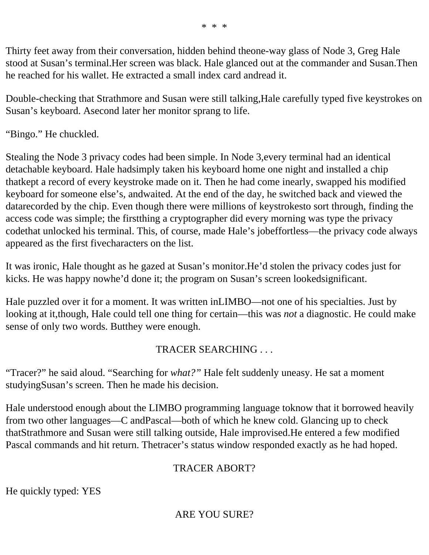Thirty feet away from their conversation, hidden behind theone-way glass of Node 3, Greg Hale stood at Susan's terminal.Her screen was black. Hale glanced out at the commander and Susan.Then he reached for his wallet. He extracted a small index card andread it.

Double-checking that Strathmore and Susan were still talking,Hale carefully typed five keystrokes on Susan's keyboard. Asecond later her monitor sprang to life.

"Bingo." He chuckled.

Stealing the Node 3 privacy codes had been simple. In Node 3,every terminal had an identical detachable keyboard. Hale hadsimply taken his keyboard home one night and installed a chip thatkept a record of every keystroke made on it. Then he had come inearly, swapped his modified keyboard for someone else's, andwaited. At the end of the day, he switched back and viewed the datarecorded by the chip. Even though there were millions of keystrokesto sort through, finding the access code was simple; the firstthing a cryptographer did every morning was type the privacy codethat unlocked his terminal. This, of course, made Hale's jobeffortless—the privacy code always appeared as the first fivecharacters on the list.

It was ironic, Hale thought as he gazed at Susan's monitor.He'd stolen the privacy codes just for kicks. He was happy nowhe'd done it; the program on Susan's screen lookedsignificant.

Hale puzzled over it for a moment. It was written inLIMBO—not one of his specialties. Just by looking at it,though, Hale could tell one thing for certain—this was *not* a diagnostic. He could make sense of only two words. Butthey were enough.

#### TRACER SEARCHING . . .

"Tracer?" he said aloud. "Searching for *what?"* Hale felt suddenly uneasy. He sat a moment studyingSusan's screen. Then he made his decision.

Hale understood enough about the LIMBO programming language toknow that it borrowed heavily from two other languages—C andPascal—both of which he knew cold. Glancing up to check thatStrathmore and Susan were still talking outside, Hale improvised.He entered a few modified Pascal commands and hit return. Thetracer's status window responded exactly as he had hoped.

#### TRACER ABORT?

He quickly typed: YES

#### ARE YOU SURE?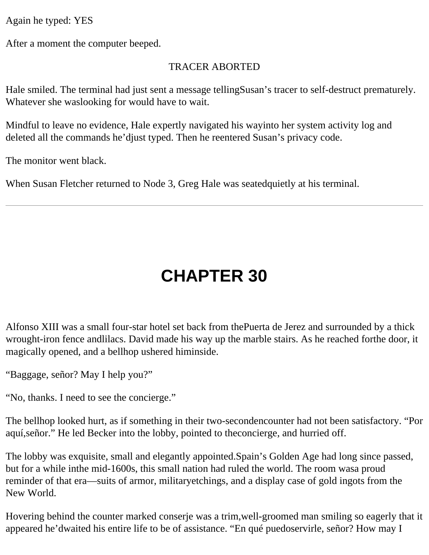Again he typed: YES

After a moment the computer beeped.

#### TRACER ABORTED

Hale smiled. The terminal had just sent a message tellingSusan's tracer to self-destruct prematurely. Whatever she waslooking for would have to wait.

Mindful to leave no evidence, Hale expertly navigated his wayinto her system activity log and deleted all the commands he'djust typed. Then he reentered Susan's privacy code.

The monitor went black.

When Susan Fletcher returned to Node 3, Greg Hale was seatedquietly at his terminal.

### **CHAPTER 30**

Alfonso XIII was a small four-star hotel set back from thePuerta de Jerez and surrounded by a thick wrought-iron fence andlilacs. David made his way up the marble stairs. As he reached forthe door, it magically opened, and a bellhop ushered himinside.

"Baggage, señor? May I help you?"

"No, thanks. I need to see the concierge."

The bellhop looked hurt, as if something in their two-secondencounter had not been satisfactory. "Por aquí,señor." He led Becker into the lobby, pointed to theconcierge, and hurried off.

The lobby was exquisite, small and elegantly appointed.Spain's Golden Age had long since passed, but for a while inthe mid-1600s, this small nation had ruled the world. The room wasa proud reminder of that era—suits of armor, militaryetchings, and a display case of gold ingots from the New World.

Hovering behind the counter marked conserje was a trim,well-groomed man smiling so eagerly that it appeared he'dwaited his entire life to be of assistance. "En qué puedoservirle, señor? How may I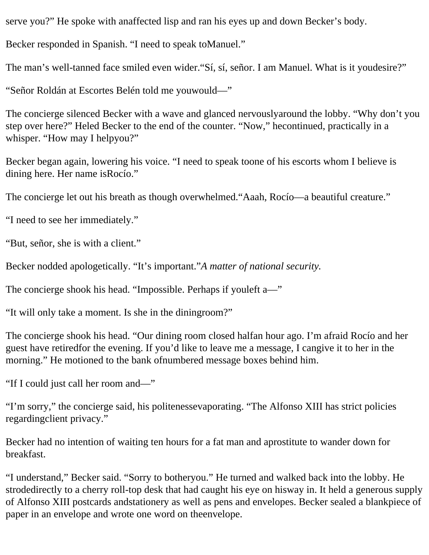serve you?" He spoke with anaffected lisp and ran his eyes up and down Becker's body.

Becker responded in Spanish. "I need to speak toManuel."

The man's well-tanned face smiled even wider."Sí, sí, señor. I am Manuel. What is it youdesire?"

"Señor Roldán at Escortes Belén told me youwould—"

The concierge silenced Becker with a wave and glanced nervouslyaround the lobby. "Why don't you step over here?" Heled Becker to the end of the counter. "Now," hecontinued, practically in a whisper. "How may I helpyou?"

Becker began again, lowering his voice. "I need to speak toone of his escorts whom I believe is dining here. Her name isRocío."

The concierge let out his breath as though overwhelmed."Aaah, Rocío—a beautiful creature."

"I need to see her immediately."

"But, señor, she is with a client."

Becker nodded apologetically. "It's important."*A matter of national security.*

The concierge shook his head. "Impossible. Perhaps if youleft a—"

"It will only take a moment. Is she in the diningroom?"

The concierge shook his head. "Our dining room closed halfan hour ago. I'm afraid Rocío and her guest have retiredfor the evening. If you'd like to leave me a message, I cangive it to her in the morning." He motioned to the bank ofnumbered message boxes behind him.

"If I could just call her room and—"

"I'm sorry," the concierge said, his politenessevaporating. "The Alfonso XIII has strict policies regardingclient privacy."

Becker had no intention of waiting ten hours for a fat man and aprostitute to wander down for breakfast.

"I understand," Becker said. "Sorry to botheryou." He turned and walked back into the lobby. He strodedirectly to a cherry roll-top desk that had caught his eye on hisway in. It held a generous supply of Alfonso XIII postcards andstationery as well as pens and envelopes. Becker sealed a blankpiece of paper in an envelope and wrote one word on theenvelope.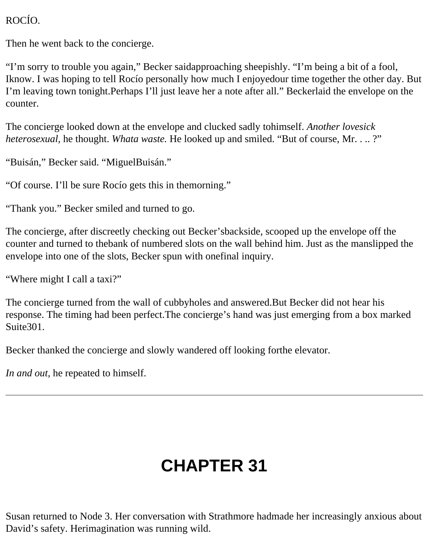#### ROCÍO.

Then he went back to the concierge.

"I'm sorry to trouble you again," Becker saidapproaching sheepishly. "I'm being a bit of a fool, Iknow. I was hoping to tell Rocío personally how much I enjoyedour time together the other day. But I'm leaving town tonight.Perhaps I'll just leave her a note after all." Beckerlaid the envelope on the counter.

The concierge looked down at the envelope and clucked sadly tohimself. *Another lovesick heterosexual,* he thought. *Whata waste.* He looked up and smiled. "But of course, Mr. . .. ?"

"Buisán," Becker said. "MiguelBuisán."

"Of course. I'll be sure Rocío gets this in themorning."

"Thank you." Becker smiled and turned to go.

The concierge, after discreetly checking out Becker'sbackside, scooped up the envelope off the counter and turned to thebank of numbered slots on the wall behind him. Just as the manslipped the envelope into one of the slots, Becker spun with onefinal inquiry.

"Where might I call a taxi?"

The concierge turned from the wall of cubbyholes and answered.But Becker did not hear his response. The timing had been perfect.The concierge's hand was just emerging from a box marked Suite<sub>301</sub>.

Becker thanked the concierge and slowly wandered off looking forthe elevator.

*In and out,* he repeated to himself.

# **CHAPTER 31**

Susan returned to Node 3. Her conversation with Strathmore hadmade her increasingly anxious about David's safety. Herimagination was running wild.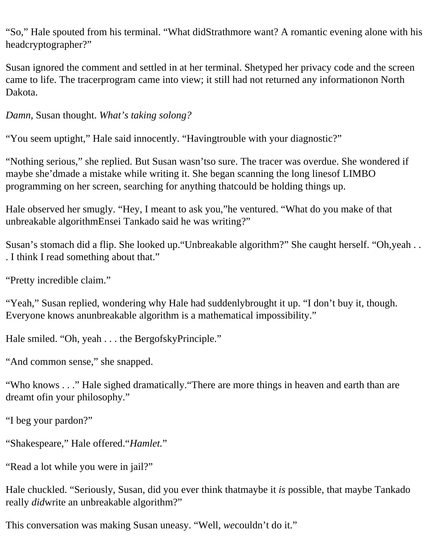"So," Hale spouted from his terminal. "What didStrathmore want? A romantic evening alone with his headcryptographer?"

Susan ignored the comment and settled in at her terminal. Shetyped her privacy code and the screen came to life. The tracerprogram came into view; it still had not returned any informationon North Dakota.

*Damn,* Susan thought. *What's taking solong?*

"You seem uptight," Hale said innocently. "Havingtrouble with your diagnostic?"

"Nothing serious," she replied. But Susan wasn'tso sure. The tracer was overdue. She wondered if maybe she'dmade a mistake while writing it. She began scanning the long linesof LIMBO programming on her screen, searching for anything thatcould be holding things up.

Hale observed her smugly. "Hey, I meant to ask you,"he ventured. "What do you make of that unbreakable algorithmEnsei Tankado said he was writing?"

Susan's stomach did a flip. She looked up."Unbreakable algorithm?" She caught herself. "Oh,yeah . . . I think I read something about that."

"Pretty incredible claim."

"Yeah," Susan replied, wondering why Hale had suddenlybrought it up. "I don't buy it, though. Everyone knows anunbreakable algorithm is a mathematical impossibility."

Hale smiled. "Oh, yeah . . . the BergofskyPrinciple."

"And common sense," she snapped.

"Who knows . . ." Hale sighed dramatically."There are more things in heaven and earth than are dreamt ofin your philosophy."

"I beg your pardon?"

"Shakespeare," Hale offered."*Hamlet.*"

"Read a lot while you were in jail?"

Hale chuckled. "Seriously, Susan, did you ever think thatmaybe it *is* possible, that maybe Tankado really *did*write an unbreakable algorithm?"

This conversation was making Susan uneasy. "Well, *we*couldn't do it."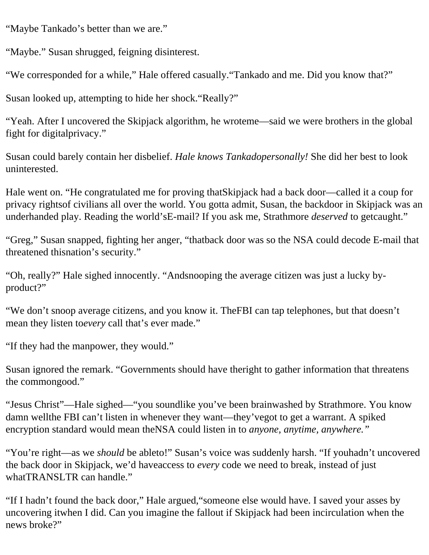"Maybe Tankado's better than we are."

"Maybe." Susan shrugged, feigning disinterest.

"We corresponded for a while," Hale offered casually."Tankado and me. Did you know that?"

Susan looked up, attempting to hide her shock."Really?"

"Yeah. After I uncovered the Skipjack algorithm, he wroteme—said we were brothers in the global fight for digitalprivacy."

Susan could barely contain her disbelief. *Hale knows Tankadopersonally!* She did her best to look uninterested.

Hale went on. "He congratulated me for proving thatSkipjack had a back door—called it a coup for privacy rightsof civilians all over the world. You gotta admit, Susan, the backdoor in Skipjack was an underhanded play. Reading the world'sE-mail? If you ask me, Strathmore *deserved* to getcaught."

"Greg," Susan snapped, fighting her anger, "thatback door was so the NSA could decode E-mail that threatened thisnation's security."

"Oh, really?" Hale sighed innocently. "Andsnooping the average citizen was just a lucky byproduct?"

"We don't snoop average citizens, and you know it. TheFBI can tap telephones, but that doesn't mean they listen to*every* call that's ever made."

"If they had the manpower, they would."

Susan ignored the remark. "Governments should have theright to gather information that threatens the commongood."

"Jesus Christ"—Hale sighed—"you soundlike you've been brainwashed by Strathmore. You know damn wellthe FBI can't listen in whenever they want—they'vegot to get a warrant. A spiked encryption standard would mean theNSA could listen in to *anyone, anytime, anywhere."*

"You're right—as we *should* be ableto!" Susan's voice was suddenly harsh. "If youhadn't uncovered the back door in Skipjack, we'd haveaccess to *every* code we need to break, instead of just whatTRANSLTR can handle."

"If I hadn't found the back door," Hale argued,"someone else would have. I saved your asses by uncovering itwhen I did. Can you imagine the fallout if Skipjack had been incirculation when the news broke?"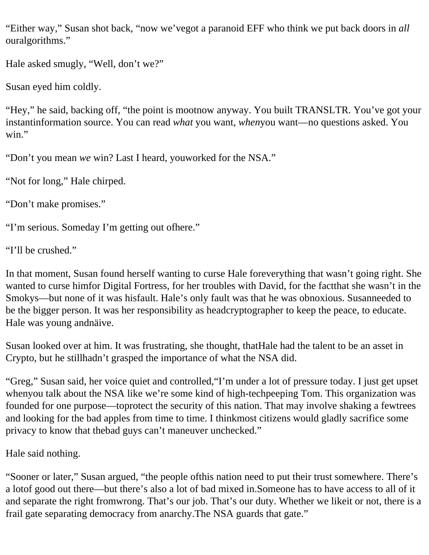"Either way," Susan shot back, "now we'vegot a paranoid EFF who think we put back doors in *all* ouralgorithms."

Hale asked smugly, "Well, don't we?"

Susan eyed him coldly.

"Hey," he said, backing off, "the point is mootnow anyway. You built TRANSLTR. You've got your instantinformation source. You can read *what* you want, *when*you want—no questions asked. You win."

"Don't you mean *we* win? Last I heard, youworked for the NSA."

"Not for long," Hale chirped.

"Don't make promises."

"I'm serious. Someday I'm getting out ofhere."

"I'll be crushed."

In that moment, Susan found herself wanting to curse Hale foreverything that wasn't going right. She wanted to curse himfor Digital Fortress, for her troubles with David, for the factthat she wasn't in the Smokys—but none of it was hisfault. Hale's only fault was that he was obnoxious. Susanneeded to be the bigger person. It was her responsibility as headcryptographer to keep the peace, to educate. Hale was young andnäive.

Susan looked over at him. It was frustrating, she thought, thatHale had the talent to be an asset in Crypto, but he stillhadn't grasped the importance of what the NSA did.

"Greg," Susan said, her voice quiet and controlled,"I'm under a lot of pressure today. I just get upset whenyou talk about the NSA like we're some kind of high-techpeeping Tom. This organization was founded for one purpose—toprotect the security of this nation. That may involve shaking a fewtrees and looking for the bad apples from time to time. I thinkmost citizens would gladly sacrifice some privacy to know that thebad guys can't maneuver unchecked."

Hale said nothing.

"Sooner or later," Susan argued, "the people ofthis nation need to put their trust somewhere. There's a lotof good out there—but there's also a lot of bad mixed in.Someone has to have access to all of it and separate the right fromwrong. That's our job. That's our duty. Whether we likeit or not, there is a frail gate separating democracy from anarchy.The NSA guards that gate."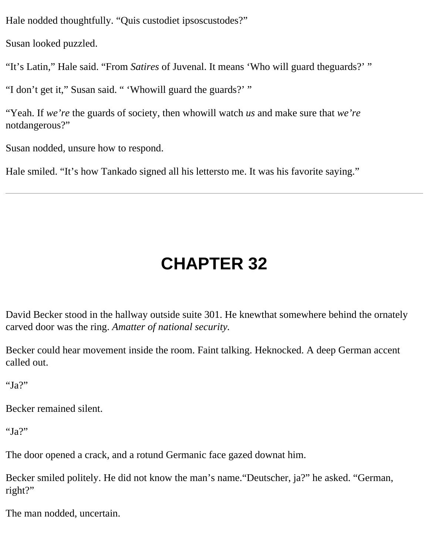Hale nodded thoughtfully. "Quis custodiet ipsoscustodes?"

Susan looked puzzled.

"It's Latin," Hale said. "From *Satires* of Juvenal. It means 'Who will guard theguards?' "

"I don't get it," Susan said. " 'Whowill guard the guards?' "

"Yeah. If *we're* the guards of society, then whowill watch *us* and make sure that *we're* notdangerous?"

Susan nodded, unsure how to respond.

Hale smiled. "It's how Tankado signed all his lettersto me. It was his favorite saying."

# **CHAPTER 32**

David Becker stood in the hallway outside suite 301. He knewthat somewhere behind the ornately carved door was the ring. *Amatter of national security.*

Becker could hear movement inside the room. Faint talking. Heknocked. A deep German accent called out.

" $Ja?"$ 

Becker remained silent.

" $Ja?"$ 

The door opened a crack, and a rotund Germanic face gazed downat him.

Becker smiled politely. He did not know the man's name."Deutscher, ja?" he asked. "German, right?"

The man nodded, uncertain.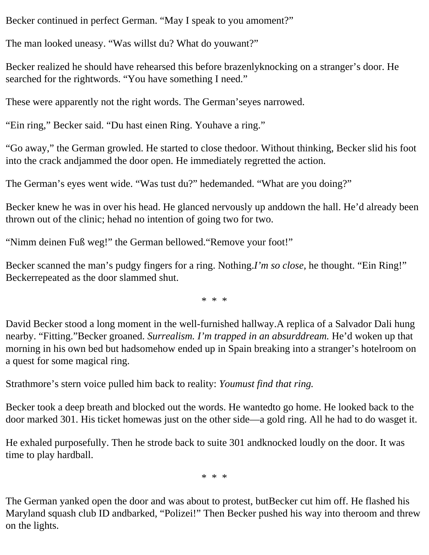Becker continued in perfect German. "May I speak to you amoment?"

The man looked uneasy. "Was willst du? What do youwant?"

Becker realized he should have rehearsed this before brazenlyknocking on a stranger's door. He searched for the rightwords. "You have something I need."

These were apparently not the right words. The German'seyes narrowed.

"Ein ring," Becker said. "Du hast einen Ring. Youhave a ring."

"Go away," the German growled. He started to close thedoor. Without thinking, Becker slid his foot into the crack andjammed the door open. He immediately regretted the action.

The German's eyes went wide. "Was tust du?" hedemanded. "What are you doing?"

Becker knew he was in over his head. He glanced nervously up anddown the hall. He'd already been thrown out of the clinic; hehad no intention of going two for two.

"Nimm deinen Fuß weg!" the German bellowed."Remove your foot!"

Becker scanned the man's pudgy fingers for a ring. Nothing.*I'm so close,* he thought. "Ein Ring!" Beckerrepeated as the door slammed shut.

\* \* \*

David Becker stood a long moment in the well-furnished hallway.A replica of a Salvador Dali hung nearby. "Fitting."Becker groaned. *Surrealism. I'm trapped in an absurddream.* He'd woken up that morning in his own bed but hadsomehow ended up in Spain breaking into a stranger's hotelroom on a quest for some magical ring.

Strathmore's stern voice pulled him back to reality: *Youmust find that ring.*

Becker took a deep breath and blocked out the words. He wantedto go home. He looked back to the door marked 301. His ticket homewas just on the other side—a gold ring. All he had to do wasget it.

He exhaled purposefully. Then he strode back to suite 301 andknocked loudly on the door. It was time to play hardball.

\* \* \*

The German yanked open the door and was about to protest, butBecker cut him off. He flashed his Maryland squash club ID andbarked, "Polizei!" Then Becker pushed his way into theroom and threw on the lights.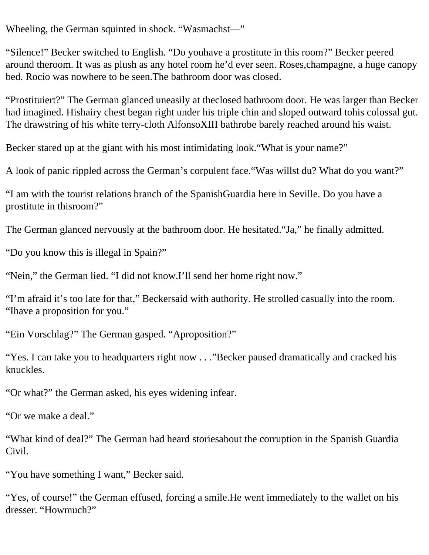Wheeling, the German squinted in shock. "Wasmachst—"

"Silence!" Becker switched to English. "Do youhave a prostitute in this room?" Becker peered around theroom. It was as plush as any hotel room he'd ever seen. Roses,champagne, a huge canopy bed. Rocío was nowhere to be seen.The bathroom door was closed.

"Prostituiert?" The German glanced uneasily at theclosed bathroom door. He was larger than Becker had imagined. Hishairy chest began right under his triple chin and sloped outward tohis colossal gut. The drawstring of his white terry-cloth AlfonsoXIII bathrobe barely reached around his waist.

Becker stared up at the giant with his most intimidating look."What is your name?"

A look of panic rippled across the German's corpulent face."Was willst du? What do you want?"

"I am with the tourist relations branch of the SpanishGuardia here in Seville. Do you have a prostitute in thisroom?"

The German glanced nervously at the bathroom door. He hesitated."Ja," he finally admitted.

"Do you know this is illegal in Spain?"

"Nein," the German lied. "I did not know.I'll send her home right now."

"I'm afraid it's too late for that," Beckersaid with authority. He strolled casually into the room. "Ihave a proposition for you."

"Ein Vorschlag?" The German gasped. "Aproposition?"

"Yes. I can take you to headquarters right now . . ."Becker paused dramatically and cracked his knuckles.

"Or what?" the German asked, his eyes widening infear.

"Or we make a deal."

"What kind of deal?" The German had heard storiesabout the corruption in the Spanish Guardia Civil.

"You have something I want," Becker said.

"Yes, of course!" the German effused, forcing a smile.He went immediately to the wallet on his dresser. "Howmuch?"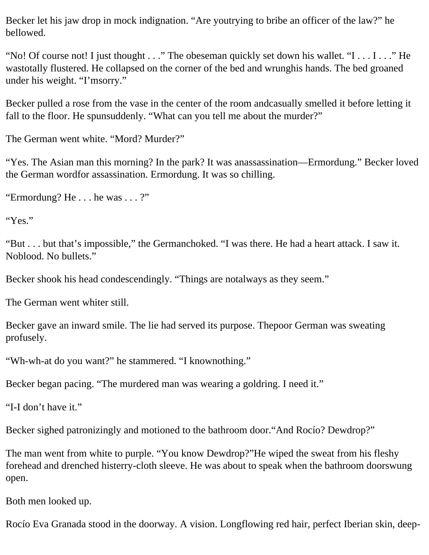Becker let his jaw drop in mock indignation. "Are youtrying to bribe an officer of the law?" he bellowed.

"No! Of course not! I just thought . . ." The obeseman quickly set down his wallet. "I . . . I . . ." He wastotally flustered. He collapsed on the corner of the bed and wrunghis hands. The bed groaned under his weight. "I'msorry."

Becker pulled a rose from the vase in the center of the room andcasually smelled it before letting it fall to the floor. He spunsuddenly. "What can you tell me about the murder?"

The German went white. "Mord? Murder?"

"Yes. The Asian man this morning? In the park? It was anassassination—Ermordung." Becker loved the German wordfor assassination. Ermordung. It was so chilling.

"Ermordung? He . . . he was . . . ?"

"Yes."

"But . . . but that's impossible," the Germanchoked. "I was there. He had a heart attack. I saw it. Noblood. No bullets."

Becker shook his head condescendingly. "Things are notalways as they seem."

The German went whiter still.

Becker gave an inward smile. The lie had served its purpose. Thepoor German was sweating profusely.

"Wh-wh-at do you want?" he stammered. "I knownothing."

Becker began pacing. "The murdered man was wearing a goldring. I need it."

"I-I don't have it."

Becker sighed patronizingly and motioned to the bathroom door."And Rocío? Dewdrop?"

The man went from white to purple. "You know Dewdrop?"He wiped the sweat from his fleshy forehead and drenched histerry-cloth sleeve. He was about to speak when the bathroom doorswung open.

Both men looked up.

Rocío Eva Granada stood in the doorway. A vision. Longflowing red hair, perfect Iberian skin, deep-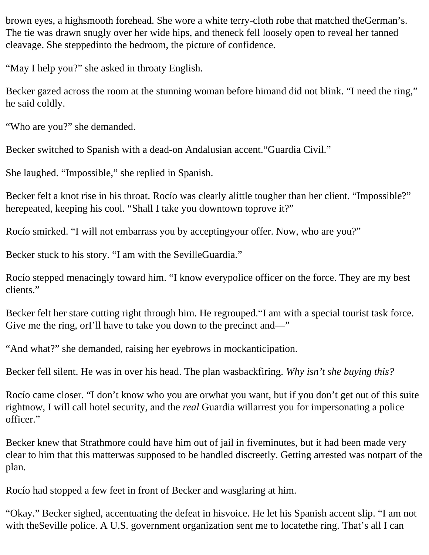brown eyes, a highsmooth forehead. She wore a white terry-cloth robe that matched theGerman's. The tie was drawn snugly over her wide hips, and theneck fell loosely open to reveal her tanned cleavage. She steppedinto the bedroom, the picture of confidence.

"May I help you?" she asked in throaty English.

Becker gazed across the room at the stunning woman before himand did not blink. "I need the ring," he said coldly.

"Who are you?" she demanded.

Becker switched to Spanish with a dead-on Andalusian accent."Guardia Civil."

She laughed. "Impossible," she replied in Spanish.

Becker felt a knot rise in his throat. Rocío was clearly alittle tougher than her client. "Impossible?" herepeated, keeping his cool. "Shall I take you downtown toprove it?"

Rocío smirked. "I will not embarrass you by acceptingyour offer. Now, who are you?"

Becker stuck to his story. "I am with the SevilleGuardia."

Rocío stepped menacingly toward him. "I know everypolice officer on the force. They are my best clients."

Becker felt her stare cutting right through him. He regrouped."I am with a special tourist task force. Give me the ring, or I'll have to take you down to the precinct and—"

"And what?" she demanded, raising her eyebrows in mockanticipation.

Becker fell silent. He was in over his head. The plan wasbackfiring. *Why isn't she buying this?*

Rocío came closer. "I don't know who you are orwhat you want, but if you don't get out of this suite rightnow, I will call hotel security, and the *real* Guardia willarrest you for impersonating a police officer."

Becker knew that Strathmore could have him out of jail in fiveminutes, but it had been made very clear to him that this matterwas supposed to be handled discreetly. Getting arrested was notpart of the plan.

Rocío had stopped a few feet in front of Becker and wasglaring at him.

"Okay." Becker sighed, accentuating the defeat in hisvoice. He let his Spanish accent slip. "I am not with theSeville police. A U.S. government organization sent me to locatethe ring. That's all I can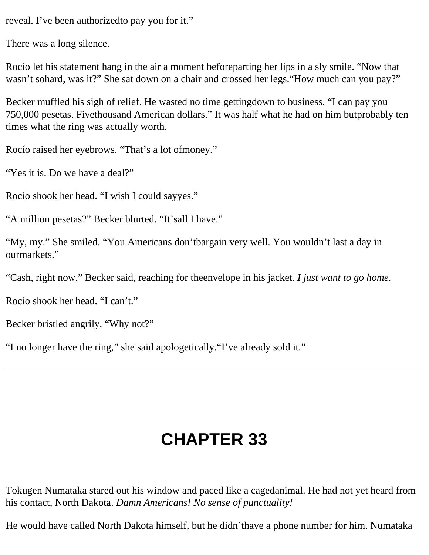reveal. I've been authorizedto pay you for it."

There was a long silence.

Rocío let his statement hang in the air a moment beforeparting her lips in a sly smile. "Now that wasn't sohard, was it?" She sat down on a chair and crossed her legs. "How much can you pay?"

Becker muffled his sigh of relief. He wasted no time gettingdown to business. "I can pay you 750,000 pesetas. Fivethousand American dollars." It was half what he had on him butprobably ten times what the ring was actually worth.

Rocío raised her eyebrows. "That's a lot ofmoney."

"Yes it is. Do we have a deal?"

Rocío shook her head. "I wish I could sayyes."

"A million pesetas?" Becker blurted. "It'sall I have."

"My, my." She smiled. "You Americans don'tbargain very well. You wouldn't last a day in ourmarkets."

"Cash, right now," Becker said, reaching for theenvelope in his jacket. *I just want to go home.*

Rocío shook her head. "I can't."

Becker bristled angrily. "Why not?"

"I no longer have the ring," she said apologetically."I've already sold it."

### **CHAPTER 33**

Tokugen Numataka stared out his window and paced like a cagedanimal. He had not yet heard from his contact, North Dakota. *Damn Americans! No sense of punctuality!*

He would have called North Dakota himself, but he didn'thave a phone number for him. Numataka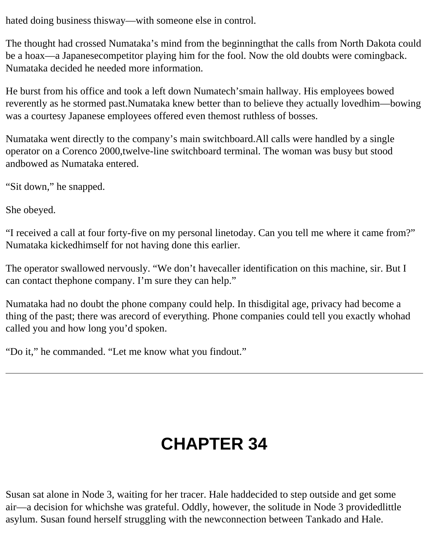hated doing business thisway—with someone else in control.

The thought had crossed Numataka's mind from the beginningthat the calls from North Dakota could be a hoax—a Japanesecompetitor playing him for the fool. Now the old doubts were comingback. Numataka decided he needed more information.

He burst from his office and took a left down Numatech'smain hallway. His employees bowed reverently as he stormed past.Numataka knew better than to believe they actually lovedhim—bowing was a courtesy Japanese employees offered even themost ruthless of bosses.

Numataka went directly to the company's main switchboard.All calls were handled by a single operator on a Corenco 2000,twelve-line switchboard terminal. The woman was busy but stood andbowed as Numataka entered.

"Sit down," he snapped.

She obeyed.

"I received a call at four forty-five on my personal linetoday. Can you tell me where it came from?" Numataka kickedhimself for not having done this earlier.

The operator swallowed nervously. "We don't havecaller identification on this machine, sir. But I can contact thephone company. I'm sure they can help."

Numataka had no doubt the phone company could help. In thisdigital age, privacy had become a thing of the past; there was arecord of everything. Phone companies could tell you exactly whohad called you and how long you'd spoken.

"Do it," he commanded. "Let me know what you findout."

## **CHAPTER 34**

Susan sat alone in Node 3, waiting for her tracer. Hale haddecided to step outside and get some air—a decision for whichshe was grateful. Oddly, however, the solitude in Node 3 providedlittle asylum. Susan found herself struggling with the newconnection between Tankado and Hale.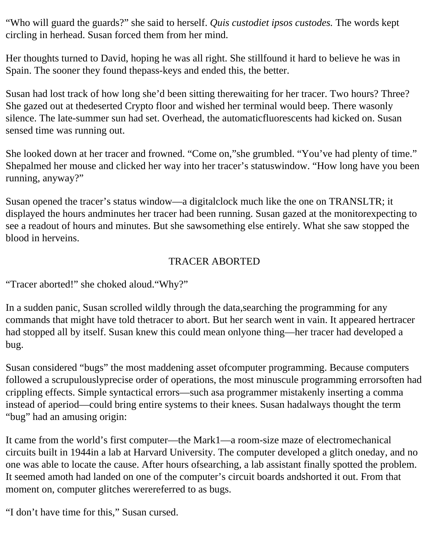"Who will guard the guards?" she said to herself. *Quis custodiet ipsos custodes.* The words kept circling in herhead. Susan forced them from her mind.

Her thoughts turned to David, hoping he was all right. She stillfound it hard to believe he was in Spain. The sooner they found thepass-keys and ended this, the better.

Susan had lost track of how long she'd been sitting therewaiting for her tracer. Two hours? Three? She gazed out at thedeserted Crypto floor and wished her terminal would beep. There wasonly silence. The late-summer sun had set. Overhead, the automaticfluorescents had kicked on. Susan sensed time was running out.

She looked down at her tracer and frowned. "Come on,"she grumbled. "You've had plenty of time." Shepalmed her mouse and clicked her way into her tracer's statuswindow. "How long have you been running, anyway?"

Susan opened the tracer's status window—a digitalclock much like the one on TRANSLTR; it displayed the hours andminutes her tracer had been running. Susan gazed at the monitorexpecting to see a readout of hours and minutes. But she sawsomething else entirely. What she saw stopped the blood in herveins.

#### TRACER ABORTED

"Tracer aborted!" she choked aloud."Why?"

In a sudden panic, Susan scrolled wildly through the data,searching the programming for any commands that might have told thetracer to abort. But her search went in vain. It appeared hertracer had stopped all by itself. Susan knew this could mean onlyone thing—her tracer had developed a bug.

Susan considered "bugs" the most maddening asset ofcomputer programming. Because computers followed a scrupulouslyprecise order of operations, the most minuscule programming errorsoften had crippling effects. Simple syntactical errors—such asa programmer mistakenly inserting a comma instead of aperiod—could bring entire systems to their knees. Susan hadalways thought the term "bug" had an amusing origin:

It came from the world's first computer—the Mark1—a room-size maze of electromechanical circuits built in 1944in a lab at Harvard University. The computer developed a glitch oneday, and no one was able to locate the cause. After hours ofsearching, a lab assistant finally spotted the problem. It seemed amoth had landed on one of the computer's circuit boards andshorted it out. From that moment on, computer glitches werereferred to as bugs.

"I don't have time for this," Susan cursed.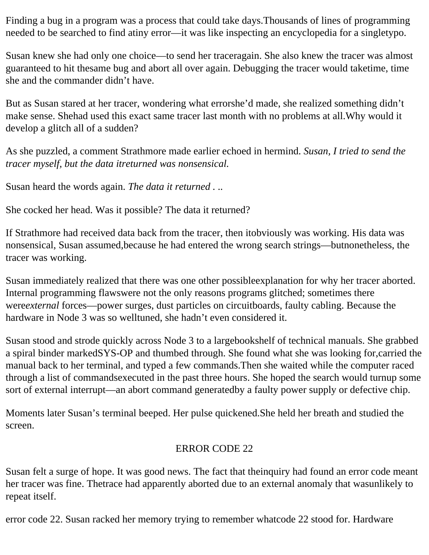Finding a bug in a program was a process that could take days.Thousands of lines of programming needed to be searched to find atiny error—it was like inspecting an encyclopedia for a singletypo.

Susan knew she had only one choice—to send her traceragain. She also knew the tracer was almost guaranteed to hit thesame bug and abort all over again. Debugging the tracer would taketime, time she and the commander didn't have.

But as Susan stared at her tracer, wondering what errorshe'd made, she realized something didn't make sense. Shehad used this exact same tracer last month with no problems at all.Why would it develop a glitch all of a sudden?

As she puzzled, a comment Strathmore made earlier echoed in hermind. *Susan, I tried to send the tracer myself, but the data itreturned was nonsensical.*

Susan heard the words again. *The data it returned . ..*

She cocked her head. Was it possible? The data it returned?

If Strathmore had received data back from the tracer, then itobviously was working. His data was nonsensical, Susan assumed,because he had entered the wrong search strings—butnonetheless, the tracer was working.

Susan immediately realized that there was one other possibleexplanation for why her tracer aborted. Internal programming flawswere not the only reasons programs glitched; sometimes there were*external* forces—power surges, dust particles on circuitboards, faulty cabling. Because the hardware in Node 3 was so welltuned, she hadn't even considered it.

Susan stood and strode quickly across Node 3 to a largebookshelf of technical manuals. She grabbed a spiral binder markedSYS-OP and thumbed through. She found what she was looking for,carried the manual back to her terminal, and typed a few commands.Then she waited while the computer raced through a list of commandsexecuted in the past three hours. She hoped the search would turnup some sort of external interrupt—an abort command generatedby a faulty power supply or defective chip.

Moments later Susan's terminal beeped. Her pulse quickened.She held her breath and studied the screen.

#### ERROR CODE 22

Susan felt a surge of hope. It was good news. The fact that theinquiry had found an error code meant her tracer was fine. Thetrace had apparently aborted due to an external anomaly that wasunlikely to repeat itself.

error code 22. Susan racked her memory trying to remember whatcode 22 stood for. Hardware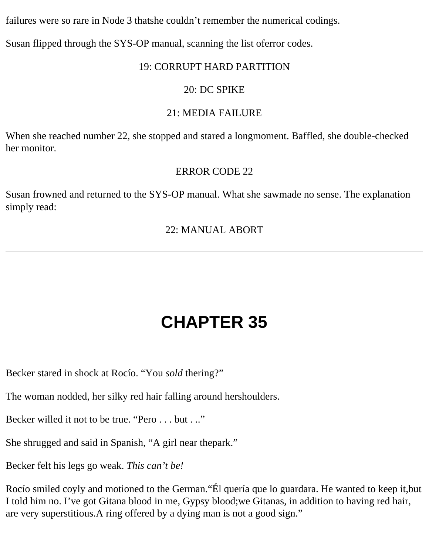failures were so rare in Node 3 thatshe couldn't remember the numerical codings.

Susan flipped through the SYS-OP manual, scanning the list oferror codes.

#### 19: CORRUPT HARD PARTITION

#### 20: DC SPIKE

#### 21: MEDIA FAILURE

When she reached number 22, she stopped and stared a longmoment. Baffled, she double-checked her monitor.

#### ERROR CODE 22

Susan frowned and returned to the SYS-OP manual. What she sawmade no sense. The explanation simply read:

22: MANUAL ABORT

## **CHAPTER 35**

Becker stared in shock at Rocío. "You *sold* thering?"

The woman nodded, her silky red hair falling around hershoulders.

Becker willed it not to be true. "Pero . . . but . .."

She shrugged and said in Spanish, "A girl near thepark."

Becker felt his legs go weak. *This can't be!*

Rocío smiled coyly and motioned to the German."Él quería que lo guardara. He wanted to keep it,but I told him no. I've got Gitana blood in me, Gypsy blood;we Gitanas, in addition to having red hair, are very superstitious.A ring offered by a dying man is not a good sign."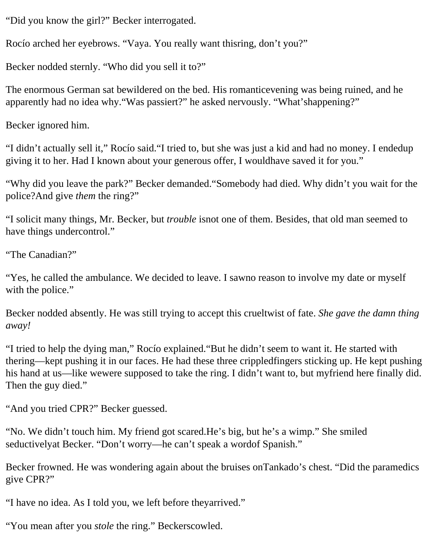"Did you know the girl?" Becker interrogated.

Rocío arched her eyebrows. "Vaya. You really want thisring, don't you?"

Becker nodded sternly. "Who did you sell it to?"

The enormous German sat bewildered on the bed. His romanticevening was being ruined, and he apparently had no idea why."Was passiert?" he asked nervously. "What'shappening?"

Becker ignored him.

"I didn't actually sell it," Rocío said."I tried to, but she was just a kid and had no money. I endedup giving it to her. Had I known about your generous offer, I wouldhave saved it for you."

"Why did you leave the park?" Becker demanded."Somebody had died. Why didn't you wait for the police?And give *them* the ring?"

"I solicit many things, Mr. Becker, but *trouble* isnot one of them. Besides, that old man seemed to have things undercontrol."

"The Canadian?"

"Yes, he called the ambulance. We decided to leave. I sawno reason to involve my date or myself with the police."

Becker nodded absently. He was still trying to accept this crueltwist of fate. *She gave the damn thing away!*

"I tried to help the dying man," Rocío explained."But he didn't seem to want it. He started with thering—kept pushing it in our faces. He had these three crippledfingers sticking up. He kept pushing his hand at us—like wewere supposed to take the ring. I didn't want to, but myfriend here finally did. Then the guy died."

"And you tried CPR?" Becker guessed.

"No. We didn't touch him. My friend got scared.He's big, but he's a wimp." She smiled seductivelyat Becker. "Don't worry—he can't speak a wordof Spanish."

Becker frowned. He was wondering again about the bruises onTankado's chest. "Did the paramedics give CPR?"

"I have no idea. As I told you, we left before theyarrived."

"You mean after you *stole* the ring." Beckerscowled.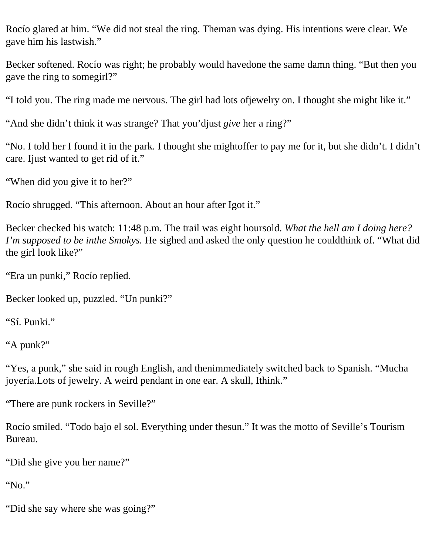Rocío glared at him. "We did not steal the ring. Theman was dying. His intentions were clear. We gave him his lastwish."

Becker softened. Rocío was right; he probably would havedone the same damn thing. "But then you gave the ring to somegirl?"

"I told you. The ring made me nervous. The girl had lots ofjewelry on. I thought she might like it."

"And she didn't think it was strange? That you'djust *give* her a ring?"

"No. I told her I found it in the park. I thought she mightoffer to pay me for it, but she didn't. I didn't care. Ijust wanted to get rid of it."

"When did you give it to her?"

Rocío shrugged. "This afternoon. About an hour after Igot it."

Becker checked his watch: 11:48 p.m. The trail was eight hoursold. *What the hell am I doing here? I'm supposed to be inthe Smokys.* He sighed and asked the only question he couldthink of. "What did the girl look like?"

"Era un punki," Rocío replied.

Becker looked up, puzzled. "Un punki?"

"Sí. Punki."

"A punk?"

"Yes, a punk," she said in rough English, and thenimmediately switched back to Spanish. "Mucha joyería.Lots of jewelry. A weird pendant in one ear. A skull, Ithink."

"There are punk rockers in Seville?"

Rocío smiled. "Todo bajo el sol. Everything under thesun." It was the motto of Seville's Tourism Bureau.

"Did she give you her name?"

"No."

"Did she say where she was going?"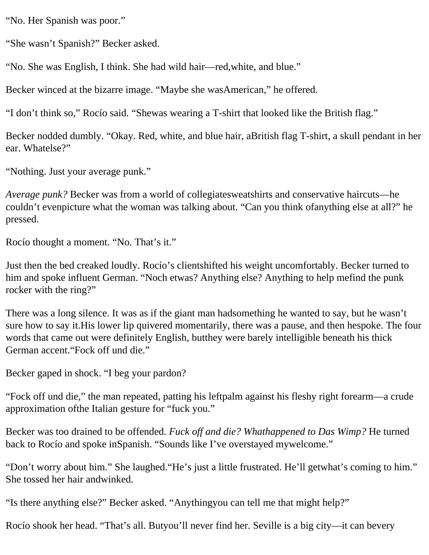"No. Her Spanish was poor."

"She wasn't Spanish?" Becker asked.

"No. She was English, I think. She had wild hair—red,white, and blue."

Becker winced at the bizarre image. "Maybe she wasAmerican," he offered.

"I don't think so," Rocío said. "Shewas wearing a T-shirt that looked like the British flag."

Becker nodded dumbly. "Okay. Red, white, and blue hair, aBritish flag T-shirt, a skull pendant in her ear. Whatelse?"

"Nothing. Just your average punk."

*Average punk?* Becker was from a world of collegiatesweatshirts and conservative haircuts—he couldn't evenpicture what the woman was talking about. "Can you think ofanything else at all?" he pressed.

Rocío thought a moment. "No. That's it."

Just then the bed creaked loudly. Rocío's clientshifted his weight uncomfortably. Becker turned to him and spoke influent German. "Noch etwas? Anything else? Anything to help mefind the punk rocker with the ring?"

There was a long silence. It was as if the giant man hadsomething he wanted to say, but he wasn't sure how to say it.His lower lip quivered momentarily, there was a pause, and then hespoke. The four words that came out were definitely English, butthey were barely intelligible beneath his thick German accent."Fock off und die."

Becker gaped in shock. "I beg your pardon?

"Fock off und die," the man repeated, patting his leftpalm against his fleshy right forearm—a crude approximation ofthe Italian gesture for "fuck you."

Becker was too drained to be offended. *Fuck off and die? Whathappened to Das Wimp?* He turned back to Rocío and spoke inSpanish. "Sounds like I've overstayed mywelcome."

"Don't worry about him." She laughed."He's just a little frustrated. He'll getwhat's coming to him." She tossed her hair andwinked.

"Is there anything else?" Becker asked. "Anythingyou can tell me that might help?"

Rocío shook her head. "That's all. Butyou'll never find her. Seville is a big city—it can bevery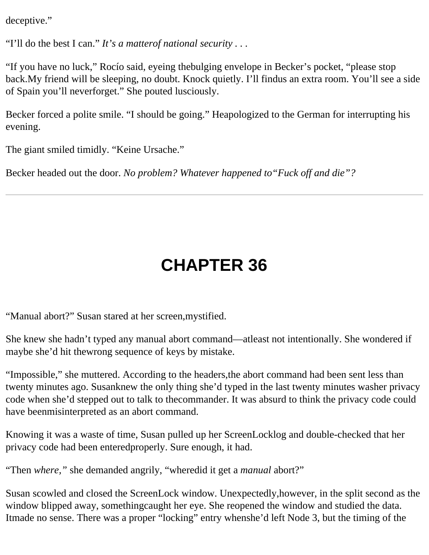deceptive."

"I'll do the best I can." *It's a matterof national security . . .*

"If you have no luck," Rocío said, eyeing thebulging envelope in Becker's pocket, "please stop back.My friend will be sleeping, no doubt. Knock quietly. I'll findus an extra room. You'll see a side of Spain you'll neverforget." She pouted lusciously.

Becker forced a polite smile. "I should be going." Heapologized to the German for interrupting his evening.

The giant smiled timidly. "Keine Ursache."

Becker headed out the door. *No problem? Whatever happened to"Fuck off and die"?*

### **CHAPTER 36**

"Manual abort?" Susan stared at her screen,mystified.

She knew she hadn't typed any manual abort command—atleast not intentionally. She wondered if maybe she'd hit thewrong sequence of keys by mistake.

"Impossible," she muttered. According to the headers,the abort command had been sent less than twenty minutes ago. Susanknew the only thing she'd typed in the last twenty minutes washer privacy code when she'd stepped out to talk to thecommander. It was absurd to think the privacy code could have beenmisinterpreted as an abort command.

Knowing it was a waste of time, Susan pulled up her ScreenLocklog and double-checked that her privacy code had been enteredproperly. Sure enough, it had.

"Then *where,"* she demanded angrily, "wheredid it get a *manual* abort?"

Susan scowled and closed the ScreenLock window. Unexpectedly,however, in the split second as the window blipped away, somethingcaught her eye. She reopened the window and studied the data. Itmade no sense. There was a proper "locking" entry whenshe'd left Node 3, but the timing of the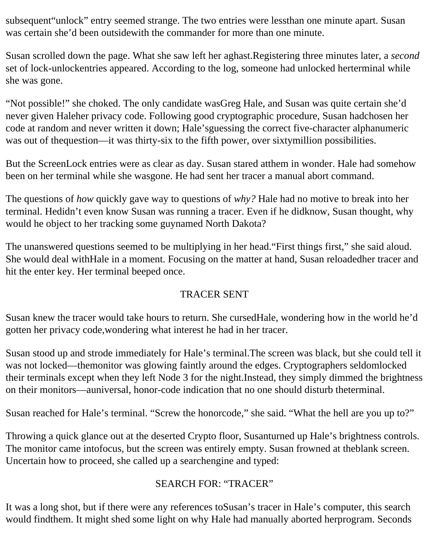subsequent"unlock" entry seemed strange. The two entries were lessthan one minute apart. Susan was certain she'd been outsidewith the commander for more than one minute.

Susan scrolled down the page. What she saw left her aghast.Registering three minutes later, a *second* set of lock-unlockentries appeared. According to the log, someone had unlocked herterminal while she was gone.

"Not possible!" she choked. The only candidate wasGreg Hale, and Susan was quite certain she'd never given Haleher privacy code. Following good cryptographic procedure, Susan hadchosen her code at random and never written it down; Hale'sguessing the correct five-character alphanumeric was out of thequestion—it was thirty-six to the fifth power, over sixtymillion possibilities.

But the ScreenLock entries were as clear as day. Susan stared atthem in wonder. Hale had somehow been on her terminal while she wasgone. He had sent her tracer a manual abort command.

The questions of *how* quickly gave way to questions of *why?* Hale had no motive to break into her terminal. Hedidn't even know Susan was running a tracer. Even if he didknow, Susan thought, why would he object to her tracking some guynamed North Dakota?

The unanswered questions seemed to be multiplying in her head."First things first," she said aloud. She would deal withHale in a moment. Focusing on the matter at hand, Susan reloadedher tracer and hit the enter key. Her terminal beeped once.

#### TRACER SENT

Susan knew the tracer would take hours to return. She cursedHale, wondering how in the world he'd gotten her privacy code,wondering what interest he had in her tracer.

Susan stood up and strode immediately for Hale's terminal.The screen was black, but she could tell it was not locked—themonitor was glowing faintly around the edges. Cryptographers seldomlocked their terminals except when they left Node 3 for the night.Instead, they simply dimmed the brightness on their monitors—auniversal, honor-code indication that no one should disturb theterminal.

Susan reached for Hale's terminal. "Screw the honorcode," she said. "What the hell are you up to?"

Throwing a quick glance out at the deserted Crypto floor, Susanturned up Hale's brightness controls. The monitor came intofocus, but the screen was entirely empty. Susan frowned at theblank screen. Uncertain how to proceed, she called up a searchengine and typed:

### SEARCH FOR: "TRACER"

It was a long shot, but if there were any references toSusan's tracer in Hale's computer, this search would findthem. It might shed some light on why Hale had manually aborted herprogram. Seconds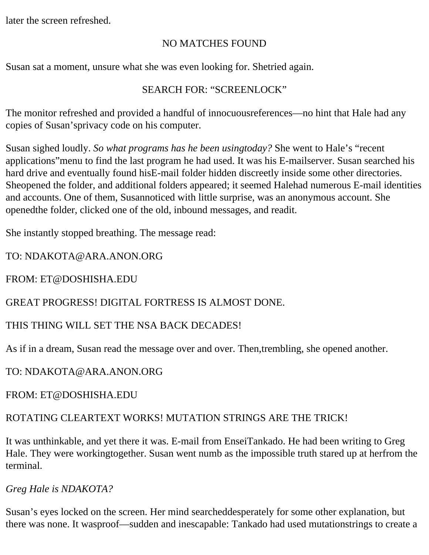later the screen refreshed.

### NO MATCHES FOUND

Susan sat a moment, unsure what she was even looking for. Shetried again.

### SEARCH FOR: "SCREENLOCK"

The monitor refreshed and provided a handful of innocuousreferences—no hint that Hale had any copies of Susan'sprivacy code on his computer.

Susan sighed loudly. *So what programs has he been usingtoday?* She went to Hale's "recent applications"menu to find the last program he had used. It was his E-mailserver. Susan searched his hard drive and eventually found hisE-mail folder hidden discreetly inside some other directories. Sheopened the folder, and additional folders appeared; it seemed Halehad numerous E-mail identities and accounts. One of them, Susannoticed with little surprise, was an anonymous account. She openedthe folder, clicked one of the old, inbound messages, and readit.

She instantly stopped breathing. The message read:

TO: NDAKOTA@ARA.ANON.ORG

FROM: ET@DOSHISHA.EDU

GREAT PROGRESS! DIGITAL FORTRESS IS ALMOST DONE.

### THIS THING WILL SET THE NSA BACK DECADES!

As if in a dream, Susan read the message over and over. Then,trembling, she opened another.

TO: NDAKOTA@ARA.ANON.ORG

FROM: ET@DOSHISHA.EDU

### ROTATING CLEARTEXT WORKS! MUTATION STRINGS ARE THE TRICK!

It was unthinkable, and yet there it was. E-mail from EnseiTankado. He had been writing to Greg Hale. They were workingtogether. Susan went numb as the impossible truth stared up at herfrom the terminal.

### *Greg Hale is NDAKOTA?*

Susan's eyes locked on the screen. Her mind searcheddesperately for some other explanation, but there was none. It wasproof—sudden and inescapable: Tankado had used mutationstrings to create a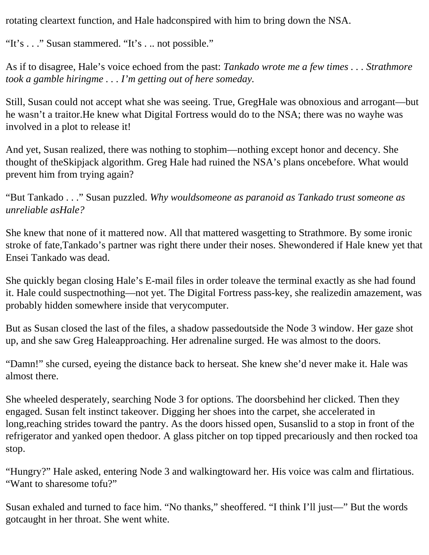rotating cleartext function, and Hale hadconspired with him to bring down the NSA.

"It's . . ." Susan stammered. "It's . .. not possible."

As if to disagree, Hale's voice echoed from the past: *Tankado wrote me a few times . . . Strathmore took a gamble hiringme . . . I'm getting out of here someday.*

Still, Susan could not accept what she was seeing. True, GregHale was obnoxious and arrogant—but he wasn't a traitor.He knew what Digital Fortress would do to the NSA; there was no wayhe was involved in a plot to release it!

And yet, Susan realized, there was nothing to stophim—nothing except honor and decency. She thought of theSkipjack algorithm. Greg Hale had ruined the NSA's plans oncebefore. What would prevent him from trying again?

"But Tankado . . ." Susan puzzled. *Why wouldsomeone as paranoid as Tankado trust someone as unreliable asHale?*

She knew that none of it mattered now. All that mattered wasgetting to Strathmore. By some ironic stroke of fate,Tankado's partner was right there under their noses. Shewondered if Hale knew yet that Ensei Tankado was dead.

She quickly began closing Hale's E-mail files in order toleave the terminal exactly as she had found it. Hale could suspectnothing—not yet. The Digital Fortress pass-key, she realizedin amazement, was probably hidden somewhere inside that verycomputer.

But as Susan closed the last of the files, a shadow passedoutside the Node 3 window. Her gaze shot up, and she saw Greg Haleapproaching. Her adrenaline surged. He was almost to the doors.

"Damn!" she cursed, eyeing the distance back to herseat. She knew she'd never make it. Hale was almost there.

She wheeled desperately, searching Node 3 for options. The doorsbehind her clicked. Then they engaged. Susan felt instinct takeover. Digging her shoes into the carpet, she accelerated in long,reaching strides toward the pantry. As the doors hissed open, Susanslid to a stop in front of the refrigerator and yanked open thedoor. A glass pitcher on top tipped precariously and then rocked toa stop.

"Hungry?" Hale asked, entering Node 3 and walkingtoward her. His voice was calm and flirtatious. "Want to sharesome tofu?"

Susan exhaled and turned to face him. "No thanks," sheoffered. "I think I'll just—" But the words gotcaught in her throat. She went white.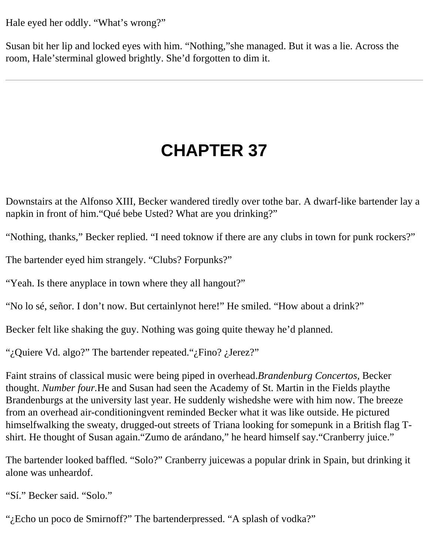Hale eyed her oddly. "What's wrong?"

Susan bit her lip and locked eyes with him. "Nothing,"she managed. But it was a lie. Across the room, Hale'sterminal glowed brightly. She'd forgotten to dim it.

### **CHAPTER 37**

Downstairs at the Alfonso XIII, Becker wandered tiredly over tothe bar. A dwarf-like bartender lay a napkin in front of him."Qué bebe Usted? What are you drinking?"

"Nothing, thanks," Becker replied. "I need toknow if there are any clubs in town for punk rockers?"

The bartender eyed him strangely. "Clubs? Forpunks?"

"Yeah. Is there anyplace in town where they all hangout?"

"No lo sé, señor. I don't now. But certainlynot here!" He smiled. "How about a drink?"

Becker felt like shaking the guy. Nothing was going quite theway he'd planned.

"; Quiere Vd. algo?" The bartender repeated. "¿Fino? ¿Jerez?"

Faint strains of classical music were being piped in overhead.*Brandenburg Concertos,* Becker thought. *Number four.*He and Susan had seen the Academy of St. Martin in the Fields playthe Brandenburgs at the university last year. He suddenly wishedshe were with him now. The breeze from an overhead air-conditioningvent reminded Becker what it was like outside. He pictured himselfwalking the sweaty, drugged-out streets of Triana looking for somepunk in a British flag Tshirt. He thought of Susan again."Zumo de arándano," he heard himself say."Cranberry juice."

The bartender looked baffled. "Solo?" Cranberry juicewas a popular drink in Spain, but drinking it alone was unheardof.

```
"Sí." Becker said. "Solo."
```
"¿Echo un poco de Smirnoff?" The bartenderpressed. "A splash of vodka?"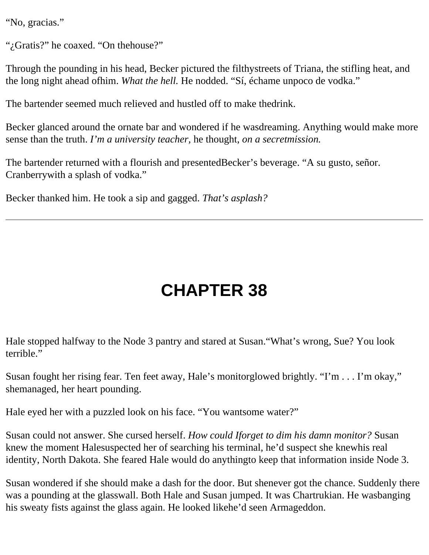"No, gracias."

". Gratis?" he coaxed. "On thehouse?"

Through the pounding in his head, Becker pictured the filthystreets of Triana, the stifling heat, and the long night ahead ofhim. *What the hell.* He nodded. "Sí, échame unpoco de vodka."

The bartender seemed much relieved and hustled off to make thedrink.

Becker glanced around the ornate bar and wondered if he wasdreaming. Anything would make more sense than the truth. *I'm a university teacher,* he thought, *on a secretmission.*

The bartender returned with a flourish and presentedBecker's beverage. "A su gusto, señor. Cranberrywith a splash of vodka."

Becker thanked him. He took a sip and gagged. *That's asplash?*

# **CHAPTER 38**

Hale stopped halfway to the Node 3 pantry and stared at Susan."What's wrong, Sue? You look terrible."

Susan fought her rising fear. Ten feet away, Hale's monitorglowed brightly. "I'm . . . I'm okay," shemanaged, her heart pounding.

Hale eyed her with a puzzled look on his face. "You wantsome water?"

Susan could not answer. She cursed herself. *How could Iforget to dim his damn monitor?* Susan knew the moment Halesuspected her of searching his terminal, he'd suspect she knewhis real identity, North Dakota. She feared Hale would do anythingto keep that information inside Node 3.

Susan wondered if she should make a dash for the door. But shenever got the chance. Suddenly there was a pounding at the glasswall. Both Hale and Susan jumped. It was Chartrukian. He wasbanging his sweaty fists against the glass again. He looked likehe'd seen Armageddon.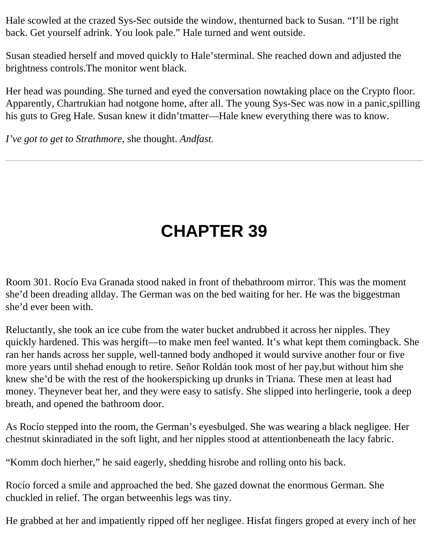Hale scowled at the crazed Sys-Sec outside the window, thenturned back to Susan. "I'll be right back. Get yourself adrink. You look pale." Hale turned and went outside.

Susan steadied herself and moved quickly to Hale'sterminal. She reached down and adjusted the brightness controls.The monitor went black.

Her head was pounding. She turned and eyed the conversation nowtaking place on the Crypto floor. Apparently, Chartrukian had notgone home, after all. The young Sys-Sec was now in a panic,spilling his guts to Greg Hale. Susan knew it didn'tmatter—Hale knew everything there was to know.

*I've got to get to Strathmore,* she thought. *Andfast.*

# **CHAPTER 39**

Room 301. Rocío Eva Granada stood naked in front of thebathroom mirror. This was the moment she'd been dreading allday. The German was on the bed waiting for her. He was the biggestman she'd ever been with.

Reluctantly, she took an ice cube from the water bucket andrubbed it across her nipples. They quickly hardened. This was hergift—to make men feel wanted. It's what kept them comingback. She ran her hands across her supple, well-tanned body andhoped it would survive another four or five more years until shehad enough to retire. Señor Roldán took most of her pay,but without him she knew she'd be with the rest of the hookerspicking up drunks in Triana. These men at least had money. Theynever beat her, and they were easy to satisfy. She slipped into herlingerie, took a deep breath, and opened the bathroom door.

As Rocío stepped into the room, the German's eyesbulged. She was wearing a black negligee. Her chestnut skinradiated in the soft light, and her nipples stood at attentionbeneath the lacy fabric.

"Komm doch hierher," he said eagerly, shedding hisrobe and rolling onto his back.

Rocío forced a smile and approached the bed. She gazed downat the enormous German. She chuckled in relief. The organ betweenhis legs was tiny.

He grabbed at her and impatiently ripped off her negligee. Hisfat fingers groped at every inch of her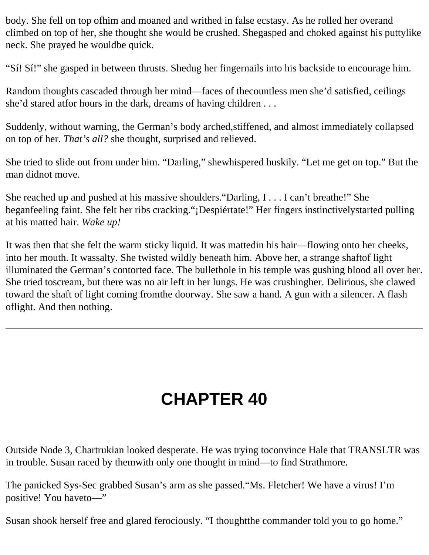body. She fell on top ofhim and moaned and writhed in false ecstasy. As he rolled her overand climbed on top of her, she thought she would be crushed. Shegasped and choked against his puttylike neck. She prayed he wouldbe quick.

"Sí! Sí!" she gasped in between thrusts. Shedug her fingernails into his backside to encourage him.

Random thoughts cascaded through her mind—faces of thecountless men she'd satisfied, ceilings she'd stared atfor hours in the dark, dreams of having children . . .

Suddenly, without warning, the German's body arched,stiffened, and almost immediately collapsed on top of her. *That's all?* she thought, surprised and relieved.

She tried to slide out from under him. "Darling," shewhispered huskily. "Let me get on top." But the man didnot move.

She reached up and pushed at his massive shoulders."Darling, I . . . I can't breathe!" She beganfeeling faint. She felt her ribs cracking."¡Despiértate!" Her fingers instinctivelystarted pulling at his matted hair. *Wake up!*

It was then that she felt the warm sticky liquid. It was mattedin his hair—flowing onto her cheeks, into her mouth. It wassalty. She twisted wildly beneath him. Above her, a strange shaftof light illuminated the German's contorted face. The bullethole in his temple was gushing blood all over her. She tried toscream, but there was no air left in her lungs. He was crushingher. Delirious, she clawed toward the shaft of light coming fromthe doorway. She saw a hand. A gun with a silencer. A flash oflight. And then nothing.

# **CHAPTER 40**

Outside Node 3, Chartrukian looked desperate. He was trying toconvince Hale that TRANSLTR was in trouble. Susan raced by themwith only one thought in mind—to find Strathmore.

The panicked Sys-Sec grabbed Susan's arm as she passed."Ms. Fletcher! We have a virus! I'm positive! You haveto—"

Susan shook herself free and glared ferociously. "I thoughtthe commander told you to go home."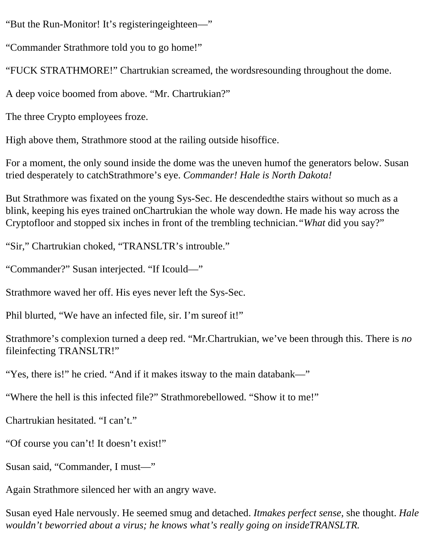"But the Run-Monitor! It's registeringeighteen—"

"Commander Strathmore told you to go home!"

"FUCK STRATHMORE!" Chartrukian screamed, the wordsresounding throughout the dome.

A deep voice boomed from above. "Mr. Chartrukian?"

The three Crypto employees froze.

High above them, Strathmore stood at the railing outside hisoffice.

For a moment, the only sound inside the dome was the uneven humof the generators below. Susan tried desperately to catchStrathmore's eye. *Commander! Hale is North Dakota!*

But Strathmore was fixated on the young Sys-Sec. He descendedthe stairs without so much as a blink, keeping his eyes trained onChartrukian the whole way down. He made his way across the Cryptofloor and stopped six inches in front of the trembling technician.*"What* did you say?"

"Sir," Chartrukian choked, "TRANSLTR's introuble."

"Commander?" Susan interjected. "If Icould—"

Strathmore waved her off. His eyes never left the Sys-Sec.

Phil blurted, "We have an infected file, sir. I'm sureof it!"

Strathmore's complexion turned a deep red. "Mr.Chartrukian, we've been through this. There is *no* fileinfecting TRANSLTR!"

"Yes, there is!" he cried. "And if it makes itsway to the main databank—"

"Where the hell is this infected file?" Strathmorebellowed. "Show it to me!"

Chartrukian hesitated. "I can't."

"Of course you can't! It doesn't exist!"

Susan said, "Commander, I must—"

Again Strathmore silenced her with an angry wave.

Susan eyed Hale nervously. He seemed smug and detached. *Itmakes perfect sense,* she thought. *Hale wouldn't beworried about a virus; he knows what's really going on insideTRANSLTR.*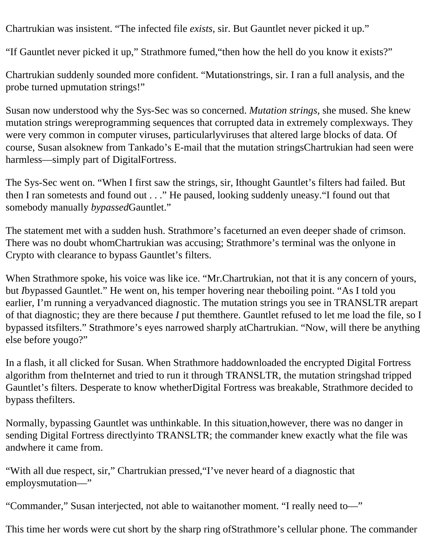Chartrukian was insistent. "The infected file *exists,* sir. But Gauntlet never picked it up."

"If Gauntlet never picked it up," Strathmore fumed,"then how the hell do you know it exists?"

Chartrukian suddenly sounded more confident. "Mutationstrings, sir. I ran a full analysis, and the probe turned upmutation strings!"

Susan now understood why the Sys-Sec was so concerned. *Mutation strings*, she mused. She knew mutation strings wereprogramming sequences that corrupted data in extremely complexways. They were very common in computer viruses, particularlyviruses that altered large blocks of data. Of course, Susan alsoknew from Tankado's E-mail that the mutation stringsChartrukian had seen were harmless—simply part of DigitalFortress.

The Sys-Sec went on. "When I first saw the strings, sir, Ithought Gauntlet's filters had failed. But then I ran sometests and found out . . ." He paused, looking suddenly uneasy."I found out that somebody manually *bypassed*Gauntlet."

The statement met with a sudden hush. Strathmore's faceturned an even deeper shade of crimson. There was no doubt whomChartrukian was accusing; Strathmore's terminal was the onlyone in Crypto with clearance to bypass Gauntlet's filters.

When Strathmore spoke, his voice was like ice. "Mr.Chartrukian, not that it is any concern of yours, but *I*bypassed Gauntlet." He went on, his temper hovering near theboiling point. "As I told you earlier, I'm running a veryadvanced diagnostic. The mutation strings you see in TRANSLTR arepart of that diagnostic; they are there because *I* put themthere. Gauntlet refused to let me load the file, so I bypassed itsfilters." Strathmore's eyes narrowed sharply atChartrukian. "Now, will there be anything else before yougo?"

In a flash, it all clicked for Susan. When Strathmore haddownloaded the encrypted Digital Fortress algorithm from theInternet and tried to run it through TRANSLTR, the mutation stringshad tripped Gauntlet's filters. Desperate to know whetherDigital Fortress was breakable, Strathmore decided to bypass thefilters.

Normally, bypassing Gauntlet was unthinkable. In this situation,however, there was no danger in sending Digital Fortress directlyinto TRANSLTR; the commander knew exactly what the file was andwhere it came from.

"With all due respect, sir," Chartrukian pressed,"I've never heard of a diagnostic that employsmutation—"

"Commander," Susan interjected, not able to waitanother moment. "I really need to—"

This time her words were cut short by the sharp ring ofStrathmore's cellular phone. The commander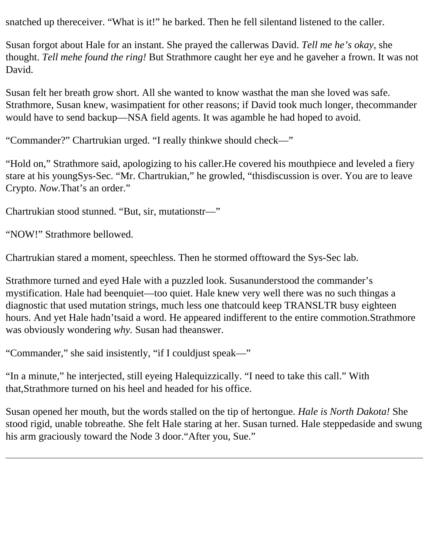snatched up thereceiver. "What is it!" he barked. Then he fell silentand listened to the caller.

Susan forgot about Hale for an instant. She prayed the callerwas David. *Tell me he's okay,* she thought. *Tell mehe found the ring!* But Strathmore caught her eye and he gaveher a frown. It was not David.

Susan felt her breath grow short. All she wanted to know wasthat the man she loved was safe. Strathmore, Susan knew, wasimpatient for other reasons; if David took much longer, thecommander would have to send backup—NSA field agents. It was agamble he had hoped to avoid.

"Commander?" Chartrukian urged. "I really thinkwe should check—"

"Hold on," Strathmore said, apologizing to his caller.He covered his mouthpiece and leveled a fiery stare at his youngSys-Sec. "Mr. Chartrukian," he growled, "thisdiscussion is over. You are to leave Crypto. *Now.*That's an order."

Chartrukian stood stunned. "But, sir, mutationstr—"

"NOW!" Strathmore bellowed.

Chartrukian stared a moment, speechless. Then he stormed offtoward the Sys-Sec lab.

Strathmore turned and eyed Hale with a puzzled look. Susanunderstood the commander's mystification. Hale had beenquiet—too quiet. Hale knew very well there was no such thingas a diagnostic that used mutation strings, much less one thatcould keep TRANSLTR busy eighteen hours. And yet Hale hadn'tsaid a word. He appeared indifferent to the entire commotion.Strathmore was obviously wondering *why.* Susan had theanswer.

"Commander," she said insistently, "if I couldjust speak—"

"In a minute," he interjected, still eyeing Halequizzically. "I need to take this call." With that,Strathmore turned on his heel and headed for his office.

Susan opened her mouth, but the words stalled on the tip of hertongue. *Hale is North Dakota!* She stood rigid, unable tobreathe. She felt Hale staring at her. Susan turned. Hale steppedaside and swung his arm graciously toward the Node 3 door."After you, Sue."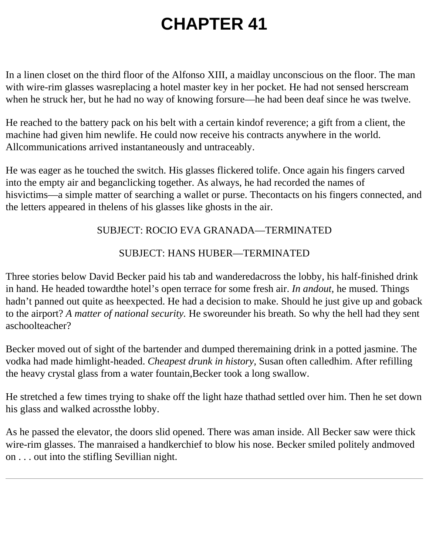In a linen closet on the third floor of the Alfonso XIII, a maidlay unconscious on the floor. The man with wire-rim glasses wasreplacing a hotel master key in her pocket. He had not sensed herscream when he struck her, but he had no way of knowing forsure—he had been deaf since he was twelve.

He reached to the battery pack on his belt with a certain kindof reverence; a gift from a client, the machine had given him newlife. He could now receive his contracts anywhere in the world. Allcommunications arrived instantaneously and untraceably.

He was eager as he touched the switch. His glasses flickered tolife. Once again his fingers carved into the empty air and beganclicking together. As always, he had recorded the names of hisvictims—a simple matter of searching a wallet or purse. The contacts on his fingers connected, and the letters appeared in thelens of his glasses like ghosts in the air.

### SUBJECT: ROCIO EVA GRANADA—TERMINATED

### SUBJECT: HANS HUBER—TERMINATED

Three stories below David Becker paid his tab and wanderedacross the lobby, his half-finished drink in hand. He headed towardthe hotel's open terrace for some fresh air. *In andout,* he mused. Things hadn't panned out quite as heexpected. He had a decision to make. Should he just give up and goback to the airport? *A matter of national security.* He sworeunder his breath. So why the hell had they sent aschoolteacher?

Becker moved out of sight of the bartender and dumped theremaining drink in a potted jasmine. The vodka had made himlight-headed. *Cheapest drunk in history,* Susan often calledhim. After refilling the heavy crystal glass from a water fountain,Becker took a long swallow.

He stretched a few times trying to shake off the light haze thathad settled over him. Then he set down his glass and walked acrossthe lobby.

As he passed the elevator, the doors slid opened. There was aman inside. All Becker saw were thick wire-rim glasses. The manraised a handkerchief to blow his nose. Becker smiled politely andmoved on . . . out into the stifling Sevillian night.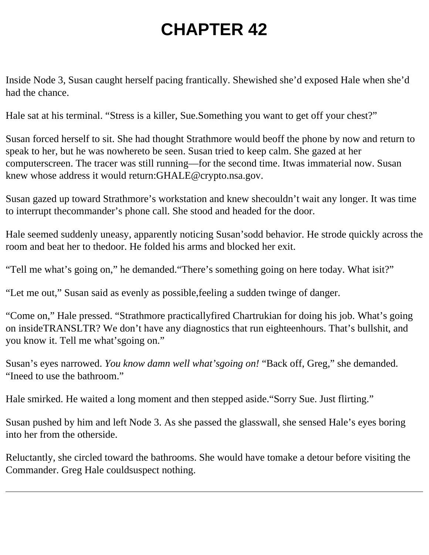Inside Node 3, Susan caught herself pacing frantically. Shewished she'd exposed Hale when she'd had the chance.

Hale sat at his terminal. "Stress is a killer, Sue.Something you want to get off your chest?"

Susan forced herself to sit. She had thought Strathmore would beoff the phone by now and return to speak to her, but he was nowhereto be seen. Susan tried to keep calm. She gazed at her computerscreen. The tracer was still running—for the second time. Itwas immaterial now. Susan knew whose address it would return:GHALE@crypto.nsa.gov.

Susan gazed up toward Strathmore's workstation and knew shecouldn't wait any longer. It was time to interrupt thecommander's phone call. She stood and headed for the door.

Hale seemed suddenly uneasy, apparently noticing Susan'sodd behavior. He strode quickly across the room and beat her to thedoor. He folded his arms and blocked her exit.

"Tell me what's going on," he demanded."There's something going on here today. What isit?"

"Let me out," Susan said as evenly as possible,feeling a sudden twinge of danger.

"Come on," Hale pressed. "Strathmore practicallyfired Chartrukian for doing his job. What's going on insideTRANSLTR? We don't have any diagnostics that run eighteenhours. That's bullshit, and you know it. Tell me what'sgoing on."

Susan's eyes narrowed. *You know damn well what'sgoing on!* "Back off, Greg," she demanded. "Ineed to use the bathroom."

Hale smirked. He waited a long moment and then stepped aside."Sorry Sue. Just flirting."

Susan pushed by him and left Node 3. As she passed the glasswall, she sensed Hale's eyes boring into her from the otherside.

Reluctantly, she circled toward the bathrooms. She would have tomake a detour before visiting the Commander. Greg Hale couldsuspect nothing.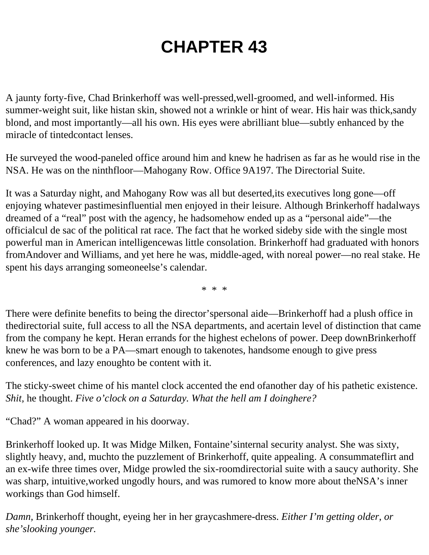A jaunty forty-five, Chad Brinkerhoff was well-pressed,well-groomed, and well-informed. His summer-weight suit, like histan skin, showed not a wrinkle or hint of wear. His hair was thick,sandy blond, and most importantly—all his own. His eyes were abrilliant blue—subtly enhanced by the miracle of tintedcontact lenses.

He surveyed the wood-paneled office around him and knew he hadrisen as far as he would rise in the NSA. He was on the ninthfloor—Mahogany Row. Office 9A197. The Directorial Suite.

It was a Saturday night, and Mahogany Row was all but deserted,its executives long gone—off enjoying whatever pastimesinfluential men enjoyed in their leisure. Although Brinkerhoff hadalways dreamed of a "real" post with the agency, he hadsomehow ended up as a "personal aide"—the officialcul de sac of the political rat race. The fact that he worked sideby side with the single most powerful man in American intelligencewas little consolation. Brinkerhoff had graduated with honors fromAndover and Williams, and yet here he was, middle-aged, with noreal power—no real stake. He spent his days arranging someoneelse's calendar.

\* \* \*

There were definite benefits to being the director'spersonal aide—Brinkerhoff had a plush office in thedirectorial suite, full access to all the NSA departments, and acertain level of distinction that came from the company he kept. Heran errands for the highest echelons of power. Deep downBrinkerhoff knew he was born to be a PA—smart enough to takenotes, handsome enough to give press conferences, and lazy enoughto be content with it.

The sticky-sweet chime of his mantel clock accented the end ofanother day of his pathetic existence. *Shit,* he thought. *Five o'clock on a Saturday. What the hell am I doinghere?*

"Chad?" A woman appeared in his doorway.

Brinkerhoff looked up. It was Midge Milken, Fontaine'sinternal security analyst. She was sixty, slightly heavy, and, muchto the puzzlement of Brinkerhoff, quite appealing. A consummateflirt and an ex-wife three times over, Midge prowled the six-roomdirectorial suite with a saucy authority. She was sharp, intuitive,worked ungodly hours, and was rumored to know more about theNSA's inner workings than God himself.

*Damn,* Brinkerhoff thought, eyeing her in her graycashmere-dress. *Either I'm getting older, or she'slooking younger.*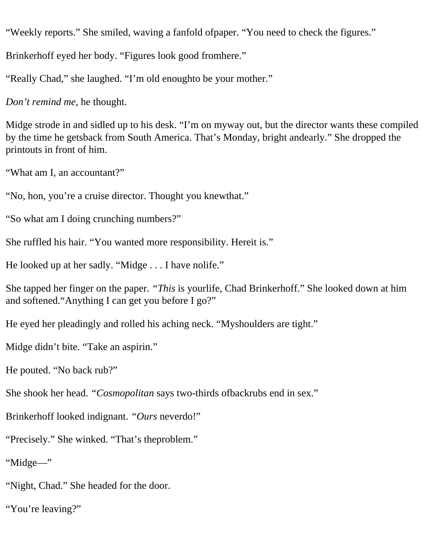"Weekly reports." She smiled, waving a fanfold ofpaper. "You need to check the figures."

Brinkerhoff eyed her body. "Figures look good fromhere."

"Really Chad," she laughed. "I'm old enoughto be your mother."

*Don't remind me,* he thought.

Midge strode in and sidled up to his desk. "I'm on myway out, but the director wants these compiled by the time he getsback from South America. That's Monday, bright andearly." She dropped the printouts in front of him.

"What am I, an accountant?"

"No, hon, you're a cruise director. Thought you knewthat."

"So what am I doing crunching numbers?"

She ruffled his hair. "You wanted more responsibility. Hereit is."

He looked up at her sadly. "Midge . . . I have nolife."

She tapped her finger on the paper. *"This* is yourlife, Chad Brinkerhoff." She looked down at him and softened."Anything I can get you before I go?"

He eyed her pleadingly and rolled his aching neck. "Myshoulders are tight."

Midge didn't bite. "Take an aspirin."

He pouted. "No back rub?"

She shook her head. *"Cosmopolitan* says two-thirds ofbackrubs end in sex."

Brinkerhoff looked indignant. *"Ours* neverdo!"

"Precisely." She winked. "That's theproblem."

"Midge—"

"Night, Chad." She headed for the door.

"You're leaving?"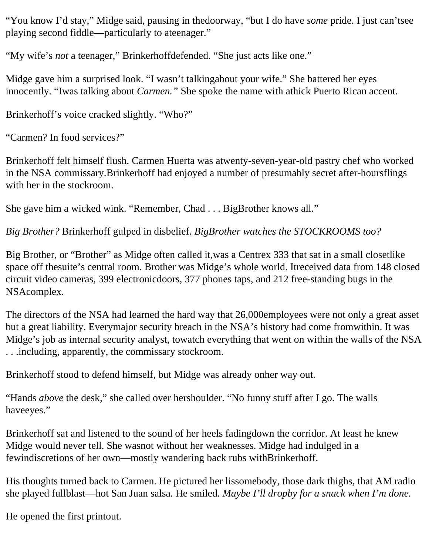"You know I'd stay," Midge said, pausing in thedoorway, "but I do have *some* pride. I just can'tsee playing second fiddle—particularly to ateenager."

"My wife's *not* a teenager," Brinkerhoffdefended. "She just acts like one."

Midge gave him a surprised look. "I wasn't talkingabout your wife." She battered her eyes innocently. "Iwas talking about *Carmen."* She spoke the name with athick Puerto Rican accent.

Brinkerhoff's voice cracked slightly. "Who?"

"Carmen? In food services?"

Brinkerhoff felt himself flush. Carmen Huerta was atwenty-seven-year-old pastry chef who worked in the NSA commissary.Brinkerhoff had enjoyed a number of presumably secret after-hoursflings with her in the stockroom.

She gave him a wicked wink. "Remember, Chad . . . BigBrother knows all."

*Big Brother?* Brinkerhoff gulped in disbelief. *BigBrother watches the STOCKROOMS too?*

Big Brother, or "Brother" as Midge often called it,was a Centrex 333 that sat in a small closetlike space off thesuite's central room. Brother was Midge's whole world. Itreceived data from 148 closed circuit video cameras, 399 electronicdoors, 377 phones taps, and 212 free-standing bugs in the NSAcomplex.

The directors of the NSA had learned the hard way that 26,000employees were not only a great asset but a great liability. Everymajor security breach in the NSA's history had come fromwithin. It was Midge's job as internal security analyst, towatch everything that went on within the walls of the NSA . . .including, apparently, the commissary stockroom.

Brinkerhoff stood to defend himself, but Midge was already onher way out.

"Hands *above* the desk," she called over hershoulder. "No funny stuff after I go. The walls haveeyes."

Brinkerhoff sat and listened to the sound of her heels fadingdown the corridor. At least he knew Midge would never tell. She wasnot without her weaknesses. Midge had indulged in a fewindiscretions of her own—mostly wandering back rubs withBrinkerhoff.

His thoughts turned back to Carmen. He pictured her lissomebody, those dark thighs, that AM radio she played fullblast—hot San Juan salsa. He smiled. *Maybe I'll dropby for a snack when I'm done.*

He opened the first printout.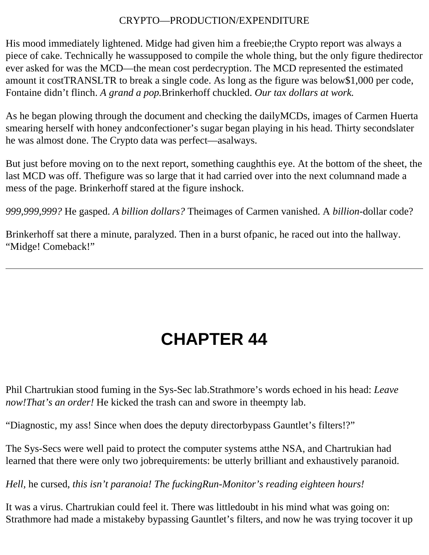#### CRYPTO—PRODUCTION/EXPENDITURE

His mood immediately lightened. Midge had given him a freebie;the Crypto report was always a piece of cake. Technically he wassupposed to compile the whole thing, but the only figure thedirector ever asked for was the MCD—the mean cost perdecryption. The MCD represented the estimated amount it costTRANSLTR to break a single code. As long as the figure was below\$1,000 per code, Fontaine didn't flinch. *A grand a pop.*Brinkerhoff chuckled. *Our tax dollars at work.*

As he began plowing through the document and checking the dailyMCDs, images of Carmen Huerta smearing herself with honey andconfectioner's sugar began playing in his head. Thirty secondslater he was almost done. The Crypto data was perfect—asalways.

But just before moving on to the next report, something caughthis eye. At the bottom of the sheet, the last MCD was off. Thefigure was so large that it had carried over into the next columnand made a mess of the page. Brinkerhoff stared at the figure inshock.

*999,999,999?* He gasped. *A billion dollars?* Theimages of Carmen vanished. A *billion-*dollar code?

Brinkerhoff sat there a minute, paralyzed. Then in a burst ofpanic, he raced out into the hallway. "Midge! Comeback!"

# **CHAPTER 44**

Phil Chartrukian stood fuming in the Sys-Sec lab.Strathmore's words echoed in his head: *Leave now!That's an order!* He kicked the trash can and swore in theempty lab.

"Diagnostic, my ass! Since when does the deputy directorbypass Gauntlet's filters!?"

The Sys-Secs were well paid to protect the computer systems atthe NSA, and Chartrukian had learned that there were only two jobrequirements: be utterly brilliant and exhaustively paranoid.

*Hell,* he cursed, *this isn't paranoia! The fuckingRun-Monitor's reading eighteen hours!*

It was a virus. Chartrukian could feel it. There was littledoubt in his mind what was going on: Strathmore had made a mistakeby bypassing Gauntlet's filters, and now he was trying tocover it up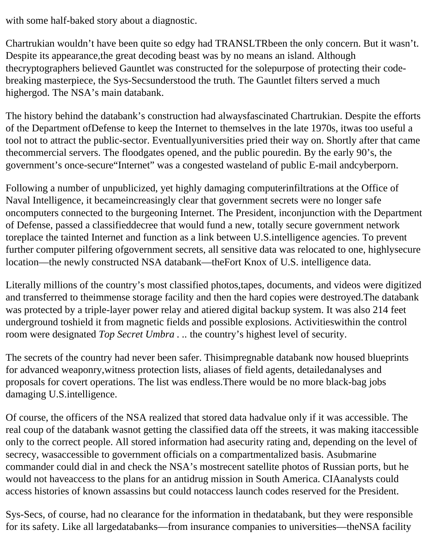with some half-baked story about a diagnostic.

Chartrukian wouldn't have been quite so edgy had TRANSLTRbeen the only concern. But it wasn't. Despite its appearance,the great decoding beast was by no means an island. Although thecryptographers believed Gauntlet was constructed for the solepurpose of protecting their codebreaking masterpiece, the Sys-Secsunderstood the truth. The Gauntlet filters served a much highergod. The NSA's main databank.

The history behind the databank's construction had alwaysfascinated Chartrukian. Despite the efforts of the Department ofDefense to keep the Internet to themselves in the late 1970s, itwas too useful a tool not to attract the public-sector. Eventuallyuniversities pried their way on. Shortly after that came thecommercial servers. The floodgates opened, and the public pouredin. By the early 90's, the government's once-secure"Internet" was a congested wasteland of public E-mail andcyberporn.

Following a number of unpublicized, yet highly damaging computerinfiltrations at the Office of Naval Intelligence, it becameincreasingly clear that government secrets were no longer safe oncomputers connected to the burgeoning Internet. The President, inconjunction with the Department of Defense, passed a classifieddecree that would fund a new, totally secure government network toreplace the tainted Internet and function as a link between U.S.intelligence agencies. To prevent further computer pilfering ofgovernment secrets, all sensitive data was relocated to one, highlysecure location—the newly constructed NSA databank—theFort Knox of U.S. intelligence data.

Literally millions of the country's most classified photos,tapes, documents, and videos were digitized and transferred to theimmense storage facility and then the hard copies were destroyed.The databank was protected by a triple-layer power relay and atiered digital backup system. It was also 214 feet underground toshield it from magnetic fields and possible explosions. Activitieswithin the control room were designated *Top Secret Umbra . ..* the country's highest level of security.

The secrets of the country had never been safer. Thisimpregnable databank now housed blueprints for advanced weaponry,witness protection lists, aliases of field agents, detailedanalyses and proposals for covert operations. The list was endless.There would be no more black-bag jobs damaging U.S.intelligence.

Of course, the officers of the NSA realized that stored data hadvalue only if it was accessible. The real coup of the databank wasnot getting the classified data off the streets, it was making itaccessible only to the correct people. All stored information had asecurity rating and, depending on the level of secrecy, wasaccessible to government officials on a compartmentalized basis. Asubmarine commander could dial in and check the NSA's mostrecent satellite photos of Russian ports, but he would not haveaccess to the plans for an antidrug mission in South America. CIAanalysts could access histories of known assassins but could notaccess launch codes reserved for the President.

Sys-Secs, of course, had no clearance for the information in thedatabank, but they were responsible for its safety. Like all largedatabanks—from insurance companies to universities—theNSA facility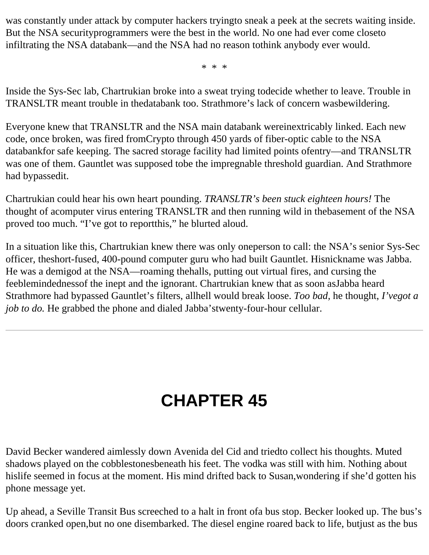was constantly under attack by computer hackers tryingto sneak a peek at the secrets waiting inside. But the NSA securityprogrammers were the best in the world. No one had ever come closeto infiltrating the NSA databank—and the NSA had no reason tothink anybody ever would.

\* \* \*

Inside the Sys-Sec lab, Chartrukian broke into a sweat trying todecide whether to leave. Trouble in TRANSLTR meant trouble in thedatabank too. Strathmore's lack of concern wasbewildering.

Everyone knew that TRANSLTR and the NSA main databank wereinextricably linked. Each new code, once broken, was fired fromCrypto through 450 yards of fiber-optic cable to the NSA databankfor safe keeping. The sacred storage facility had limited points ofentry—and TRANSLTR was one of them. Gauntlet was supposed tobe the impregnable threshold guardian. And Strathmore had bypassedit.

Chartrukian could hear his own heart pounding. *TRANSLTR's been stuck eighteen hours!* The thought of acomputer virus entering TRANSLTR and then running wild in thebasement of the NSA proved too much. "I've got to reportthis," he blurted aloud.

In a situation like this, Chartrukian knew there was only oneperson to call: the NSA's senior Sys-Sec officer, theshort-fused, 400-pound computer guru who had built Gauntlet. Hisnickname was Jabba. He was a demigod at the NSA—roaming thehalls, putting out virtual fires, and cursing the feeblemindednessof the inept and the ignorant. Chartrukian knew that as soon asJabba heard Strathmore had bypassed Gauntlet's filters, allhell would break loose. *Too bad,* he thought, *I'vegot a job to do.* He grabbed the phone and dialed Jabba'stwenty-four-hour cellular.

# **CHAPTER 45**

David Becker wandered aimlessly down Avenida del Cid and triedto collect his thoughts. Muted shadows played on the cobblestonesbeneath his feet. The vodka was still with him. Nothing about hislife seemed in focus at the moment. His mind drifted back to Susan,wondering if she'd gotten his phone message yet.

Up ahead, a Seville Transit Bus screeched to a halt in front ofa bus stop. Becker looked up. The bus's doors cranked open,but no one disembarked. The diesel engine roared back to life, butjust as the bus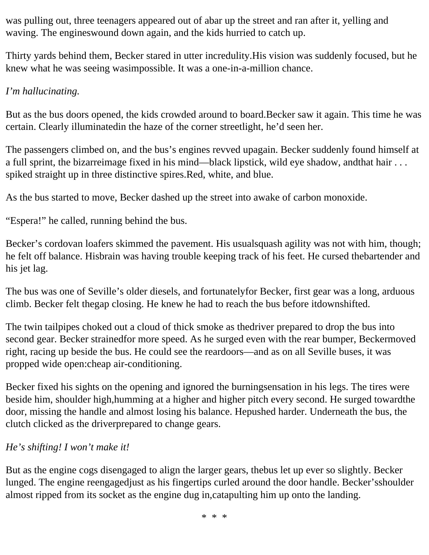was pulling out, three teenagers appeared out of abar up the street and ran after it, yelling and waving. The engineswound down again, and the kids hurried to catch up.

Thirty yards behind them, Becker stared in utter incredulity.His vision was suddenly focused, but he knew what he was seeing wasimpossible. It was a one-in-a-million chance.

#### *I'm hallucinating.*

But as the bus doors opened, the kids crowded around to board.Becker saw it again. This time he was certain. Clearly illuminatedin the haze of the corner streetlight, he'd seen her.

The passengers climbed on, and the bus's engines revved upagain. Becker suddenly found himself at a full sprint, the bizarreimage fixed in his mind—black lipstick, wild eye shadow, andthat hair . . . spiked straight up in three distinctive spires.Red, white, and blue.

As the bus started to move, Becker dashed up the street into awake of carbon monoxide.

"Espera!" he called, running behind the bus.

Becker's cordovan loafers skimmed the pavement. His usualsquash agility was not with him, though; he felt off balance. Hisbrain was having trouble keeping track of his feet. He cursed thebartender and his jet lag.

The bus was one of Seville's older diesels, and fortunatelyfor Becker, first gear was a long, arduous climb. Becker felt thegap closing. He knew he had to reach the bus before itdownshifted.

The twin tailpipes choked out a cloud of thick smoke as thedriver prepared to drop the bus into second gear. Becker strainedfor more speed. As he surged even with the rear bumper, Beckermoved right, racing up beside the bus. He could see the reardoors—and as on all Seville buses, it was propped wide open:cheap air-conditioning.

Becker fixed his sights on the opening and ignored the burningsensation in his legs. The tires were beside him, shoulder high,humming at a higher and higher pitch every second. He surged towardthe door, missing the handle and almost losing his balance. Hepushed harder. Underneath the bus, the clutch clicked as the driverprepared to change gears.

### *He's shifting! I won't make it!*

But as the engine cogs disengaged to align the larger gears, thebus let up ever so slightly. Becker lunged. The engine reengagedjust as his fingertips curled around the door handle. Becker'sshoulder almost ripped from its socket as the engine dug in,catapulting him up onto the landing.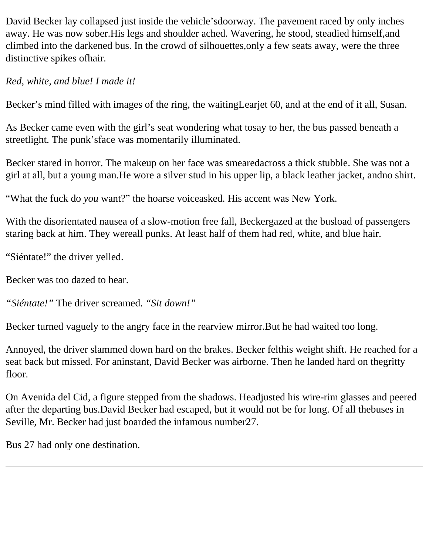David Becker lay collapsed just inside the vehicle'sdoorway. The pavement raced by only inches away. He was now sober.His legs and shoulder ached. Wavering, he stood, steadied himself,and climbed into the darkened bus. In the crowd of silhouettes,only a few seats away, were the three distinctive spikes ofhair.

*Red, white, and blue! I made it!*

Becker's mind filled with images of the ring, the waitingLearjet 60, and at the end of it all, Susan.

As Becker came even with the girl's seat wondering what tosay to her, the bus passed beneath a streetlight. The punk'sface was momentarily illuminated.

Becker stared in horror. The makeup on her face was smearedacross a thick stubble. She was not a girl at all, but a young man.He wore a silver stud in his upper lip, a black leather jacket, andno shirt.

"What the fuck do *you* want?" the hoarse voiceasked. His accent was New York.

With the disorientated nausea of a slow-motion free fall, Beckergazed at the busload of passengers staring back at him. They wereall punks. At least half of them had red, white, and blue hair.

"Siéntate!" the driver yelled.

Becker was too dazed to hear.

*"Siéntate!"* The driver screamed. *"Sit down!"*

Becker turned vaguely to the angry face in the rearview mirror.But he had waited too long.

Annoyed, the driver slammed down hard on the brakes. Becker felthis weight shift. He reached for a seat back but missed. For aninstant, David Becker was airborne. Then he landed hard on thegritty floor.

On Avenida del Cid, a figure stepped from the shadows. Headjusted his wire-rim glasses and peered after the departing bus.David Becker had escaped, but it would not be for long. Of all thebuses in Seville, Mr. Becker had just boarded the infamous number27.

Bus 27 had only one destination.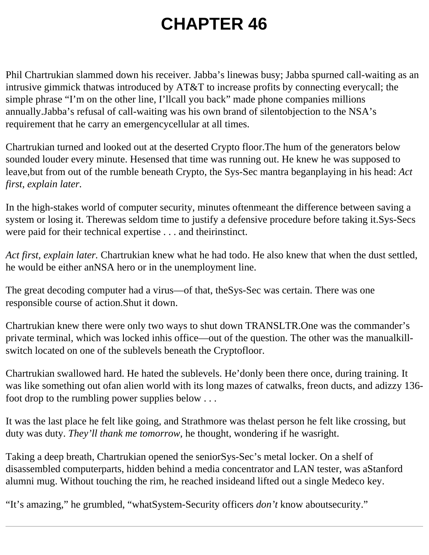Phil Chartrukian slammed down his receiver. Jabba's linewas busy; Jabba spurned call-waiting as an intrusive gimmick thatwas introduced by AT&T to increase profits by connecting everycall; the simple phrase "I'm on the other line, I'llcall you back" made phone companies millions annually.Jabba's refusal of call-waiting was his own brand of silentobjection to the NSA's requirement that he carry an emergencycellular at all times.

Chartrukian turned and looked out at the deserted Crypto floor.The hum of the generators below sounded louder every minute. Hesensed that time was running out. He knew he was supposed to leave,but from out of the rumble beneath Crypto, the Sys-Sec mantra beganplaying in his head: *Act first, explain later.*

In the high-stakes world of computer security, minutes oftenmeant the difference between saving a system or losing it. Therewas seldom time to justify a defensive procedure before taking it.Sys-Secs were paid for their technical expertise . . . and theirinstinct.

*Act first, explain later.* Chartrukian knew what he had todo. He also knew that when the dust settled, he would be either anNSA hero or in the unemployment line.

The great decoding computer had a virus—of that, theSys-Sec was certain. There was one responsible course of action.Shut it down.

Chartrukian knew there were only two ways to shut down TRANSLTR.One was the commander's private terminal, which was locked inhis office—out of the question. The other was the manualkillswitch located on one of the sublevels beneath the Cryptofloor.

Chartrukian swallowed hard. He hated the sublevels. He'donly been there once, during training. It was like something out ofan alien world with its long mazes of catwalks, freon ducts, and adizzy 136 foot drop to the rumbling power supplies below . . .

It was the last place he felt like going, and Strathmore was thelast person he felt like crossing, but duty was duty. *They'll thank me tomorrow,* he thought, wondering if he wasright.

Taking a deep breath, Chartrukian opened the seniorSys-Sec's metal locker. On a shelf of disassembled computerparts, hidden behind a media concentrator and LAN tester, was aStanford alumni mug. Without touching the rim, he reached insideand lifted out a single Medeco key.

"It's amazing," he grumbled, "whatSystem-Security officers *don't* know aboutsecurity."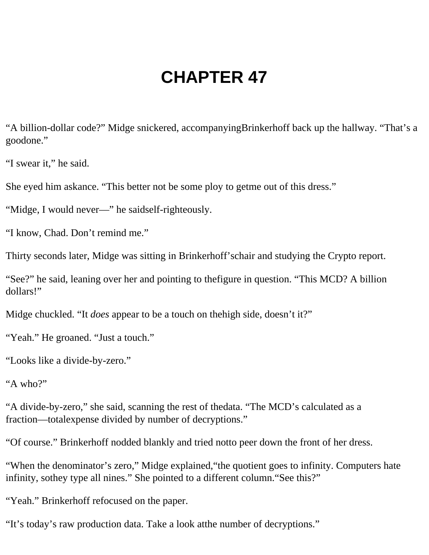"A billion-dollar code?" Midge snickered, accompanyingBrinkerhoff back up the hallway. "That's a goodone."

"I swear it," he said.

She eyed him askance. "This better not be some ploy to getme out of this dress."

"Midge, I would never—" he saidself-righteously.

"I know, Chad. Don't remind me."

Thirty seconds later, Midge was sitting in Brinkerhoff'schair and studying the Crypto report.

"See?" he said, leaning over her and pointing to thefigure in question. "This MCD? A billion dollars!"

Midge chuckled. "It *does* appear to be a touch on thehigh side, doesn't it?"

"Yeah." He groaned. "Just a touch."

"Looks like a divide-by-zero."

"A who?"

"A divide-by-zero," she said, scanning the rest of thedata. "The MCD's calculated as a fraction—totalexpense divided by number of decryptions."

"Of course." Brinkerhoff nodded blankly and tried notto peer down the front of her dress.

"When the denominator's zero," Midge explained,"the quotient goes to infinity. Computers hate infinity, sothey type all nines." She pointed to a different column."See this?"

"Yeah." Brinkerhoff refocused on the paper.

"It's today's raw production data. Take a look atthe number of decryptions."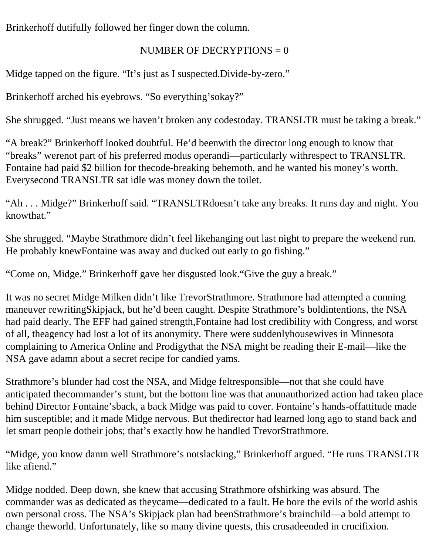Brinkerhoff dutifully followed her finger down the column.

#### NUMBER OF DECRYPTIONS  $= 0$

Midge tapped on the figure. "It's just as I suspected.Divide-by-zero."

Brinkerhoff arched his eyebrows. "So everything'sokay?"

She shrugged. "Just means we haven't broken any codestoday. TRANSLTR must be taking a break."

"A break?" Brinkerhoff looked doubtful. He'd beenwith the director long enough to know that "breaks" werenot part of his preferred modus operandi—particularly withrespect to TRANSLTR. Fontaine had paid \$2 billion for thecode-breaking behemoth, and he wanted his money's worth. Everysecond TRANSLTR sat idle was money down the toilet.

"Ah . . . Midge?" Brinkerhoff said. "TRANSLTRdoesn't take any breaks. It runs day and night. You knowthat."

She shrugged. "Maybe Strathmore didn't feel likehanging out last night to prepare the weekend run. He probably knewFontaine was away and ducked out early to go fishing."

"Come on, Midge." Brinkerhoff gave her disgusted look."Give the guy a break."

It was no secret Midge Milken didn't like TrevorStrathmore. Strathmore had attempted a cunning maneuver rewritingSkipjack, but he'd been caught. Despite Strathmore's boldintentions, the NSA had paid dearly. The EFF had gained strength,Fontaine had lost credibility with Congress, and worst of all, theagency had lost a lot of its anonymity. There were suddenlyhousewives in Minnesota complaining to America Online and Prodigythat the NSA might be reading their E-mail—like the NSA gave adamn about a secret recipe for candied yams.

Strathmore's blunder had cost the NSA, and Midge feltresponsible—not that she could have anticipated thecommander's stunt, but the bottom line was that anunauthorized action had taken place behind Director Fontaine'sback, a back Midge was paid to cover. Fontaine's hands-offattitude made him susceptible; and it made Midge nervous. But thedirector had learned long ago to stand back and let smart people dotheir jobs; that's exactly how he handled TrevorStrathmore.

"Midge, you know damn well Strathmore's notslacking," Brinkerhoff argued. "He runs TRANSLTR like afiend."

Midge nodded. Deep down, she knew that accusing Strathmore ofshirking was absurd. The commander was as dedicated as theycame—dedicated to a fault. He bore the evils of the world ashis own personal cross. The NSA's Skipjack plan had beenStrathmore's brainchild—a bold attempt to change theworld. Unfortunately, like so many divine quests, this crusadeended in crucifixion.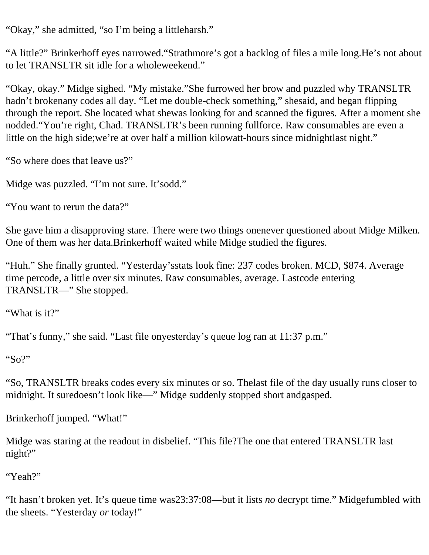"Okay," she admitted, "so I'm being a littleharsh."

"A little?" Brinkerhoff eyes narrowed."Strathmore's got a backlog of files a mile long.He's not about to let TRANSLTR sit idle for a wholeweekend."

"Okay, okay." Midge sighed. "My mistake."She furrowed her brow and puzzled why TRANSLTR hadn't brokenany codes all day. "Let me double-check something," shesaid, and began flipping through the report. She located what shewas looking for and scanned the figures. After a moment she nodded."You're right, Chad. TRANSLTR's been running fullforce. Raw consumables are even a little on the high side;we're at over half a million kilowatt-hours since midnightlast night."

"So where does that leave us?"

Midge was puzzled. "I'm not sure. It'sodd."

"You want to rerun the data?"

She gave him a disapproving stare. There were two things onenever questioned about Midge Milken. One of them was her data.Brinkerhoff waited while Midge studied the figures.

"Huh." She finally grunted. "Yesterday'sstats look fine: 237 codes broken. MCD, \$874. Average time percode, a little over six minutes. Raw consumables, average. Lastcode entering TRANSLTR—" She stopped.

"What is it?"

"That's funny," she said. "Last file onyesterday's queue log ran at 11:37 p.m."

"So?"

"So, TRANSLTR breaks codes every six minutes or so. Thelast file of the day usually runs closer to midnight. It suredoesn't look like—" Midge suddenly stopped short andgasped.

Brinkerhoff jumped. "What!"

Midge was staring at the readout in disbelief. "This file?The one that entered TRANSLTR last night?"

"Yeah?"

"It hasn't broken yet. It's queue time was23:37:08—but it lists *no* decrypt time." Midgefumbled with the sheets. "Yesterday *or* today!"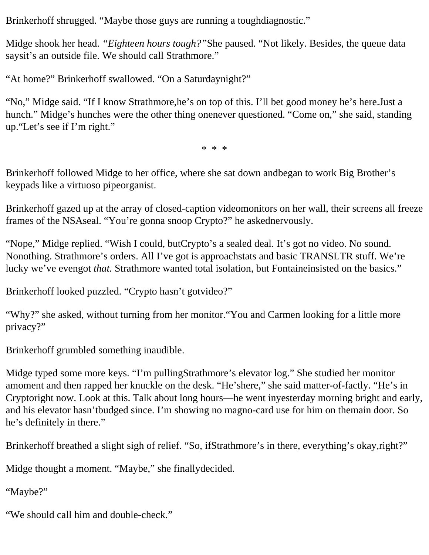Brinkerhoff shrugged. "Maybe those guys are running a toughdiagnostic."

Midge shook her head. *"Eighteen hours tough?"*She paused. "Not likely. Besides, the queue data saysit's an outside file. We should call Strathmore."

"At home?" Brinkerhoff swallowed. "On a Saturdaynight?"

"No," Midge said. "If I know Strathmore,he's on top of this. I'll bet good money he's here.Just a hunch." Midge's hunches were the other thing onenever questioned. "Come on," she said, standing up."Let's see if I'm right."

\* \* \*

Brinkerhoff followed Midge to her office, where she sat down andbegan to work Big Brother's keypads like a virtuoso pipeorganist.

Brinkerhoff gazed up at the array of closed-caption videomonitors on her wall, their screens all freeze frames of the NSAseal. "You're gonna snoop Crypto?" he askednervously.

"Nope," Midge replied. "Wish I could, butCrypto's a sealed deal. It's got no video. No sound. Nonothing. Strathmore's orders. All I've got is approachstats and basic TRANSLTR stuff. We're lucky we've evengot *that.* Strathmore wanted total isolation, but Fontaineinsisted on the basics."

Brinkerhoff looked puzzled. "Crypto hasn't gotvideo?"

"Why?" she asked, without turning from her monitor."You and Carmen looking for a little more privacy?"

Brinkerhoff grumbled something inaudible.

Midge typed some more keys. "I'm pullingStrathmore's elevator log." She studied her monitor amoment and then rapped her knuckle on the desk. "He'shere," she said matter-of-factly. "He's in Cryptoright now. Look at this. Talk about long hours—he went inyesterday morning bright and early, and his elevator hasn'tbudged since. I'm showing no magno-card use for him on themain door. So he's definitely in there."

Brinkerhoff breathed a slight sigh of relief. "So, ifStrathmore's in there, everything's okay,right?"

Midge thought a moment. "Maybe," she finallydecided.

"Maybe?"

"We should call him and double-check."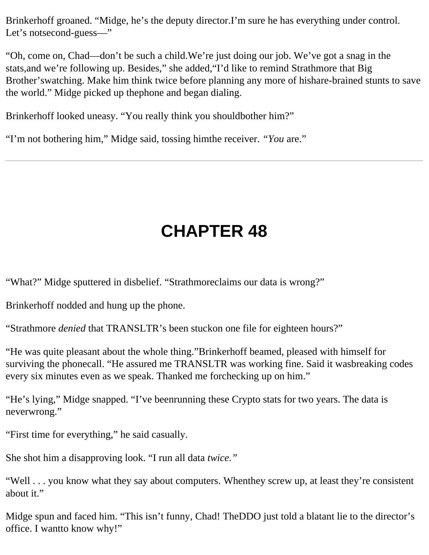Brinkerhoff groaned. "Midge, he's the deputy director.I'm sure he has everything under control. Let's notsecond-guess—"

"Oh, come on, Chad—don't be such a child.We're just doing our job. We've got a snag in the stats,and we're following up. Besides," she added,"I'd like to remind Strathmore that Big Brother'swatching. Make him think twice before planning any more of hishare-brained stunts to save the world." Midge picked up thephone and began dialing.

Brinkerhoff looked uneasy. "You really think you shouldbother him?"

"I'm not bothering him," Midge said, tossing himthe receiver. *"You* are."

# **CHAPTER 48**

"What?" Midge sputtered in disbelief. "Strathmoreclaims our data is wrong?"

Brinkerhoff nodded and hung up the phone.

"Strathmore *denied* that TRANSLTR's been stuckon one file for eighteen hours?"

"He was quite pleasant about the whole thing."Brinkerhoff beamed, pleased with himself for surviving the phonecall. "He assured me TRANSLTR was working fine. Said it wasbreaking codes every six minutes even as we speak. Thanked me forchecking up on him."

"He's lying," Midge snapped. "I've beenrunning these Crypto stats for two years. The data is neverwrong."

"First time for everything," he said casually.

She shot him a disapproving look. "I run all data *twice."*

"Well . . . you know what they say about computers. Whenthey screw up, at least they're consistent about it."

Midge spun and faced him. "This isn't funny, Chad! TheDDO just told a blatant lie to the director's office. I wantto know why!"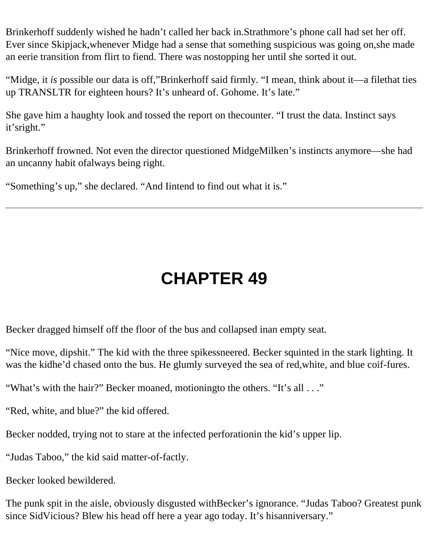Brinkerhoff suddenly wished he hadn't called her back in.Strathmore's phone call had set her off. Ever since Skipjack,whenever Midge had a sense that something suspicious was going on,she made an eerie transition from flirt to fiend. There was nostopping her until she sorted it out.

"Midge, it *is* possible our data is off,"Brinkerhoff said firmly. "I mean, think about it—a filethat ties up TRANSLTR for eighteen hours? It's unheard of. Gohome. It's late."

She gave him a haughty look and tossed the report on thecounter. "I trust the data. Instinct says it'sright."

Brinkerhoff frowned. Not even the director questioned MidgeMilken's instincts anymore—she had an uncanny habit ofalways being right.

"Something's up," she declared. "And Iintend to find out what it is."

# **CHAPTER 49**

Becker dragged himself off the floor of the bus and collapsed inan empty seat.

"Nice move, dipshit." The kid with the three spikessneered. Becker squinted in the stark lighting. It was the kidhe'd chased onto the bus. He glumly surveyed the sea of red,white, and blue coif-fures.

"What's with the hair?" Becker moaned, motioningto the others. "It's all . . ."

"Red, white, and blue?" the kid offered.

Becker nodded, trying not to stare at the infected perforationin the kid's upper lip.

"Judas Taboo," the kid said matter-of-factly.

Becker looked bewildered.

The punk spit in the aisle, obviously disgusted withBecker's ignorance. "Judas Taboo? Greatest punk since SidVicious? Blew his head off here a year ago today. It's hisanniversary."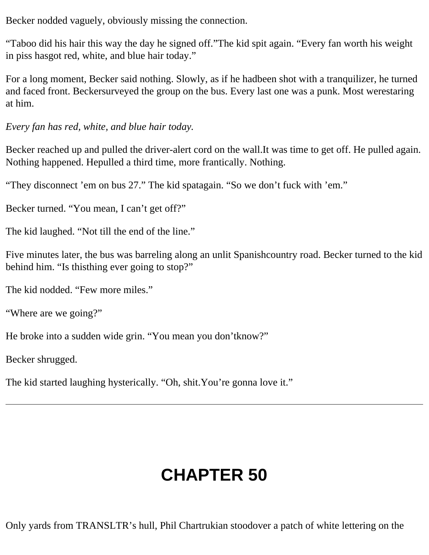Becker nodded vaguely, obviously missing the connection.

"Taboo did his hair this way the day he signed off."The kid spit again. "Every fan worth his weight in piss hasgot red, white, and blue hair today."

For a long moment, Becker said nothing. Slowly, as if he hadbeen shot with a tranquilizer, he turned and faced front. Beckersurveyed the group on the bus. Every last one was a punk. Most werestaring at him.

*Every fan has red, white, and blue hair today.*

Becker reached up and pulled the driver-alert cord on the wall.It was time to get off. He pulled again. Nothing happened. Hepulled a third time, more frantically. Nothing.

"They disconnect 'em on bus 27." The kid spatagain. "So we don't fuck with 'em."

Becker turned. "You mean, I can't get off?"

The kid laughed. "Not till the end of the line."

Five minutes later, the bus was barreling along an unlit Spanishcountry road. Becker turned to the kid behind him. "Is thisthing ever going to stop?"

The kid nodded. "Few more miles."

"Where are we going?"

He broke into a sudden wide grin. "You mean you don'tknow?"

Becker shrugged.

The kid started laughing hysterically. "Oh, shit.You're gonna love it."

# **CHAPTER 50**

Only yards from TRANSLTR's hull, Phil Chartrukian stoodover a patch of white lettering on the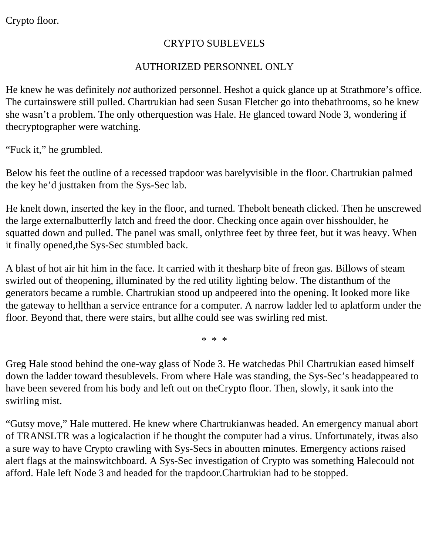### CRYPTO SUBLEVELS

### AUTHORIZED PERSONNEL ONLY

He knew he was definitely *not* authorized personnel. Heshot a quick glance up at Strathmore's office. The curtainswere still pulled. Chartrukian had seen Susan Fletcher go into thebathrooms, so he knew she wasn't a problem. The only otherquestion was Hale. He glanced toward Node 3, wondering if thecryptographer were watching.

"Fuck it," he grumbled.

Below his feet the outline of a recessed trapdoor was barelyvisible in the floor. Chartrukian palmed the key he'd justtaken from the Sys-Sec lab.

He knelt down, inserted the key in the floor, and turned. Thebolt beneath clicked. Then he unscrewed the large externalbutterfly latch and freed the door. Checking once again over hisshoulder, he squatted down and pulled. The panel was small, onlythree feet by three feet, but it was heavy. When it finally opened,the Sys-Sec stumbled back.

A blast of hot air hit him in the face. It carried with it thesharp bite of freon gas. Billows of steam swirled out of theopening, illuminated by the red utility lighting below. The distanthum of the generators became a rumble. Chartrukian stood up andpeered into the opening. It looked more like the gateway to hellthan a service entrance for a computer. A narrow ladder led to aplatform under the floor. Beyond that, there were stairs, but allhe could see was swirling red mist.

\* \* \*

Greg Hale stood behind the one-way glass of Node 3. He watchedas Phil Chartrukian eased himself down the ladder toward thesublevels. From where Hale was standing, the Sys-Sec's headappeared to have been severed from his body and left out on theCrypto floor. Then, slowly, it sank into the swirling mist.

"Gutsy move," Hale muttered. He knew where Chartrukianwas headed. An emergency manual abort of TRANSLTR was a logicalaction if he thought the computer had a virus. Unfortunately, itwas also a sure way to have Crypto crawling with Sys-Secs in aboutten minutes. Emergency actions raised alert flags at the mainswitchboard. A Sys-Sec investigation of Crypto was something Halecould not afford. Hale left Node 3 and headed for the trapdoor.Chartrukian had to be stopped.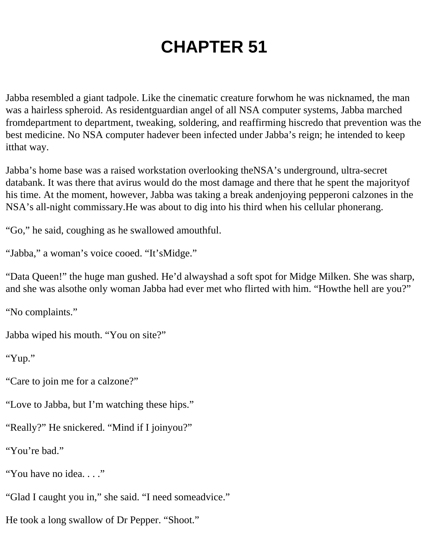## **CHAPTER 51**

Jabba resembled a giant tadpole. Like the cinematic creature forwhom he was nicknamed, the man was a hairless spheroid. As residentguardian angel of all NSA computer systems, Jabba marched fromdepartment to department, tweaking, soldering, and reaffirming hiscredo that prevention was the best medicine. No NSA computer hadever been infected under Jabba's reign; he intended to keep itthat way.

Jabba's home base was a raised workstation overlooking theNSA's underground, ultra-secret databank. It was there that avirus would do the most damage and there that he spent the majorityof his time. At the moment, however, Jabba was taking a break andenjoying pepperoni calzones in the NSA's all-night commissary.He was about to dig into his third when his cellular phonerang.

"Go," he said, coughing as he swallowed amouthful.

```
"Jabba," a woman's voice cooed. "It'sMidge."
```
"Data Queen!" the huge man gushed. He'd alwayshad a soft spot for Midge Milken. She was sharp, and she was alsothe only woman Jabba had ever met who flirted with him. "Howthe hell are you?"

"No complaints."

Jabba wiped his mouth. "You on site?"

"Yup."

"Care to join me for a calzone?"

"Love to Jabba, but I'm watching these hips."

"Really?" He snickered. "Mind if I joinyou?"

"You're bad."

"You have no idea...."

"Glad I caught you in," she said. "I need someadvice."

He took a long swallow of Dr Pepper. "Shoot."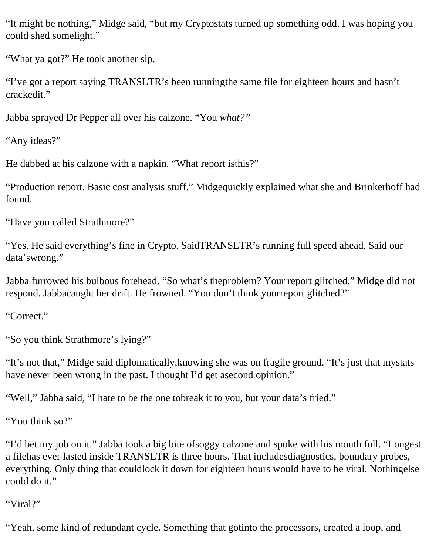"It might be nothing," Midge said, "but my Cryptostats turned up something odd. I was hoping you could shed somelight."

"What ya got?" He took another sip.

"I've got a report saying TRANSLTR's been runningthe same file for eighteen hours and hasn't crackedit."

Jabba sprayed Dr Pepper all over his calzone. "You *what?"*

"Any ideas?"

He dabbed at his calzone with a napkin. "What report isthis?"

"Production report. Basic cost analysis stuff." Midgequickly explained what she and Brinkerhoff had found.

"Have you called Strathmore?"

"Yes. He said everything's fine in Crypto. SaidTRANSLTR's running full speed ahead. Said our data'swrong."

Jabba furrowed his bulbous forehead. "So what's theproblem? Your report glitched." Midge did not respond. Jabbacaught her drift. He frowned. "You don't think yourreport glitched?"

"Correct."

"So you think Strathmore's lying?"

"It's not that," Midge said diplomatically,knowing she was on fragile ground. "It's just that mystats have never been wrong in the past. I thought I'd get asecond opinion."

"Well," Jabba said, "I hate to be the one tobreak it to you, but your data's fried."

"You think so?"

"I'd bet my job on it." Jabba took a big bite ofsoggy calzone and spoke with his mouth full. "Longest a filehas ever lasted inside TRANSLTR is three hours. That includesdiagnostics, boundary probes, everything. Only thing that couldlock it down for eighteen hours would have to be viral. Nothingelse could do it."

"Viral?"

"Yeah, some kind of redundant cycle. Something that gotinto the processors, created a loop, and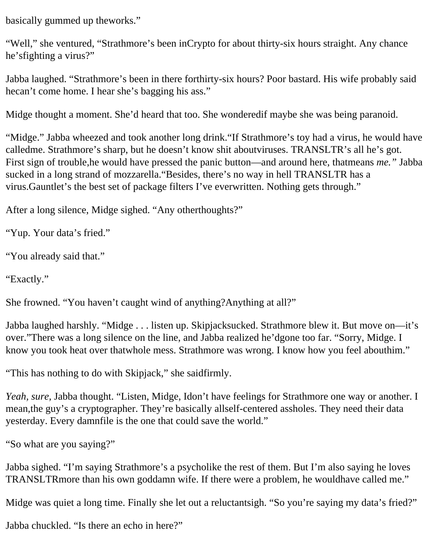basically gummed up theworks."

"Well," she ventured, "Strathmore's been inCrypto for about thirty-six hours straight. Any chance he'sfighting a virus?"

Jabba laughed. "Strathmore's been in there forthirty-six hours? Poor bastard. His wife probably said hecan't come home. I hear she's bagging his ass."

Midge thought a moment. She'd heard that too. She wonderedif maybe she was being paranoid.

"Midge." Jabba wheezed and took another long drink."If Strathmore's toy had a virus, he would have calledme. Strathmore's sharp, but he doesn't know shit aboutviruses. TRANSLTR's all he's got. First sign of trouble,he would have pressed the panic button—and around here, thatmeans *me."* Jabba sucked in a long strand of mozzarella."Besides, there's no way in hell TRANSLTR has a virus.Gauntlet's the best set of package filters I've everwritten. Nothing gets through."

After a long silence, Midge sighed. "Any otherthoughts?"

"Yup. Your data's fried."

"You already said that."

"Exactly."

She frowned. "You haven't caught wind of anything?Anything at all?"

Jabba laughed harshly. "Midge . . . listen up. Skipjacksucked. Strathmore blew it. But move on—it's over."There was a long silence on the line, and Jabba realized he'dgone too far. "Sorry, Midge. I know you took heat over thatwhole mess. Strathmore was wrong. I know how you feel abouthim."

"This has nothing to do with Skipjack," she saidfirmly.

*Yeah, sure,* Jabba thought. "Listen, Midge, Idon't have feelings for Strathmore one way or another. I mean,the guy's a cryptographer. They're basically allself-centered assholes. They need their data yesterday. Every damnfile is the one that could save the world."

"So what are you saying?"

Jabba sighed. "I'm saying Strathmore's a psycholike the rest of them. But I'm also saying he loves TRANSLTRmore than his own goddamn wife. If there were a problem, he wouldhave called me."

Midge was quiet a long time. Finally she let out a reluctantsigh. "So you're saying my data's fried?"

Jabba chuckled. "Is there an echo in here?"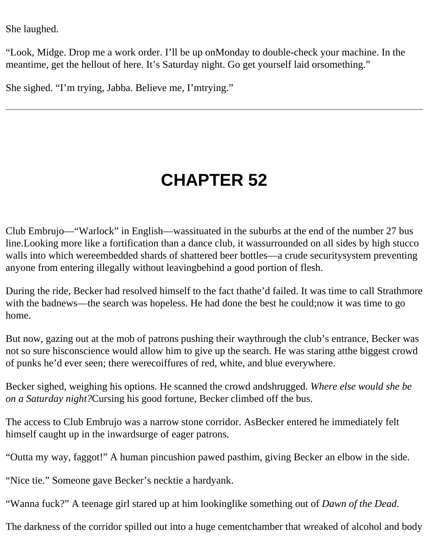She laughed.

"Look, Midge. Drop me a work order. I'll be up onMonday to double-check your machine. In the meantime, get the hellout of here. It's Saturday night. Go get yourself laid orsomething."

She sighed. "I'm trying, Jabba. Believe me, I'mtrying."

## **CHAPTER 52**

Club Embrujo—"Warlock" in English—wassituated in the suburbs at the end of the number 27 bus line.Looking more like a fortification than a dance club, it wassurrounded on all sides by high stucco walls into which wereembedded shards of shattered beer bottles—a crude securitysystem preventing anyone from entering illegally without leavingbehind a good portion of flesh.

During the ride, Becker had resolved himself to the fact thathe'd failed. It was time to call Strathmore with the badnews—the search was hopeless. He had done the best he could;now it was time to go home.

But now, gazing out at the mob of patrons pushing their waythrough the club's entrance, Becker was not so sure hisconscience would allow him to give up the search. He was staring atthe biggest crowd of punks he'd ever seen; there werecoiffures of red, white, and blue everywhere.

Becker sighed, weighing his options. He scanned the crowd andshrugged. *Where else would she be on a Saturday night?*Cursing his good fortune, Becker climbed off the bus.

The access to Club Embrujo was a narrow stone corridor. AsBecker entered he immediately felt himself caught up in the inwardsurge of eager patrons.

"Outta my way, faggot!" A human pincushion pawed pasthim, giving Becker an elbow in the side.

"Nice tie." Someone gave Becker's necktie a hardyank.

"Wanna fuck?" A teenage girl stared up at him lookinglike something out of *Dawn of the Dead.*

The darkness of the corridor spilled out into a huge cementchamber that wreaked of alcohol and body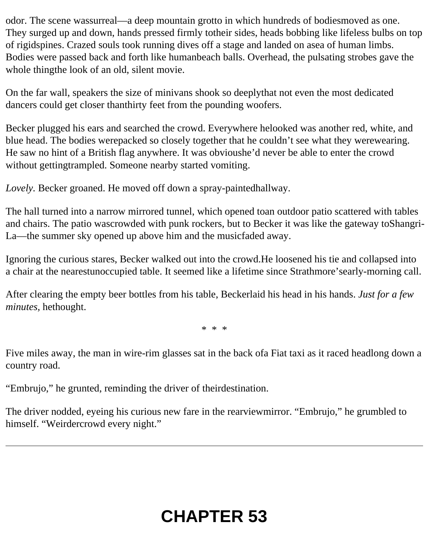odor. The scene wassurreal—a deep mountain grotto in which hundreds of bodiesmoved as one. They surged up and down, hands pressed firmly totheir sides, heads bobbing like lifeless bulbs on top of rigidspines. Crazed souls took running dives off a stage and landed on asea of human limbs. Bodies were passed back and forth like humanbeach balls. Overhead, the pulsating strobes gave the whole thingthe look of an old, silent movie.

On the far wall, speakers the size of minivans shook so deeplythat not even the most dedicated dancers could get closer thanthirty feet from the pounding woofers.

Becker plugged his ears and searched the crowd. Everywhere helooked was another red, white, and blue head. The bodies werepacked so closely together that he couldn't see what they werewearing. He saw no hint of a British flag anywhere. It was obvioushe'd never be able to enter the crowd without gettingtrampled. Someone nearby started vomiting.

*Lovely.* Becker groaned. He moved off down a spray-paintedhallway.

The hall turned into a narrow mirrored tunnel, which opened toan outdoor patio scattered with tables and chairs. The patio wascrowded with punk rockers, but to Becker it was like the gateway toShangri-La—the summer sky opened up above him and the musicfaded away.

Ignoring the curious stares, Becker walked out into the crowd.He loosened his tie and collapsed into a chair at the nearestunoccupied table. It seemed like a lifetime since Strathmore'searly-morning call.

After clearing the empty beer bottles from his table, Beckerlaid his head in his hands. *Just for a few minutes,* hethought.

\* \* \*

Five miles away, the man in wire-rim glasses sat in the back ofa Fiat taxi as it raced headlong down a country road.

"Embrujo," he grunted, reminding the driver of theirdestination.

The driver nodded, eyeing his curious new fare in the rearviewmirror. "Embrujo," he grumbled to himself. "Weirdercrowd every night."

# **CHAPTER 53**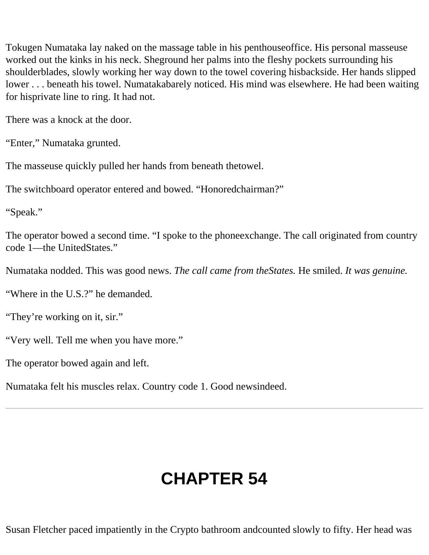Tokugen Numataka lay naked on the massage table in his penthouseoffice. His personal masseuse worked out the kinks in his neck. Sheground her palms into the fleshy pockets surrounding his shoulderblades, slowly working her way down to the towel covering hisbackside. Her hands slipped lower . . . beneath his towel. Numatakabarely noticed. His mind was elsewhere. He had been waiting for hisprivate line to ring. It had not.

There was a knock at the door.

"Enter," Numataka grunted.

The masseuse quickly pulled her hands from beneath thetowel.

The switchboard operator entered and bowed. "Honoredchairman?"

"Speak."

The operator bowed a second time. "I spoke to the phoneexchange. The call originated from country code 1—the UnitedStates."

Numataka nodded. This was good news. *The call came from theStates.* He smiled. *It was genuine.*

"Where in the U.S.?" he demanded.

"They're working on it, sir."

"Very well. Tell me when you have more."

The operator bowed again and left.

Numataka felt his muscles relax. Country code 1. Good newsindeed.

## **CHAPTER 54**

Susan Fletcher paced impatiently in the Crypto bathroom andcounted slowly to fifty. Her head was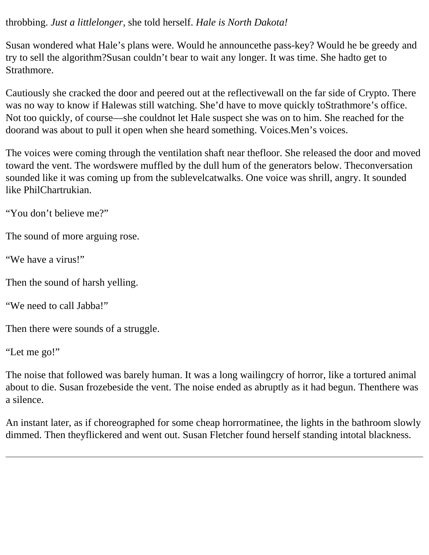#### throbbing. *Just a littlelonger,* she told herself. *Hale is North Dakota!*

Susan wondered what Hale's plans were. Would he announcethe pass-key? Would he be greedy and try to sell the algorithm?Susan couldn't bear to wait any longer. It was time. She hadto get to Strathmore.

Cautiously she cracked the door and peered out at the reflectivewall on the far side of Crypto. There was no way to know if Halewas still watching. She'd have to move quickly toStrathmore's office. Not too quickly, of course—she couldnot let Hale suspect she was on to him. She reached for the doorand was about to pull it open when she heard something. Voices.Men's voices.

The voices were coming through the ventilation shaft near thefloor. She released the door and moved toward the vent. The wordswere muffled by the dull hum of the generators below. Theconversation sounded like it was coming up from the sublevelcatwalks. One voice was shrill, angry. It sounded like PhilChartrukian.

```
"You don't believe me?"
```
The sound of more arguing rose.

```
"We have a virus!"
```
Then the sound of harsh yelling.

```
"We need to call Jabba!"
```
Then there were sounds of a struggle.

"Let me go!"

The noise that followed was barely human. It was a long wailingcry of horror, like a tortured animal about to die. Susan frozebeside the vent. The noise ended as abruptly as it had begun. Thenthere was a silence.

An instant later, as if choreographed for some cheap horrormatinee, the lights in the bathroom slowly dimmed. Then theyflickered and went out. Susan Fletcher found herself standing intotal blackness.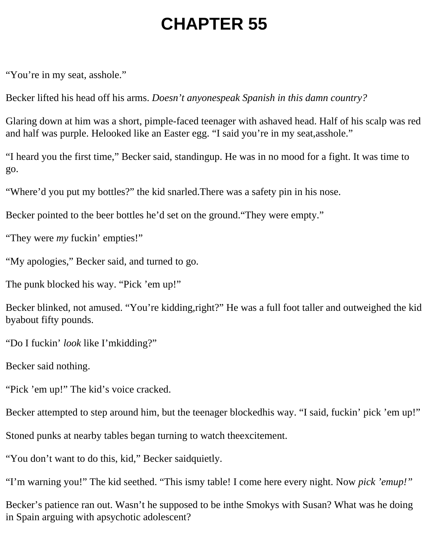#### **CHAPTER 55**

"You're in my seat, asshole."

Becker lifted his head off his arms. *Doesn't anyonespeak Spanish in this damn country?*

Glaring down at him was a short, pimple-faced teenager with ashaved head. Half of his scalp was red and half was purple. Helooked like an Easter egg. "I said you're in my seat,asshole."

"I heard you the first time," Becker said, standingup. He was in no mood for a fight. It was time to go.

"Where'd you put my bottles?" the kid snarled.There was a safety pin in his nose.

Becker pointed to the beer bottles he'd set on the ground."They were empty."

"They were *my* fuckin' empties!"

"My apologies," Becker said, and turned to go.

The punk blocked his way. "Pick 'em up!"

Becker blinked, not amused. "You're kidding,right?" He was a full foot taller and outweighed the kid byabout fifty pounds.

"Do I fuckin' *look* like I'mkidding?"

Becker said nothing.

"Pick 'em up!" The kid's voice cracked.

Becker attempted to step around him, but the teenager blockedhis way. "I said, fuckin' pick 'em up!"

Stoned punks at nearby tables began turning to watch theexcitement.

"You don't want to do this, kid," Becker saidquietly.

"I'm warning you!" The kid seethed. "This ismy table! I come here every night. Now *pick 'emup!"*

Becker's patience ran out. Wasn't he supposed to be inthe Smokys with Susan? What was he doing in Spain arguing with apsychotic adolescent?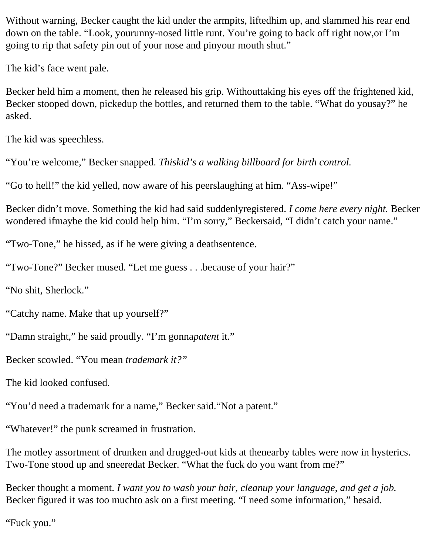Without warning, Becker caught the kid under the armpits, liftedhim up, and slammed his rear end down on the table. "Look, yourunny-nosed little runt. You're going to back off right now,or I'm going to rip that safety pin out of your nose and pinyour mouth shut."

The kid's face went pale.

Becker held him a moment, then he released his grip. Withouttaking his eyes off the frightened kid, Becker stooped down, pickedup the bottles, and returned them to the table. "What do yousay?" he asked.

The kid was speechless.

"You're welcome," Becker snapped. *Thiskid's a walking billboard for birth control.*

"Go to hell!" the kid yelled, now aware of his peerslaughing at him. "Ass-wipe!"

Becker didn't move. Something the kid had said suddenlyregistered. *I come here every night.* Becker wondered ifmaybe the kid could help him. "I'm sorry," Beckersaid, "I didn't catch your name."

"Two-Tone," he hissed, as if he were giving a deathsentence.

"Two-Tone?" Becker mused. "Let me guess . . .because of your hair?"

"No shit, Sherlock."

"Catchy name. Make that up yourself?"

"Damn straight," he said proudly. "I'm gonna*patent* it."

Becker scowled. "You mean *trademark it?"*

The kid looked confused.

"You'd need a trademark for a name," Becker said."Not a patent."

"Whatever!" the punk screamed in frustration.

The motley assortment of drunken and drugged-out kids at thenearby tables were now in hysterics. Two-Tone stood up and sneeredat Becker. "What the fuck do you want from me?"

Becker thought a moment. *I want you to wash your hair, cleanup your language, and get a job.* Becker figured it was too muchto ask on a first meeting. "I need some information," hesaid.

"Fuck you."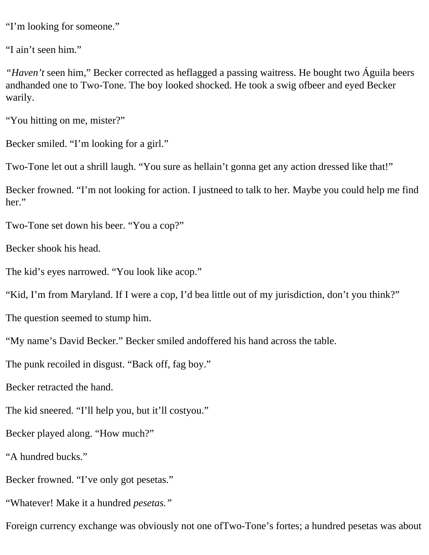"I'm looking for someone."

"I ain't seen him."

*"Haven't* seen him," Becker corrected as heflagged a passing waitress. He bought two Águila beers andhanded one to Two-Tone. The boy looked shocked. He took a swig ofbeer and eyed Becker warily.

"You hitting on me, mister?"

Becker smiled. "I'm looking for a girl."

Two-Tone let out a shrill laugh. "You sure as hellain't gonna get any action dressed like that!"

Becker frowned. "I'm not looking for action. I justneed to talk to her. Maybe you could help me find her."

Two-Tone set down his beer. "You a cop?"

Becker shook his head.

The kid's eyes narrowed. "You look like acop."

"Kid, I'm from Maryland. If I were a cop, I'd bea little out of my jurisdiction, don't you think?"

The question seemed to stump him.

"My name's David Becker." Becker smiled andoffered his hand across the table.

The punk recoiled in disgust. "Back off, fag boy."

Becker retracted the hand.

The kid sneered. "I'll help you, but it'll costyou."

Becker played along. "How much?"

"A hundred bucks."

Becker frowned. "I've only got pesetas."

"Whatever! Make it a hundred *pesetas."*

Foreign currency exchange was obviously not one ofTwo-Tone's fortes; a hundred pesetas was about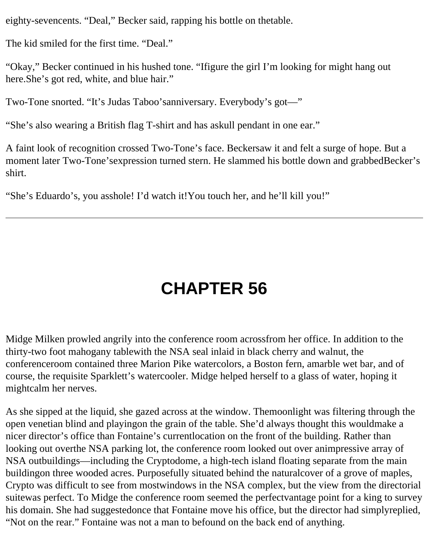eighty-sevencents. "Deal," Becker said, rapping his bottle on thetable.

The kid smiled for the first time. "Deal."

"Okay," Becker continued in his hushed tone. "Ifigure the girl I'm looking for might hang out here.She's got red, white, and blue hair."

Two-Tone snorted. "It's Judas Taboo'sanniversary. Everybody's got—"

"She's also wearing a British flag T-shirt and has askull pendant in one ear."

A faint look of recognition crossed Two-Tone's face. Beckersaw it and felt a surge of hope. But a moment later Two-Tone'sexpression turned stern. He slammed his bottle down and grabbedBecker's shirt.

"She's Eduardo's, you asshole! I'd watch it!You touch her, and he'll kill you!"

#### **CHAPTER 56**

Midge Milken prowled angrily into the conference room acrossfrom her office. In addition to the thirty-two foot mahogany tablewith the NSA seal inlaid in black cherry and walnut, the conferenceroom contained three Marion Pike watercolors, a Boston fern, amarble wet bar, and of course, the requisite Sparklett's watercooler. Midge helped herself to a glass of water, hoping it mightcalm her nerves.

As she sipped at the liquid, she gazed across at the window. Themoonlight was filtering through the open venetian blind and playingon the grain of the table. She'd always thought this wouldmake a nicer director's office than Fontaine's currentlocation on the front of the building. Rather than looking out overthe NSA parking lot, the conference room looked out over animpressive array of NSA outbuildings—including the Cryptodome, a high-tech island floating separate from the main buildingon three wooded acres. Purposefully situated behind the naturalcover of a grove of maples, Crypto was difficult to see from mostwindows in the NSA complex, but the view from the directorial suitewas perfect. To Midge the conference room seemed the perfectvantage point for a king to survey his domain. She had suggestedonce that Fontaine move his office, but the director had simplyreplied, "Not on the rear." Fontaine was not a man to befound on the back end of anything.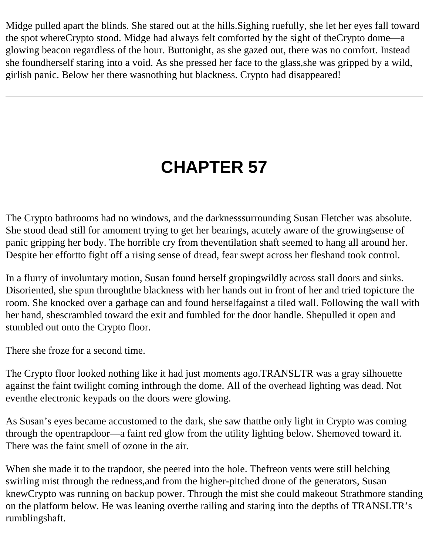Midge pulled apart the blinds. She stared out at the hills.Sighing ruefully, she let her eyes fall toward the spot whereCrypto stood. Midge had always felt comforted by the sight of theCrypto dome—a glowing beacon regardless of the hour. Buttonight, as she gazed out, there was no comfort. Instead she foundherself staring into a void. As she pressed her face to the glass,she was gripped by a wild, girlish panic. Below her there wasnothing but blackness. Crypto had disappeared!

## **CHAPTER 57**

The Crypto bathrooms had no windows, and the darknesssurrounding Susan Fletcher was absolute. She stood dead still for amoment trying to get her bearings, acutely aware of the growingsense of panic gripping her body. The horrible cry from theventilation shaft seemed to hang all around her. Despite her effortto fight off a rising sense of dread, fear swept across her fleshand took control.

In a flurry of involuntary motion, Susan found herself gropingwildly across stall doors and sinks. Disoriented, she spun throughthe blackness with her hands out in front of her and tried topicture the room. She knocked over a garbage can and found herselfagainst a tiled wall. Following the wall with her hand, shescrambled toward the exit and fumbled for the door handle. Shepulled it open and stumbled out onto the Crypto floor.

There she froze for a second time.

The Crypto floor looked nothing like it had just moments ago.TRANSLTR was a gray silhouette against the faint twilight coming inthrough the dome. All of the overhead lighting was dead. Not eventhe electronic keypads on the doors were glowing.

As Susan's eyes became accustomed to the dark, she saw thatthe only light in Crypto was coming through the opentrapdoor—a faint red glow from the utility lighting below. Shemoved toward it. There was the faint smell of ozone in the air.

When she made it to the trapdoor, she peered into the hole. Thefreon vents were still belching swirling mist through the redness,and from the higher-pitched drone of the generators, Susan knewCrypto was running on backup power. Through the mist she could makeout Strathmore standing on the platform below. He was leaning overthe railing and staring into the depths of TRANSLTR's rumblingshaft.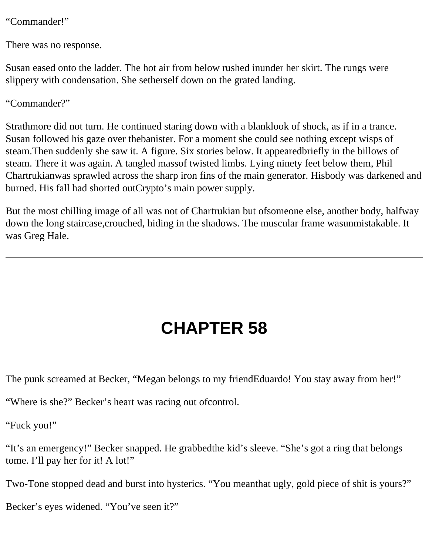"Commander!"

There was no response.

Susan eased onto the ladder. The hot air from below rushed inunder her skirt. The rungs were slippery with condensation. She setherself down on the grated landing.

"Commander?"

Strathmore did not turn. He continued staring down with a blanklook of shock, as if in a trance. Susan followed his gaze over thebanister. For a moment she could see nothing except wisps of steam.Then suddenly she saw it. A figure. Six stories below. It appearedbriefly in the billows of steam. There it was again. A tangled massof twisted limbs. Lying ninety feet below them, Phil Chartrukianwas sprawled across the sharp iron fins of the main generator. Hisbody was darkened and burned. His fall had shorted outCrypto's main power supply.

But the most chilling image of all was not of Chartrukian but ofsomeone else, another body, halfway down the long staircase,crouched, hiding in the shadows. The muscular frame wasunmistakable. It was Greg Hale.

#### **CHAPTER 58**

The punk screamed at Becker, "Megan belongs to my friendEduardo! You stay away from her!"

"Where is she?" Becker's heart was racing out ofcontrol.

"Fuck you!"

"It's an emergency!" Becker snapped. He grabbedthe kid's sleeve. "She's got a ring that belongs tome. I'll pay her for it! A lot!"

Two-Tone stopped dead and burst into hysterics. "You meanthat ugly, gold piece of shit is yours?"

Becker's eyes widened. "You've seen it?"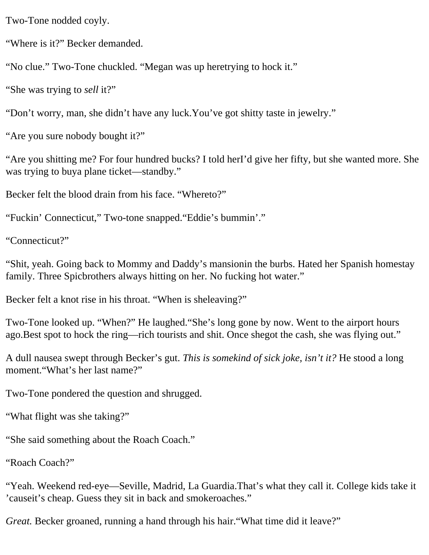Two-Tone nodded coyly.

"Where is it?" Becker demanded.

"No clue." Two-Tone chuckled. "Megan was up heretrying to hock it."

"She was trying to *sell* it?"

"Don't worry, man, she didn't have any luck.You've got shitty taste in jewelry."

"Are you sure nobody bought it?"

"Are you shitting me? For four hundred bucks? I told herI'd give her fifty, but she wanted more. She was trying to buya plane ticket—standby."

Becker felt the blood drain from his face. "Whereto?"

"Fuckin' Connecticut," Two-tone snapped."Eddie's bummin'."

"Connecticut?"

"Shit, yeah. Going back to Mommy and Daddy's mansionin the burbs. Hated her Spanish homestay family. Three Spicbrothers always hitting on her. No fucking hot water."

Becker felt a knot rise in his throat. "When is sheleaving?"

Two-Tone looked up. "When?" He laughed."She's long gone by now. Went to the airport hours ago.Best spot to hock the ring—rich tourists and shit. Once shegot the cash, she was flying out."

A dull nausea swept through Becker's gut. *This is somekind of sick joke, isn't it?* He stood a long moment."What's her last name?"

Two-Tone pondered the question and shrugged.

"What flight was she taking?"

"She said something about the Roach Coach."

"Roach Coach?"

"Yeah. Weekend red-eye—Seville, Madrid, La Guardia.That's what they call it. College kids take it 'causeit's cheap. Guess they sit in back and smokeroaches."

*Great.* Becker groaned, running a hand through his hair. "What time did it leave?"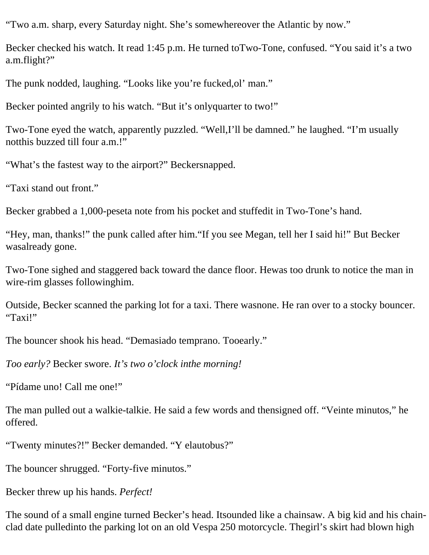"Two a.m. sharp, every Saturday night. She's somewhereover the Atlantic by now."

Becker checked his watch. It read 1:45 p.m. He turned toTwo-Tone, confused. "You said it's a two a.m.flight?"

The punk nodded, laughing. "Looks like you're fucked,ol' man."

Becker pointed angrily to his watch. "But it's only quarter to two!"

Two-Tone eyed the watch, apparently puzzled. "Well,I'll be damned." he laughed. "I'm usually notthis buzzed till four a.m.!"

"What's the fastest way to the airport?" Beckersnapped.

"Taxi stand out front."

Becker grabbed a 1,000-peseta note from his pocket and stuffedit in Two-Tone's hand.

"Hey, man, thanks!" the punk called after him."If you see Megan, tell her I said hi!" But Becker wasalready gone.

Two-Tone sighed and staggered back toward the dance floor. Hewas too drunk to notice the man in wire-rim glasses followinghim.

Outside, Becker scanned the parking lot for a taxi. There wasnone. He ran over to a stocky bouncer. "Taxi!"

The bouncer shook his head. "Demasiado temprano. Tooearly."

*Too early?* Becker swore. *It's two o'clock inthe morning!*

"Pídame uno! Call me one!"

The man pulled out a walkie-talkie. He said a few words and thensigned off. "Veinte minutos," he offered.

"Twenty minutes?!" Becker demanded. "Y elautobus?"

The bouncer shrugged. "Forty-five minutos."

Becker threw up his hands. *Perfect!*

The sound of a small engine turned Becker's head. Itsounded like a chainsaw. A big kid and his chainclad date pulledinto the parking lot on an old Vespa 250 motorcycle. Thegirl's skirt had blown high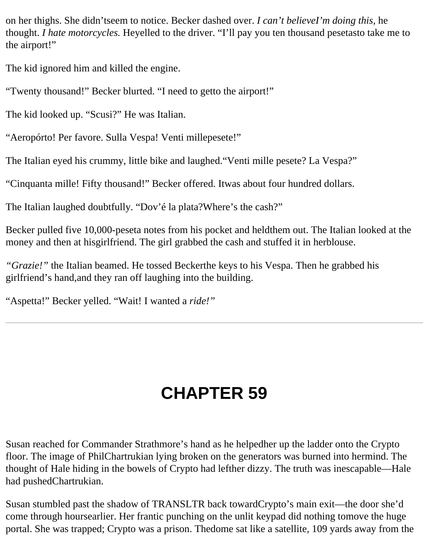on her thighs. She didn'tseem to notice. Becker dashed over. *I can't believeI'm doing this,* he thought. *I hate motorcycles.* Heyelled to the driver. "I'll pay you ten thousand pesetasto take me to the airport!"

The kid ignored him and killed the engine.

"Twenty thousand!" Becker blurted. "I need to getto the airport!"

The kid looked up. "Scusi?" He was Italian.

"Aeropórto! Per favore. Sulla Vespa! Venti millepesete!"

The Italian eyed his crummy, little bike and laughed."Venti mille pesete? La Vespa?"

"Cinquanta mille! Fifty thousand!" Becker offered. Itwas about four hundred dollars.

The Italian laughed doubtfully. "Dov'é la plata?Where's the cash?"

Becker pulled five 10,000-peseta notes from his pocket and heldthem out. The Italian looked at the money and then at hisgirlfriend. The girl grabbed the cash and stuffed it in herblouse.

*"Grazie!"* the Italian beamed. He tossed Beckerthe keys to his Vespa. Then he grabbed his girlfriend's hand,and they ran off laughing into the building.

"Aspetta!" Becker yelled. "Wait! I wanted a *ride!"*

#### **CHAPTER 59**

Susan reached for Commander Strathmore's hand as he helpedher up the ladder onto the Crypto floor. The image of PhilChartrukian lying broken on the generators was burned into hermind. The thought of Hale hiding in the bowels of Crypto had lefther dizzy. The truth was inescapable—Hale had pushedChartrukian.

Susan stumbled past the shadow of TRANSLTR back towardCrypto's main exit—the door she'd come through hoursearlier. Her frantic punching on the unlit keypad did nothing tomove the huge portal. She was trapped; Crypto was a prison. Thedome sat like a satellite, 109 yards away from the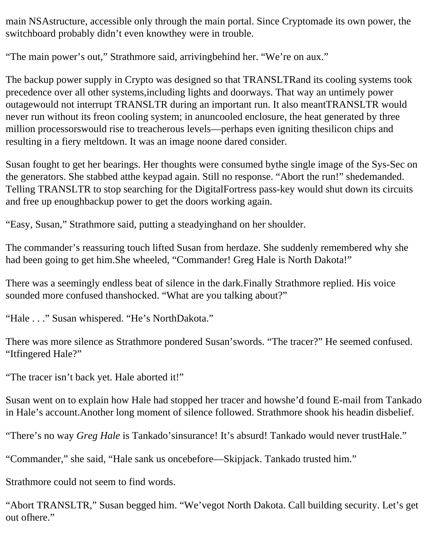main NSAstructure, accessible only through the main portal. Since Cryptomade its own power, the switchboard probably didn't even knowthey were in trouble.

"The main power's out," Strathmore said, arrivingbehind her. "We're on aux."

The backup power supply in Crypto was designed so that TRANSLTRand its cooling systems took precedence over all other systems,including lights and doorways. That way an untimely power outagewould not interrupt TRANSLTR during an important run. It also meantTRANSLTR would never run without its freon cooling system; in anuncooled enclosure, the heat generated by three million processorswould rise to treacherous levels—perhaps even igniting thesilicon chips and resulting in a fiery meltdown. It was an image noone dared consider.

Susan fought to get her bearings. Her thoughts were consumed bythe single image of the Sys-Sec on the generators. She stabbed atthe keypad again. Still no response. "Abort the run!" shedemanded. Telling TRANSLTR to stop searching for the DigitalFortress pass-key would shut down its circuits and free up enoughbackup power to get the doors working again.

"Easy, Susan," Strathmore said, putting a steadyinghand on her shoulder.

The commander's reassuring touch lifted Susan from herdaze. She suddenly remembered why she had been going to get him.She wheeled, "Commander! Greg Hale is North Dakota!"

There was a seemingly endless beat of silence in the dark.Finally Strathmore replied. His voice sounded more confused thanshocked. "What are you talking about?"

"Hale . . ." Susan whispered. "He's NorthDakota."

There was more silence as Strathmore pondered Susan'swords. "The tracer?" He seemed confused. "Itfingered Hale?"

"The tracer isn't back yet. Hale aborted it!"

Susan went on to explain how Hale had stopped her tracer and howshe'd found E-mail from Tankado in Hale's account.Another long moment of silence followed. Strathmore shook his headin disbelief.

"There's no way *Greg Hale* is Tankado'sinsurance! It's absurd! Tankado would never trustHale."

"Commander," she said, "Hale sank us oncebefore—Skipjack. Tankado trusted him."

Strathmore could not seem to find words.

"Abort TRANSLTR," Susan begged him. "We'vegot North Dakota. Call building security. Let's get out ofhere."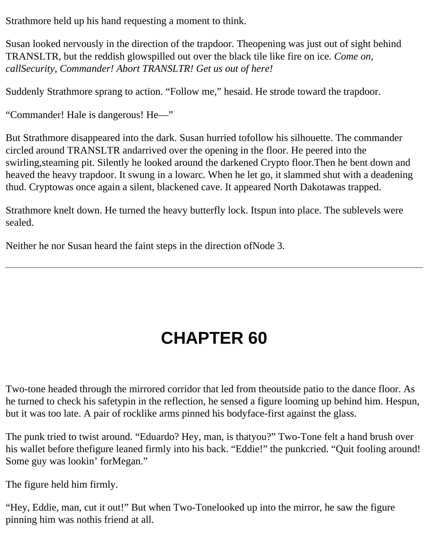Strathmore held up his hand requesting a moment to think.

Susan looked nervously in the direction of the trapdoor. Theopening was just out of sight behind TRANSLTR, but the reddish glowspilled out over the black tile like fire on ice. *Come on, callSecurity, Commander! Abort TRANSLTR! Get us out of here!*

Suddenly Strathmore sprang to action. "Follow me," hesaid. He strode toward the trapdoor.

"Commander! Hale is dangerous! He—"

But Strathmore disappeared into the dark. Susan hurried tofollow his silhouette. The commander circled around TRANSLTR andarrived over the opening in the floor. He peered into the swirling,steaming pit. Silently he looked around the darkened Crypto floor.Then he bent down and heaved the heavy trapdoor. It swung in a lowarc. When he let go, it slammed shut with a deadening thud. Cryptowas once again a silent, blackened cave. It appeared North Dakotawas trapped.

Strathmore knelt down. He turned the heavy butterfly lock. Itspun into place. The sublevels were sealed.

Neither he nor Susan heard the faint steps in the direction ofNode 3.

## **CHAPTER 60**

Two-tone headed through the mirrored corridor that led from theoutside patio to the dance floor. As he turned to check his safetypin in the reflection, he sensed a figure looming up behind him. Hespun, but it was too late. A pair of rocklike arms pinned his bodyface-first against the glass.

The punk tried to twist around. "Eduardo? Hey, man, is thatyou?" Two-Tone felt a hand brush over his wallet before thefigure leaned firmly into his back. "Eddie!" the punkcried. "Quit fooling around! Some guy was lookin' forMegan."

The figure held him firmly.

"Hey, Eddie, man, cut it out!" But when Two-Tonelooked up into the mirror, he saw the figure pinning him was nothis friend at all.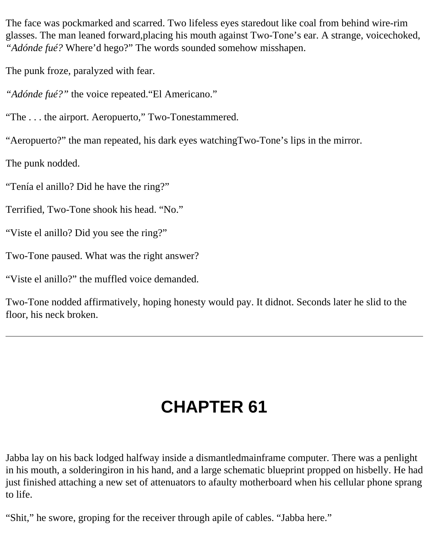The face was pockmarked and scarred. Two lifeless eyes staredout like coal from behind wire-rim glasses. The man leaned forward,placing his mouth against Two-Tone's ear. A strange, voicechoked, *"Adónde fué?* Where'd hego?" The words sounded somehow misshapen.

The punk froze, paralyzed with fear.

*"Adónde fué?"* the voice repeated."El Americano."

"The . . . the airport. Aeropuerto," Two-Tonestammered.

"Aeropuerto?" the man repeated, his dark eyes watchingTwo-Tone's lips in the mirror.

The punk nodded.

"Tenía el anillo? Did he have the ring?"

Terrified, Two-Tone shook his head. "No."

"Viste el anillo? Did you see the ring?"

Two-Tone paused. What was the right answer?

"Viste el anillo?" the muffled voice demanded.

Two-Tone nodded affirmatively, hoping honesty would pay. It didnot. Seconds later he slid to the floor, his neck broken.

# **CHAPTER 61**

Jabba lay on his back lodged halfway inside a dismantledmainframe computer. There was a penlight in his mouth, a solderingiron in his hand, and a large schematic blueprint propped on hisbelly. He had just finished attaching a new set of attenuators to afaulty motherboard when his cellular phone sprang to life.

"Shit," he swore, groping for the receiver through apile of cables. "Jabba here."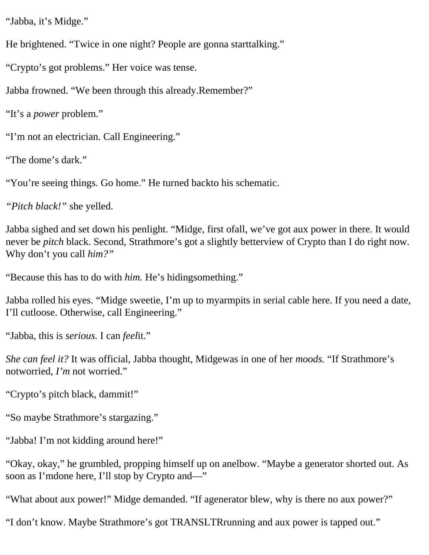"Jabba, it's Midge."

He brightened. "Twice in one night? People are gonna starttalking."

"Crypto's got problems." Her voice was tense.

Jabba frowned. "We been through this already.Remember?"

"It's a *power* problem."

"I'm not an electrician. Call Engineering."

"The dome's dark."

"You're seeing things. Go home." He turned backto his schematic.

*"Pitch black!"* she yelled.

Jabba sighed and set down his penlight. "Midge, first ofall, we've got aux power in there. It would never be *pitch* black. Second, Strathmore's got a slightly betterview of Crypto than I do right now. Why don't you call *him?"*

"Because this has to do with *him.* He's hidingsomething."

Jabba rolled his eyes. "Midge sweetie, I'm up to myarmpits in serial cable here. If you need a date, I'll cutloose. Otherwise, call Engineering."

"Jabba, this is *serious.* I can *feel*it."

*She can feel it?* It was official, Jabba thought, Midgewas in one of her *moods.* "If Strathmore's notworried, *I'm* not worried."

"Crypto's pitch black, dammit!"

"So maybe Strathmore's stargazing."

"Jabba! I'm not kidding around here!"

"Okay, okay," he grumbled, propping himself up on anelbow. "Maybe a generator shorted out. As soon as I'mdone here, I'll stop by Crypto and—"

"What about aux power!" Midge demanded. "If agenerator blew, why is there no aux power?"

"I don't know. Maybe Strathmore's got TRANSLTRrunning and aux power is tapped out."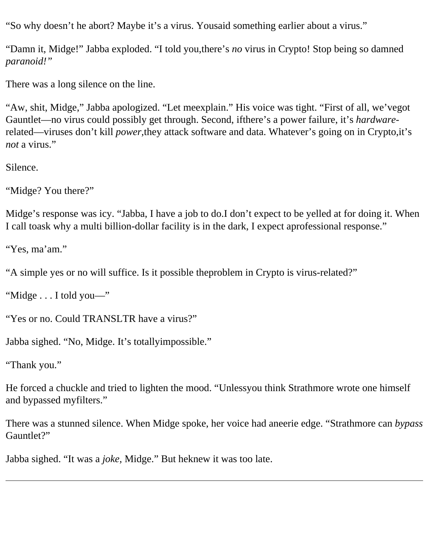"So why doesn't he abort? Maybe it's a virus. Yousaid something earlier about a virus."

"Damn it, Midge!" Jabba exploded. "I told you,there's *no* virus in Crypto! Stop being so damned *paranoid!"*

There was a long silence on the line.

"Aw, shit, Midge," Jabba apologized. "Let meexplain." His voice was tight. "First of all, we'vegot Gauntlet—no virus could possibly get through. Second, ifthere's a power failure, it's *hardware*related—viruses don't kill *power,*they attack software and data. Whatever's going on in Crypto,it's *not* a virus."

Silence.

"Midge? You there?"

Midge's response was icy. "Jabba, I have a job to do.I don't expect to be yelled at for doing it. When I call toask why a multi billion-dollar facility is in the dark, I expect aprofessional response."

"Yes, ma'am."

"A simple yes or no will suffice. Is it possible theproblem in Crypto is virus-related?"

"Midge . . . I told you—"

"Yes or no. Could TRANSLTR have a virus?"

Jabba sighed. "No, Midge. It's totallyimpossible."

"Thank you."

He forced a chuckle and tried to lighten the mood. "Unlessyou think Strathmore wrote one himself and bypassed myfilters."

There was a stunned silence. When Midge spoke, her voice had aneerie edge. "Strathmore can *bypass* Gauntlet?"

Jabba sighed. "It was a *joke,* Midge." But heknew it was too late.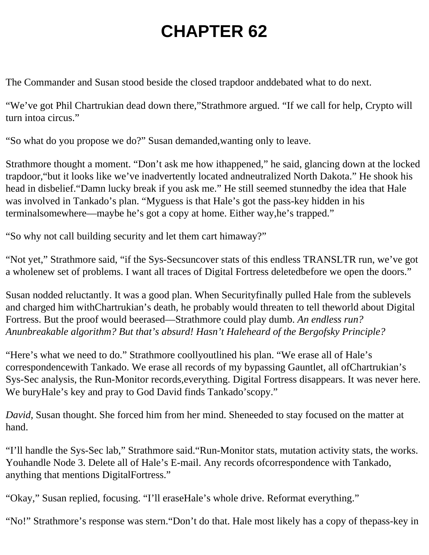#### **CHAPTER 62**

The Commander and Susan stood beside the closed trapdoor anddebated what to do next.

"We've got Phil Chartrukian dead down there,"Strathmore argued. "If we call for help, Crypto will turn intoa circus."

"So what do you propose we do?" Susan demanded,wanting only to leave.

Strathmore thought a moment. "Don't ask me how ithappened," he said, glancing down at the locked trapdoor,"but it looks like we've inadvertently located andneutralized North Dakota." He shook his head in disbelief."Damn lucky break if you ask me." He still seemed stunnedby the idea that Hale was involved in Tankado's plan. "Myguess is that Hale's got the pass-key hidden in his terminalsomewhere—maybe he's got a copy at home. Either way,he's trapped."

"So why not call building security and let them cart himaway?"

"Not yet," Strathmore said, "if the Sys-Secsuncover stats of this endless TRANSLTR run, we've got a wholenew set of problems. I want all traces of Digital Fortress deletedbefore we open the doors."

Susan nodded reluctantly. It was a good plan. When Securityfinally pulled Hale from the sublevels and charged him withChartrukian's death, he probably would threaten to tell theworld about Digital Fortress. But the proof would beerased—Strathmore could play dumb. *An endless run? Anunbreakable algorithm? But that's absurd! Hasn't Haleheard of the Bergofsky Principle?*

"Here's what we need to do." Strathmore coollyoutlined his plan. "We erase all of Hale's correspondencewith Tankado. We erase all records of my bypassing Gauntlet, all ofChartrukian's Sys-Sec analysis, the Run-Monitor records,everything. Digital Fortress disappears. It was never here. We buryHale's key and pray to God David finds Tankado'scopy."

*David,* Susan thought. She forced him from her mind. Sheneeded to stay focused on the matter at hand.

"I'll handle the Sys-Sec lab," Strathmore said."Run-Monitor stats, mutation activity stats, the works. Youhandle Node 3. Delete all of Hale's E-mail. Any records ofcorrespondence with Tankado, anything that mentions DigitalFortress."

"Okay," Susan replied, focusing. "I'll eraseHale's whole drive. Reformat everything."

"No!" Strathmore's response was stern."Don't do that. Hale most likely has a copy of thepass-key in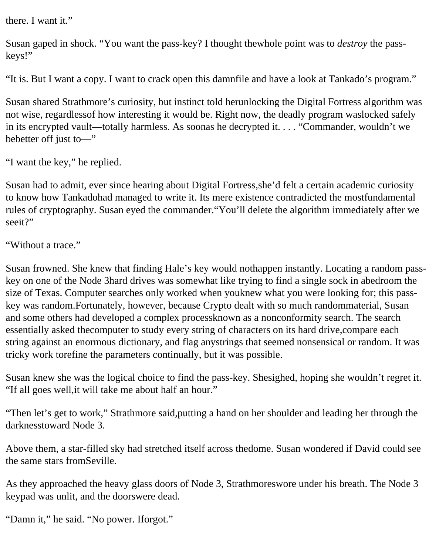there. I want it."

Susan gaped in shock. "You want the pass-key? I thought thewhole point was to *destroy* the passkeys!"

"It is. But I want a copy. I want to crack open this damnfile and have a look at Tankado's program."

Susan shared Strathmore's curiosity, but instinct told herunlocking the Digital Fortress algorithm was not wise, regardlessof how interesting it would be. Right now, the deadly program waslocked safely in its encrypted vault—totally harmless. As soonas he decrypted it. . . . "Commander, wouldn't we bebetter off just to—"

"I want the key," he replied.

Susan had to admit, ever since hearing about Digital Fortress,she'd felt a certain academic curiosity to know how Tankadohad managed to write it. Its mere existence contradicted the mostfundamental rules of cryptography. Susan eyed the commander."You'll delete the algorithm immediately after we seeit?"

"Without a trace."

Susan frowned. She knew that finding Hale's key would nothappen instantly. Locating a random passkey on one of the Node 3hard drives was somewhat like trying to find a single sock in abedroom the size of Texas. Computer searches only worked when youknew what you were looking for; this passkey was random.Fortunately, however, because Crypto dealt with so much randommaterial, Susan and some others had developed a complex processknown as a nonconformity search. The search essentially asked thecomputer to study every string of characters on its hard drive,compare each string against an enormous dictionary, and flag anystrings that seemed nonsensical or random. It was tricky work torefine the parameters continually, but it was possible.

Susan knew she was the logical choice to find the pass-key. Shesighed, hoping she wouldn't regret it. "If all goes well,it will take me about half an hour."

"Then let's get to work," Strathmore said,putting a hand on her shoulder and leading her through the darknesstoward Node 3.

Above them, a star-filled sky had stretched itself across thedome. Susan wondered if David could see the same stars fromSeville.

As they approached the heavy glass doors of Node 3, Strathmoreswore under his breath. The Node 3 keypad was unlit, and the doorswere dead.

"Damn it," he said. "No power. Iforgot."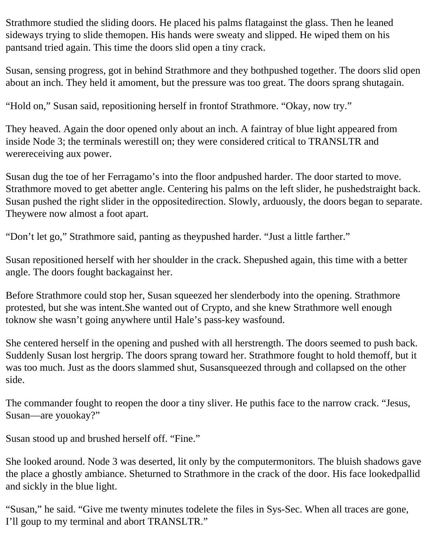Strathmore studied the sliding doors. He placed his palms flatagainst the glass. Then he leaned sideways trying to slide themopen. His hands were sweaty and slipped. He wiped them on his pantsand tried again. This time the doors slid open a tiny crack.

Susan, sensing progress, got in behind Strathmore and they bothpushed together. The doors slid open about an inch. They held it amoment, but the pressure was too great. The doors sprang shutagain.

"Hold on," Susan said, repositioning herself in frontof Strathmore. "Okay, now try."

They heaved. Again the door opened only about an inch. A faintray of blue light appeared from inside Node 3; the terminals werestill on; they were considered critical to TRANSLTR and werereceiving aux power.

Susan dug the toe of her Ferragamo's into the floor andpushed harder. The door started to move. Strathmore moved to get abetter angle. Centering his palms on the left slider, he pushedstraight back. Susan pushed the right slider in the oppositedirection. Slowly, arduously, the doors began to separate. Theywere now almost a foot apart.

"Don't let go," Strathmore said, panting as theypushed harder. "Just a little farther."

Susan repositioned herself with her shoulder in the crack. Shepushed again, this time with a better angle. The doors fought backagainst her.

Before Strathmore could stop her, Susan squeezed her slenderbody into the opening. Strathmore protested, but she was intent.She wanted out of Crypto, and she knew Strathmore well enough toknow she wasn't going anywhere until Hale's pass-key wasfound.

She centered herself in the opening and pushed with all herstrength. The doors seemed to push back. Suddenly Susan lost hergrip. The doors sprang toward her. Strathmore fought to hold themoff, but it was too much. Just as the doors slammed shut, Susansqueezed through and collapsed on the other side.

The commander fought to reopen the door a tiny sliver. He puthis face to the narrow crack. "Jesus, Susan—are youokay?"

Susan stood up and brushed herself off. "Fine."

She looked around. Node 3 was deserted, lit only by the computermonitors. The bluish shadows gave the place a ghostly ambiance. Sheturned to Strathmore in the crack of the door. His face lookedpallid and sickly in the blue light.

"Susan," he said. "Give me twenty minutes todelete the files in Sys-Sec. When all traces are gone, I'll goup to my terminal and abort TRANSLTR."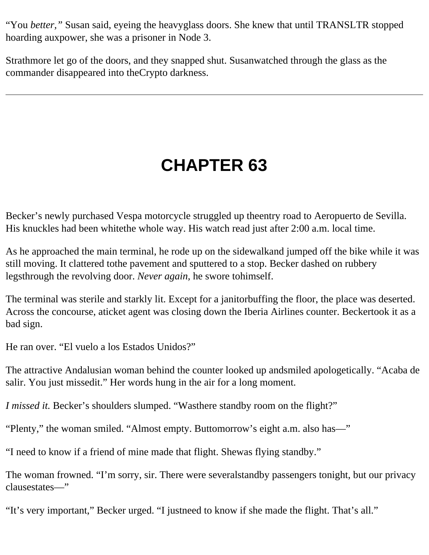"You *better,"* Susan said, eyeing the heavyglass doors. She knew that until TRANSLTR stopped hoarding auxpower, she was a prisoner in Node 3.

Strathmore let go of the doors, and they snapped shut. Susanwatched through the glass as the commander disappeared into theCrypto darkness.

#### **CHAPTER 63**

Becker's newly purchased Vespa motorcycle struggled up theentry road to Aeropuerto de Sevilla. His knuckles had been whitethe whole way. His watch read just after 2:00 a.m. local time.

As he approached the main terminal, he rode up on the sidewalkand jumped off the bike while it was still moving. It clattered tothe pavement and sputtered to a stop. Becker dashed on rubbery legsthrough the revolving door. *Never again,* he swore tohimself.

The terminal was sterile and starkly lit. Except for a janitorbuffing the floor, the place was deserted. Across the concourse, aticket agent was closing down the Iberia Airlines counter. Beckertook it as a bad sign.

He ran over. "El vuelo a los Estados Unidos?"

The attractive Andalusian woman behind the counter looked up andsmiled apologetically. "Acaba de salir. You just missedit." Her words hung in the air for a long moment.

*I* missed it. Becker's shoulders slumped. "Wasthere standby room on the flight?"

"Plenty," the woman smiled. "Almost empty. Buttomorrow's eight a.m. also has—"

"I need to know if a friend of mine made that flight. Shewas flying standby."

The woman frowned. "I'm sorry, sir. There were severalstandby passengers tonight, but our privacy clausestates—"

"It's very important," Becker urged. "I justneed to know if she made the flight. That's all."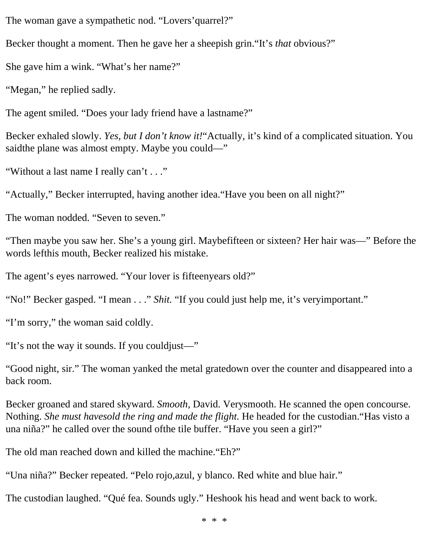The woman gave a sympathetic nod. "Lovers'quarrel?"

Becker thought a moment. Then he gave her a sheepish grin."It's *that* obvious?"

She gave him a wink. "What's her name?"

"Megan," he replied sadly.

The agent smiled. "Does your lady friend have a lastname?"

Becker exhaled slowly. *Yes, but I don't know it!*"Actually, it's kind of a complicated situation. You saidthe plane was almost empty. Maybe you could—"

"Without a last name I really can't . . ."

"Actually," Becker interrupted, having another idea."Have you been on all night?"

The woman nodded. "Seven to seven."

"Then maybe you saw her. She's a young girl. Maybefifteen or sixteen? Her hair was—" Before the words lefthis mouth, Becker realized his mistake.

The agent's eyes narrowed. "Your lover is fifteenyears old?"

"No!" Becker gasped. "I mean . . ." *Shit.* "If you could just help me, it's veryimportant."

"I'm sorry," the woman said coldly.

"It's not the way it sounds. If you couldjust—"

"Good night, sir." The woman yanked the metal gratedown over the counter and disappeared into a back room.

Becker groaned and stared skyward. *Smooth,* David. Verysmooth. He scanned the open concourse. Nothing. *She must havesold the ring and made the flight.* He headed for the custodian."Has visto a una niña?" he called over the sound ofthe tile buffer. "Have you seen a girl?"

The old man reached down and killed the machine."Eh?"

"Una niña?" Becker repeated. "Pelo rojo,azul, y blanco. Red white and blue hair."

The custodian laughed. "Qué fea. Sounds ugly." Heshook his head and went back to work.

\* \* \*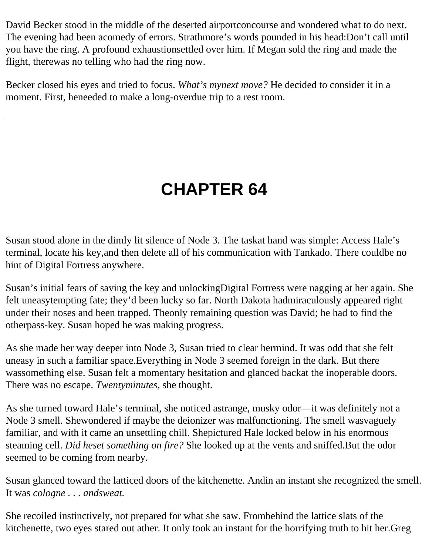David Becker stood in the middle of the deserted airportconcourse and wondered what to do next. The evening had been acomedy of errors. Strathmore's words pounded in his head:Don't call until you have the ring. A profound exhaustionsettled over him. If Megan sold the ring and made the flight, therewas no telling who had the ring now.

Becker closed his eyes and tried to focus. *What's mynext move?* He decided to consider it in a moment. First, heneeded to make a long-overdue trip to a rest room.

#### **CHAPTER 64**

Susan stood alone in the dimly lit silence of Node 3. The taskat hand was simple: Access Hale's terminal, locate his key,and then delete all of his communication with Tankado. There couldbe no hint of Digital Fortress anywhere.

Susan's initial fears of saving the key and unlockingDigital Fortress were nagging at her again. She felt uneasytempting fate; they'd been lucky so far. North Dakota hadmiraculously appeared right under their noses and been trapped. Theonly remaining question was David; he had to find the otherpass-key. Susan hoped he was making progress.

As she made her way deeper into Node 3, Susan tried to clear hermind. It was odd that she felt uneasy in such a familiar space.Everything in Node 3 seemed foreign in the dark. But there wassomething else. Susan felt a momentary hesitation and glanced backat the inoperable doors. There was no escape. *Twentyminutes,* she thought.

As she turned toward Hale's terminal, she noticed astrange, musky odor—it was definitely not a Node 3 smell. Shewondered if maybe the deionizer was malfunctioning. The smell wasvaguely familiar, and with it came an unsettling chill. Shepictured Hale locked below in his enormous steaming cell. *Did heset something on fire?* She looked up at the vents and sniffed.But the odor seemed to be coming from nearby.

Susan glanced toward the latticed doors of the kitchenette. Andin an instant she recognized the smell. It was *cologne . . . andsweat.*

She recoiled instinctively, not prepared for what she saw. Frombehind the lattice slats of the kitchenette, two eyes stared out ather. It only took an instant for the horrifying truth to hit her.Greg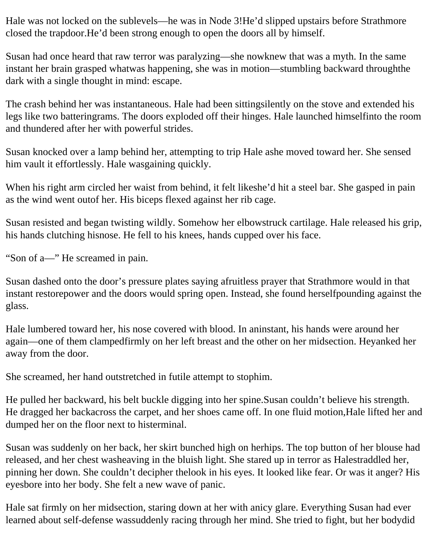Hale was not locked on the sublevels—he was in Node 3!He'd slipped upstairs before Strathmore closed the trapdoor.He'd been strong enough to open the doors all by himself.

Susan had once heard that raw terror was paralyzing—she nowknew that was a myth. In the same instant her brain grasped whatwas happening, she was in motion—stumbling backward throughthe dark with a single thought in mind: escape.

The crash behind her was instantaneous. Hale had been sittingsilently on the stove and extended his legs like two batteringrams. The doors exploded off their hinges. Hale launched himselfinto the room and thundered after her with powerful strides.

Susan knocked over a lamp behind her, attempting to trip Hale ashe moved toward her. She sensed him vault it effortlessly. Hale wasgaining quickly.

When his right arm circled her waist from behind, it felt likeshe'd hit a steel bar. She gasped in pain as the wind went outof her. His biceps flexed against her rib cage.

Susan resisted and began twisting wildly. Somehow her elbowstruck cartilage. Hale released his grip, his hands clutching hisnose. He fell to his knees, hands cupped over his face.

"Son of a—" He screamed in pain.

Susan dashed onto the door's pressure plates saying afruitless prayer that Strathmore would in that instant restorepower and the doors would spring open. Instead, she found herselfpounding against the glass.

Hale lumbered toward her, his nose covered with blood. In aninstant, his hands were around her again—one of them clampedfirmly on her left breast and the other on her midsection. Heyanked her away from the door.

She screamed, her hand outstretched in futile attempt to stophim.

He pulled her backward, his belt buckle digging into her spine.Susan couldn't believe his strength. He dragged her backacross the carpet, and her shoes came off. In one fluid motion,Hale lifted her and dumped her on the floor next to histerminal.

Susan was suddenly on her back, her skirt bunched high on herhips. The top button of her blouse had released, and her chest washeaving in the bluish light. She stared up in terror as Halestraddled her, pinning her down. She couldn't decipher thelook in his eyes. It looked like fear. Or was it anger? His eyesbore into her body. She felt a new wave of panic.

Hale sat firmly on her midsection, staring down at her with anicy glare. Everything Susan had ever learned about self-defense wassuddenly racing through her mind. She tried to fight, but her bodydid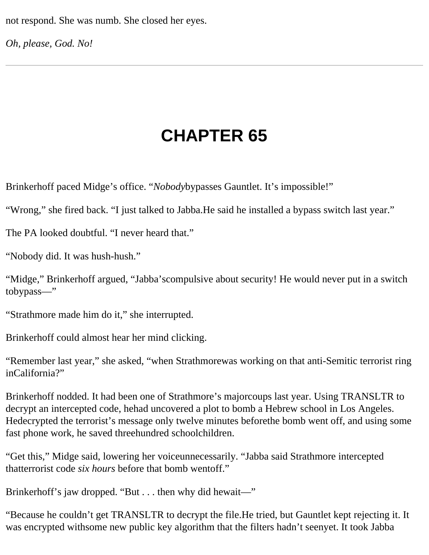*Oh, please, God. No!*

# **CHAPTER 65**

Brinkerhoff paced Midge's office. "*Nobody*bypasses Gauntlet. It's impossible!"

"Wrong," she fired back. "I just talked to Jabba.He said he installed a bypass switch last year."

The PA looked doubtful. "I never heard that."

"Nobody did. It was hush-hush."

"Midge," Brinkerhoff argued, "Jabba'scompulsive about security! He would never put in a switch tobypass—"

"Strathmore made him do it," she interrupted.

Brinkerhoff could almost hear her mind clicking.

"Remember last year," she asked, "when Strathmorewas working on that anti-Semitic terrorist ring inCalifornia?"

Brinkerhoff nodded. It had been one of Strathmore's majorcoups last year. Using TRANSLTR to decrypt an intercepted code, hehad uncovered a plot to bomb a Hebrew school in Los Angeles. Hedecrypted the terrorist's message only twelve minutes beforethe bomb went off, and using some fast phone work, he saved threehundred schoolchildren.

"Get this," Midge said, lowering her voiceunnecessarily. "Jabba said Strathmore intercepted thatterrorist code *six hours* before that bomb wentoff."

Brinkerhoff's jaw dropped. "But . . . then why did hewait—"

"Because he couldn't get TRANSLTR to decrypt the file.He tried, but Gauntlet kept rejecting it. It was encrypted withsome new public key algorithm that the filters hadn't seenyet. It took Jabba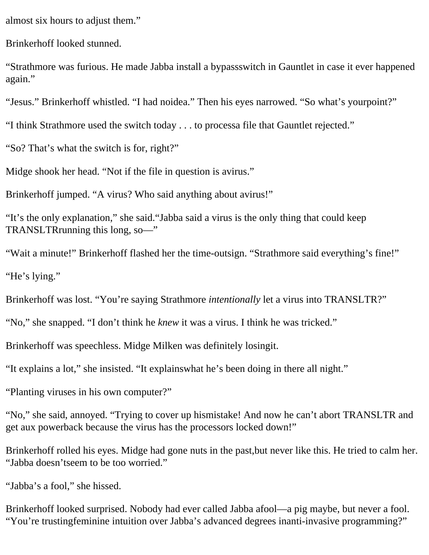almost six hours to adjust them."

Brinkerhoff looked stunned.

"Strathmore was furious. He made Jabba install a bypassswitch in Gauntlet in case it ever happened again."

"Jesus." Brinkerhoff whistled. "I had noidea." Then his eyes narrowed. "So what's yourpoint?"

"I think Strathmore used the switch today . . . to processa file that Gauntlet rejected."

"So? That's what the switch is for, right?"

Midge shook her head. "Not if the file in question is avirus."

Brinkerhoff jumped. "A virus? Who said anything about avirus!"

"It's the only explanation," she said."Jabba said a virus is the only thing that could keep TRANSLTRrunning this long, so—"

"Wait a minute!" Brinkerhoff flashed her the time-outsign. "Strathmore said everything's fine!" "He's lying."

Brinkerhoff was lost. "You're saying Strathmore *intentionally* let a virus into TRANSLTR?"

"No," she snapped. "I don't think he *knew* it was a virus. I think he was tricked."

Brinkerhoff was speechless. Midge Milken was definitely losingit.

"It explains a lot," she insisted. "It explainswhat he's been doing in there all night."

"Planting viruses in his own computer?"

"No," she said, annoyed. "Trying to cover up hismistake! And now he can't abort TRANSLTR and get aux powerback because the virus has the processors locked down!"

Brinkerhoff rolled his eyes. Midge had gone nuts in the past,but never like this. He tried to calm her. "Jabba doesn'tseem to be too worried."

"Jabba's a fool," she hissed.

Brinkerhoff looked surprised. Nobody had ever called Jabba afool—a pig maybe, but never a fool. "You're trustingfeminine intuition over Jabba's advanced degrees inanti-invasive programming?"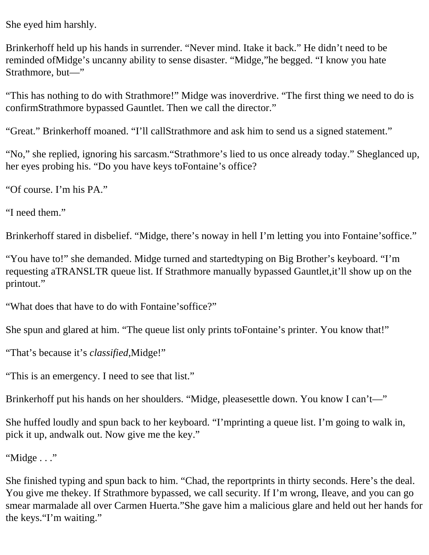She eyed him harshly.

Brinkerhoff held up his hands in surrender. "Never mind. Itake it back." He didn't need to be reminded ofMidge's uncanny ability to sense disaster. "Midge,"he begged. "I know you hate Strathmore, but—"

"This has nothing to do with Strathmore!" Midge was inoverdrive. "The first thing we need to do is confirmStrathmore bypassed Gauntlet. Then we call the director."

"Great." Brinkerhoff moaned. "I'll callStrathmore and ask him to send us a signed statement."

"No," she replied, ignoring his sarcasm."Strathmore's lied to us once already today." Sheglanced up, her eyes probing his. "Do you have keys toFontaine's office?

"Of course. I'm his PA."

"I need them."

Brinkerhoff stared in disbelief. "Midge, there's noway in hell I'm letting you into Fontaine'soffice."

"You have to!" she demanded. Midge turned and startedtyping on Big Brother's keyboard. "I'm requesting aTRANSLTR queue list. If Strathmore manually bypassed Gauntlet,it'll show up on the printout."

"What does that have to do with Fontaine'soffice?"

She spun and glared at him. "The queue list only prints toFontaine's printer. You know that!"

"That's because it's *classified,*Midge!"

"This is an emergency. I need to see that list."

Brinkerhoff put his hands on her shoulders. "Midge, pleasesettle down. You know I can't—"

She huffed loudly and spun back to her keyboard. "I'mprinting a queue list. I'm going to walk in, pick it up, andwalk out. Now give me the key."

"Midge . . ."

She finished typing and spun back to him. "Chad, the reportprints in thirty seconds. Here's the deal. You give me thekey. If Strathmore bypassed, we call security. If I'm wrong, Ileave, and you can go smear marmalade all over Carmen Huerta."She gave him a malicious glare and held out her hands for the keys."I'm waiting."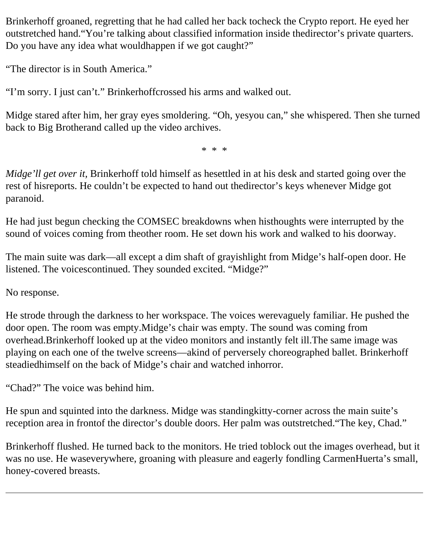Brinkerhoff groaned, regretting that he had called her back tocheck the Crypto report. He eyed her outstretched hand."You're talking about classified information inside thedirector's private quarters. Do you have any idea what wouldhappen if we got caught?"

"The director is in South America."

"I'm sorry. I just can't." Brinkerhoffcrossed his arms and walked out.

Midge stared after him, her gray eyes smoldering. "Oh, yesyou can," she whispered. Then she turned back to Big Brotherand called up the video archives.

\* \* \*

*Midge'll get over it,* Brinkerhoff told himself as hesettled in at his desk and started going over the rest of hisreports. He couldn't be expected to hand out thedirector's keys whenever Midge got paranoid.

He had just begun checking the COMSEC breakdowns when histhoughts were interrupted by the sound of voices coming from theother room. He set down his work and walked to his doorway.

The main suite was dark—all except a dim shaft of grayishlight from Midge's half-open door. He listened. The voicescontinued. They sounded excited. "Midge?"

No response.

He strode through the darkness to her workspace. The voices werevaguely familiar. He pushed the door open. The room was empty.Midge's chair was empty. The sound was coming from overhead.Brinkerhoff looked up at the video monitors and instantly felt ill.The same image was playing on each one of the twelve screens—akind of perversely choreographed ballet. Brinkerhoff steadiedhimself on the back of Midge's chair and watched inhorror.

"Chad?" The voice was behind him.

He spun and squinted into the darkness. Midge was standingkitty-corner across the main suite's reception area in frontof the director's double doors. Her palm was outstretched."The key, Chad."

Brinkerhoff flushed. He turned back to the monitors. He tried toblock out the images overhead, but it was no use. He waseverywhere, groaning with pleasure and eagerly fondling CarmenHuerta's small, honey-covered breasts.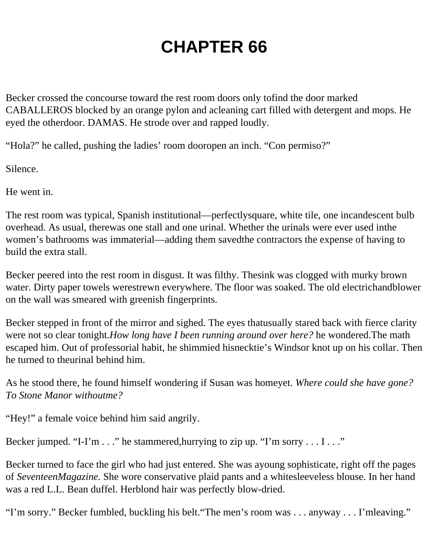## **CHAPTER 66**

Becker crossed the concourse toward the rest room doors only tofind the door marked CABALLEROS blocked by an orange pylon and acleaning cart filled with detergent and mops. He eyed the otherdoor. DAMAS. He strode over and rapped loudly.

"Hola?" he called, pushing the ladies' room dooropen an inch. "Con permiso?"

Silence.

He went in.

The rest room was typical, Spanish institutional—perfectlysquare, white tile, one incandescent bulb overhead. As usual, therewas one stall and one urinal. Whether the urinals were ever used inthe women's bathrooms was immaterial—adding them savedthe contractors the expense of having to build the extra stall.

Becker peered into the rest room in disgust. It was filthy. Thesink was clogged with murky brown water. Dirty paper towels werestrewn everywhere. The floor was soaked. The old electrichandblower on the wall was smeared with greenish fingerprints.

Becker stepped in front of the mirror and sighed. The eyes thatusually stared back with fierce clarity were not so clear tonight.*How long have I been running around over here?* he wondered.The math escaped him. Out of professorial habit, he shimmied hisnecktie's Windsor knot up on his collar. Then he turned to theurinal behind him.

As he stood there, he found himself wondering if Susan was homeyet. *Where could she have gone? To Stone Manor withoutme?*

"Hey!" a female voice behind him said angrily.

Becker jumped. "I-I'm  $\dots$ " he stammered, hurrying to zip up. "I'm sorry  $\dots$  I $\dots$ "

Becker turned to face the girl who had just entered. She was ayoung sophisticate, right off the pages of *SeventeenMagazine.* She wore conservative plaid pants and a whitesleeveless blouse. In her hand was a red L.L. Bean duffel. Herblond hair was perfectly blow-dried.

"I'm sorry." Becker fumbled, buckling his belt."The men's room was . . . anyway . . . I'mleaving."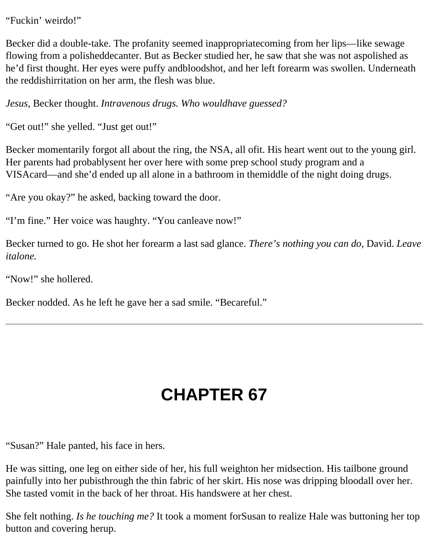"Fuckin' weirdo!"

Becker did a double-take. The profanity seemed inappropriatecoming from her lips—like sewage flowing from a polisheddecanter. But as Becker studied her, he saw that she was not aspolished as he'd first thought. Her eyes were puffy andbloodshot, and her left forearm was swollen. Underneath the reddishirritation on her arm, the flesh was blue.

*Jesus,* Becker thought. *Intravenous drugs. Who wouldhave guessed?*

"Get out!" she yelled. "Just get out!"

Becker momentarily forgot all about the ring, the NSA, all ofit. His heart went out to the young girl. Her parents had probablysent her over here with some prep school study program and a VISAcard—and she'd ended up all alone in a bathroom in themiddle of the night doing drugs.

"Are you okay?" he asked, backing toward the door.

"I'm fine." Her voice was haughty. "You canleave now!"

Becker turned to go. He shot her forearm a last sad glance. *There's nothing you can do,* David. *Leave italone.*

"Now!" she hollered.

Becker nodded. As he left he gave her a sad smile. "Becareful."

#### **CHAPTER 67**

"Susan?" Hale panted, his face in hers.

He was sitting, one leg on either side of her, his full weighton her midsection. His tailbone ground painfully into her pubisthrough the thin fabric of her skirt. His nose was dripping bloodall over her. She tasted vomit in the back of her throat. His handswere at her chest.

She felt nothing. *Is he touching me?* It took a moment forSusan to realize Hale was buttoning her top button and covering herup.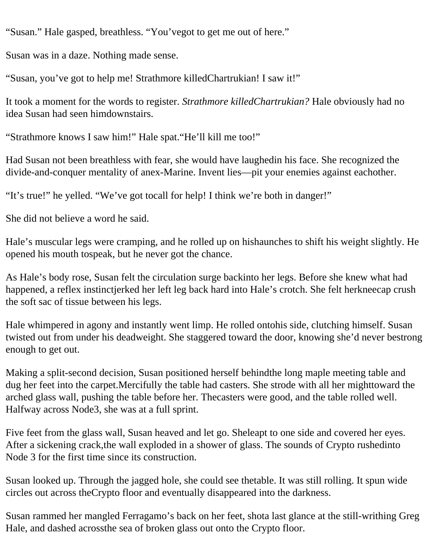"Susan." Hale gasped, breathless. "You'vegot to get me out of here."

Susan was in a daze. Nothing made sense.

"Susan, you've got to help me! Strathmore killedChartrukian! I saw it!"

It took a moment for the words to register. *Strathmore killedChartrukian?* Hale obviously had no idea Susan had seen himdownstairs.

"Strathmore knows I saw him!" Hale spat."He'll kill me too!"

Had Susan not been breathless with fear, she would have laughedin his face. She recognized the divide-and-conquer mentality of anex-Marine. Invent lies—pit your enemies against eachother.

"It's true!" he yelled. "We've got tocall for help! I think we're both in danger!"

She did not believe a word he said.

Hale's muscular legs were cramping, and he rolled up on hishaunches to shift his weight slightly. He opened his mouth tospeak, but he never got the chance.

As Hale's body rose, Susan felt the circulation surge backinto her legs. Before she knew what had happened, a reflex instinctjerked her left leg back hard into Hale's crotch. She felt herkneecap crush the soft sac of tissue between his legs.

Hale whimpered in agony and instantly went limp. He rolled ontohis side, clutching himself. Susan twisted out from under his deadweight. She staggered toward the door, knowing she'd never bestrong enough to get out.

Making a split-second decision, Susan positioned herself behindthe long maple meeting table and dug her feet into the carpet.Mercifully the table had casters. She strode with all her mighttoward the arched glass wall, pushing the table before her. Thecasters were good, and the table rolled well. Halfway across Node3, she was at a full sprint.

Five feet from the glass wall, Susan heaved and let go. Sheleapt to one side and covered her eyes. After a sickening crack,the wall exploded in a shower of glass. The sounds of Crypto rushedinto Node 3 for the first time since its construction.

Susan looked up. Through the jagged hole, she could see thetable. It was still rolling. It spun wide circles out across theCrypto floor and eventually disappeared into the darkness.

Susan rammed her mangled Ferragamo's back on her feet, shota last glance at the still-writhing Greg Hale, and dashed acrossthe sea of broken glass out onto the Crypto floor.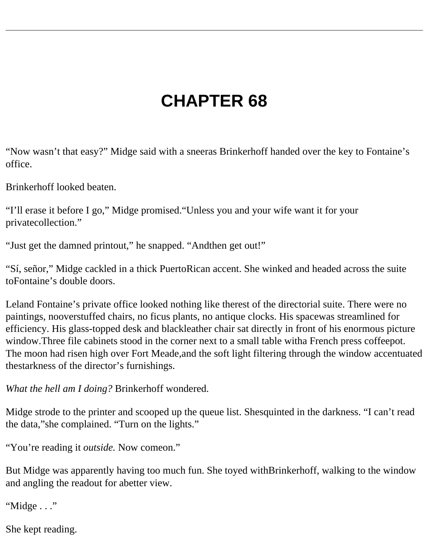#### **CHAPTER 68**

"Now wasn't that easy?" Midge said with a sneeras Brinkerhoff handed over the key to Fontaine's office.

Brinkerhoff looked beaten.

"I'll erase it before I go," Midge promised."Unless you and your wife want it for your privatecollection."

"Just get the damned printout," he snapped. "Andthen get out!"

"Sí, señor," Midge cackled in a thick PuertoRican accent. She winked and headed across the suite toFontaine's double doors.

Leland Fontaine's private office looked nothing like therest of the directorial suite. There were no paintings, nooverstuffed chairs, no ficus plants, no antique clocks. His spacewas streamlined for efficiency. His glass-topped desk and blackleather chair sat directly in front of his enormous picture window.Three file cabinets stood in the corner next to a small table witha French press coffeepot. The moon had risen high over Fort Meade,and the soft light filtering through the window accentuated thestarkness of the director's furnishings.

*What the hell am I doing?* Brinkerhoff wondered.

Midge strode to the printer and scooped up the queue list. Shesquinted in the darkness. "I can't read the data,"she complained. "Turn on the lights."

"You're reading it *outside.* Now comeon."

But Midge was apparently having too much fun. She toyed withBrinkerhoff, walking to the window and angling the readout for abetter view.

"Midge  $\ldots$ "

She kept reading.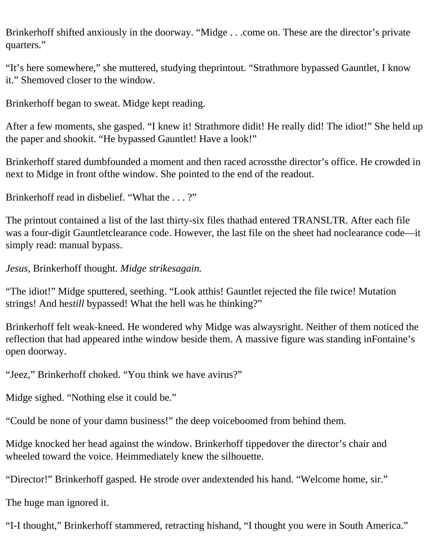Brinkerhoff shifted anxiously in the doorway. "Midge . . .come on. These are the director's private quarters."

"It's here somewhere," she muttered, studying theprintout. "Strathmore bypassed Gauntlet, I know it." Shemoved closer to the window.

Brinkerhoff began to sweat. Midge kept reading.

After a few moments, she gasped. "I knew it! Strathmore didit! He really did! The idiot!" She held up the paper and shookit. "He bypassed Gauntlet! Have a look!"

Brinkerhoff stared dumbfounded a moment and then raced acrossthe director's office. He crowded in next to Midge in front ofthe window. She pointed to the end of the readout.

Brinkerhoff read in disbelief. "What the ...?"

The printout contained a list of the last thirty-six files thathad entered TRANSLTR. After each file was a four-digit Gauntletclearance code. However, the last file on the sheet had noclearance code—it simply read: manual bypass.

*Jesus,* Brinkerhoff thought. *Midge strikesagain.*

"The idiot!" Midge sputtered, seething. "Look atthis! Gauntlet rejected the file twice! Mutation strings! And he*still* bypassed! What the hell was he thinking?"

Brinkerhoff felt weak-kneed. He wondered why Midge was alwaysright. Neither of them noticed the reflection that had appeared inthe window beside them. A massive figure was standing inFontaine's open doorway.

"Jeez," Brinkerhoff choked. "You think we have avirus?"

Midge sighed. "Nothing else it could be."

"Could be none of your damn business!" the deep voiceboomed from behind them.

Midge knocked her head against the window. Brinkerhoff tippedover the director's chair and wheeled toward the voice. Heimmediately knew the silhouette.

"Director!" Brinkerhoff gasped. He strode over andextended his hand. "Welcome home, sir."

The huge man ignored it.

"I-I thought," Brinkerhoff stammered, retracting hishand, "I thought you were in South America."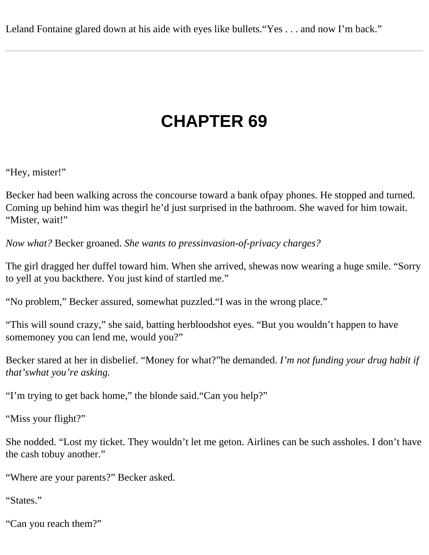Leland Fontaine glared down at his aide with eyes like bullets."Yes . . . and now I'm back."

## **CHAPTER 69**

"Hey, mister!"

Becker had been walking across the concourse toward a bank ofpay phones. He stopped and turned. Coming up behind him was thegirl he'd just surprised in the bathroom. She waved for him towait. "Mister, wait!"

*Now what?* Becker groaned. *She wants to pressinvasion-of-privacy charges?*

The girl dragged her duffel toward him. When she arrived, shewas now wearing a huge smile. "Sorry to yell at you backthere. You just kind of startled me."

"No problem," Becker assured, somewhat puzzled."I was in the wrong place."

"This will sound crazy," she said, batting herbloodshot eyes. "But you wouldn't happen to have somemoney you can lend me, would you?"

Becker stared at her in disbelief. "Money for what?"he demanded. *I'm not funding your drug habit if that'swhat you're asking.*

"I'm trying to get back home," the blonde said."Can you help?"

"Miss your flight?"

She nodded. "Lost my ticket. They wouldn't let me geton. Airlines can be such assholes. I don't have the cash tobuy another."

"Where are your parents?" Becker asked.

"States."

"Can you reach them?"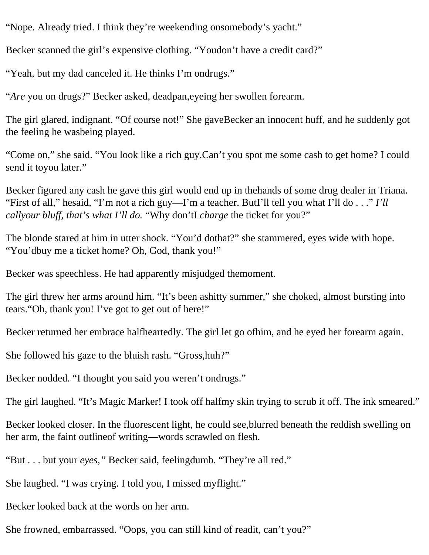"Nope. Already tried. I think they're weekending onsomebody's yacht."

Becker scanned the girl's expensive clothing. "Youdon't have a credit card?"

"Yeah, but my dad canceled it. He thinks I'm ondrugs."

"*Are* you on drugs?" Becker asked, deadpan,eyeing her swollen forearm.

The girl glared, indignant. "Of course not!" She gaveBecker an innocent huff, and he suddenly got the feeling he wasbeing played.

"Come on," she said. "You look like a rich guy.Can't you spot me some cash to get home? I could send it toyou later."

Becker figured any cash he gave this girl would end up in thehands of some drug dealer in Triana. "First of all," hesaid, "I'm not a rich guy—I'm a teacher. ButI'll tell you what I'll do . . ." *I'll callyour bluff, that's what I'll do.* "Why don'tI *charge* the ticket for you?"

The blonde stared at him in utter shock. "You'd dothat?" she stammered, eyes wide with hope. "You'dbuy me a ticket home? Oh, God, thank you!"

Becker was speechless. He had apparently misjudged themoment.

The girl threw her arms around him. "It's been ashitty summer," she choked, almost bursting into tears."Oh, thank you! I've got to get out of here!"

Becker returned her embrace halfheartedly. The girl let go ofhim, and he eyed her forearm again.

She followed his gaze to the bluish rash. "Gross,huh?"

Becker nodded. "I thought you said you weren't ondrugs."

The girl laughed. "It's Magic Marker! I took off halfmy skin trying to scrub it off. The ink smeared."

Becker looked closer. In the fluorescent light, he could see,blurred beneath the reddish swelling on her arm, the faint outlineof writing—words scrawled on flesh.

"But . . . but your *eyes,"* Becker said, feelingdumb. "They're all red."

She laughed. "I was crying. I told you, I missed myflight."

Becker looked back at the words on her arm.

She frowned, embarrassed. "Oops, you can still kind of readit, can't you?"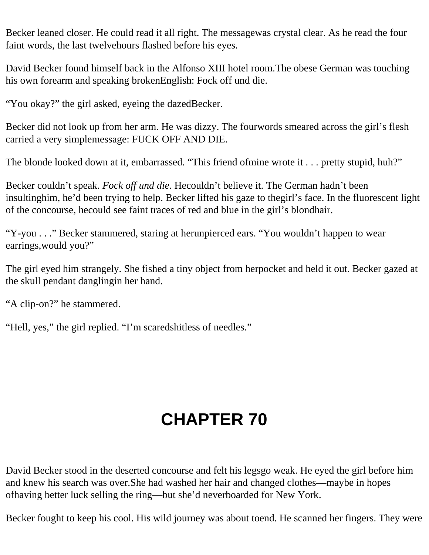Becker leaned closer. He could read it all right. The messagewas crystal clear. As he read the four faint words, the last twelvehours flashed before his eyes.

David Becker found himself back in the Alfonso XIII hotel room.The obese German was touching his own forearm and speaking brokenEnglish: Fock off und die.

"You okay?" the girl asked, eyeing the dazedBecker.

Becker did not look up from her arm. He was dizzy. The fourwords smeared across the girl's flesh carried a very simplemessage: FUCK OFF AND DIE.

The blonde looked down at it, embarrassed. "This friend ofmine wrote it . . . pretty stupid, huh?"

Becker couldn't speak. *Fock off und die.* Hecouldn't believe it. The German hadn't been insultinghim, he'd been trying to help. Becker lifted his gaze to thegirl's face. In the fluorescent light of the concourse, hecould see faint traces of red and blue in the girl's blondhair.

"Y-you . . ." Becker stammered, staring at herunpierced ears. "You wouldn't happen to wear earrings,would you?"

The girl eyed him strangely. She fished a tiny object from herpocket and held it out. Becker gazed at the skull pendant danglingin her hand.

"A clip-on?" he stammered.

"Hell, yes," the girl replied. "I'm scaredshitless of needles."

# **CHAPTER 70**

David Becker stood in the deserted concourse and felt his legsgo weak. He eyed the girl before him and knew his search was over.She had washed her hair and changed clothes—maybe in hopes ofhaving better luck selling the ring—but she'd neverboarded for New York.

Becker fought to keep his cool. His wild journey was about toend. He scanned her fingers. They were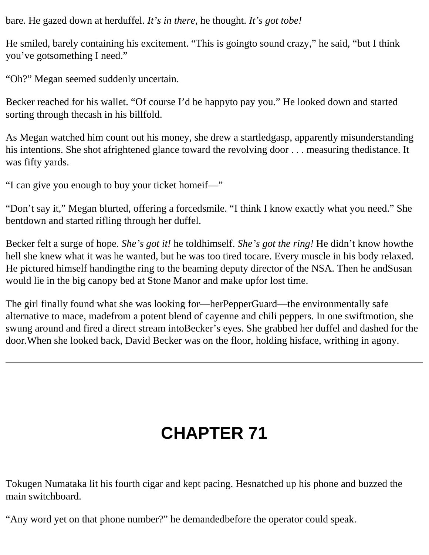bare. He gazed down at herduffel. *It's in there,* he thought. *It's got tobe!*

He smiled, barely containing his excitement. "This is goingto sound crazy," he said, "but I think you've gotsomething I need."

"Oh?" Megan seemed suddenly uncertain.

Becker reached for his wallet. "Of course I'd be happyto pay you." He looked down and started sorting through thecash in his billfold.

As Megan watched him count out his money, she drew a startledgasp, apparently misunderstanding his intentions. She shot afrightened glance toward the revolving door . . . measuring thedistance. It was fifty yards.

"I can give you enough to buy your ticket homeif—"

"Don't say it," Megan blurted, offering a forcedsmile. "I think I know exactly what you need." She bentdown and started rifling through her duffel.

Becker felt a surge of hope. *She's got it!* he toldhimself. *She's got the ring!* He didn't know howthe hell she knew what it was he wanted, but he was too tired tocare. Every muscle in his body relaxed. He pictured himself handingthe ring to the beaming deputy director of the NSA. Then he andSusan would lie in the big canopy bed at Stone Manor and make upfor lost time.

The girl finally found what she was looking for—herPepperGuard—the environmentally safe alternative to mace, madefrom a potent blend of cayenne and chili peppers. In one swiftmotion, she swung around and fired a direct stream intoBecker's eyes. She grabbed her duffel and dashed for the door.When she looked back, David Becker was on the floor, holding hisface, writhing in agony.

## **CHAPTER 71**

Tokugen Numataka lit his fourth cigar and kept pacing. Hesnatched up his phone and buzzed the main switchboard.

"Any word yet on that phone number?" he demandedbefore the operator could speak.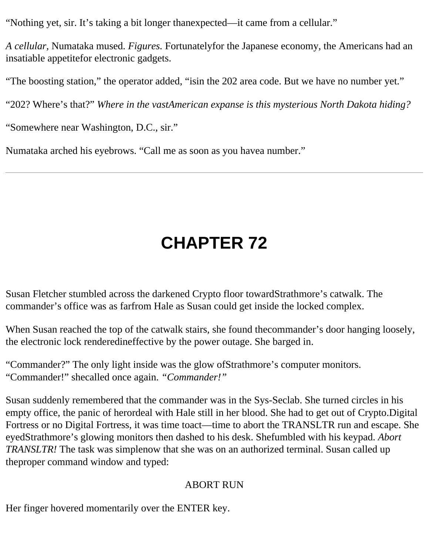"Nothing yet, sir. It's taking a bit longer thanexpected—it came from a cellular."

*A cellular,* Numataka mused. *Figures.* Fortunatelyfor the Japanese economy, the Americans had an insatiable appetitefor electronic gadgets.

"The boosting station," the operator added, "isin the 202 area code. But we have no number yet."

"202? Where's that?" *Where in the vastAmerican expanse is this mysterious North Dakota hiding?*

"Somewhere near Washington, D.C., sir."

Numataka arched his eyebrows. "Call me as soon as you havea number."

## **CHAPTER 72**

Susan Fletcher stumbled across the darkened Crypto floor towardStrathmore's catwalk. The commander's office was as farfrom Hale as Susan could get inside the locked complex.

When Susan reached the top of the catwalk stairs, she found thecommander's door hanging loosely, the electronic lock renderedineffective by the power outage. She barged in.

"Commander?" The only light inside was the glow ofStrathmore's computer monitors. "Commander!" shecalled once again. *"Commander!"*

Susan suddenly remembered that the commander was in the Sys-Seclab. She turned circles in his empty office, the panic of herordeal with Hale still in her blood. She had to get out of Crypto.Digital Fortress or no Digital Fortress, it was time toact—time to abort the TRANSLTR run and escape. She eyedStrathmore's glowing monitors then dashed to his desk. Shefumbled with his keypad. *Abort TRANSLTR!* The task was simplenow that she was on an authorized terminal. Susan called up theproper command window and typed:

#### ABORT RUN

Her finger hovered momentarily over the ENTER key.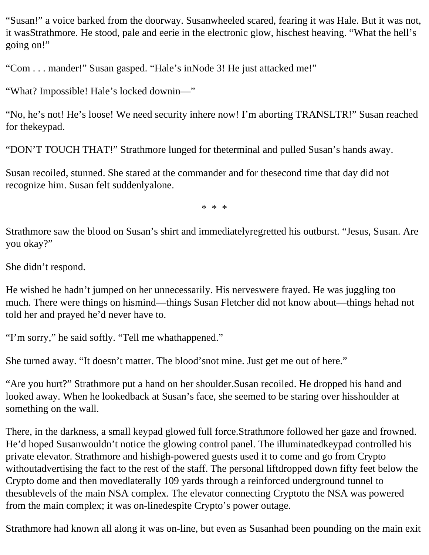"Susan!" a voice barked from the doorway. Susanwheeled scared, fearing it was Hale. But it was not, it wasStrathmore. He stood, pale and eerie in the electronic glow, hischest heaving. "What the hell's going on!"

"Com . . . mander!" Susan gasped. "Hale's inNode 3! He just attacked me!"

"What? Impossible! Hale's locked downin—"

"No, he's not! He's loose! We need security inhere now! I'm aborting TRANSLTR!" Susan reached for thekeypad.

"DON'T TOUCH THAT!" Strathmore lunged for theterminal and pulled Susan's hands away.

Susan recoiled, stunned. She stared at the commander and for thesecond time that day did not recognize him. Susan felt suddenlyalone.

\* \* \*

Strathmore saw the blood on Susan's shirt and immediatelyregretted his outburst. "Jesus, Susan. Are you okay?"

She didn't respond.

He wished he hadn't jumped on her unnecessarily. His nerveswere frayed. He was juggling too much. There were things on hismind—things Susan Fletcher did not know about—things hehad not told her and prayed he'd never have to.

"I'm sorry," he said softly. "Tell me whathappened."

She turned away. "It doesn't matter. The blood'snot mine. Just get me out of here."

"Are you hurt?" Strathmore put a hand on her shoulder.Susan recoiled. He dropped his hand and looked away. When he lookedback at Susan's face, she seemed to be staring over hisshoulder at something on the wall.

There, in the darkness, a small keypad glowed full force.Strathmore followed her gaze and frowned. He'd hoped Susanwouldn't notice the glowing control panel. The illuminatedkeypad controlled his private elevator. Strathmore and hishigh-powered guests used it to come and go from Crypto withoutadvertising the fact to the rest of the staff. The personal liftdropped down fifty feet below the Crypto dome and then movedlaterally 109 yards through a reinforced underground tunnel to thesublevels of the main NSA complex. The elevator connecting Cryptoto the NSA was powered from the main complex; it was on-linedespite Crypto's power outage.

Strathmore had known all along it was on-line, but even as Susanhad been pounding on the main exit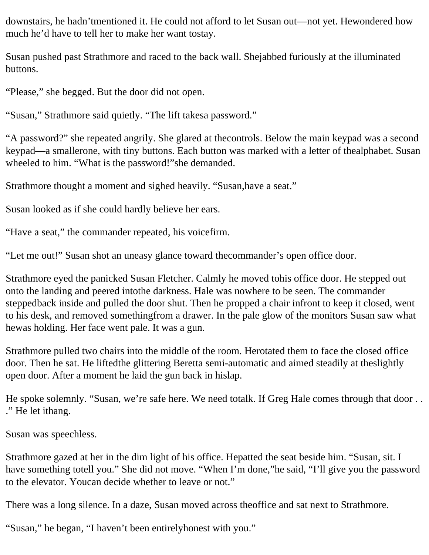downstairs, he hadn'tmentioned it. He could not afford to let Susan out—not yet. Hewondered how much he'd have to tell her to make her want tostay.

Susan pushed past Strathmore and raced to the back wall. Shejabbed furiously at the illuminated buttons.

"Please," she begged. But the door did not open.

"Susan," Strathmore said quietly. "The lift takesa password."

"A password?" she repeated angrily. She glared at thecontrols. Below the main keypad was a second keypad—a smallerone, with tiny buttons. Each button was marked with a letter of thealphabet. Susan wheeled to him. "What is the password!"she demanded.

Strathmore thought a moment and sighed heavily. "Susan,have a seat."

Susan looked as if she could hardly believe her ears.

"Have a seat," the commander repeated, his voicefirm.

"Let me out!" Susan shot an uneasy glance toward thecommander's open office door.

Strathmore eyed the panicked Susan Fletcher. Calmly he moved tohis office door. He stepped out onto the landing and peered intothe darkness. Hale was nowhere to be seen. The commander steppedback inside and pulled the door shut. Then he propped a chair infront to keep it closed, went to his desk, and removed somethingfrom a drawer. In the pale glow of the monitors Susan saw what hewas holding. Her face went pale. It was a gun.

Strathmore pulled two chairs into the middle of the room. Herotated them to face the closed office door. Then he sat. He liftedthe glittering Beretta semi-automatic and aimed steadily at theslightly open door. After a moment he laid the gun back in hislap.

He spoke solemnly. "Susan, we're safe here. We need totalk. If Greg Hale comes through that door . . ." He let ithang.

Susan was speechless.

Strathmore gazed at her in the dim light of his office. Hepatted the seat beside him. "Susan, sit. I have something totell you." She did not move. "When I'm done,"he said, "I'll give you the password to the elevator. Youcan decide whether to leave or not."

There was a long silence. In a daze, Susan moved across theoffice and sat next to Strathmore.

"Susan," he began, "I haven't been entirelyhonest with you."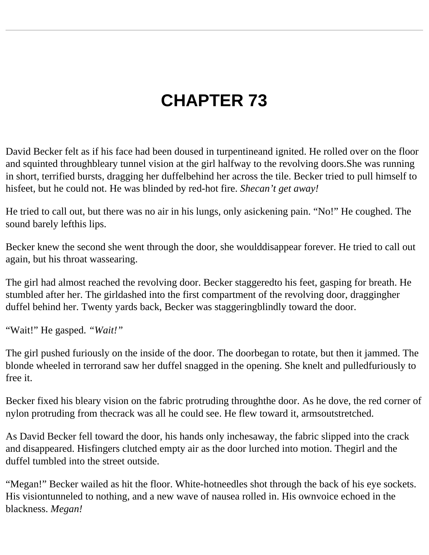David Becker felt as if his face had been doused in turpentineand ignited. He rolled over on the floor and squinted throughbleary tunnel vision at the girl halfway to the revolving doors.She was running in short, terrified bursts, dragging her duffelbehind her across the tile. Becker tried to pull himself to hisfeet, but he could not. He was blinded by red-hot fire. *Shecan't get away!*

He tried to call out, but there was no air in his lungs, only asickening pain. "No!" He coughed. The sound barely lefthis lips.

Becker knew the second she went through the door, she woulddisappear forever. He tried to call out again, but his throat wassearing.

The girl had almost reached the revolving door. Becker staggeredto his feet, gasping for breath. He stumbled after her. The girldashed into the first compartment of the revolving door, draggingher duffel behind her. Twenty yards back, Becker was staggeringblindly toward the door.

"Wait!" He gasped. *"Wait!"*

The girl pushed furiously on the inside of the door. The doorbegan to rotate, but then it jammed. The blonde wheeled in terrorand saw her duffel snagged in the opening. She knelt and pulledfuriously to free it.

Becker fixed his bleary vision on the fabric protruding throughthe door. As he dove, the red corner of nylon protruding from thecrack was all he could see. He flew toward it, armsoutstretched.

As David Becker fell toward the door, his hands only inchesaway, the fabric slipped into the crack and disappeared. Hisfingers clutched empty air as the door lurched into motion. Thegirl and the duffel tumbled into the street outside.

"Megan!" Becker wailed as hit the floor. White-hotneedles shot through the back of his eye sockets. His visiontunneled to nothing, and a new wave of nausea rolled in. His ownvoice echoed in the blackness. *Megan!*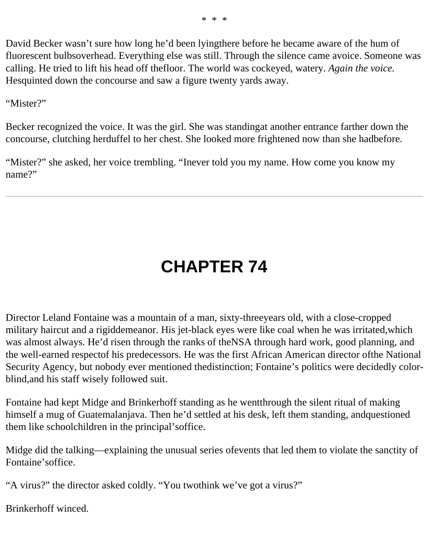David Becker wasn't sure how long he'd been lyingthere before he became aware of the hum of fluorescent bulbsoverhead. Everything else was still. Through the silence came avoice. Someone was calling. He tried to lift his head off thefloor. The world was cockeyed, watery. *Again the voice.* Hesquinted down the concourse and saw a figure twenty yards away.

"Mister?"

Becker recognized the voice. It was the girl. She was standingat another entrance farther down the concourse, clutching herduffel to her chest. She looked more frightened now than she hadbefore.

"Mister?" she asked, her voice trembling. "Inever told you my name. How come you know my name?"

## **CHAPTER 74**

Director Leland Fontaine was a mountain of a man, sixty-threeyears old, with a close-cropped military haircut and a rigiddemeanor. His jet-black eyes were like coal when he was irritated,which was almost always. He'd risen through the ranks of theNSA through hard work, good planning, and the well-earned respectof his predecessors. He was the first African American director ofthe National Security Agency, but nobody ever mentioned thedistinction; Fontaine's politics were decidedly colorblind,and his staff wisely followed suit.

Fontaine had kept Midge and Brinkerhoff standing as he wentthrough the silent ritual of making himself a mug of Guatemalanjava. Then he'd settled at his desk, left them standing, andquestioned them like schoolchildren in the principal'soffice.

Midge did the talking—explaining the unusual series ofevents that led them to violate the sanctity of Fontaine'soffice.

"A virus?" the director asked coldly. "You twothink we've got a virus?"

Brinkerhoff winced.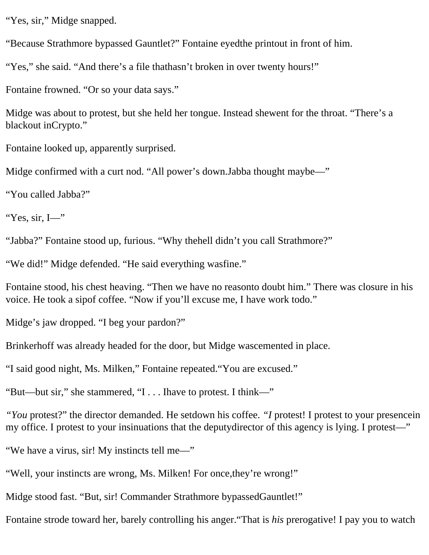"Yes, sir," Midge snapped.

"Because Strathmore bypassed Gauntlet?" Fontaine eyedthe printout in front of him.

"Yes," she said. "And there's a file thathasn't broken in over twenty hours!"

Fontaine frowned. "Or so your data says."

Midge was about to protest, but she held her tongue. Instead shewent for the throat. "There's a blackout inCrypto."

Fontaine looked up, apparently surprised.

Midge confirmed with a curt nod. "All power's down.Jabba thought maybe—"

"You called Jabba?"

"Yes, sir, I—"

"Jabba?" Fontaine stood up, furious. "Why thehell didn't you call Strathmore?"

"We did!" Midge defended. "He said everything wasfine."

Fontaine stood, his chest heaving. "Then we have no reasonto doubt him." There was closure in his voice. He took a sipof coffee. "Now if you'll excuse me, I have work todo."

Midge's jaw dropped. "I beg your pardon?"

Brinkerhoff was already headed for the door, but Midge wascemented in place.

"I said good night, Ms. Milken," Fontaine repeated."You are excused."

"But—but sir," she stammered, "I . . . Ihave to protest. I think—"

*"You* protest?" the director demanded. He setdown his coffee. *"I* protest! I protest to your presencein my office. I protest to your insinuations that the deputydirector of this agency is lying. I protest—"

"We have a virus, sir! My instincts tell me—"

"Well, your instincts are wrong, Ms. Milken! For once,they're wrong!"

Midge stood fast. "But, sir! Commander Strathmore bypassedGauntlet!"

Fontaine strode toward her, barely controlling his anger."That is *his* prerogative! I pay you to watch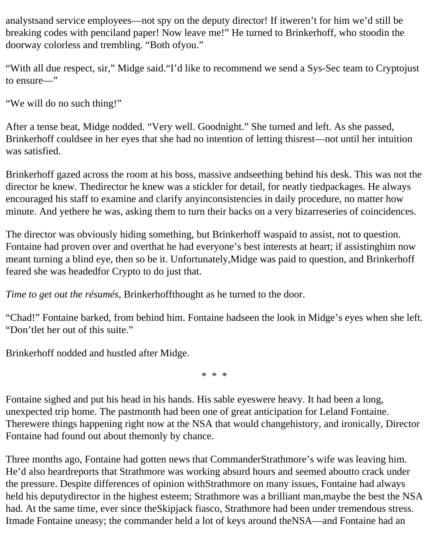analystsand service employees—not spy on the deputy director! If itweren't for him we'd still be breaking codes with penciland paper! Now leave me!" He turned to Brinkerhoff, who stoodin the doorway colorless and trembling. "Both ofyou."

"With all due respect, sir," Midge said."I'd like to recommend we send a Sys-Sec team to Cryptojust to ensure—"

"We will do no such thing!"

After a tense beat, Midge nodded. "Very well. Goodnight." She turned and left. As she passed, Brinkerhoff couldsee in her eyes that she had no intention of letting thisrest—not until her intuition was satisfied.

Brinkerhoff gazed across the room at his boss, massive andseething behind his desk. This was not the director he knew. Thedirector he knew was a stickler for detail, for neatly tiedpackages. He always encouraged his staff to examine and clarify anyinconsistencies in daily procedure, no matter how minute. And yethere he was, asking them to turn their backs on a very bizarreseries of coincidences.

The director was obviously hiding something, but Brinkerhoff waspaid to assist, not to question. Fontaine had proven over and overthat he had everyone's best interests at heart; if assistinghim now meant turning a blind eye, then so be it. Unfortunately,Midge was paid to question, and Brinkerhoff feared she was headedfor Crypto to do just that.

*Time to get out the résumés,* Brinkerhoffthought as he turned to the door.

"Chad!" Fontaine barked, from behind him. Fontaine hadseen the look in Midge's eyes when she left. "Don'tlet her out of this suite."

Brinkerhoff nodded and hustled after Midge.

\* \* \*

Fontaine sighed and put his head in his hands. His sable eyeswere heavy. It had been a long, unexpected trip home. The pastmonth had been one of great anticipation for Leland Fontaine. Therewere things happening right now at the NSA that would changehistory, and ironically, Director Fontaine had found out about themonly by chance.

Three months ago, Fontaine had gotten news that CommanderStrathmore's wife was leaving him. He'd also heardreports that Strathmore was working absurd hours and seemed aboutto crack under the pressure. Despite differences of opinion withStrathmore on many issues, Fontaine had always held his deputydirector in the highest esteem; Strathmore was a brilliant man,maybe the best the NSA had. At the same time, ever since theSkipjack fiasco, Strathmore had been under tremendous stress. Itmade Fontaine uneasy; the commander held a lot of keys around theNSA—and Fontaine had an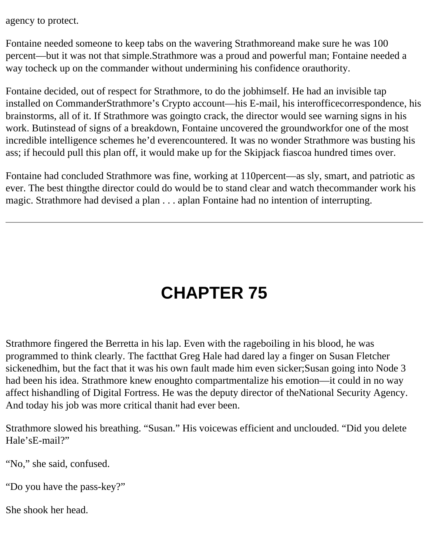agency to protect.

Fontaine needed someone to keep tabs on the wavering Strathmoreand make sure he was 100 percent—but it was not that simple.Strathmore was a proud and powerful man; Fontaine needed a way tocheck up on the commander without undermining his confidence orauthority.

Fontaine decided, out of respect for Strathmore, to do the jobhimself. He had an invisible tap installed on CommanderStrathmore's Crypto account—his E-mail, his interofficecorrespondence, his brainstorms, all of it. If Strathmore was goingto crack, the director would see warning signs in his work. Butinstead of signs of a breakdown, Fontaine uncovered the groundworkfor one of the most incredible intelligence schemes he'd everencountered. It was no wonder Strathmore was busting his ass; if hecould pull this plan off, it would make up for the Skipjack fiascoa hundred times over.

Fontaine had concluded Strathmore was fine, working at 110percent—as sly, smart, and patriotic as ever. The best thingthe director could do would be to stand clear and watch thecommander work his magic. Strathmore had devised a plan . . . aplan Fontaine had no intention of interrupting.

## **CHAPTER 75**

Strathmore fingered the Berretta in his lap. Even with the rageboiling in his blood, he was programmed to think clearly. The factthat Greg Hale had dared lay a finger on Susan Fletcher sickenedhim, but the fact that it was his own fault made him even sicker;Susan going into Node 3 had been his idea. Strathmore knew enoughto compartmentalize his emotion—it could in no way affect hishandling of Digital Fortress. He was the deputy director of theNational Security Agency. And today his job was more critical thanit had ever been.

Strathmore slowed his breathing. "Susan." His voicewas efficient and unclouded. "Did you delete Hale'sE-mail?"

"No," she said, confused.

"Do you have the pass-key?"

She shook her head.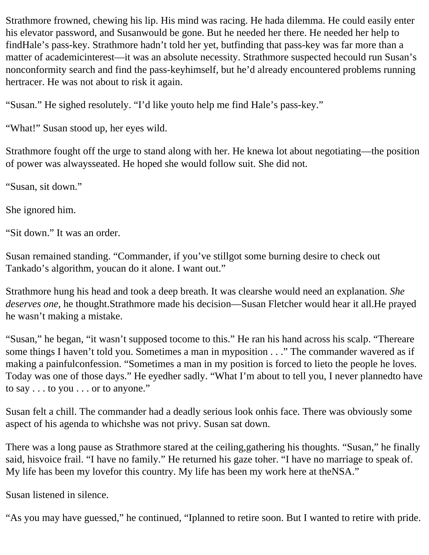Strathmore frowned, chewing his lip. His mind was racing. He hada dilemma. He could easily enter his elevator password, and Susanwould be gone. But he needed her there. He needed her help to findHale's pass-key. Strathmore hadn't told her yet, butfinding that pass-key was far more than a matter of academicinterest—it was an absolute necessity. Strathmore suspected hecould run Susan's nonconformity search and find the pass-keyhimself, but he'd already encountered problems running hertracer. He was not about to risk it again.

"Susan." He sighed resolutely. "I'd like youto help me find Hale's pass-key."

"What!" Susan stood up, her eyes wild.

Strathmore fought off the urge to stand along with her. He knewa lot about negotiating—the position of power was alwaysseated. He hoped she would follow suit. She did not.

"Susan, sit down."

She ignored him.

"Sit down." It was an order.

Susan remained standing. "Commander, if you've stillgot some burning desire to check out Tankado's algorithm, youcan do it alone. I want out."

Strathmore hung his head and took a deep breath. It was clearshe would need an explanation. *She deserves one,* he thought.Strathmore made his decision—Susan Fletcher would hear it all.He prayed he wasn't making a mistake.

"Susan," he began, "it wasn't supposed tocome to this." He ran his hand across his scalp. "Thereare some things I haven't told you. Sometimes a man in myposition . . ." The commander wavered as if making a painfulconfession. "Sometimes a man in my position is forced to lieto the people he loves. Today was one of those days." He eyedher sadly. "What I'm about to tell you, I never plannedto have to say . . . to you . . . or to anyone."

Susan felt a chill. The commander had a deadly serious look onhis face. There was obviously some aspect of his agenda to whichshe was not privy. Susan sat down.

There was a long pause as Strathmore stared at the ceiling,gathering his thoughts. "Susan," he finally said, hisvoice frail. "I have no family." He returned his gaze toher. "I have no marriage to speak of. My life has been my lovefor this country. My life has been my work here at theNSA."

Susan listened in silence.

"As you may have guessed," he continued, "Iplanned to retire soon. But I wanted to retire with pride.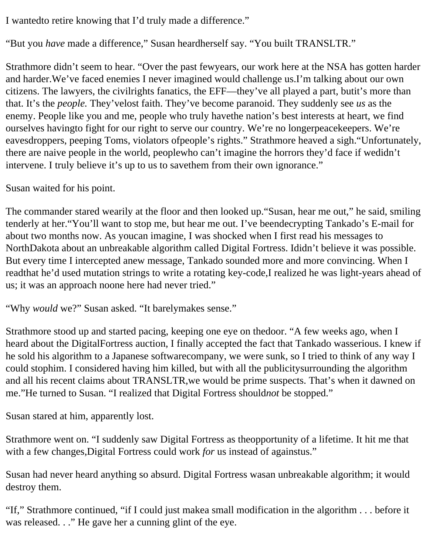I wantedto retire knowing that I'd truly made a difference."

"But you *have* made a difference," Susan heardherself say. "You built TRANSLTR."

Strathmore didn't seem to hear. "Over the past fewyears, our work here at the NSA has gotten harder and harder.We've faced enemies I never imagined would challenge us.I'm talking about our own citizens. The lawyers, the civilrights fanatics, the EFF—they've all played a part, butit's more than that. It's the *people.* They'velost faith. They've become paranoid. They suddenly see *us* as the enemy. People like you and me, people who truly havethe nation's best interests at heart, we find ourselves havingto fight for our right to serve our country. We're no longerpeacekeepers. We're eavesdroppers, peeping Toms, violators ofpeople's rights." Strathmore heaved a sigh."Unfortunately, there are naive people in the world, peoplewho can't imagine the horrors they'd face if wedidn't intervene. I truly believe it's up to us to save them from their own ignorance."

Susan waited for his point.

The commander stared wearily at the floor and then looked up."Susan, hear me out," he said, smiling tenderly at her."You'll want to stop me, but hear me out. I've beendecrypting Tankado's E-mail for about two months now. As youcan imagine, I was shocked when I first read his messages to NorthDakota about an unbreakable algorithm called Digital Fortress. Ididn't believe it was possible. But every time I intercepted anew message, Tankado sounded more and more convincing. When I readthat he'd used mutation strings to write a rotating key-code,I realized he was light-years ahead of us; it was an approach noone here had never tried."

"Why *would* we?" Susan asked. "It barelymakes sense."

Strathmore stood up and started pacing, keeping one eye on thedoor. "A few weeks ago, when I heard about the DigitalFortress auction, I finally accepted the fact that Tankado wasserious. I knew if he sold his algorithm to a Japanese softwarecompany, we were sunk, so I tried to think of any way I could stophim. I considered having him killed, but with all the publicitysurrounding the algorithm and all his recent claims about TRANSLTR,we would be prime suspects. That's when it dawned on me."He turned to Susan. "I realized that Digital Fortress should*not* be stopped."

Susan stared at him, apparently lost.

Strathmore went on. "I suddenly saw Digital Fortress as theopportunity of a lifetime. It hit me that with a few changes, Digital Fortress could work *for* us instead of againstus."

Susan had never heard anything so absurd. Digital Fortress wasan unbreakable algorithm; it would destroy them.

"If," Strathmore continued, "if I could just makea small modification in the algorithm . . . before it was released. . ." He gave her a cunning glint of the eye.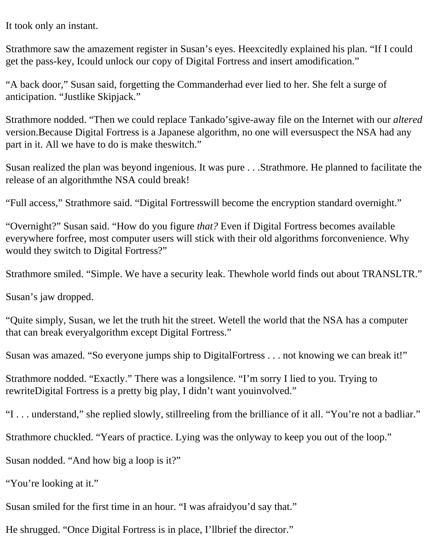It took only an instant.

Strathmore saw the amazement register in Susan's eyes. Heexcitedly explained his plan. "If I could get the pass-key, Icould unlock our copy of Digital Fortress and insert amodification."

"A back door," Susan said, forgetting the Commanderhad ever lied to her. She felt a surge of anticipation. "Justlike Skipjack."

Strathmore nodded. "Then we could replace Tankado'sgive-away file on the Internet with our *altered* version.Because Digital Fortress is a Japanese algorithm, no one will eversuspect the NSA had any part in it. All we have to do is make theswitch."

Susan realized the plan was beyond ingenious. It was pure . . .Strathmore. He planned to facilitate the release of an algorithmthe NSA could break!

"Full access," Strathmore said. "Digital Fortresswill become the encryption standard overnight."

"Overnight?" Susan said. "How do you figure *that?* Even if Digital Fortress becomes available everywhere forfree, most computer users will stick with their old algorithms forconvenience. Why would they switch to Digital Fortress?"

Strathmore smiled. "Simple. We have a security leak. Thewhole world finds out about TRANSLTR."

Susan's jaw dropped.

"Quite simply, Susan, we let the truth hit the street. Wetell the world that the NSA has a computer that can break everyalgorithm except Digital Fortress."

Susan was amazed. "So everyone jumps ship to DigitalFortress . . . not knowing we can break it!"

Strathmore nodded. "Exactly." There was a longsilence. "I'm sorry I lied to you. Trying to rewriteDigital Fortress is a pretty big play, I didn't want youinvolved."

"I . . . understand," she replied slowly, stillreeling from the brilliance of it all. "You're not a badliar."

Strathmore chuckled. "Years of practice. Lying was the onlyway to keep you out of the loop."

Susan nodded. "And how big a loop is it?"

"You're looking at it."

Susan smiled for the first time in an hour. "I was afraidyou'd say that."

He shrugged. "Once Digital Fortress is in place, I'llbrief the director."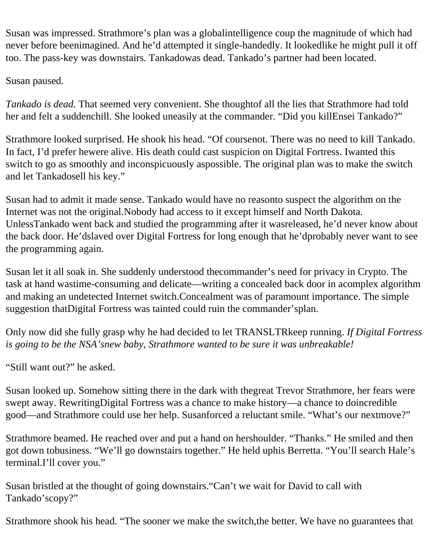Susan was impressed. Strathmore's plan was a globalintelligence coup the magnitude of which had never before beenimagined. And he'd attempted it single-handedly. It lookedlike he might pull it off too. The pass-key was downstairs. Tankadowas dead. Tankado's partner had been located.

Susan paused.

*Tankado is dead.* That seemed very convenient. She thoughtof all the lies that Strathmore had told her and felt a suddenchill. She looked uneasily at the commander. "Did you killEnsei Tankado?"

Strathmore looked surprised. He shook his head. "Of coursenot. There was no need to kill Tankado. In fact, I'd prefer hewere alive. His death could cast suspicion on Digital Fortress. Iwanted this switch to go as smoothly and inconspicuously aspossible. The original plan was to make the switch and let Tankadosell his key."

Susan had to admit it made sense. Tankado would have no reasonto suspect the algorithm on the Internet was not the original.Nobody had access to it except himself and North Dakota. UnlessTankado went back and studied the programming after it wasreleased, he'd never know about the back door. He'dslaved over Digital Fortress for long enough that he'dprobably never want to see the programming again.

Susan let it all soak in. She suddenly understood thecommander's need for privacy in Crypto. The task at hand wastime-consuming and delicate—writing a concealed back door in acomplex algorithm and making an undetected Internet switch.Concealment was of paramount importance. The simple suggestion thatDigital Fortress was tainted could ruin the commander'splan.

Only now did she fully grasp why he had decided to let TRANSLTRkeep running. *If Digital Fortress is going to be the NSA'snew baby, Strathmore wanted to be sure it was unbreakable!*

"Still want out?" he asked.

Susan looked up. Somehow sitting there in the dark with thegreat Trevor Strathmore, her fears were swept away. RewritingDigital Fortress was a chance to make history—a chance to doincredible good—and Strathmore could use her help. Susanforced a reluctant smile. "What's our nextmove?"

Strathmore beamed. He reached over and put a hand on hershoulder. "Thanks." He smiled and then got down tobusiness. "We'll go downstairs together." He held uphis Berretta. "You'll search Hale's terminal.I'll cover you."

Susan bristled at the thought of going downstairs."Can't we wait for David to call with Tankado'scopy?"

Strathmore shook his head. "The sooner we make the switch,the better. We have no guarantees that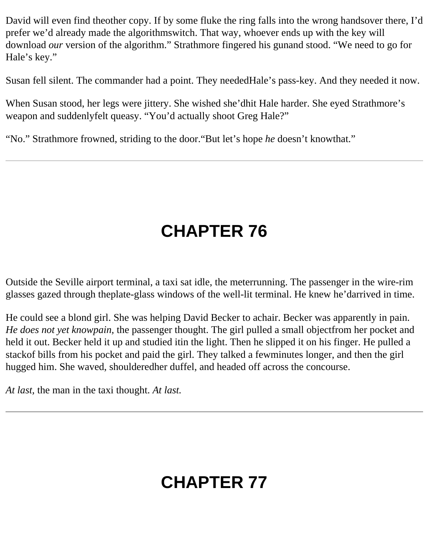David will even find theother copy. If by some fluke the ring falls into the wrong handsover there, I'd prefer we'd already made the algorithmswitch. That way, whoever ends up with the key will download *our* version of the algorithm." Strathmore fingered his gunand stood. "We need to go for Hale's key."

Susan fell silent. The commander had a point. They neededHale's pass-key. And they needed it now.

When Susan stood, her legs were jittery. She wished she'dhit Hale harder. She eyed Strathmore's weapon and suddenlyfelt queasy. "You'd actually shoot Greg Hale?"

"No." Strathmore frowned, striding to the door."But let's hope *he* doesn't knowthat."

# **CHAPTER 76**

Outside the Seville airport terminal, a taxi sat idle, the meterrunning. The passenger in the wire-rim glasses gazed through theplate-glass windows of the well-lit terminal. He knew he'darrived in time.

He could see a blond girl. She was helping David Becker to achair. Becker was apparently in pain. *He does not yet knowpain,* the passenger thought. The girl pulled a small objectfrom her pocket and held it out. Becker held it up and studied itin the light. Then he slipped it on his finger. He pulled a stackof bills from his pocket and paid the girl. They talked a fewminutes longer, and then the girl hugged him. She waved, shoulderedher duffel, and headed off across the concourse.

*At last,* the man in the taxi thought. *At last.*

# **CHAPTER 77**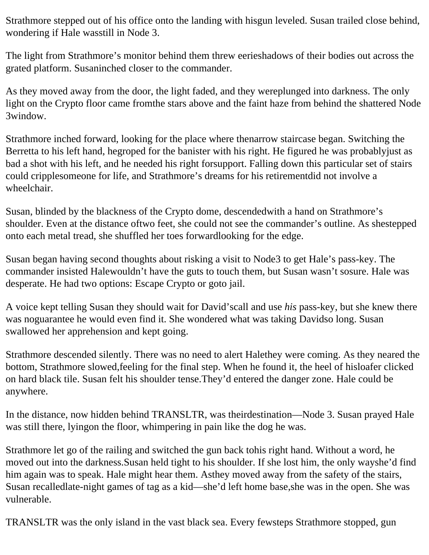Strathmore stepped out of his office onto the landing with hisgun leveled. Susan trailed close behind, wondering if Hale wasstill in Node 3.

The light from Strathmore's monitor behind them threw eerieshadows of their bodies out across the grated platform. Susaninched closer to the commander.

As they moved away from the door, the light faded, and they wereplunged into darkness. The only light on the Crypto floor came fromthe stars above and the faint haze from behind the shattered Node 3window.

Strathmore inched forward, looking for the place where thenarrow staircase began. Switching the Berretta to his left hand, hegroped for the banister with his right. He figured he was probablyjust as bad a shot with his left, and he needed his right forsupport. Falling down this particular set of stairs could cripplesomeone for life, and Strathmore's dreams for his retirementdid not involve a wheelchair.

Susan, blinded by the blackness of the Crypto dome, descendedwith a hand on Strathmore's shoulder. Even at the distance oftwo feet, she could not see the commander's outline. As shestepped onto each metal tread, she shuffled her toes forwardlooking for the edge.

Susan began having second thoughts about risking a visit to Node3 to get Hale's pass-key. The commander insisted Halewouldn't have the guts to touch them, but Susan wasn't sosure. Hale was desperate. He had two options: Escape Crypto or goto jail.

A voice kept telling Susan they should wait for David'scall and use *his* pass-key, but she knew there was noguarantee he would even find it. She wondered what was taking Davidso long. Susan swallowed her apprehension and kept going.

Strathmore descended silently. There was no need to alert Halethey were coming. As they neared the bottom, Strathmore slowed,feeling for the final step. When he found it, the heel of hisloafer clicked on hard black tile. Susan felt his shoulder tense.They'd entered the danger zone. Hale could be anywhere.

In the distance, now hidden behind TRANSLTR, was theirdestination—Node 3. Susan prayed Hale was still there, lyingon the floor, whimpering in pain like the dog he was.

Strathmore let go of the railing and switched the gun back tohis right hand. Without a word, he moved out into the darkness.Susan held tight to his shoulder. If she lost him, the only wayshe'd find him again was to speak. Hale might hear them. Asthey moved away from the safety of the stairs, Susan recalledlate-night games of tag as a kid—she'd left home base,she was in the open. She was vulnerable.

TRANSLTR was the only island in the vast black sea. Every fewsteps Strathmore stopped, gun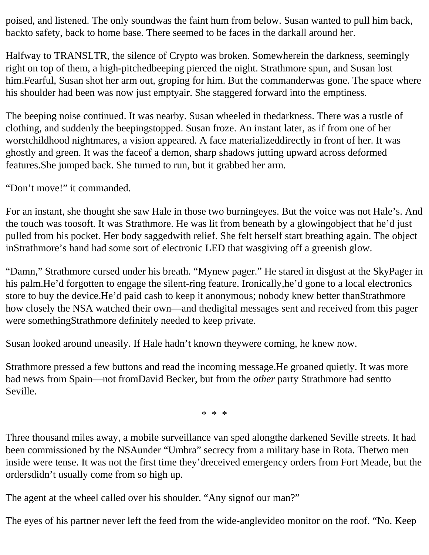poised, and listened. The only soundwas the faint hum from below. Susan wanted to pull him back, backto safety, back to home base. There seemed to be faces in the darkall around her.

Halfway to TRANSLTR, the silence of Crypto was broken. Somewherein the darkness, seemingly right on top of them, a high-pitchedbeeping pierced the night. Strathmore spun, and Susan lost him.Fearful, Susan shot her arm out, groping for him. But the commanderwas gone. The space where his shoulder had been was now just emptyair. She staggered forward into the emptiness.

The beeping noise continued. It was nearby. Susan wheeled in thedarkness. There was a rustle of clothing, and suddenly the beepingstopped. Susan froze. An instant later, as if from one of her worstchildhood nightmares, a vision appeared. A face materializeddirectly in front of her. It was ghostly and green. It was the faceof a demon, sharp shadows jutting upward across deformed features.She jumped back. She turned to run, but it grabbed her arm.

"Don't move!" it commanded.

For an instant, she thought she saw Hale in those two burningeyes. But the voice was not Hale's. And the touch was toosoft. It was Strathmore. He was lit from beneath by a glowingobject that he'd just pulled from his pocket. Her body saggedwith relief. She felt herself start breathing again. The object inStrathmore's hand had some sort of electronic LED that wasgiving off a greenish glow.

"Damn," Strathmore cursed under his breath. "Mynew pager." He stared in disgust at the SkyPager in his palm.He'd forgotten to engage the silent-ring feature. Ironically,he'd gone to a local electronics store to buy the device.He'd paid cash to keep it anonymous; nobody knew better thanStrathmore how closely the NSA watched their own—and thedigital messages sent and received from this pager were somethingStrathmore definitely needed to keep private.

Susan looked around uneasily. If Hale hadn't known theywere coming, he knew now.

Strathmore pressed a few buttons and read the incoming message.He groaned quietly. It was more bad news from Spain—not fromDavid Becker, but from the *other* party Strathmore had sentto Seville.

\* \* \*

Three thousand miles away, a mobile surveillance van sped alongthe darkened Seville streets. It had been commissioned by the NSAunder "Umbra" secrecy from a military base in Rota. Thetwo men inside were tense. It was not the first time they'dreceived emergency orders from Fort Meade, but the ordersdidn't usually come from so high up.

The agent at the wheel called over his shoulder. "Any signof our man?"

The eyes of his partner never left the feed from the wide-anglevideo monitor on the roof. "No. Keep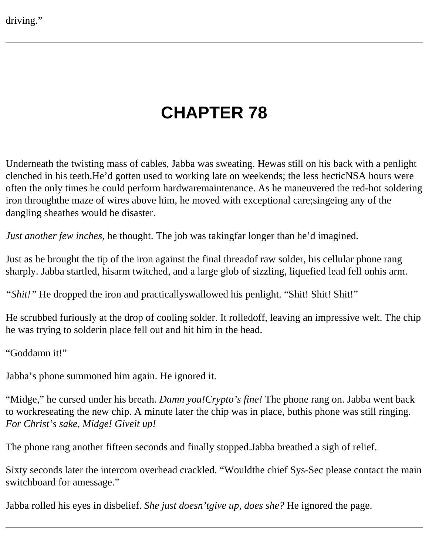Underneath the twisting mass of cables, Jabba was sweating. Hewas still on his back with a penlight clenched in his teeth.He'd gotten used to working late on weekends; the less hecticNSA hours were often the only times he could perform hardwaremaintenance. As he maneuvered the red-hot soldering iron throughthe maze of wires above him, he moved with exceptional care;singeing any of the dangling sheathes would be disaster.

*Just another few inches,* he thought. The job was takingfar longer than he'd imagined.

Just as he brought the tip of the iron against the final threadof raw solder, his cellular phone rang sharply. Jabba startled, hisarm twitched, and a large glob of sizzling, liquefied lead fell onhis arm.

*"Shit!"* He dropped the iron and practicallyswallowed his penlight. "Shit! Shit! Shit!"

He scrubbed furiously at the drop of cooling solder. It rolledoff, leaving an impressive welt. The chip he was trying to solderin place fell out and hit him in the head.

"Goddamn it!"

Jabba's phone summoned him again. He ignored it.

"Midge," he cursed under his breath. *Damn you!Crypto's fine!* The phone rang on. Jabba went back to workreseating the new chip. A minute later the chip was in place, buthis phone was still ringing. *For Christ's sake, Midge! Giveit up!*

The phone rang another fifteen seconds and finally stopped.Jabba breathed a sigh of relief.

Sixty seconds later the intercom overhead crackled. "Wouldthe chief Sys-Sec please contact the main switchboard for amessage."

Jabba rolled his eyes in disbelief. *She just doesn'tgive up, does she?* He ignored the page.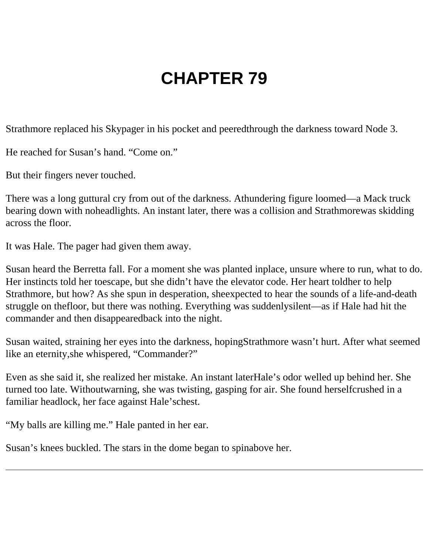Strathmore replaced his Skypager in his pocket and peeredthrough the darkness toward Node 3.

He reached for Susan's hand. "Come on."

But their fingers never touched.

There was a long guttural cry from out of the darkness. Athundering figure loomed—a Mack truck bearing down with noheadlights. An instant later, there was a collision and Strathmorewas skidding across the floor.

It was Hale. The pager had given them away.

Susan heard the Berretta fall. For a moment she was planted inplace, unsure where to run, what to do. Her instincts told her toescape, but she didn't have the elevator code. Her heart toldher to help Strathmore, but how? As she spun in desperation, sheexpected to hear the sounds of a life-and-death struggle on thefloor, but there was nothing. Everything was suddenlysilent—as if Hale had hit the commander and then disappearedback into the night.

Susan waited, straining her eyes into the darkness, hopingStrathmore wasn't hurt. After what seemed like an eternity,she whispered, "Commander?"

Even as she said it, she realized her mistake. An instant laterHale's odor welled up behind her. She turned too late. Withoutwarning, she was twisting, gasping for air. She found herselfcrushed in a familiar headlock, her face against Hale'schest.

"My balls are killing me." Hale panted in her ear.

Susan's knees buckled. The stars in the dome began to spinabove her.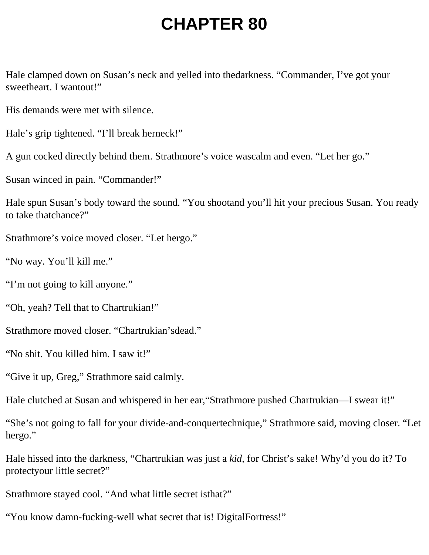Hale clamped down on Susan's neck and yelled into thedarkness. "Commander, I've got your sweetheart. I wantout!"

His demands were met with silence.

Hale's grip tightened. "I'll break herneck!"

A gun cocked directly behind them. Strathmore's voice wascalm and even. "Let her go."

Susan winced in pain. "Commander!"

Hale spun Susan's body toward the sound. "You shootand you'll hit your precious Susan. You ready to take thatchance?"

Strathmore's voice moved closer. "Let hergo."

"No way. You'll kill me."

"I'm not going to kill anyone."

"Oh, yeah? Tell that to Chartrukian!"

Strathmore moved closer. "Chartrukian'sdead."

"No shit. You killed him. I saw it!"

"Give it up, Greg," Strathmore said calmly.

Hale clutched at Susan and whispered in her ear,"Strathmore pushed Chartrukian—I swear it!"

"She's not going to fall for your divide-and-conquertechnique," Strathmore said, moving closer. "Let hergo."

Hale hissed into the darkness, "Chartrukian was just a *kid,* for Christ's sake! Why'd you do it? To protectyour little secret?"

Strathmore stayed cool. "And what little secret isthat?"

"You know damn-fucking-well what secret that is! DigitalFortress!"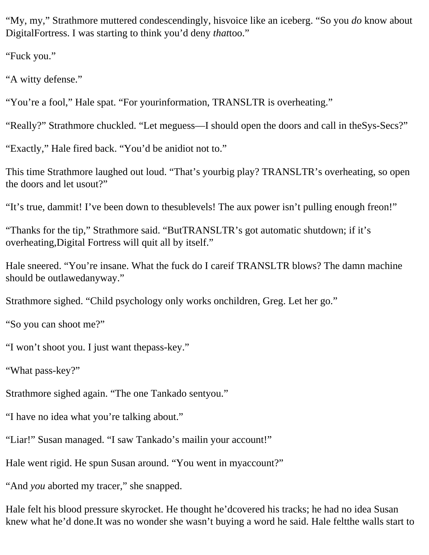"My, my," Strathmore muttered condescendingly, hisvoice like an iceberg. "So you *do* know about DigitalFortress. I was starting to think you'd deny *that*too."

"Fuck you."

"A witty defense."

"You're a fool," Hale spat. "For yourinformation, TRANSLTR is overheating."

"Really?" Strathmore chuckled. "Let meguess—I should open the doors and call in theSys-Secs?"

"Exactly," Hale fired back. "You'd be anidiot not to."

This time Strathmore laughed out loud. "That's yourbig play? TRANSLTR's overheating, so open the doors and let usout?"

"It's true, dammit! I've been down to thesublevels! The aux power isn't pulling enough freon!"

"Thanks for the tip," Strathmore said. "ButTRANSLTR's got automatic shutdown; if it's overheating,Digital Fortress will quit all by itself."

Hale sneered. "You're insane. What the fuck do I careif TRANSLTR blows? The damn machine should be outlawedanyway."

Strathmore sighed. "Child psychology only works onchildren, Greg. Let her go."

"So you can shoot me?"

"I won't shoot you. I just want thepass-key."

"What pass-key?"

Strathmore sighed again. "The one Tankado sentyou."

"I have no idea what you're talking about."

"Liar!" Susan managed. "I saw Tankado's mailin your account!"

Hale went rigid. He spun Susan around. "You went in myaccount?"

"And *you* aborted my tracer," she snapped.

Hale felt his blood pressure skyrocket. He thought he'dcovered his tracks; he had no idea Susan knew what he'd done.It was no wonder she wasn't buying a word he said. Hale feltthe walls start to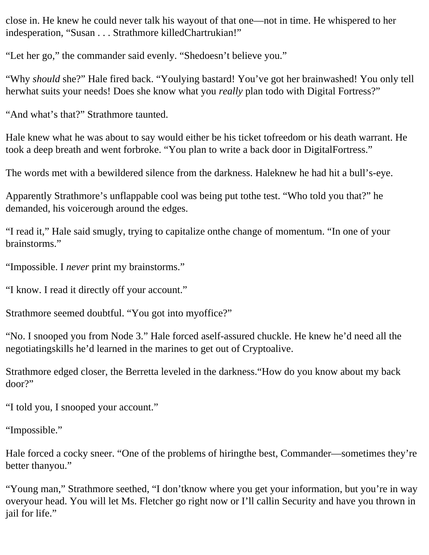close in. He knew he could never talk his wayout of that one—not in time. He whispered to her indesperation, "Susan . . . Strathmore killedChartrukian!"

"Let her go," the commander said evenly. "Shedoesn't believe you."

"Why *should* she?" Hale fired back. "Youlying bastard! You've got her brainwashed! You only tell herwhat suits your needs! Does she know what you *really* plan todo with Digital Fortress?"

"And what's that?" Strathmore taunted.

Hale knew what he was about to say would either be his ticket tofreedom or his death warrant. He took a deep breath and went forbroke. "You plan to write a back door in DigitalFortress."

The words met with a bewildered silence from the darkness. Haleknew he had hit a bull's-eye.

Apparently Strathmore's unflappable cool was being put tothe test. "Who told you that?" he demanded, his voicerough around the edges.

"I read it," Hale said smugly, trying to capitalize onthe change of momentum. "In one of your brainstorms."

"Impossible. I *never* print my brainstorms."

"I know. I read it directly off your account."

Strathmore seemed doubtful. "You got into myoffice?"

"No. I snooped you from Node 3." Hale forced aself-assured chuckle. He knew he'd need all the negotiatingskills he'd learned in the marines to get out of Cryptoalive.

Strathmore edged closer, the Berretta leveled in the darkness."How do you know about my back door?"

"I told you, I snooped your account."

"Impossible."

Hale forced a cocky sneer. "One of the problems of hiringthe best, Commander—sometimes they're better thanyou."

"Young man," Strathmore seethed, "I don'tknow where you get your information, but you're in way overyour head. You will let Ms. Fletcher go right now or I'll callin Security and have you thrown in jail for life."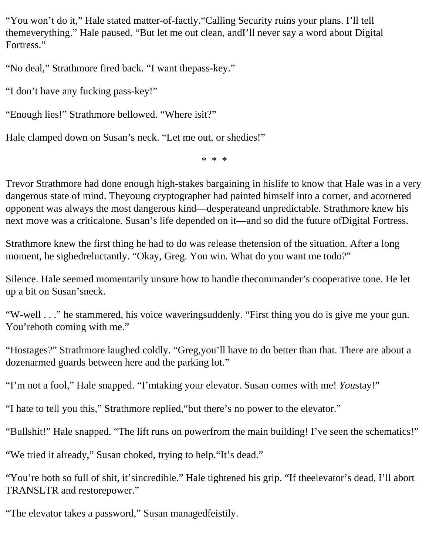"You won't do it," Hale stated matter-of-factly."Calling Security ruins your plans. I'll tell themeverything." Hale paused. "But let me out clean, andI'll never say a word about Digital Fortress."

"No deal," Strathmore fired back. "I want thepass-key."

"I don't have any fucking pass-key!"

"Enough lies!" Strathmore bellowed. "Where isit?"

Hale clamped down on Susan's neck. "Let me out, or shedies!"

\* \* \*

Trevor Strathmore had done enough high-stakes bargaining in hislife to know that Hale was in a very dangerous state of mind. Theyoung cryptographer had painted himself into a corner, and acornered opponent was always the most dangerous kind—desperateand unpredictable. Strathmore knew his next move was a criticalone. Susan's life depended on it—and so did the future ofDigital Fortress.

Strathmore knew the first thing he had to do was release thetension of the situation. After a long moment, he sighedreluctantly. "Okay, Greg. You win. What do you want me todo?"

Silence. Hale seemed momentarily unsure how to handle thecommander's cooperative tone. He let up a bit on Susan'sneck.

"W-well . . ." he stammered, his voice waveringsuddenly. "First thing you do is give me your gun. You'reboth coming with me."

"Hostages?" Strathmore laughed coldly. "Greg,you'll have to do better than that. There are about a dozenarmed guards between here and the parking lot."

"I'm not a fool," Hale snapped. "I'mtaking your elevator. Susan comes with me! *You*stay!"

"I hate to tell you this," Strathmore replied,"but there's no power to the elevator."

"Bullshit!" Hale snapped. "The lift runs on powerfrom the main building! I've seen the schematics!"

"We tried it already," Susan choked, trying to help."It's dead."

"You're both so full of shit, it'sincredible." Hale tightened his grip. "If theelevator's dead, I'll abort TRANSLTR and restorepower."

"The elevator takes a password," Susan managedfeistily.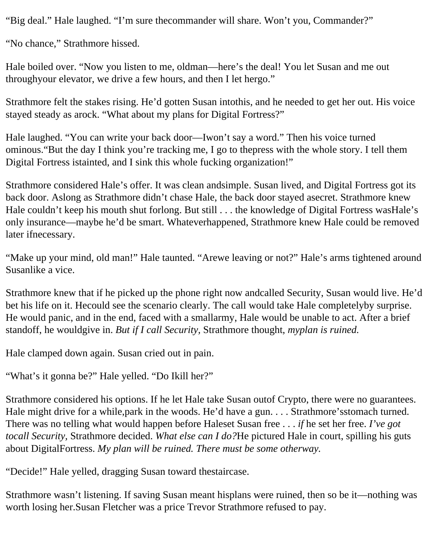"Big deal." Hale laughed. "I'm sure thecommander will share. Won't you, Commander?"

"No chance," Strathmore hissed.

Hale boiled over. "Now you listen to me, oldman—here's the deal! You let Susan and me out throughyour elevator, we drive a few hours, and then I let hergo."

Strathmore felt the stakes rising. He'd gotten Susan intothis, and he needed to get her out. His voice stayed steady as arock. "What about my plans for Digital Fortress?"

Hale laughed. "You can write your back door—Iwon't say a word." Then his voice turned ominous."But the day I think you're tracking me, I go to thepress with the whole story. I tell them Digital Fortress istainted, and I sink this whole fucking organization!"

Strathmore considered Hale's offer. It was clean andsimple. Susan lived, and Digital Fortress got its back door. Aslong as Strathmore didn't chase Hale, the back door stayed asecret. Strathmore knew Hale couldn't keep his mouth shut forlong. But still . . . the knowledge of Digital Fortress wasHale's only insurance—maybe he'd be smart. Whateverhappened, Strathmore knew Hale could be removed later ifnecessary.

"Make up your mind, old man!" Hale taunted. "Arewe leaving or not?" Hale's arms tightened around Susanlike a vice.

Strathmore knew that if he picked up the phone right now andcalled Security, Susan would live. He'd bet his life on it. Hecould see the scenario clearly. The call would take Hale completelyby surprise. He would panic, and in the end, faced with a smallarmy, Hale would be unable to act. After a brief standoff, he wouldgive in. *But if I call Security,* Strathmore thought, *myplan is ruined.*

Hale clamped down again. Susan cried out in pain.

"What's it gonna be?" Hale yelled. "Do Ikill her?"

Strathmore considered his options. If he let Hale take Susan outof Crypto, there were no guarantees. Hale might drive for a while, park in the woods. He'd have a gun. . . . Strathmore's stomach turned. There was no telling what would happen before Haleset Susan free . . . *if* he set her free. *I've got tocall Security,* Strathmore decided. *What else can I do?*He pictured Hale in court, spilling his guts about DigitalFortress. *My plan will be ruined. There must be some otherway.*

"Decide!" Hale yelled, dragging Susan toward thestaircase.

Strathmore wasn't listening. If saving Susan meant hisplans were ruined, then so be it—nothing was worth losing her.Susan Fletcher was a price Trevor Strathmore refused to pay.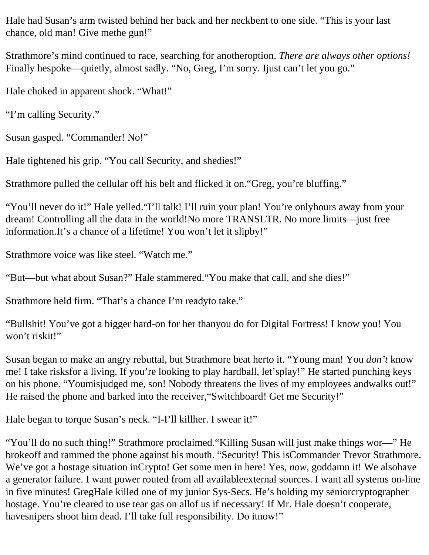Hale had Susan's arm twisted behind her back and her neckbent to one side. "This is your last chance, old man! Give methe gun!"

Strathmore's mind continued to race, searching for anotheroption. *There are always other options!* Finally hespoke—quietly, almost sadly. "No, Greg, I'm sorry. Ijust can't let you go."

Hale choked in apparent shock. "What!"

"I'm calling Security."

Susan gasped. "Commander! No!"

Hale tightened his grip. "You call Security, and shedies!"

Strathmore pulled the cellular off his belt and flicked it on."Greg, you're bluffing."

"You'll never do it!" Hale yelled."I'll talk! I'll ruin your plan! You're onlyhours away from your dream! Controlling all the data in the world!No more TRANSLTR. No more limits—just free information.It's a chance of a lifetime! You won't let it slipby!"

Strathmore voice was like steel. "Watch me."

"But—but what about Susan?" Hale stammered."You make that call, and she dies!"

Strathmore held firm. "That's a chance I'm readyto take."

"Bullshit! You've got a bigger hard-on for her thanyou do for Digital Fortress! I know you! You won't riskit!"

Susan began to make an angry rebuttal, but Strathmore beat herto it. "Young man! You *don't* know me! I take risksfor a living. If you're looking to play hardball, let'splay!" He started punching keys on his phone. "Youmisjudged me, son! Nobody threatens the lives of my employees andwalks out!" He raised the phone and barked into the receiver,"Switchboard! Get me Security!"

Hale began to torque Susan's neck. "I-I'll killher. I swear it!"

"You'll do no such thing!" Strathmore proclaimed."Killing Susan will just make things wor—" He brokeoff and rammed the phone against his mouth. "Security! This isCommander Trevor Strathmore. We've got a hostage situation inCrypto! Get some men in here! Yes, *now,* goddamn it! We alsohave a generator failure. I want power routed from all availableexternal sources. I want all systems on-line in five minutes! GregHale killed one of my junior Sys-Secs. He's holding my seniorcryptographer hostage. You're cleared to use tear gas on allof us if necessary! If Mr. Hale doesn't cooperate, havesnipers shoot him dead. I'll take full responsibility. Do itnow!"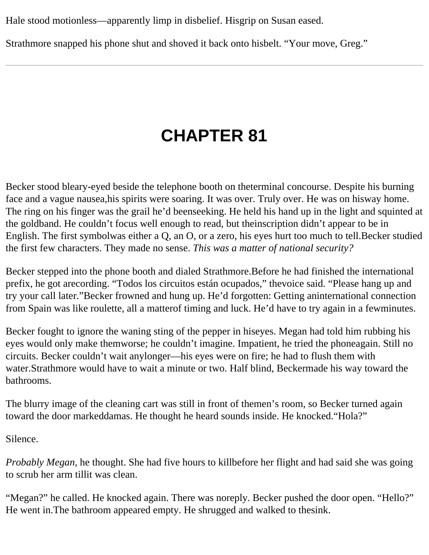Hale stood motionless—apparently limp in disbelief. Hisgrip on Susan eased.

Strathmore snapped his phone shut and shoved it back onto hisbelt. "Your move, Greg."

# **CHAPTER 81**

Becker stood bleary-eyed beside the telephone booth on theterminal concourse. Despite his burning face and a vague nausea,his spirits were soaring. It was over. Truly over. He was on hisway home. The ring on his finger was the grail he'd beenseeking. He held his hand up in the light and squinted at the goldband. He couldn't focus well enough to read, but theinscription didn't appear to be in English. The first symbolwas either a Q, an O, or a zero, his eyes hurt too much to tell.Becker studied the first few characters. They made no sense. *This was a matter of national security?*

Becker stepped into the phone booth and dialed Strathmore.Before he had finished the international prefix, he got arecording. "Todos los circuitos están ocupados," thevoice said. "Please hang up and try your call later."Becker frowned and hung up. He'd forgotten: Getting aninternational connection from Spain was like roulette, all a matterof timing and luck. He'd have to try again in a fewminutes.

Becker fought to ignore the waning sting of the pepper in hiseyes. Megan had told him rubbing his eyes would only make themworse; he couldn't imagine. Impatient, he tried the phoneagain. Still no circuits. Becker couldn't wait anylonger—his eyes were on fire; he had to flush them with water.Strathmore would have to wait a minute or two. Half blind, Beckermade his way toward the bathrooms.

The blurry image of the cleaning cart was still in front of themen's room, so Becker turned again toward the door markeddamas. He thought he heard sounds inside. He knocked."Hola?"

Silence.

*Probably Megan,* he thought. She had five hours to killbefore her flight and had said she was going to scrub her arm tillit was clean.

"Megan?" he called. He knocked again. There was noreply. Becker pushed the door open. "Hello?" He went in.The bathroom appeared empty. He shrugged and walked to thesink.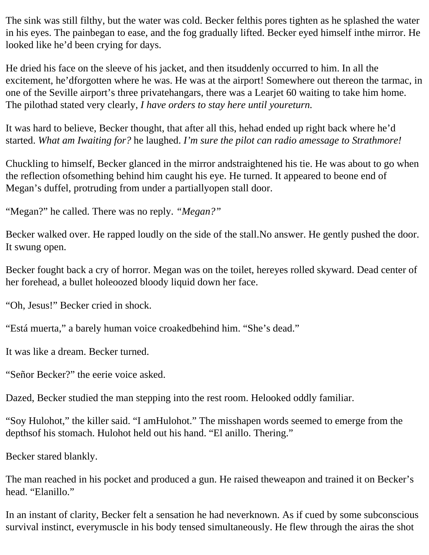The sink was still filthy, but the water was cold. Becker felthis pores tighten as he splashed the water in his eyes. The painbegan to ease, and the fog gradually lifted. Becker eyed himself inthe mirror. He looked like he'd been crying for days.

He dried his face on the sleeve of his jacket, and then itsuddenly occurred to him. In all the excitement, he'dforgotten where he was. He was at the airport! Somewhere out thereon the tarmac, in one of the Seville airport's three privatehangars, there was a Learjet 60 waiting to take him home. The pilothad stated very clearly, *I have orders to stay here until youreturn.*

It was hard to believe, Becker thought, that after all this, hehad ended up right back where he'd started. *What am Iwaiting for?* he laughed. *I'm sure the pilot can radio amessage to Strathmore!*

Chuckling to himself, Becker glanced in the mirror andstraightened his tie. He was about to go when the reflection ofsomething behind him caught his eye. He turned. It appeared to beone end of Megan's duffel, protruding from under a partiallyopen stall door.

"Megan?" he called. There was no reply. *"Megan?"*

Becker walked over. He rapped loudly on the side of the stall.No answer. He gently pushed the door. It swung open.

Becker fought back a cry of horror. Megan was on the toilet, hereyes rolled skyward. Dead center of her forehead, a bullet holeoozed bloody liquid down her face.

"Oh, Jesus!" Becker cried in shock.

"Está muerta," a barely human voice croakedbehind him. "She's dead."

It was like a dream. Becker turned.

"Señor Becker?" the eerie voice asked.

Dazed, Becker studied the man stepping into the rest room. Helooked oddly familiar.

"Soy Hulohot," the killer said. "I amHulohot." The misshapen words seemed to emerge from the depthsof his stomach. Hulohot held out his hand. "El anillo. Thering."

Becker stared blankly.

The man reached in his pocket and produced a gun. He raised theweapon and trained it on Becker's head. "Elanillo."

In an instant of clarity, Becker felt a sensation he had neverknown. As if cued by some subconscious survival instinct, everymuscle in his body tensed simultaneously. He flew through the airas the shot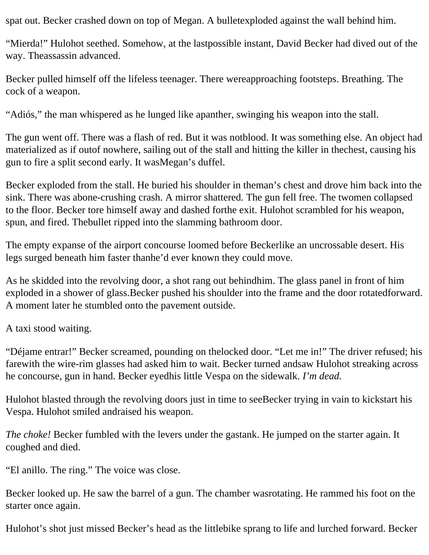spat out. Becker crashed down on top of Megan. A bulletexploded against the wall behind him.

"Mierda!" Hulohot seethed. Somehow, at the lastpossible instant, David Becker had dived out of the way. Theassassin advanced.

Becker pulled himself off the lifeless teenager. There wereapproaching footsteps. Breathing. The cock of a weapon.

"Adiós," the man whispered as he lunged like apanther, swinging his weapon into the stall.

The gun went off. There was a flash of red. But it was notblood. It was something else. An object had materialized as if outof nowhere, sailing out of the stall and hitting the killer in thechest, causing his gun to fire a split second early. It wasMegan's duffel.

Becker exploded from the stall. He buried his shoulder in theman's chest and drove him back into the sink. There was abone-crushing crash. A mirror shattered. The gun fell free. The twomen collapsed to the floor. Becker tore himself away and dashed forthe exit. Hulohot scrambled for his weapon, spun, and fired. Thebullet ripped into the slamming bathroom door.

The empty expanse of the airport concourse loomed before Beckerlike an uncrossable desert. His legs surged beneath him faster thanhe'd ever known they could move.

As he skidded into the revolving door, a shot rang out behindhim. The glass panel in front of him exploded in a shower of glass.Becker pushed his shoulder into the frame and the door rotatedforward. A moment later he stumbled onto the pavement outside.

A taxi stood waiting.

"Déjame entrar!" Becker screamed, pounding on thelocked door. "Let me in!" The driver refused; his farewith the wire-rim glasses had asked him to wait. Becker turned andsaw Hulohot streaking across he concourse, gun in hand. Becker eyedhis little Vespa on the sidewalk. *I'm dead.*

Hulohot blasted through the revolving doors just in time to seeBecker trying in vain to kickstart his Vespa. Hulohot smiled andraised his weapon.

*The choke!* Becker fumbled with the levers under the gastank. He jumped on the starter again. It coughed and died.

"El anillo. The ring." The voice was close.

Becker looked up. He saw the barrel of a gun. The chamber wasrotating. He rammed his foot on the starter once again.

Hulohot's shot just missed Becker's head as the littlebike sprang to life and lurched forward. Becker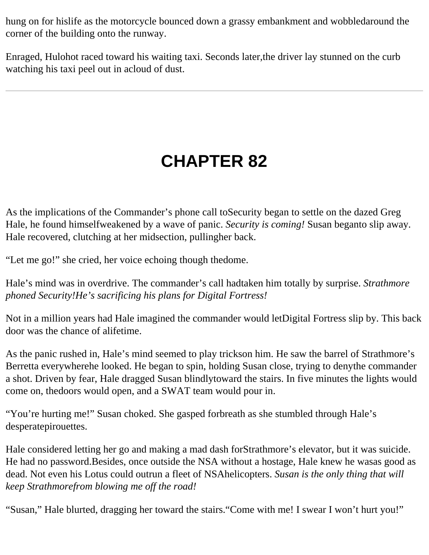hung on for hislife as the motorcycle bounced down a grassy embankment and wobbledaround the corner of the building onto the runway.

Enraged, Hulohot raced toward his waiting taxi. Seconds later,the driver lay stunned on the curb watching his taxi peel out in acloud of dust.

## **CHAPTER 82**

As the implications of the Commander's phone call toSecurity began to settle on the dazed Greg Hale, he found himselfweakened by a wave of panic. *Security is coming!* Susan beganto slip away. Hale recovered, clutching at her midsection, pullingher back.

"Let me go!" she cried, her voice echoing though thedome.

Hale's mind was in overdrive. The commander's call hadtaken him totally by surprise. *Strathmore phoned Security!He's sacrificing his plans for Digital Fortress!*

Not in a million years had Hale imagined the commander would letDigital Fortress slip by. This back door was the chance of alifetime.

As the panic rushed in, Hale's mind seemed to play trickson him. He saw the barrel of Strathmore's Berretta everywherehe looked. He began to spin, holding Susan close, trying to denythe commander a shot. Driven by fear, Hale dragged Susan blindlytoward the stairs. In five minutes the lights would come on, thedoors would open, and a SWAT team would pour in.

"You're hurting me!" Susan choked. She gasped forbreath as she stumbled through Hale's desperatepirouettes.

Hale considered letting her go and making a mad dash forStrathmore's elevator, but it was suicide. He had no password.Besides, once outside the NSA without a hostage, Hale knew he wasas good as dead. Not even his Lotus could outrun a fleet of NSAhelicopters. *Susan is the only thing that will keep Strathmorefrom blowing me off the road!*

"Susan," Hale blurted, dragging her toward the stairs."Come with me! I swear I won't hurt you!"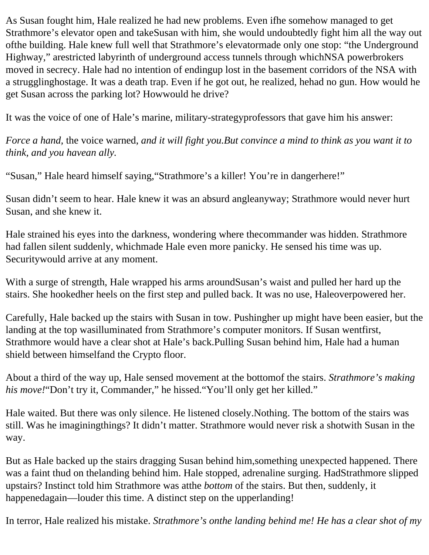As Susan fought him, Hale realized he had new problems. Even ifhe somehow managed to get Strathmore's elevator open and takeSusan with him, she would undoubtedly fight him all the way out ofthe building. Hale knew full well that Strathmore's elevatormade only one stop: "the Underground Highway," arestricted labyrinth of underground access tunnels through whichNSA powerbrokers moved in secrecy. Hale had no intention of endingup lost in the basement corridors of the NSA with a strugglinghostage. It was a death trap. Even if he got out, he realized, hehad no gun. How would he get Susan across the parking lot? Howwould he drive?

It was the voice of one of Hale's marine, military-strategyprofessors that gave him his answer:

*Force a hand,* the voice warned, *and it will fight you.But convince a mind to think as you want it to think, and you havean ally.*

"Susan," Hale heard himself saying,"Strathmore's a killer! You're in dangerhere!"

Susan didn't seem to hear. Hale knew it was an absurd angleanyway; Strathmore would never hurt Susan, and she knew it.

Hale strained his eyes into the darkness, wondering where thecommander was hidden. Strathmore had fallen silent suddenly, whichmade Hale even more panicky. He sensed his time was up. Securitywould arrive at any moment.

With a surge of strength, Hale wrapped his arms aroundSusan's waist and pulled her hard up the stairs. She hookedher heels on the first step and pulled back. It was no use, Haleoverpowered her.

Carefully, Hale backed up the stairs with Susan in tow. Pushingher up might have been easier, but the landing at the top wasilluminated from Strathmore's computer monitors. If Susan wentfirst, Strathmore would have a clear shot at Hale's back.Pulling Susan behind him, Hale had a human shield between himselfand the Crypto floor.

About a third of the way up, Hale sensed movement at the bottomof the stairs. *Strathmore's making his move!*"Don't try it, Commander," he hissed."You'll only get her killed."

Hale waited. But there was only silence. He listened closely.Nothing. The bottom of the stairs was still. Was he imaginingthings? It didn't matter. Strathmore would never risk a shotwith Susan in the way.

But as Hale backed up the stairs dragging Susan behind him,something unexpected happened. There was a faint thud on thelanding behind him. Hale stopped, adrenaline surging. HadStrathmore slipped upstairs? Instinct told him Strathmore was atthe *bottom* of the stairs. But then, suddenly, it happenedagain—louder this time. A distinct step on the upperlanding!

In terror, Hale realized his mistake. *Strathmore's onthe landing behind me! He has a clear shot of my*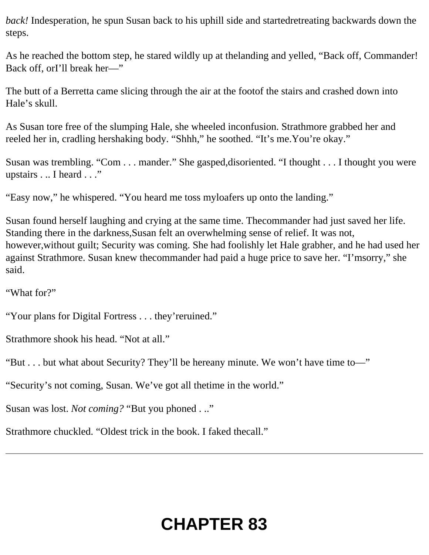*back!* Indesperation, he spun Susan back to his uphill side and startedretreating backwards down the steps.

As he reached the bottom step, he stared wildly up at thelanding and yelled, "Back off, Commander! Back off, orI'll break her—"

The butt of a Berretta came slicing through the air at the footof the stairs and crashed down into Hale's skull.

As Susan tore free of the slumping Hale, she wheeled inconfusion. Strathmore grabbed her and reeled her in, cradling hershaking body. "Shhh," he soothed. "It's me.You're okay."

Susan was trembling. "Com . . . mander." She gasped,disoriented. "I thought . . . I thought you were upstairs . .. I heard . . ."

"Easy now," he whispered. "You heard me toss myloafers up onto the landing."

Susan found herself laughing and crying at the same time. Thecommander had just saved her life. Standing there in the darkness,Susan felt an overwhelming sense of relief. It was not, however,without guilt; Security was coming. She had foolishly let Hale grabher, and he had used her against Strathmore. Susan knew thecommander had paid a huge price to save her. "I'msorry," she said.

"What for?"

"Your plans for Digital Fortress . . . they'reruined."

Strathmore shook his head. "Not at all."

"But . . . but what about Security? They'll be hereany minute. We won't have time to—"

"Security's not coming, Susan. We've got all thetime in the world."

Susan was lost. *Not coming?* "But you phoned . .."

Strathmore chuckled. "Oldest trick in the book. I faked thecall."

## **CHAPTER 83**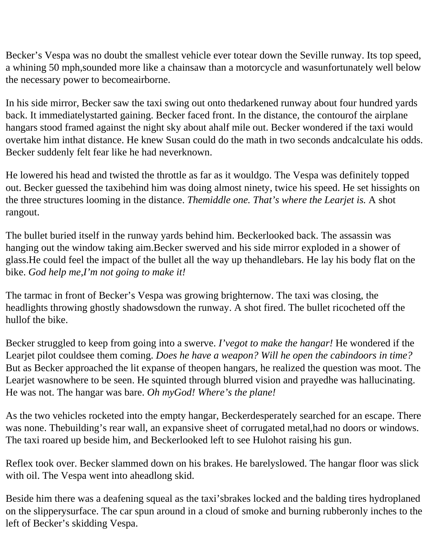Becker's Vespa was no doubt the smallest vehicle ever totear down the Seville runway. Its top speed, a whining 50 mph,sounded more like a chainsaw than a motorcycle and wasunfortunately well below the necessary power to becomeairborne.

In his side mirror, Becker saw the taxi swing out onto thedarkened runway about four hundred yards back. It immediatelystarted gaining. Becker faced front. In the distance, the contourof the airplane hangars stood framed against the night sky about ahalf mile out. Becker wondered if the taxi would overtake him inthat distance. He knew Susan could do the math in two seconds andcalculate his odds. Becker suddenly felt fear like he had neverknown.

He lowered his head and twisted the throttle as far as it wouldgo. The Vespa was definitely topped out. Becker guessed the taxibehind him was doing almost ninety, twice his speed. He set hissights on the three structures looming in the distance. *Themiddle one. That's where the Learjet is.* A shot rangout.

The bullet buried itself in the runway yards behind him. Beckerlooked back. The assassin was hanging out the window taking aim.Becker swerved and his side mirror exploded in a shower of glass.He could feel the impact of the bullet all the way up thehandlebars. He lay his body flat on the bike. *God help me,I'm not going to make it!*

The tarmac in front of Becker's Vespa was growing brighternow. The taxi was closing, the headlights throwing ghostly shadowsdown the runway. A shot fired. The bullet ricocheted off the hullof the bike.

Becker struggled to keep from going into a swerve. *I'vegot to make the hangar!* He wondered if the Learjet pilot couldsee them coming. *Does he have a weapon? Will he open the cabindoors in time?* But as Becker approached the lit expanse of theopen hangars, he realized the question was moot. The Learjet wasnowhere to be seen. He squinted through blurred vision and prayedhe was hallucinating. He was not. The hangar was bare. *Oh myGod! Where's the plane!*

As the two vehicles rocketed into the empty hangar, Beckerdesperately searched for an escape. There was none. Thebuilding's rear wall, an expansive sheet of corrugated metal,had no doors or windows. The taxi roared up beside him, and Beckerlooked left to see Hulohot raising his gun.

Reflex took over. Becker slammed down on his brakes. He barelyslowed. The hangar floor was slick with oil. The Vespa went into aheadlong skid.

Beside him there was a deafening squeal as the taxi'sbrakes locked and the balding tires hydroplaned on the slipperysurface. The car spun around in a cloud of smoke and burning rubberonly inches to the left of Becker's skidding Vespa.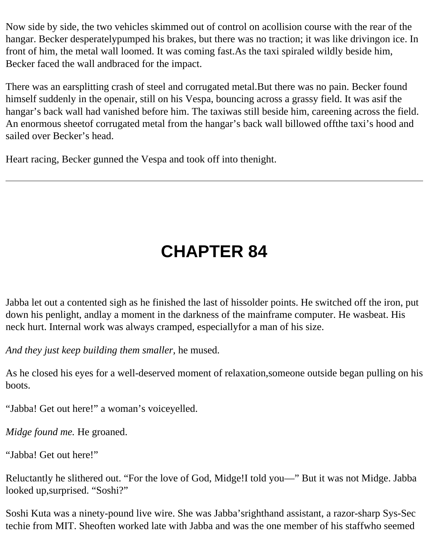Now side by side, the two vehicles skimmed out of control on acollision course with the rear of the hangar. Becker desperatelypumped his brakes, but there was no traction; it was like drivingon ice. In front of him, the metal wall loomed. It was coming fast.As the taxi spiraled wildly beside him, Becker faced the wall andbraced for the impact.

There was an earsplitting crash of steel and corrugated metal.But there was no pain. Becker found himself suddenly in the openair, still on his Vespa, bouncing across a grassy field. It was asif the hangar's back wall had vanished before him. The taxiwas still beside him, careening across the field. An enormous sheetof corrugated metal from the hangar's back wall billowed offthe taxi's hood and sailed over Becker's head.

Heart racing, Becker gunned the Vespa and took off into thenight.

## **CHAPTER 84**

Jabba let out a contented sigh as he finished the last of hissolder points. He switched off the iron, put down his penlight, andlay a moment in the darkness of the mainframe computer. He wasbeat. His neck hurt. Internal work was always cramped, especiallyfor a man of his size.

*And they just keep building them smaller,* he mused.

As he closed his eyes for a well-deserved moment of relaxation,someone outside began pulling on his boots.

"Jabba! Get out here!" a woman's voiceyelled.

*Midge found me.* He groaned.

"Jabba! Get out here!"

Reluctantly he slithered out. "For the love of God, Midge!I told you—" But it was not Midge. Jabba looked up,surprised. "Soshi?"

Soshi Kuta was a ninety-pound live wire. She was Jabba'srighthand assistant, a razor-sharp Sys-Sec techie from MIT. Sheoften worked late with Jabba and was the one member of his staffwho seemed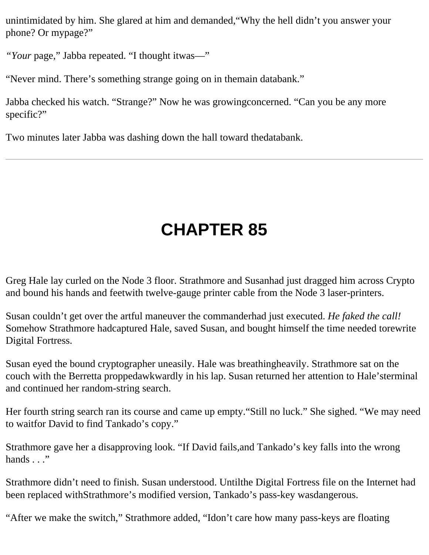unintimidated by him. She glared at him and demanded,"Why the hell didn't you answer your phone? Or mypage?"

*"Your* page," Jabba repeated. "I thought itwas—"

"Never mind. There's something strange going on in themain databank."

Jabba checked his watch. "Strange?" Now he was growingconcerned. "Can you be any more specific?"

Two minutes later Jabba was dashing down the hall toward thedatabank.

# **CHAPTER 85**

Greg Hale lay curled on the Node 3 floor. Strathmore and Susanhad just dragged him across Crypto and bound his hands and feetwith twelve-gauge printer cable from the Node 3 laser-printers.

Susan couldn't get over the artful maneuver the commanderhad just executed. *He faked the call!* Somehow Strathmore hadcaptured Hale, saved Susan, and bought himself the time needed torewrite Digital Fortress.

Susan eyed the bound cryptographer uneasily. Hale was breathingheavily. Strathmore sat on the couch with the Berretta proppedawkwardly in his lap. Susan returned her attention to Hale'sterminal and continued her random-string search.

Her fourth string search ran its course and came up empty."Still no luck." She sighed. "We may need to waitfor David to find Tankado's copy."

Strathmore gave her a disapproving look. "If David fails,and Tankado's key falls into the wrong hands . . ."

Strathmore didn't need to finish. Susan understood. Untilthe Digital Fortress file on the Internet had been replaced withStrathmore's modified version, Tankado's pass-key wasdangerous.

"After we make the switch," Strathmore added, "Idon't care how many pass-keys are floating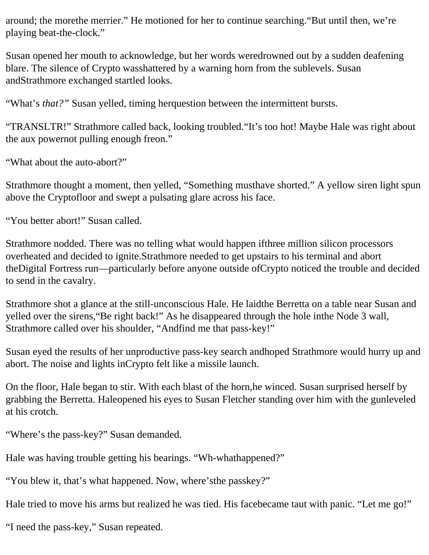around; the morethe merrier." He motioned for her to continue searching."But until then, we're playing beat-the-clock."

Susan opened her mouth to acknowledge, but her words weredrowned out by a sudden deafening blare. The silence of Crypto wasshattered by a warning horn from the sublevels. Susan andStrathmore exchanged startled looks.

"What's *that?"* Susan yelled, timing herquestion between the intermittent bursts.

"TRANSLTR!" Strathmore called back, looking troubled."It's too hot! Maybe Hale was right about the aux powernot pulling enough freon."

"What about the auto-abort?"

Strathmore thought a moment, then yelled, "Something musthave shorted." A yellow siren light spun above the Cryptofloor and swept a pulsating glare across his face.

"You better abort!" Susan called.

Strathmore nodded. There was no telling what would happen ifthree million silicon processors overheated and decided to ignite.Strathmore needed to get upstairs to his terminal and abort theDigital Fortress run—particularly before anyone outside ofCrypto noticed the trouble and decided to send in the cavalry.

Strathmore shot a glance at the still-unconscious Hale. He laidthe Berretta on a table near Susan and yelled over the sirens,"Be right back!" As he disappeared through the hole inthe Node 3 wall, Strathmore called over his shoulder, "Andfind me that pass-key!"

Susan eyed the results of her unproductive pass-key search andhoped Strathmore would hurry up and abort. The noise and lights inCrypto felt like a missile launch.

On the floor, Hale began to stir. With each blast of the horn,he winced. Susan surprised herself by grabbing the Berretta. Haleopened his eyes to Susan Fletcher standing over him with the gunleveled at his crotch.

"Where's the pass-key?" Susan demanded.

Hale was having trouble getting his bearings. "Wh-whathappened?"

"You blew it, that's what happened. Now, where'sthe passkey?"

Hale tried to move his arms but realized he was tied. His facebecame taut with panic. "Let me go!"

"I need the pass-key," Susan repeated.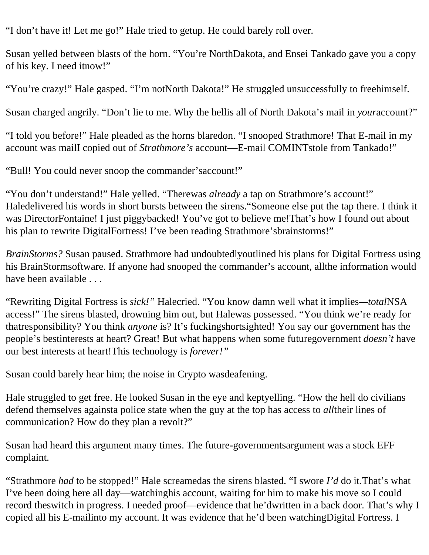"I don't have it! Let me go!" Hale tried to getup. He could barely roll over.

Susan yelled between blasts of the horn. "You're NorthDakota, and Ensei Tankado gave you a copy of his key. I need itnow!"

"You're crazy!" Hale gasped. "I'm notNorth Dakota!" He struggled unsuccessfully to freehimself.

Susan charged angrily. "Don't lie to me. Why the hellis all of North Dakota's mail in *your*account?"

"I told you before!" Hale pleaded as the horns blaredon. "I snooped Strathmore! That E-mail in my account was mailI copied out of *Strathmore's* account—E-mail COMINTstole from Tankado!"

"Bull! You could never snoop the commander'saccount!"

"You don't understand!" Hale yelled. "Therewas *already* a tap on Strathmore's account!" Haledelivered his words in short bursts between the sirens."Someone else put the tap there. I think it was DirectorFontaine! I just piggybacked! You've got to believe me!That's how I found out about his plan to rewrite DigitalFortress! I've been reading Strathmore'sbrainstorms!"

*BrainStorms?* Susan paused. Strathmore had undoubtedlyoutlined his plans for Digital Fortress using his BrainStormsoftware. If anyone had snooped the commander's account, allthe information would have been available . . .

"Rewriting Digital Fortress is *sick!"* Halecried. "You know damn well what it implies*—total*NSA access!" The sirens blasted, drowning him out, but Halewas possessed. "You think we're ready for thatresponsibility? You think *anyone* is? It's fuckingshortsighted! You say our government has the people's bestinterests at heart? Great! But what happens when some futuregovernment *doesn't* have our best interests at heart!This technology is *forever!"*

Susan could barely hear him; the noise in Crypto wasdeafening.

Hale struggled to get free. He looked Susan in the eye and keptyelling. "How the hell do civilians defend themselves againsta police state when the guy at the top has access to *all*their lines of communication? How do they plan a revolt?"

Susan had heard this argument many times. The future-governmentsargument was a stock EFF complaint.

"Strathmore *had* to be stopped!" Hale screamedas the sirens blasted. "I swore *I'd* do it.That's what I've been doing here all day—watchinghis account, waiting for him to make his move so I could record theswitch in progress. I needed proof—evidence that he'dwritten in a back door. That's why I copied all his E-mailinto my account. It was evidence that he'd been watchingDigital Fortress. I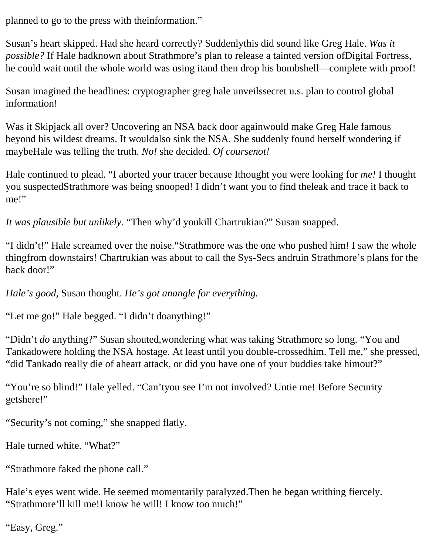planned to go to the press with theinformation."

Susan's heart skipped. Had she heard correctly? Suddenlythis did sound like Greg Hale. *Was it possible?* If Hale hadknown about Strathmore's plan to release a tainted version ofDigital Fortress, he could wait until the whole world was using itand then drop his bombshell—complete with proof!

Susan imagined the headlines: cryptographer greg hale unveilssecret u.s. plan to control global information!

Was it Skipjack all over? Uncovering an NSA back door againwould make Greg Hale famous beyond his wildest dreams. It wouldalso sink the NSA. She suddenly found herself wondering if maybeHale was telling the truth. *No!* she decided. *Of coursenot!*

Hale continued to plead. "I aborted your tracer because Ithought you were looking for *me!* I thought you suspectedStrathmore was being snooped! I didn't want you to find theleak and trace it back to me!"

*It was plausible but unlikely.* "Then why'd youkill Chartrukian?" Susan snapped.

"I didn't!" Hale screamed over the noise."Strathmore was the one who pushed him! I saw the whole thingfrom downstairs! Chartrukian was about to call the Sys-Secs andruin Strathmore's plans for the back door!"

*Hale's good,* Susan thought. *He's got anangle for everything.*

"Let me go!" Hale begged. "I didn't doanything!"

"Didn't *do* anything?" Susan shouted,wondering what was taking Strathmore so long. "You and Tankadowere holding the NSA hostage. At least until you double-crossedhim. Tell me," she pressed, "did Tankado really die of aheart attack, or did you have one of your buddies take himout?"

"You're so blind!" Hale yelled. "Can'tyou see I'm not involved? Untie me! Before Security getshere!"

"Security's not coming," she snapped flatly.

Hale turned white. "What?"

"Strathmore faked the phone call."

Hale's eyes went wide. He seemed momentarily paralyzed.Then he began writhing fiercely. "Strathmore'll kill me!I know he will! I know too much!"

"Easy, Greg."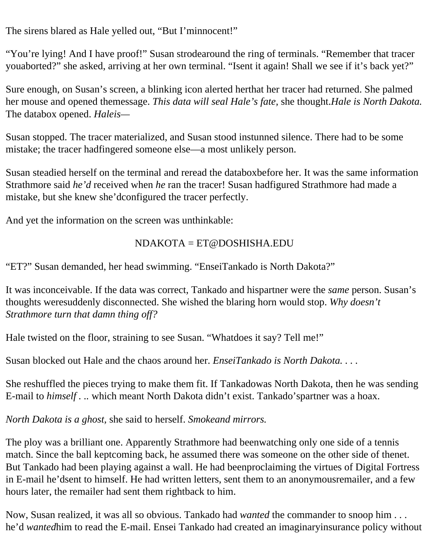The sirens blared as Hale yelled out, "But I'minnocent!"

"You're lying! And I have proof!" Susan strodearound the ring of terminals. "Remember that tracer youaborted?" she asked, arriving at her own terminal. "Isent it again! Shall we see if it's back yet?"

Sure enough, on Susan's screen, a blinking icon alerted herthat her tracer had returned. She palmed her mouse and opened themessage. *This data will seal Hale's fate,* she thought.*Hale is North Dakota.* The databox opened. *Haleis—*

Susan stopped. The tracer materialized, and Susan stood instunned silence. There had to be some mistake; the tracer hadfingered someone else—a most unlikely person.

Susan steadied herself on the terminal and reread the databoxbefore her. It was the same information Strathmore said *he'd* received when *he* ran the tracer! Susan hadfigured Strathmore had made a mistake, but she knew she'dconfigured the tracer perfectly.

And yet the information on the screen was unthinkable:

### NDAKOTA = ET@DOSHISHA.EDU

"ET?" Susan demanded, her head swimming. "EnseiTankado is North Dakota?"

It was inconceivable. If the data was correct, Tankado and hispartner were the *same* person. Susan's thoughts weresuddenly disconnected. She wished the blaring horn would stop. *Why doesn't Strathmore turn that damn thing off?*

Hale twisted on the floor, straining to see Susan. "Whatdoes it say? Tell me!"

Susan blocked out Hale and the chaos around her. *EnseiTankado is North Dakota. . . .*

She reshuffled the pieces trying to make them fit. If Tankadowas North Dakota, then he was sending E-mail to *himself . ..* which meant North Dakota didn't exist. Tankado'spartner was a hoax.

*North Dakota is a ghost,* she said to herself. *Smokeand mirrors.*

The ploy was a brilliant one. Apparently Strathmore had beenwatching only one side of a tennis match. Since the ball keptcoming back, he assumed there was someone on the other side of thenet. But Tankado had been playing against a wall. He had beenproclaiming the virtues of Digital Fortress in E-mail he'dsent to himself. He had written letters, sent them to an anonymousremailer, and a few hours later, the remailer had sent them rightback to him.

Now, Susan realized, it was all so obvious. Tankado had *wanted* the commander to snoop him . . . he'd *wanted*him to read the E-mail. Ensei Tankado had created an imaginaryinsurance policy without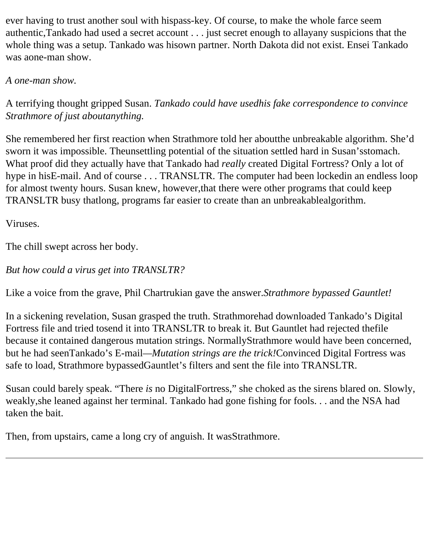ever having to trust another soul with hispass-key. Of course, to make the whole farce seem authentic,Tankado had used a secret account . . . just secret enough to allayany suspicions that the whole thing was a setup. Tankado was hisown partner. North Dakota did not exist. Ensei Tankado was aone-man show.

### *A one-man show.*

A terrifying thought gripped Susan. *Tankado could have usedhis fake correspondence to convince Strathmore of just aboutanything.*

She remembered her first reaction when Strathmore told her aboutthe unbreakable algorithm. She'd sworn it was impossible. Theunsettling potential of the situation settled hard in Susan'sstomach. What proof did they actually have that Tankado had *really* created Digital Fortress? Only a lot of hype in hisE-mail. And of course . . . TRANSLTR. The computer had been lockedin an endless loop for almost twenty hours. Susan knew, however,that there were other programs that could keep TRANSLTR busy thatlong, programs far easier to create than an unbreakablealgorithm.

Viruses.

The chill swept across her body.

*But how could a virus get into TRANSLTR?*

Like a voice from the grave, Phil Chartrukian gave the answer.*Strathmore bypassed Gauntlet!*

In a sickening revelation, Susan grasped the truth. Strathmorehad downloaded Tankado's Digital Fortress file and tried tosend it into TRANSLTR to break it. But Gauntlet had rejected thefile because it contained dangerous mutation strings. NormallyStrathmore would have been concerned, but he had seenTankado's E-mail*—Mutation strings are the trick!*Convinced Digital Fortress was safe to load, Strathmore bypassedGauntlet's filters and sent the file into TRANSLTR.

Susan could barely speak. "There *is* no DigitalFortress," she choked as the sirens blared on. Slowly, weakly,she leaned against her terminal. Tankado had gone fishing for fools. . . and the NSA had taken the bait.

Then, from upstairs, came a long cry of anguish. It wasStrathmore.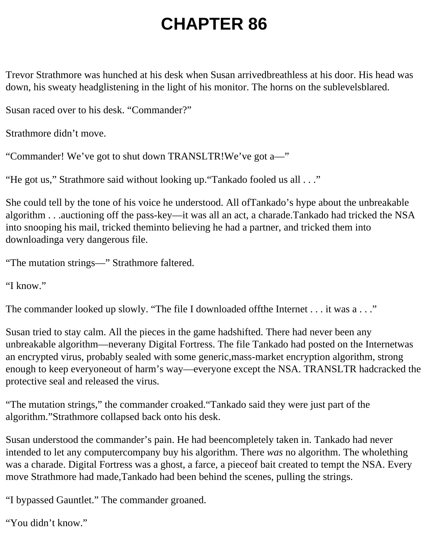### **CHAPTER 86**

Trevor Strathmore was hunched at his desk when Susan arrivedbreathless at his door. His head was down, his sweaty headglistening in the light of his monitor. The horns on the sublevelsblared.

Susan raced over to his desk. "Commander?"

Strathmore didn't move.

"Commander! We've got to shut down TRANSLTR!We've got a—"

"He got us," Strathmore said without looking up."Tankado fooled us all . . ."

She could tell by the tone of his voice he understood. All ofTankado's hype about the unbreakable algorithm . . .auctioning off the pass-key—it was all an act, a charade.Tankado had tricked the NSA into snooping his mail, tricked theminto believing he had a partner, and tricked them into downloadinga very dangerous file.

"The mutation strings—" Strathmore faltered.

"I know."

The commander looked up slowly. "The file I downloaded offthe Internet . . . it was a . . ."

Susan tried to stay calm. All the pieces in the game hadshifted. There had never been any unbreakable algorithm—neverany Digital Fortress. The file Tankado had posted on the Internetwas an encrypted virus, probably sealed with some generic,mass-market encryption algorithm, strong enough to keep everyoneout of harm's way—everyone except the NSA. TRANSLTR hadcracked the protective seal and released the virus.

"The mutation strings," the commander croaked."Tankado said they were just part of the algorithm."Strathmore collapsed back onto his desk.

Susan understood the commander's pain. He had beencompletely taken in. Tankado had never intended to let any computercompany buy his algorithm. There *was* no algorithm. The wholething was a charade. Digital Fortress was a ghost, a farce, a pieceof bait created to tempt the NSA. Every move Strathmore had made,Tankado had been behind the scenes, pulling the strings.

"I bypassed Gauntlet." The commander groaned.

"You didn't know."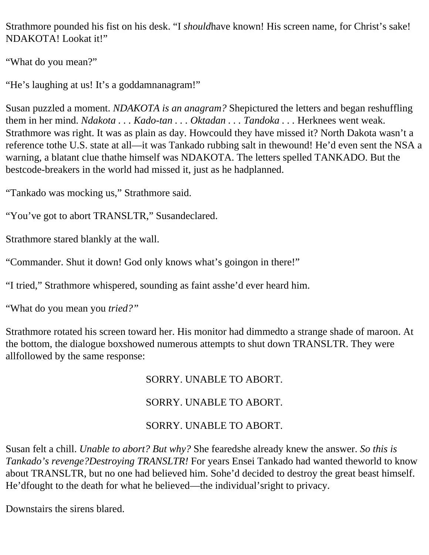Strathmore pounded his fist on his desk. "I *should*have known! His screen name, for Christ's sake! NDAKOTA! Lookat it!"

"What do you mean?"

"He's laughing at us! It's a goddamnanagram!"

Susan puzzled a moment. *NDAKOTA is an anagram?* Shepictured the letters and began reshuffling them in her mind. *Ndakota . . . Kado-tan . . . Oktadan . . . Tandoka . . .* Herknees went weak. Strathmore was right. It was as plain as day. Howcould they have missed it? North Dakota wasn't a reference tothe U.S. state at all—it was Tankado rubbing salt in thewound! He'd even sent the NSA a warning, a blatant clue thathe himself was NDAKOTA. The letters spelled TANKADO. But the bestcode-breakers in the world had missed it, just as he hadplanned.

"Tankado was mocking us," Strathmore said.

"You've got to abort TRANSLTR," Susandeclared.

Strathmore stared blankly at the wall.

"Commander. Shut it down! God only knows what's goingon in there!"

"I tried," Strathmore whispered, sounding as faint asshe'd ever heard him.

"What do you mean you *tried?"*

Strathmore rotated his screen toward her. His monitor had dimmedto a strange shade of maroon. At the bottom, the dialogue boxshowed numerous attempts to shut down TRANSLTR. They were allfollowed by the same response:

SORRY. UNABLE TO ABORT.

### SORRY. UNABLE TO ABORT.

### SORRY. UNABLE TO ABORT.

Susan felt a chill. *Unable to abort? But why?* She fearedshe already knew the answer. *So this is Tankado's revenge?Destroying TRANSLTR!* For years Ensei Tankado had wanted theworld to know about TRANSLTR, but no one had believed him. Sohe'd decided to destroy the great beast himself. He'dfought to the death for what he believed—the individual'sright to privacy.

Downstairs the sirens blared.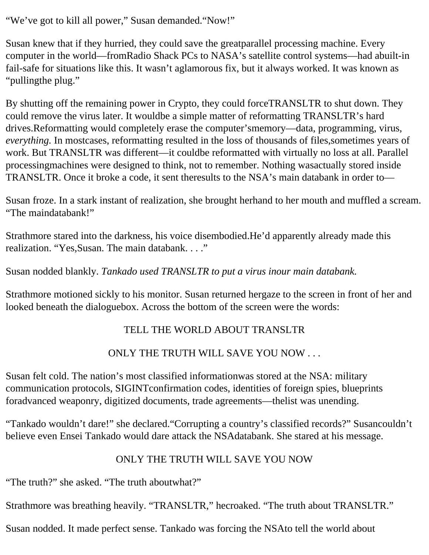"We've got to kill all power," Susan demanded."Now!"

Susan knew that if they hurried, they could save the greatparallel processing machine. Every computer in the world—fromRadio Shack PCs to NASA's satellite control systems—had abuilt-in fail-safe for situations like this. It wasn't aglamorous fix, but it always worked. It was known as "pullingthe plug."

By shutting off the remaining power in Crypto, they could forceTRANSLTR to shut down. They could remove the virus later. It wouldbe a simple matter of reformatting TRANSLTR's hard drives.Reformatting would completely erase the computer'smemory—data, programming, virus, *everything.* In mostcases, reformatting resulted in the loss of thousands of files,sometimes years of work. But TRANSLTR was different—it couldbe reformatted with virtually no loss at all. Parallel processingmachines were designed to think, not to remember. Nothing wasactually stored inside TRANSLTR. Once it broke a code, it sent theresults to the NSA's main databank in order to—

Susan froze. In a stark instant of realization, she brought herhand to her mouth and muffled a scream. "The maindatabank!"

Strathmore stared into the darkness, his voice disembodied.He'd apparently already made this realization. "Yes,Susan. The main databank. . . ."

Susan nodded blankly. *Tankado used TRANSLTR to put a virus inour main databank.*

Strathmore motioned sickly to his monitor. Susan returned hergaze to the screen in front of her and looked beneath the dialoguebox. Across the bottom of the screen were the words:

### TELL THE WORLD ABOUT TRANSLTR

### ONLY THE TRUTH WILL SAVE YOU NOW . . .

Susan felt cold. The nation's most classified informationwas stored at the NSA: military communication protocols, SIGINTconfirmation codes, identities of foreign spies, blueprints foradvanced weaponry, digitized documents, trade agreements—thelist was unending.

"Tankado wouldn't dare!" she declared."Corrupting a country's classified records?" Susancouldn't believe even Ensei Tankado would dare attack the NSAdatabank. She stared at his message.

### ONLY THE TRUTH WILL SAVE YOU NOW

"The truth?" she asked. "The truth aboutwhat?"

Strathmore was breathing heavily. "TRANSLTR," hecroaked. "The truth about TRANSLTR."

Susan nodded. It made perfect sense. Tankado was forcing the NSAto tell the world about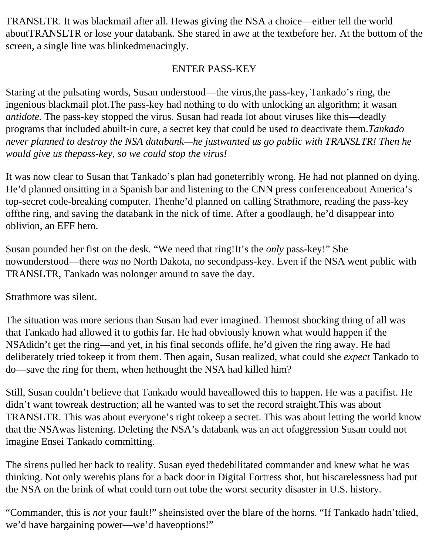TRANSLTR. It was blackmail after all. Hewas giving the NSA a choice—either tell the world aboutTRANSLTR or lose your databank. She stared in awe at the textbefore her. At the bottom of the screen, a single line was blinkedmenacingly.

#### ENTER PASS-KEY

Staring at the pulsating words, Susan understood—the virus,the pass-key, Tankado's ring, the ingenious blackmail plot.The pass-key had nothing to do with unlocking an algorithm; it wasan *antidote.* The pass-key stopped the virus. Susan had reada lot about viruses like this—deadly programs that included abuilt-in cure, a secret key that could be used to deactivate them.*Tankado never planned to destroy the NSA databank—he justwanted us go public with TRANSLTR! Then he would give us thepass-key, so we could stop the virus!*

It was now clear to Susan that Tankado's plan had goneterribly wrong. He had not planned on dying. He'd planned onsitting in a Spanish bar and listening to the CNN press conferenceabout America's top-secret code-breaking computer. Thenhe'd planned on calling Strathmore, reading the pass-key offthe ring, and saving the databank in the nick of time. After a goodlaugh, he'd disappear into oblivion, an EFF hero.

Susan pounded her fist on the desk. "We need that ring!It's the *only* pass-key!" She nowunderstood—there *was* no North Dakota, no secondpass-key. Even if the NSA went public with TRANSLTR, Tankado was nolonger around to save the day.

Strathmore was silent.

The situation was more serious than Susan had ever imagined. Themost shocking thing of all was that Tankado had allowed it to gothis far. He had obviously known what would happen if the NSAdidn't get the ring—and yet, in his final seconds oflife, he'd given the ring away. He had deliberately tried tokeep it from them. Then again, Susan realized, what could she *expect* Tankado to do—save the ring for them, when hethought the NSA had killed him?

Still, Susan couldn't believe that Tankado would haveallowed this to happen. He was a pacifist. He didn't want towreak destruction; all he wanted was to set the record straight.This was about TRANSLTR. This was about everyone's right tokeep a secret. This was about letting the world know that the NSAwas listening. Deleting the NSA's databank was an act ofaggression Susan could not imagine Ensei Tankado committing.

The sirens pulled her back to reality. Susan eyed thedebilitated commander and knew what he was thinking. Not only werehis plans for a back door in Digital Fortress shot, but hiscarelessness had put the NSA on the brink of what could turn out tobe the worst security disaster in U.S. history.

"Commander, this is *not* your fault!" sheinsisted over the blare of the horns. "If Tankado hadn'tdied, we'd have bargaining power—we'd haveoptions!"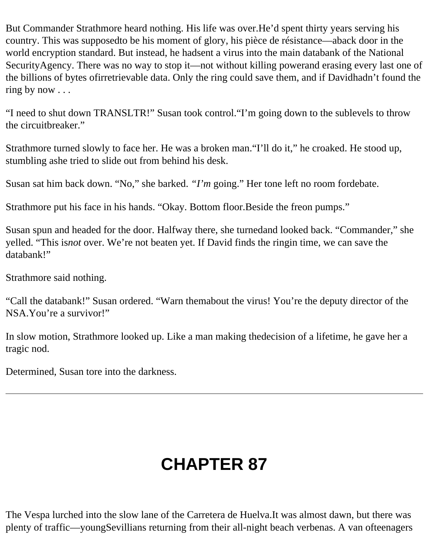But Commander Strathmore heard nothing. His life was over.He'd spent thirty years serving his country. This was supposedto be his moment of glory, his pièce de résistance—aback door in the world encryption standard. But instead, he hadsent a virus into the main databank of the National SecurityAgency. There was no way to stop it—not without killing powerand erasing every last one of the billions of bytes ofirretrievable data. Only the ring could save them, and if Davidhadn't found the ring by now . . .

"I need to shut down TRANSLTR!" Susan took control."I'm going down to the sublevels to throw the circuitbreaker."

Strathmore turned slowly to face her. He was a broken man."I'll do it," he croaked. He stood up, stumbling ashe tried to slide out from behind his desk.

Susan sat him back down. "No," she barked. *"I'm* going." Her tone left no room fordebate.

Strathmore put his face in his hands. "Okay. Bottom floor.Beside the freon pumps."

Susan spun and headed for the door. Halfway there, she turnedand looked back. "Commander," she yelled. "This is*not* over. We're not beaten yet. If David finds the ringin time, we can save the databank!"

Strathmore said nothing.

"Call the databank!" Susan ordered. "Warn themabout the virus! You're the deputy director of the NSA.You're a survivor!"

In slow motion, Strathmore looked up. Like a man making thedecision of a lifetime, he gave her a tragic nod.

Determined, Susan tore into the darkness.

# **CHAPTER 87**

The Vespa lurched into the slow lane of the Carretera de Huelva.It was almost dawn, but there was plenty of traffic—youngSevillians returning from their all-night beach verbenas. A van ofteenagers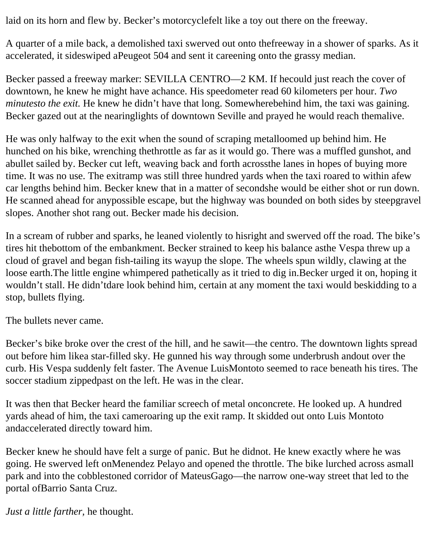laid on its horn and flew by. Becker's motorcyclefelt like a toy out there on the freeway.

A quarter of a mile back, a demolished taxi swerved out onto thefreeway in a shower of sparks. As it accelerated, it sideswiped aPeugeot 504 and sent it careening onto the grassy median.

Becker passed a freeway marker: SEVILLA CENTRO—2 KM. If hecould just reach the cover of downtown, he knew he might have achance. His speedometer read 60 kilometers per hour. *Two minutesto the exit.* He knew he didn't have that long. Somewherebehind him, the taxi was gaining. Becker gazed out at the nearinglights of downtown Seville and prayed he would reach themalive.

He was only halfway to the exit when the sound of scraping metalloomed up behind him. He hunched on his bike, wrenching thethrottle as far as it would go. There was a muffled gunshot, and abullet sailed by. Becker cut left, weaving back and forth acrossthe lanes in hopes of buying more time. It was no use. The exitramp was still three hundred yards when the taxi roared to within afew car lengths behind him. Becker knew that in a matter of secondshe would be either shot or run down. He scanned ahead for anypossible escape, but the highway was bounded on both sides by steepgravel slopes. Another shot rang out. Becker made his decision.

In a scream of rubber and sparks, he leaned violently to hisright and swerved off the road. The bike's tires hit thebottom of the embankment. Becker strained to keep his balance asthe Vespa threw up a cloud of gravel and began fish-tailing its wayup the slope. The wheels spun wildly, clawing at the loose earth.The little engine whimpered pathetically as it tried to dig in.Becker urged it on, hoping it wouldn't stall. He didn'tdare look behind him, certain at any moment the taxi would beskidding to a stop, bullets flying.

The bullets never came.

Becker's bike broke over the crest of the hill, and he sawit—the centro. The downtown lights spread out before him likea star-filled sky. He gunned his way through some underbrush andout over the curb. His Vespa suddenly felt faster. The Avenue LuisMontoto seemed to race beneath his tires. The soccer stadium zippedpast on the left. He was in the clear.

It was then that Becker heard the familiar screech of metal onconcrete. He looked up. A hundred yards ahead of him, the taxi cameroaring up the exit ramp. It skidded out onto Luis Montoto andaccelerated directly toward him.

Becker knew he should have felt a surge of panic. But he didnot. He knew exactly where he was going. He swerved left onMenendez Pelayo and opened the throttle. The bike lurched across asmall park and into the cobblestoned corridor of MateusGago—the narrow one-way street that led to the portal ofBarrio Santa Cruz.

*Just a little farther,* he thought.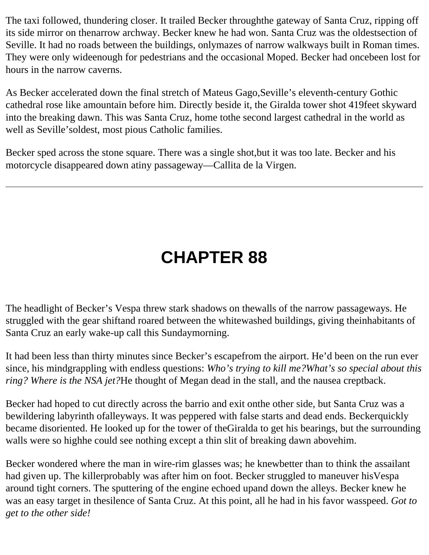The taxi followed, thundering closer. It trailed Becker throughthe gateway of Santa Cruz, ripping off its side mirror on thenarrow archway. Becker knew he had won. Santa Cruz was the oldestsection of Seville. It had no roads between the buildings, onlymazes of narrow walkways built in Roman times. They were only wideenough for pedestrians and the occasional Moped. Becker had oncebeen lost for hours in the narrow caverns.

As Becker accelerated down the final stretch of Mateus Gago,Seville's eleventh-century Gothic cathedral rose like amountain before him. Directly beside it, the Giralda tower shot 419feet skyward into the breaking dawn. This was Santa Cruz, home tothe second largest cathedral in the world as well as Seville'soldest, most pious Catholic families.

Becker sped across the stone square. There was a single shot,but it was too late. Becker and his motorcycle disappeared down atiny passageway—Callita de la Virgen.

# **CHAPTER 88**

The headlight of Becker's Vespa threw stark shadows on thewalls of the narrow passageways. He struggled with the gear shiftand roared between the whitewashed buildings, giving theinhabitants of Santa Cruz an early wake-up call this Sundaymorning.

It had been less than thirty minutes since Becker's escapefrom the airport. He'd been on the run ever since, his mindgrappling with endless questions: *Who's trying to kill me?What's so special about this ring? Where is the NSA jet?*He thought of Megan dead in the stall, and the nausea creptback.

Becker had hoped to cut directly across the barrio and exit onthe other side, but Santa Cruz was a bewildering labyrinth ofalleyways. It was peppered with false starts and dead ends. Beckerquickly became disoriented. He looked up for the tower of theGiralda to get his bearings, but the surrounding walls were so highhe could see nothing except a thin slit of breaking dawn abovehim.

Becker wondered where the man in wire-rim glasses was; he knewbetter than to think the assailant had given up. The killerprobably was after him on foot. Becker struggled to maneuver hisVespa around tight corners. The sputtering of the engine echoed upand down the alleys. Becker knew he was an easy target in thesilence of Santa Cruz. At this point, all he had in his favor wasspeed. *Got to get to the other side!*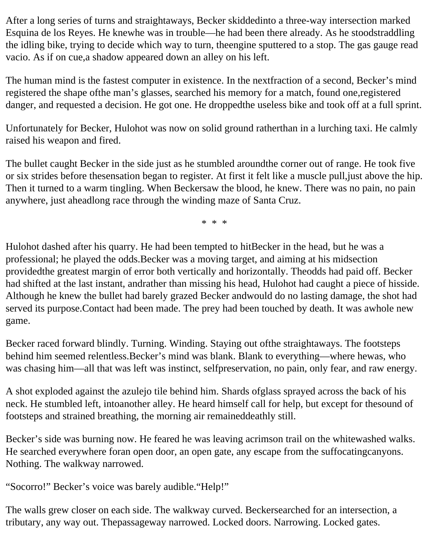After a long series of turns and straightaways, Becker skiddedinto a three-way intersection marked Esquina de los Reyes. He knewhe was in trouble—he had been there already. As he stoodstraddling the idling bike, trying to decide which way to turn, theengine sputtered to a stop. The gas gauge read vacio. As if on cue,a shadow appeared down an alley on his left.

The human mind is the fastest computer in existence. In the nextfraction of a second, Becker's mind registered the shape ofthe man's glasses, searched his memory for a match, found one,registered danger, and requested a decision. He got one. He droppedthe useless bike and took off at a full sprint.

Unfortunately for Becker, Hulohot was now on solid ground ratherthan in a lurching taxi. He calmly raised his weapon and fired.

The bullet caught Becker in the side just as he stumbled aroundthe corner out of range. He took five or six strides before thesensation began to register. At first it felt like a muscle pull,just above the hip. Then it turned to a warm tingling. When Beckersaw the blood, he knew. There was no pain, no pain anywhere, just aheadlong race through the winding maze of Santa Cruz.

\* \* \*

Hulohot dashed after his quarry. He had been tempted to hitBecker in the head, but he was a professional; he played the odds.Becker was a moving target, and aiming at his midsection providedthe greatest margin of error both vertically and horizontally. Theodds had paid off. Becker had shifted at the last instant, andrather than missing his head, Hulohot had caught a piece of hisside. Although he knew the bullet had barely grazed Becker andwould do no lasting damage, the shot had served its purpose.Contact had been made. The prey had been touched by death. It was awhole new game.

Becker raced forward blindly. Turning. Winding. Staying out ofthe straightaways. The footsteps behind him seemed relentless.Becker's mind was blank. Blank to everything—where hewas, who was chasing him—all that was left was instinct, selfpreservation, no pain, only fear, and raw energy.

A shot exploded against the azulejo tile behind him. Shards ofglass sprayed across the back of his neck. He stumbled left, intoanother alley. He heard himself call for help, but except for thesound of footsteps and strained breathing, the morning air remaineddeathly still.

Becker's side was burning now. He feared he was leaving acrimson trail on the whitewashed walks. He searched everywhere foran open door, an open gate, any escape from the suffocatingcanyons. Nothing. The walkway narrowed.

"Socorro!" Becker's voice was barely audible."Help!"

The walls grew closer on each side. The walkway curved. Beckersearched for an intersection, a tributary, any way out. Thepassageway narrowed. Locked doors. Narrowing. Locked gates.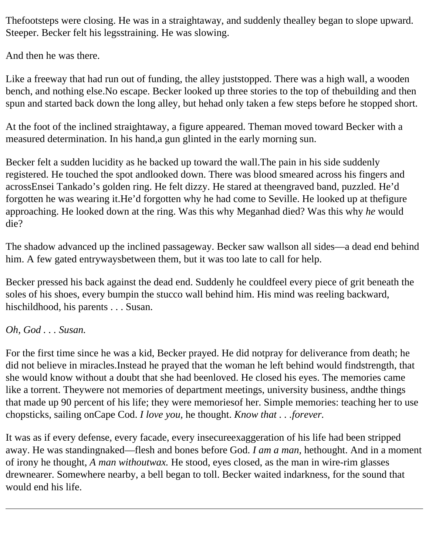Thefootsteps were closing. He was in a straightaway, and suddenly thealley began to slope upward. Steeper. Becker felt his legsstraining. He was slowing.

And then he was there.

Like a freeway that had run out of funding, the alley juststopped. There was a high wall, a wooden bench, and nothing else.No escape. Becker looked up three stories to the top of thebuilding and then spun and started back down the long alley, but hehad only taken a few steps before he stopped short.

At the foot of the inclined straightaway, a figure appeared. Theman moved toward Becker with a measured determination. In his hand,a gun glinted in the early morning sun.

Becker felt a sudden lucidity as he backed up toward the wall.The pain in his side suddenly registered. He touched the spot andlooked down. There was blood smeared across his fingers and acrossEnsei Tankado's golden ring. He felt dizzy. He stared at theengraved band, puzzled. He'd forgotten he was wearing it.He'd forgotten why he had come to Seville. He looked up at thefigure approaching. He looked down at the ring. Was this why Meganhad died? Was this why *he* would die?

The shadow advanced up the inclined passageway. Becker saw wallson all sides—a dead end behind him. A few gated entrywaysbetween them, but it was too late to call for help.

Becker pressed his back against the dead end. Suddenly he couldfeel every piece of grit beneath the soles of his shoes, every bumpin the stucco wall behind him. His mind was reeling backward, hischildhood, his parents . . . Susan.

### *Oh, God . . . Susan.*

For the first time since he was a kid, Becker prayed. He did notpray for deliverance from death; he did not believe in miracles.Instead he prayed that the woman he left behind would findstrength, that she would know without a doubt that she had beenloved. He closed his eyes. The memories came like a torrent. Theywere not memories of department meetings, university business, andthe things that made up 90 percent of his life; they were memoriesof her. Simple memories: teaching her to use chopsticks, sailing onCape Cod. *I love you,* he thought. *Know that . . .forever.*

It was as if every defense, every facade, every insecureexaggeration of his life had been stripped away. He was standingnaked—flesh and bones before God. *I am a man,* hethought. And in a moment of irony he thought, *A man withoutwax.* He stood, eyes closed, as the man in wire-rim glasses drewnearer. Somewhere nearby, a bell began to toll. Becker waited indarkness, for the sound that would end his life.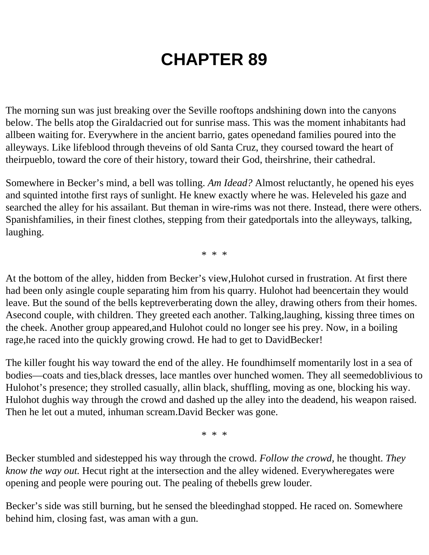# **CHAPTER 89**

The morning sun was just breaking over the Seville rooftops andshining down into the canyons below. The bells atop the Giraldacried out for sunrise mass. This was the moment inhabitants had allbeen waiting for. Everywhere in the ancient barrio, gates openedand families poured into the alleyways. Like lifeblood through theveins of old Santa Cruz, they coursed toward the heart of theirpueblo, toward the core of their history, toward their God, theirshrine, their cathedral.

Somewhere in Becker's mind, a bell was tolling. *Am Idead?* Almost reluctantly, he opened his eyes and squinted intothe first rays of sunlight. He knew exactly where he was. Heleveled his gaze and searched the alley for his assailant. But theman in wire-rims was not there. Instead, there were others. Spanishfamilies, in their finest clothes, stepping from their gatedportals into the alleyways, talking, laughing.

\* \* \*

At the bottom of the alley, hidden from Becker's view,Hulohot cursed in frustration. At first there had been only asingle couple separating him from his quarry. Hulohot had beencertain they would leave. But the sound of the bells keptreverberating down the alley, drawing others from their homes. Asecond couple, with children. They greeted each another. Talking,laughing, kissing three times on the cheek. Another group appeared,and Hulohot could no longer see his prey. Now, in a boiling rage,he raced into the quickly growing crowd. He had to get to DavidBecker!

The killer fought his way toward the end of the alley. He foundhimself momentarily lost in a sea of bodies—coats and ties,black dresses, lace mantles over hunched women. They all seemedoblivious to Hulohot's presence; they strolled casually, allin black, shuffling, moving as one, blocking his way. Hulohot dughis way through the crowd and dashed up the alley into the deadend, his weapon raised. Then he let out a muted, inhuman scream.David Becker was gone.

\* \* \*

Becker stumbled and sidestepped his way through the crowd. *Follow the crowd,* he thought. *They know the way out.* Hecut right at the intersection and the alley widened. Everywheregates were opening and people were pouring out. The pealing of thebells grew louder.

Becker's side was still burning, but he sensed the bleedinghad stopped. He raced on. Somewhere behind him, closing fast, was aman with a gun.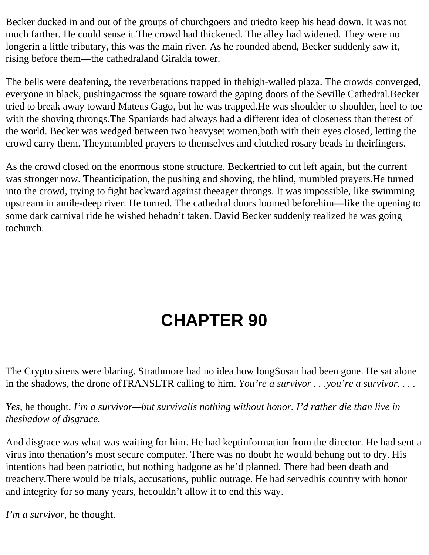Becker ducked in and out of the groups of churchgoers and triedto keep his head down. It was not much farther. He could sense it.The crowd had thickened. The alley had widened. They were no longerin a little tributary, this was the main river. As he rounded abend, Becker suddenly saw it, rising before them—the cathedraland Giralda tower.

The bells were deafening, the reverberations trapped in thehigh-walled plaza. The crowds converged, everyone in black, pushingacross the square toward the gaping doors of the Seville Cathedral.Becker tried to break away toward Mateus Gago, but he was trapped.He was shoulder to shoulder, heel to toe with the shoving throngs.The Spaniards had always had a different idea of closeness than therest of the world. Becker was wedged between two heavyset women,both with their eyes closed, letting the crowd carry them. Theymumbled prayers to themselves and clutched rosary beads in theirfingers.

As the crowd closed on the enormous stone structure, Beckertried to cut left again, but the current was stronger now. Theanticipation, the pushing and shoving, the blind, mumbled prayers.He turned into the crowd, trying to fight backward against theeager throngs. It was impossible, like swimming upstream in amile-deep river. He turned. The cathedral doors loomed beforehim—like the opening to some dark carnival ride he wished hehadn't taken. David Becker suddenly realized he was going tochurch.

# **CHAPTER 90**

The Crypto sirens were blaring. Strathmore had no idea how longSusan had been gone. He sat alone in the shadows, the drone ofTRANSLTR calling to him. *You're a survivor . . .you're a survivor. . . .*

*Yes,* he thought. *I'm a survivor—but survivalis nothing without honor. I'd rather die than live in theshadow of disgrace.*

And disgrace was what was waiting for him. He had keptinformation from the director. He had sent a virus into thenation's most secure computer. There was no doubt he would behung out to dry. His intentions had been patriotic, but nothing hadgone as he'd planned. There had been death and treachery.There would be trials, accusations, public outrage. He had servedhis country with honor and integrity for so many years, hecouldn't allow it to end this way.

*I'm a survivor,* he thought.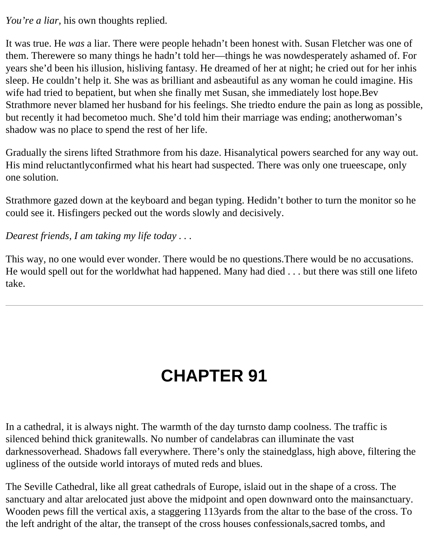*You're a liar,* his own thoughts replied.

It was true. He *was* a liar. There were people hehadn't been honest with. Susan Fletcher was one of them. Therewere so many things he hadn't told her—things he was nowdesperately ashamed of. For years she'd been his illusion, hisliving fantasy. He dreamed of her at night; he cried out for her inhis sleep. He couldn't help it. She was as brilliant and asbeautiful as any woman he could imagine. His wife had tried to bepatient, but when she finally met Susan, she immediately lost hope.Bev Strathmore never blamed her husband for his feelings. She triedto endure the pain as long as possible, but recently it had becometoo much. She'd told him their marriage was ending; anotherwoman's shadow was no place to spend the rest of her life.

Gradually the sirens lifted Strathmore from his daze. Hisanalytical powers searched for any way out. His mind reluctantlyconfirmed what his heart had suspected. There was only one trueescape, only one solution.

Strathmore gazed down at the keyboard and began typing. Hedidn't bother to turn the monitor so he could see it. Hisfingers pecked out the words slowly and decisively.

*Dearest friends, I am taking my life today . . .*

This way, no one would ever wonder. There would be no questions.There would be no accusations. He would spell out for the worldwhat had happened. Many had died . . . but there was still one lifeto take.

# **CHAPTER 91**

In a cathedral, it is always night. The warmth of the day turnsto damp coolness. The traffic is silenced behind thick granitewalls. No number of candelabras can illuminate the vast darknessoverhead. Shadows fall everywhere. There's only the stainedglass, high above, filtering the ugliness of the outside world intorays of muted reds and blues.

The Seville Cathedral, like all great cathedrals of Europe, islaid out in the shape of a cross. The sanctuary and altar arelocated just above the midpoint and open downward onto the mainsanctuary. Wooden pews fill the vertical axis, a staggering 113yards from the altar to the base of the cross. To the left andright of the altar, the transept of the cross houses confessionals,sacred tombs, and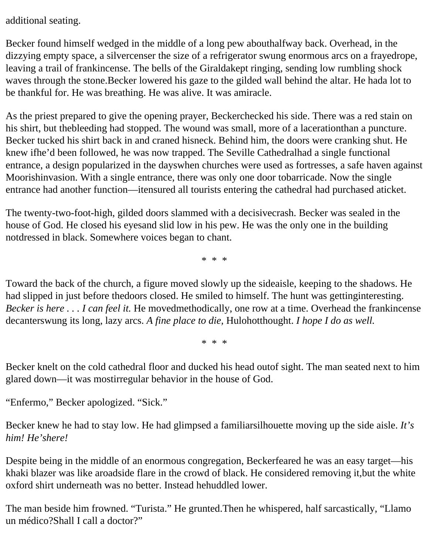additional seating.

Becker found himself wedged in the middle of a long pew abouthalfway back. Overhead, in the dizzying empty space, a silvercenser the size of a refrigerator swung enormous arcs on a frayedrope, leaving a trail of frankincense. The bells of the Giraldakept ringing, sending low rumbling shock waves through the stone.Becker lowered his gaze to the gilded wall behind the altar. He hada lot to be thankful for. He was breathing. He was alive. It was amiracle.

As the priest prepared to give the opening prayer, Beckerchecked his side. There was a red stain on his shirt, but thebleeding had stopped. The wound was small, more of a lacerationthan a puncture. Becker tucked his shirt back in and craned hisneck. Behind him, the doors were cranking shut. He knew ifhe'd been followed, he was now trapped. The Seville Cathedralhad a single functional entrance, a design popularized in the dayswhen churches were used as fortresses, a safe haven against Moorishinvasion. With a single entrance, there was only one door tobarricade. Now the single entrance had another function—itensured all tourists entering the cathedral had purchased aticket.

The twenty-two-foot-high, gilded doors slammed with a decisivecrash. Becker was sealed in the house of God. He closed his eyesand slid low in his pew. He was the only one in the building notdressed in black. Somewhere voices began to chant.

\* \* \*

Toward the back of the church, a figure moved slowly up the sideaisle, keeping to the shadows. He had slipped in just before thedoors closed. He smiled to himself. The hunt was gettinginteresting. *Becker is here . . . I can feel it.* He movedmethodically, one row at a time. Overhead the frankincense decanterswung its long, lazy arcs. *A fine place to die,* Hulohotthought. *I hope I do as well.*

\* \* \*

Becker knelt on the cold cathedral floor and ducked his head outof sight. The man seated next to him glared down—it was mostirregular behavior in the house of God.

"Enfermo," Becker apologized. "Sick."

Becker knew he had to stay low. He had glimpsed a familiarsilhouette moving up the side aisle. *It's him! He'shere!*

Despite being in the middle of an enormous congregation, Beckerfeared he was an easy target—his khaki blazer was like aroadside flare in the crowd of black. He considered removing it,but the white oxford shirt underneath was no better. Instead hehuddled lower.

The man beside him frowned. "Turista." He grunted.Then he whispered, half sarcastically, "Llamo un médico?Shall I call a doctor?"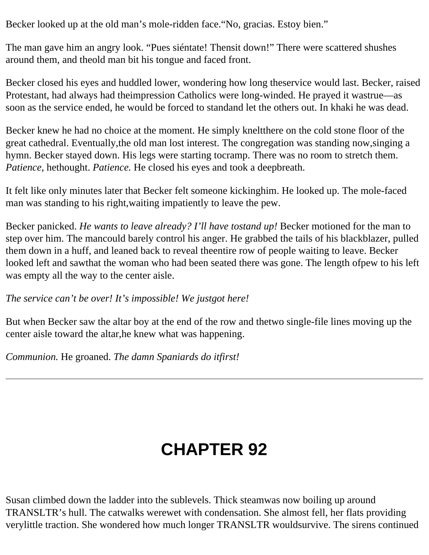Becker looked up at the old man's mole-ridden face."No, gracias. Estoy bien."

The man gave him an angry look. "Pues siéntate! Thensit down!" There were scattered shushes around them, and theold man bit his tongue and faced front.

Becker closed his eyes and huddled lower, wondering how long theservice would last. Becker, raised Protestant, had always had theimpression Catholics were long-winded. He prayed it wastrue—as soon as the service ended, he would be forced to standand let the others out. In khaki he was dead.

Becker knew he had no choice at the moment. He simply kneltthere on the cold stone floor of the great cathedral. Eventually,the old man lost interest. The congregation was standing now,singing a hymn. Becker stayed down. His legs were starting tocramp. There was no room to stretch them. *Patience,* hethought. *Patience.* He closed his eyes and took a deepbreath.

It felt like only minutes later that Becker felt someone kickinghim. He looked up. The mole-faced man was standing to his right,waiting impatiently to leave the pew.

Becker panicked. *He wants to leave already? I'll have tostand up!* Becker motioned for the man to step over him. The mancould barely control his anger. He grabbed the tails of his blackblazer, pulled them down in a huff, and leaned back to reveal theentire row of people waiting to leave. Becker looked left and sawthat the woman who had been seated there was gone. The length ofpew to his left was empty all the way to the center aisle.

*The service can't be over! It's impossible! We justgot here!*

But when Becker saw the altar boy at the end of the row and thetwo single-file lines moving up the center aisle toward the altar,he knew what was happening.

*Communion.* He groaned. *The damn Spaniards do itfirst!*

### **CHAPTER 92**

Susan climbed down the ladder into the sublevels. Thick steamwas now boiling up around TRANSLTR's hull. The catwalks werewet with condensation. She almost fell, her flats providing verylittle traction. She wondered how much longer TRANSLTR wouldsurvive. The sirens continued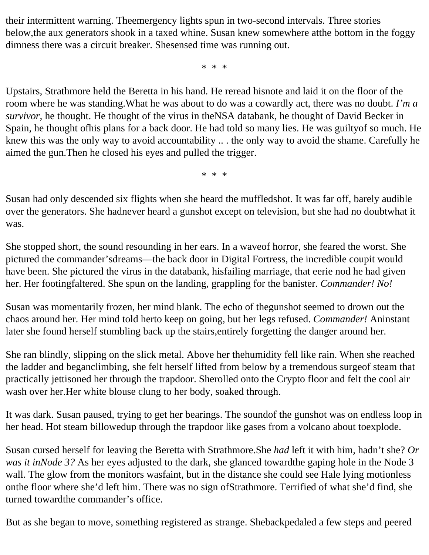their intermittent warning. Theemergency lights spun in two-second intervals. Three stories below,the aux generators shook in a taxed whine. Susan knew somewhere atthe bottom in the foggy dimness there was a circuit breaker. Shesensed time was running out.

\* \* \*

Upstairs, Strathmore held the Beretta in his hand. He reread hisnote and laid it on the floor of the room where he was standing.What he was about to do was a cowardly act, there was no doubt. *I'm a survivor,* he thought. He thought of the virus in theNSA databank, he thought of David Becker in Spain, he thought ofhis plans for a back door. He had told so many lies. He was guiltyof so much. He knew this was the only way to avoid accountability .. . the only way to avoid the shame. Carefully he aimed the gun.Then he closed his eyes and pulled the trigger.

\* \* \*

Susan had only descended six flights when she heard the muffledshot. It was far off, barely audible over the generators. She hadnever heard a gunshot except on television, but she had no doubtwhat it was.

She stopped short, the sound resounding in her ears. In a waveof horror, she feared the worst. She pictured the commander'sdreams—the back door in Digital Fortress, the incredible coupit would have been. She pictured the virus in the databank, hisfailing marriage, that eerie nod he had given her. Her footingfaltered. She spun on the landing, grappling for the banister. *Commander! No!*

Susan was momentarily frozen, her mind blank. The echo of thegunshot seemed to drown out the chaos around her. Her mind told herto keep on going, but her legs refused. *Commander!* Aninstant later she found herself stumbling back up the stairs,entirely forgetting the danger around her.

She ran blindly, slipping on the slick metal. Above her thehumidity fell like rain. When she reached the ladder and beganclimbing, she felt herself lifted from below by a tremendous surgeof steam that practically jettisoned her through the trapdoor. Sherolled onto the Crypto floor and felt the cool air wash over her.Her white blouse clung to her body, soaked through.

It was dark. Susan paused, trying to get her bearings. The soundof the gunshot was on endless loop in her head. Hot steam billowedup through the trapdoor like gases from a volcano about toexplode.

Susan cursed herself for leaving the Beretta with Strathmore.She *had* left it with him, hadn't she? *Or was it inNode 3?* As her eyes adjusted to the dark, she glanced towardthe gaping hole in the Node 3 wall. The glow from the monitors wasfaint, but in the distance she could see Hale lying motionless onthe floor where she'd left him. There was no sign ofStrathmore. Terrified of what she'd find, she turned towardthe commander's office.

But as she began to move, something registered as strange. Shebackpedaled a few steps and peered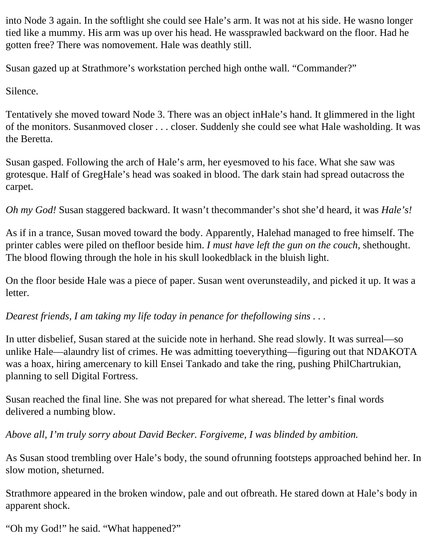into Node 3 again. In the softlight she could see Hale's arm. It was not at his side. He wasno longer tied like a mummy. His arm was up over his head. He wassprawled backward on the floor. Had he gotten free? There was nomovement. Hale was deathly still.

Susan gazed up at Strathmore's workstation perched high onthe wall. "Commander?"

Silence.

Tentatively she moved toward Node 3. There was an object inHale's hand. It glimmered in the light of the monitors. Susanmoved closer . . . closer. Suddenly she could see what Hale washolding. It was the Beretta.

Susan gasped. Following the arch of Hale's arm, her eyesmoved to his face. What she saw was grotesque. Half of GregHale's head was soaked in blood. The dark stain had spread outacross the carpet.

*Oh my God!* Susan staggered backward. It wasn't thecommander's shot she'd heard, it was *Hale's!*

As if in a trance, Susan moved toward the body. Apparently, Halehad managed to free himself. The printer cables were piled on thefloor beside him. *I must have left the gun on the couch,* shethought. The blood flowing through the hole in his skull lookedblack in the bluish light.

On the floor beside Hale was a piece of paper. Susan went overunsteadily, and picked it up. It was a letter.

*Dearest friends, I am taking my life today in penance for thefollowing sins . . .*

In utter disbelief, Susan stared at the suicide note in herhand. She read slowly. It was surreal—so unlike Hale—alaundry list of crimes. He was admitting toeverything—figuring out that NDAKOTA was a hoax, hiring amercenary to kill Ensei Tankado and take the ring, pushing PhilChartrukian, planning to sell Digital Fortress.

Susan reached the final line. She was not prepared for what sheread. The letter's final words delivered a numbing blow.

*Above all, I'm truly sorry about David Becker. Forgiveme, I was blinded by ambition.*

As Susan stood trembling over Hale's body, the sound ofrunning footsteps approached behind her. In slow motion, sheturned.

Strathmore appeared in the broken window, pale and out ofbreath. He stared down at Hale's body in apparent shock.

"Oh my God!" he said. "What happened?"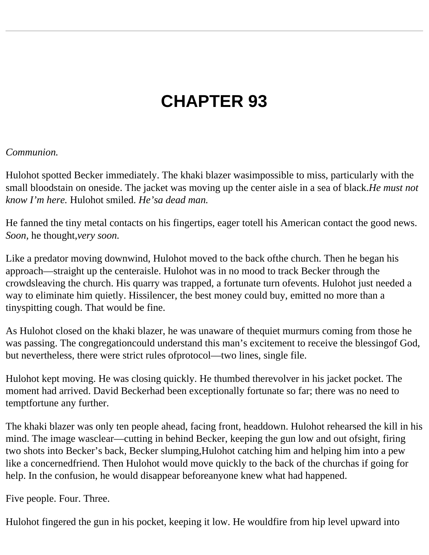# **CHAPTER 93**

#### *Communion.*

Hulohot spotted Becker immediately. The khaki blazer wasimpossible to miss, particularly with the small bloodstain on oneside. The jacket was moving up the center aisle in a sea of black.*He must not know I'm here.* Hulohot smiled. *He'sa dead man.*

He fanned the tiny metal contacts on his fingertips, eager totell his American contact the good news. *Soon,* he thought,*very soon.*

Like a predator moving downwind, Hulohot moved to the back ofthe church. Then he began his approach—straight up the centeraisle. Hulohot was in no mood to track Becker through the crowdsleaving the church. His quarry was trapped, a fortunate turn ofevents. Hulohot just needed a way to eliminate him quietly. Hissilencer, the best money could buy, emitted no more than a tinyspitting cough. That would be fine.

As Hulohot closed on the khaki blazer, he was unaware of thequiet murmurs coming from those he was passing. The congregationcould understand this man's excitement to receive the blessingof God, but nevertheless, there were strict rules ofprotocol—two lines, single file.

Hulohot kept moving. He was closing quickly. He thumbed therevolver in his jacket pocket. The moment had arrived. David Beckerhad been exceptionally fortunate so far; there was no need to temptfortune any further.

The khaki blazer was only ten people ahead, facing front, headdown. Hulohot rehearsed the kill in his mind. The image wasclear—cutting in behind Becker, keeping the gun low and out ofsight, firing two shots into Becker's back, Becker slumping,Hulohot catching him and helping him into a pew like a concernedfriend. Then Hulohot would move quickly to the back of the churchas if going for help. In the confusion, he would disappear beforeanyone knew what had happened.

Five people. Four. Three.

Hulohot fingered the gun in his pocket, keeping it low. He wouldfire from hip level upward into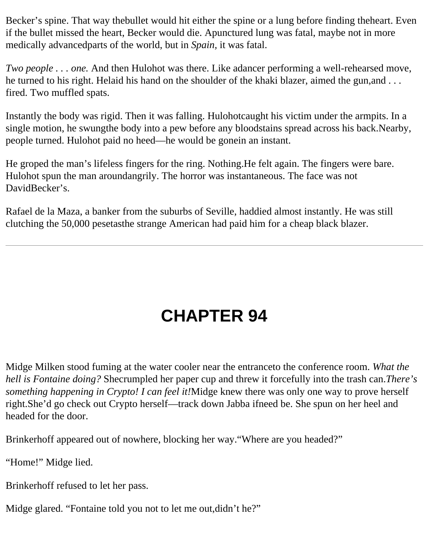Becker's spine. That way thebullet would hit either the spine or a lung before finding theheart. Even if the bullet missed the heart, Becker would die. Apunctured lung was fatal, maybe not in more medically advancedparts of the world, but in *Spain,* it was fatal.

*Two people . . . one.* And then Hulohot was there. Like adancer performing a well-rehearsed move, he turned to his right. Helaid his hand on the shoulder of the khaki blazer, aimed the gun,and . . . fired. Two muffled spats.

Instantly the body was rigid. Then it was falling. Hulohotcaught his victim under the armpits. In a single motion, he swungthe body into a pew before any bloodstains spread across his back.Nearby, people turned. Hulohot paid no heed—he would be gonein an instant.

He groped the man's lifeless fingers for the ring. Nothing.He felt again. The fingers were bare. Hulohot spun the man aroundangrily. The horror was instantaneous. The face was not DavidBecker's.

Rafael de la Maza, a banker from the suburbs of Seville, haddied almost instantly. He was still clutching the 50,000 pesetasthe strange American had paid him for a cheap black blazer.

# **CHAPTER 94**

Midge Milken stood fuming at the water cooler near the entranceto the conference room. *What the hell is Fontaine doing?* Shecrumpled her paper cup and threw it forcefully into the trash can.*There's something happening in Crypto! I can feel it!*Midge knew there was only one way to prove herself right.She'd go check out Crypto herself—track down Jabba ifneed be. She spun on her heel and headed for the door.

Brinkerhoff appeared out of nowhere, blocking her way."Where are you headed?"

"Home!" Midge lied.

Brinkerhoff refused to let her pass.

Midge glared. "Fontaine told you not to let me out, didn't he?"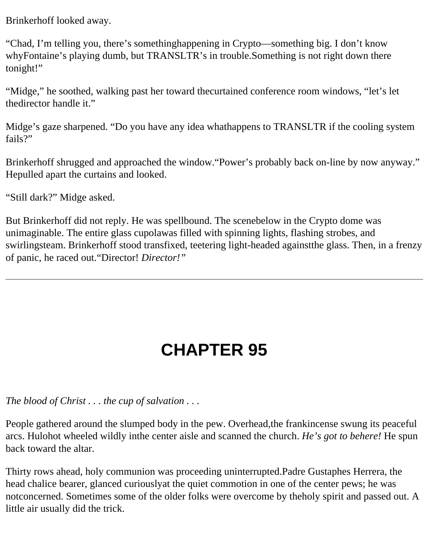Brinkerhoff looked away.

"Chad, I'm telling you, there's somethinghappening in Crypto—something big. I don't know whyFontaine's playing dumb, but TRANSLTR's in trouble.Something is not right down there tonight!"

"Midge," he soothed, walking past her toward thecurtained conference room windows, "let's let thedirector handle it."

Midge's gaze sharpened. "Do you have any idea whathappens to TRANSLTR if the cooling system fails?"

Brinkerhoff shrugged and approached the window."Power's probably back on-line by now anyway." Hepulled apart the curtains and looked.

"Still dark?" Midge asked.

But Brinkerhoff did not reply. He was spellbound. The scenebelow in the Crypto dome was unimaginable. The entire glass cupolawas filled with spinning lights, flashing strobes, and swirlingsteam. Brinkerhoff stood transfixed, teetering light-headed againstthe glass. Then, in a frenzy of panic, he raced out."Director! *Director!"*

# **CHAPTER 95**

*The blood of Christ . . . the cup of salvation . . .*

People gathered around the slumped body in the pew. Overhead,the frankincense swung its peaceful arcs. Hulohot wheeled wildly inthe center aisle and scanned the church. *He's got to behere!* He spun back toward the altar.

Thirty rows ahead, holy communion was proceeding uninterrupted.Padre Gustaphes Herrera, the head chalice bearer, glanced curiouslyat the quiet commotion in one of the center pews; he was notconcerned. Sometimes some of the older folks were overcome by theholy spirit and passed out. A little air usually did the trick.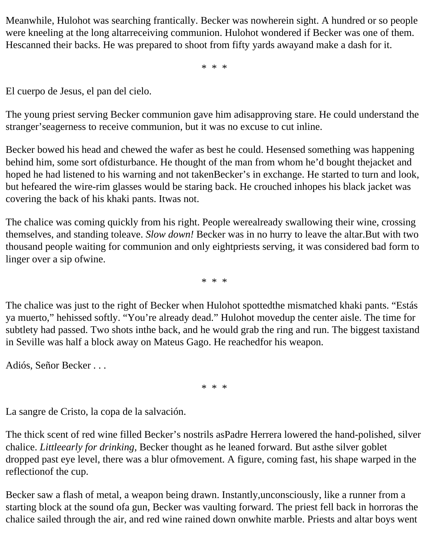Meanwhile, Hulohot was searching frantically. Becker was nowherein sight. A hundred or so people were kneeling at the long altarreceiving communion. Hulohot wondered if Becker was one of them. Hescanned their backs. He was prepared to shoot from fifty yards awayand make a dash for it.

\* \* \*

El cuerpo de Jesus, el pan del cielo.

The young priest serving Becker communion gave him adisapproving stare. He could understand the stranger'seagerness to receive communion, but it was no excuse to cut inline.

Becker bowed his head and chewed the wafer as best he could. Hesensed something was happening behind him, some sort ofdisturbance. He thought of the man from whom he'd bought thejacket and hoped he had listened to his warning and not takenBecker's in exchange. He started to turn and look, but hefeared the wire-rim glasses would be staring back. He crouched inhopes his black jacket was covering the back of his khaki pants. Itwas not.

The chalice was coming quickly from his right. People werealready swallowing their wine, crossing themselves, and standing toleave. *Slow down!* Becker was in no hurry to leave the altar.But with two thousand people waiting for communion and only eightpriests serving, it was considered bad form to linger over a sip ofwine.

\* \* \*

The chalice was just to the right of Becker when Hulohot spottedthe mismatched khaki pants. "Estás ya muerto," hehissed softly. "You're already dead." Hulohot movedup the center aisle. The time for subtlety had passed. Two shots inthe back, and he would grab the ring and run. The biggest taxistand in Seville was half a block away on Mateus Gago. He reachedfor his weapon.

Adiós, Señor Becker . . .

\* \* \*

La sangre de Cristo, la copa de la salvación.

The thick scent of red wine filled Becker's nostrils asPadre Herrera lowered the hand-polished, silver chalice. *Littleearly for drinking,* Becker thought as he leaned forward. But asthe silver goblet dropped past eye level, there was a blur ofmovement. A figure, coming fast, his shape warped in the reflectionof the cup.

Becker saw a flash of metal, a weapon being drawn. Instantly,unconsciously, like a runner from a starting block at the sound ofa gun, Becker was vaulting forward. The priest fell back in horroras the chalice sailed through the air, and red wine rained down onwhite marble. Priests and altar boys went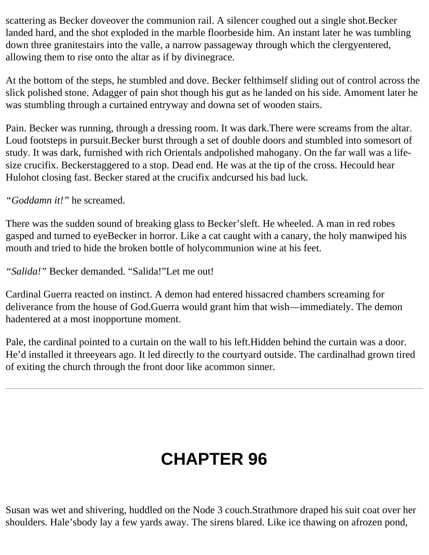scattering as Becker doveover the communion rail. A silencer coughed out a single shot.Becker landed hard, and the shot exploded in the marble floorbeside him. An instant later he was tumbling down three granitestairs into the valle, a narrow passageway through which the clergyentered, allowing them to rise onto the altar as if by divinegrace.

At the bottom of the steps, he stumbled and dove. Becker felthimself sliding out of control across the slick polished stone. Adagger of pain shot though his gut as he landed on his side. Amoment later he was stumbling through a curtained entryway and downa set of wooden stairs.

Pain. Becker was running, through a dressing room. It was dark.There were screams from the altar. Loud footsteps in pursuit.Becker burst through a set of double doors and stumbled into somesort of study. It was dark, furnished with rich Orientals andpolished mahogany. On the far wall was a lifesize crucifix. Beckerstaggered to a stop. Dead end. He was at the tip of the cross. Hecould hear Hulohot closing fast. Becker stared at the crucifix andcursed his bad luck.

*"Goddamn it!"* he screamed.

There was the sudden sound of breaking glass to Becker'sleft. He wheeled. A man in red robes gasped and turned to eyeBecker in horror. Like a cat caught with a canary, the holy manwiped his mouth and tried to hide the broken bottle of holycommunion wine at his feet.

*"Salida!"* Becker demanded. "Salida!"Let me out!

Cardinal Guerra reacted on instinct. A demon had entered hissacred chambers screaming for deliverance from the house of God.Guerra would grant him that wish—immediately. The demon hadentered at a most inopportune moment.

Pale, the cardinal pointed to a curtain on the wall to his left.Hidden behind the curtain was a door. He'd installed it threeyears ago. It led directly to the courtyard outside. The cardinalhad grown tired of exiting the church through the front door like acommon sinner.

# **CHAPTER 96**

Susan was wet and shivering, huddled on the Node 3 couch.Strathmore draped his suit coat over her shoulders. Hale'sbody lay a few yards away. The sirens blared. Like ice thawing on afrozen pond,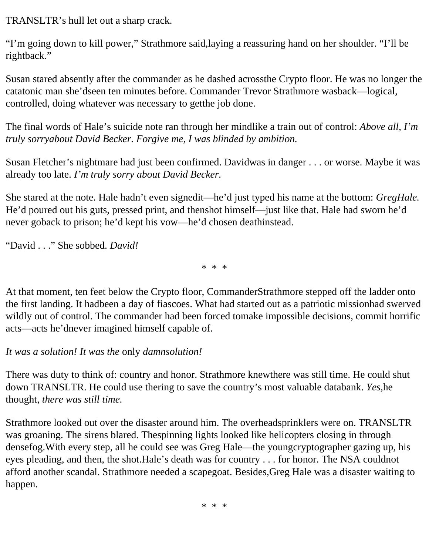TRANSLTR's hull let out a sharp crack.

"I'm going down to kill power," Strathmore said,laying a reassuring hand on her shoulder. "I'll be rightback."

Susan stared absently after the commander as he dashed acrossthe Crypto floor. He was no longer the catatonic man she'dseen ten minutes before. Commander Trevor Strathmore wasback—logical, controlled, doing whatever was necessary to getthe job done.

The final words of Hale's suicide note ran through her mindlike a train out of control: *Above all, I'm truly sorryabout David Becker. Forgive me, I was blinded by ambition.*

Susan Fletcher's nightmare had just been confirmed. Davidwas in danger . . . or worse. Maybe it was already too late. *I'm truly sorry about David Becker.*

She stared at the note. Hale hadn't even signedit—he'd just typed his name at the bottom: *GregHale.* He'd poured out his guts, pressed print, and thenshot himself—just like that. Hale had sworn he'd never goback to prison; he'd kept his vow—he'd chosen deathinstead.

"David . . ." She sobbed. *David!*

\* \* \*

At that moment, ten feet below the Crypto floor, CommanderStrathmore stepped off the ladder onto the first landing. It hadbeen a day of fiascoes. What had started out as a patriotic missionhad swerved wildly out of control. The commander had been forced tomake impossible decisions, commit horrific acts—acts he'dnever imagined himself capable of.

*It was a solution! It was the* only *damnsolution!*

There was duty to think of: country and honor. Strathmore knewthere was still time. He could shut down TRANSLTR. He could use thering to save the country's most valuable databank. *Yes,*he thought, *there was still time.*

Strathmore looked out over the disaster around him. The overheadsprinklers were on. TRANSLTR was groaning. The sirens blared. Thespinning lights looked like helicopters closing in through densefog.With every step, all he could see was Greg Hale—the youngcryptographer gazing up, his eyes pleading, and then, the shot.Hale's death was for country . . . for honor. The NSA couldnot afford another scandal. Strathmore needed a scapegoat. Besides,Greg Hale was a disaster waiting to happen.

\* \* \*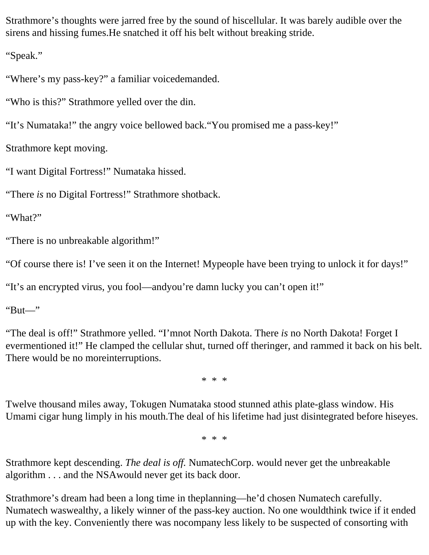Strathmore's thoughts were jarred free by the sound of hiscellular. It was barely audible over the sirens and hissing fumes.He snatched it off his belt without breaking stride.

"Speak."

"Where's my pass-key?" a familiar voicedemanded.

"Who is this?" Strathmore yelled over the din.

"It's Numataka!" the angry voice bellowed back."You promised me a pass-key!"

Strathmore kept moving.

"I want Digital Fortress!" Numataka hissed.

"There *is* no Digital Fortress!" Strathmore shotback.

"What?"

"There is no unbreakable algorithm!"

"Of course there is! I've seen it on the Internet! Mypeople have been trying to unlock it for days!"

"It's an encrypted virus, you fool—andyou're damn lucky you can't open it!"

 $"But$ —"

"The deal is off!" Strathmore yelled. "I'mnot North Dakota. There *is* no North Dakota! Forget I evermentioned it!" He clamped the cellular shut, turned off theringer, and rammed it back on his belt. There would be no moreinterruptions.

\* \* \*

Twelve thousand miles away, Tokugen Numataka stood stunned athis plate-glass window. His Umami cigar hung limply in his mouth.The deal of his lifetime had just disintegrated before hiseyes.

\* \* \*

Strathmore kept descending. *The deal is off.* NumatechCorp. would never get the unbreakable algorithm . . . and the NSAwould never get its back door.

Strathmore's dream had been a long time in theplanning—he'd chosen Numatech carefully. Numatech waswealthy, a likely winner of the pass-key auction. No one wouldthink twice if it ended up with the key. Conveniently there was nocompany less likely to be suspected of consorting with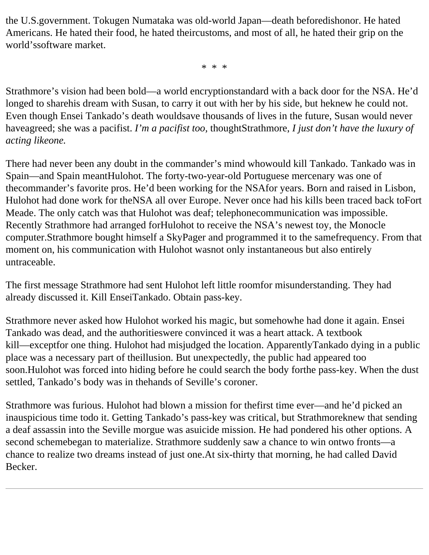the U.S.government. Tokugen Numataka was old-world Japan—death beforedishonor. He hated Americans. He hated their food, he hated theircustoms, and most of all, he hated their grip on the world'ssoftware market.

\* \* \*

Strathmore's vision had been bold—a world encryptionstandard with a back door for the NSA. He'd longed to sharehis dream with Susan, to carry it out with her by his side, but heknew he could not. Even though Ensei Tankado's death wouldsave thousands of lives in the future, Susan would never haveagreed; she was a pacifist. *I'm a pacifist too,* thoughtStrathmore, *I just don't have the luxury of acting likeone.*

There had never been any doubt in the commander's mind whowould kill Tankado. Tankado was in Spain—and Spain meantHulohot. The forty-two-year-old Portuguese mercenary was one of thecommander's favorite pros. He'd been working for the NSAfor years. Born and raised in Lisbon, Hulohot had done work for theNSA all over Europe. Never once had his kills been traced back toFort Meade. The only catch was that Hulohot was deaf; telephonecommunication was impossible. Recently Strathmore had arranged forHulohot to receive the NSA's newest toy, the Monocle computer.Strathmore bought himself a SkyPager and programmed it to the samefrequency. From that moment on, his communication with Hulohot wasnot only instantaneous but also entirely untraceable.

The first message Strathmore had sent Hulohot left little roomfor misunderstanding. They had already discussed it. Kill EnseiTankado. Obtain pass-key.

Strathmore never asked how Hulohot worked his magic, but somehowhe had done it again. Ensei Tankado was dead, and the authoritieswere convinced it was a heart attack. A textbook kill—exceptfor one thing. Hulohot had misjudged the location. ApparentlyTankado dying in a public place was a necessary part of theillusion. But unexpectedly, the public had appeared too soon.Hulohot was forced into hiding before he could search the body forthe pass-key. When the dust settled, Tankado's body was in thehands of Seville's coroner.

Strathmore was furious. Hulohot had blown a mission for thefirst time ever—and he'd picked an inauspicious time todo it. Getting Tankado's pass-key was critical, but Strathmoreknew that sending a deaf assassin into the Seville morgue was asuicide mission. He had pondered his other options. A second schemebegan to materialize. Strathmore suddenly saw a chance to win ontwo fronts—a chance to realize two dreams instead of just one.At six-thirty that morning, he had called David Becker.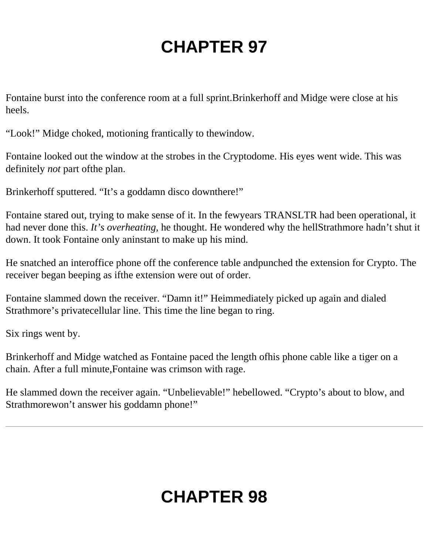# **CHAPTER 97**

Fontaine burst into the conference room at a full sprint.Brinkerhoff and Midge were close at his heels.

"Look!" Midge choked, motioning frantically to thewindow.

Fontaine looked out the window at the strobes in the Cryptodome. His eyes went wide. This was definitely *not* part ofthe plan.

Brinkerhoff sputtered. "It's a goddamn disco downthere!"

Fontaine stared out, trying to make sense of it. In the fewyears TRANSLTR had been operational, it had never done this. *It's overheating,* he thought. He wondered why the hellStrathmore hadn't shut it down. It took Fontaine only aninstant to make up his mind.

He snatched an interoffice phone off the conference table andpunched the extension for Crypto. The receiver began beeping as ifthe extension were out of order.

Fontaine slammed down the receiver. "Damn it!" Heimmediately picked up again and dialed Strathmore's privatecellular line. This time the line began to ring.

Six rings went by.

Brinkerhoff and Midge watched as Fontaine paced the length ofhis phone cable like a tiger on a chain. After a full minute,Fontaine was crimson with rage.

He slammed down the receiver again. "Unbelievable!" hebellowed. "Crypto's about to blow, and Strathmorewon't answer his goddamn phone!"

# **CHAPTER 98**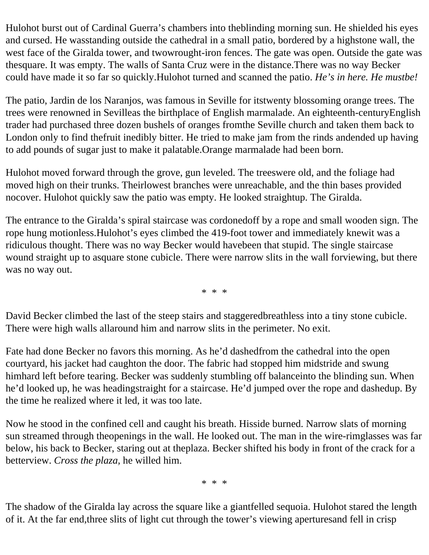Hulohot burst out of Cardinal Guerra's chambers into theblinding morning sun. He shielded his eyes and cursed. He wasstanding outside the cathedral in a small patio, bordered by a highstone wall, the west face of the Giralda tower, and twowrought-iron fences. The gate was open. Outside the gate was thesquare. It was empty. The walls of Santa Cruz were in the distance.There was no way Becker could have made it so far so quickly.Hulohot turned and scanned the patio. *He's in here. He mustbe!*

The patio, Jardin de los Naranjos, was famous in Seville for itstwenty blossoming orange trees. The trees were renowned in Sevilleas the birthplace of English marmalade. An eighteenth-centuryEnglish trader had purchased three dozen bushels of oranges fromthe Seville church and taken them back to London only to find thefruit inedibly bitter. He tried to make jam from the rinds andended up having to add pounds of sugar just to make it palatable.Orange marmalade had been born.

Hulohot moved forward through the grove, gun leveled. The treeswere old, and the foliage had moved high on their trunks. Theirlowest branches were unreachable, and the thin bases provided nocover. Hulohot quickly saw the patio was empty. He looked straightup. The Giralda.

The entrance to the Giralda's spiral staircase was cordonedoff by a rope and small wooden sign. The rope hung motionless.Hulohot's eyes climbed the 419-foot tower and immediately knewit was a ridiculous thought. There was no way Becker would havebeen that stupid. The single staircase wound straight up to asquare stone cubicle. There were narrow slits in the wall forviewing, but there was no way out.

\* \* \*

David Becker climbed the last of the steep stairs and staggeredbreathless into a tiny stone cubicle. There were high walls allaround him and narrow slits in the perimeter. No exit.

Fate had done Becker no favors this morning. As he'd dashedfrom the cathedral into the open courtyard, his jacket had caughton the door. The fabric had stopped him midstride and swung himhard left before tearing. Becker was suddenly stumbling off balanceinto the blinding sun. When he'd looked up, he was headingstraight for a staircase. He'd jumped over the rope and dashedup. By the time he realized where it led, it was too late.

Now he stood in the confined cell and caught his breath. Hisside burned. Narrow slats of morning sun streamed through theopenings in the wall. He looked out. The man in the wire-rimglasses was far below, his back to Becker, staring out at theplaza. Becker shifted his body in front of the crack for a betterview. *Cross the plaza,* he willed him.

\* \* \*

The shadow of the Giralda lay across the square like a giantfelled sequoia. Hulohot stared the length of it. At the far end,three slits of light cut through the tower's viewing aperturesand fell in crisp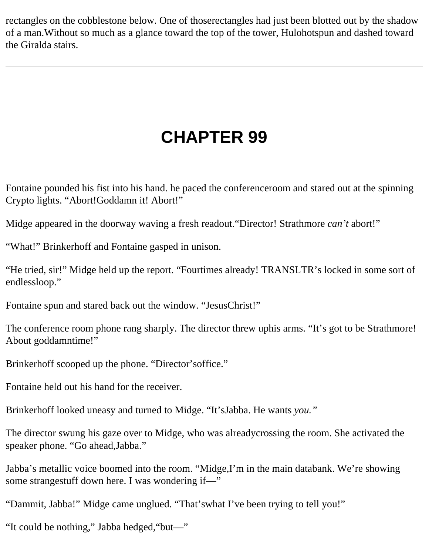rectangles on the cobblestone below. One of thoserectangles had just been blotted out by the shadow of a man.Without so much as a glance toward the top of the tower, Hulohotspun and dashed toward the Giralda stairs.

# **CHAPTER 99**

Fontaine pounded his fist into his hand. he paced the conferenceroom and stared out at the spinning Crypto lights. "Abort!Goddamn it! Abort!"

Midge appeared in the doorway waving a fresh readout."Director! Strathmore *can't* abort!"

"What!" Brinkerhoff and Fontaine gasped in unison.

"He tried, sir!" Midge held up the report. "Fourtimes already! TRANSLTR's locked in some sort of endlessloop."

Fontaine spun and stared back out the window. "JesusChrist!"

The conference room phone rang sharply. The director threw uphis arms. "It's got to be Strathmore! About goddamntime!"

Brinkerhoff scooped up the phone. "Director'soffice."

Fontaine held out his hand for the receiver.

Brinkerhoff looked uneasy and turned to Midge. "It'sJabba. He wants *you."*

The director swung his gaze over to Midge, who was alreadycrossing the room. She activated the speaker phone. "Go ahead,Jabba."

Jabba's metallic voice boomed into the room. "Midge,I'm in the main databank. We're showing some strangestuff down here. I was wondering if—"

"Dammit, Jabba!" Midge came unglued. "That'swhat I've been trying to tell you!"

"It could be nothing," Jabba hedged,"but—"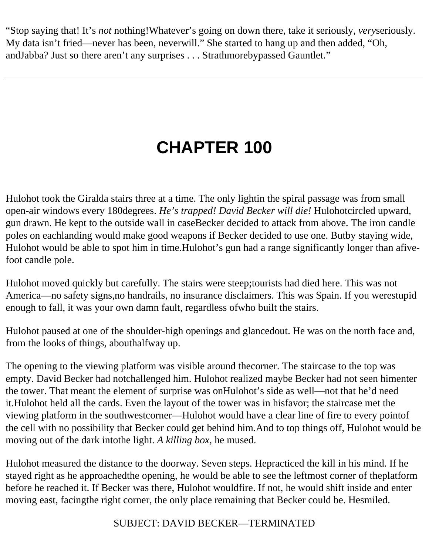"Stop saying that! It's *not* nothing!Whatever's going on down there, take it seriously, *very*seriously. My data isn't fried—never has been, neverwill." She started to hang up and then added, "Oh, andJabba? Just so there aren't any surprises . . . Strathmorebypassed Gauntlet."

# **CHAPTER 100**

Hulohot took the Giralda stairs three at a time. The only lightin the spiral passage was from small open-air windows every 180degrees. *He's trapped! David Becker will die!* Hulohotcircled upward, gun drawn. He kept to the outside wall in caseBecker decided to attack from above. The iron candle poles on eachlanding would make good weapons if Becker decided to use one. Butby staying wide, Hulohot would be able to spot him in time.Hulohot's gun had a range significantly longer than afivefoot candle pole.

Hulohot moved quickly but carefully. The stairs were steep;tourists had died here. This was not America—no safety signs,no handrails, no insurance disclaimers. This was Spain. If you werestupid enough to fall, it was your own damn fault, regardless ofwho built the stairs.

Hulohot paused at one of the shoulder-high openings and glancedout. He was on the north face and, from the looks of things, abouthalfway up.

The opening to the viewing platform was visible around thecorner. The staircase to the top was empty. David Becker had notchallenged him. Hulohot realized maybe Becker had not seen himenter the tower. That meant the element of surprise was onHulohot's side as well—not that he'd need it.Hulohot held all the cards. Even the layout of the tower was in hisfavor; the staircase met the viewing platform in the southwestcorner—Hulohot would have a clear line of fire to every pointof the cell with no possibility that Becker could get behind him.And to top things off, Hulohot would be moving out of the dark intothe light. *A killing box,* he mused.

Hulohot measured the distance to the doorway. Seven steps. Hepracticed the kill in his mind. If he stayed right as he approachedthe opening, he would be able to see the leftmost corner of theplatform before he reached it. If Becker was there, Hulohot wouldfire. If not, he would shift inside and enter moving east, facingthe right corner, the only place remaining that Becker could be. Hesmiled.

### SUBJECT: DAVID BECKER—TERMINATED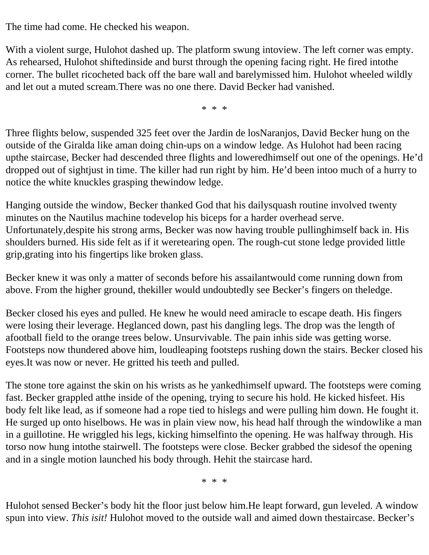The time had come. He checked his weapon.

With a violent surge, Hulohot dashed up. The platform swung intoview. The left corner was empty. As rehearsed, Hulohot shiftedinside and burst through the opening facing right. He fired intothe corner. The bullet ricocheted back off the bare wall and barelymissed him. Hulohot wheeled wildly and let out a muted scream.There was no one there. David Becker had vanished.

\* \* \*

Three flights below, suspended 325 feet over the Jardin de losNaranjos, David Becker hung on the outside of the Giralda like aman doing chin-ups on a window ledge. As Hulohot had been racing upthe staircase, Becker had descended three flights and loweredhimself out one of the openings. He'd dropped out of sightjust in time. The killer had run right by him. He'd been intoo much of a hurry to notice the white knuckles grasping thewindow ledge.

Hanging outside the window, Becker thanked God that his dailysquash routine involved twenty minutes on the Nautilus machine todevelop his biceps for a harder overhead serve. Unfortunately,despite his strong arms, Becker was now having trouble pullinghimself back in. His shoulders burned. His side felt as if it weretearing open. The rough-cut stone ledge provided little grip,grating into his fingertips like broken glass.

Becker knew it was only a matter of seconds before his assailantwould come running down from above. From the higher ground, thekiller would undoubtedly see Becker's fingers on theledge.

Becker closed his eyes and pulled. He knew he would need amiracle to escape death. His fingers were losing their leverage. Heglanced down, past his dangling legs. The drop was the length of afootball field to the orange trees below. Unsurvivable. The pain inhis side was getting worse. Footsteps now thundered above him, loudleaping footsteps rushing down the stairs. Becker closed his eyes.It was now or never. He gritted his teeth and pulled.

The stone tore against the skin on his wrists as he yankedhimself upward. The footsteps were coming fast. Becker grappled atthe inside of the opening, trying to secure his hold. He kicked hisfeet. His body felt like lead, as if someone had a rope tied to hislegs and were pulling him down. He fought it. He surged up onto hiselbows. He was in plain view now, his head half through the windowlike a man in a guillotine. He wriggled his legs, kicking himselfinto the opening. He was halfway through. His torso now hung intothe stairwell. The footsteps were close. Becker grabbed the sidesof the opening and in a single motion launched his body through. Hehit the staircase hard.

\* \* \*

Hulohot sensed Becker's body hit the floor just below him.He leapt forward, gun leveled. A window spun into view. *This isit!* Hulohot moved to the outside wall and aimed down thestaircase. Becker's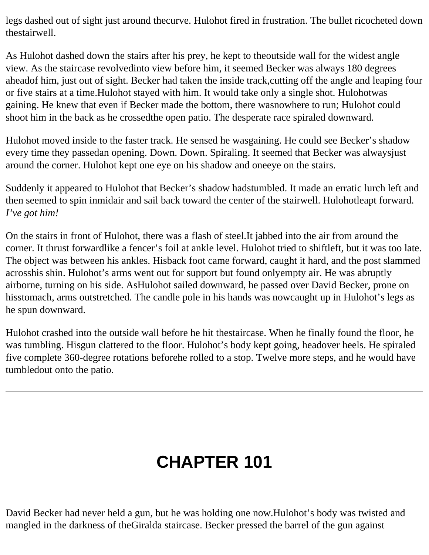legs dashed out of sight just around thecurve. Hulohot fired in frustration. The bullet ricocheted down thestairwell.

As Hulohot dashed down the stairs after his prey, he kept to theoutside wall for the widest angle view. As the staircase revolvedinto view before him, it seemed Becker was always 180 degrees aheadof him, just out of sight. Becker had taken the inside track,cutting off the angle and leaping four or five stairs at a time.Hulohot stayed with him. It would take only a single shot. Hulohotwas gaining. He knew that even if Becker made the bottom, there wasnowhere to run; Hulohot could shoot him in the back as he crossedthe open patio. The desperate race spiraled downward.

Hulohot moved inside to the faster track. He sensed he wasgaining. He could see Becker's shadow every time they passedan opening. Down. Down. Spiraling. It seemed that Becker was alwaysjust around the corner. Hulohot kept one eye on his shadow and oneeye on the stairs.

Suddenly it appeared to Hulohot that Becker's shadow hadstumbled. It made an erratic lurch left and then seemed to spin inmidair and sail back toward the center of the stairwell. Hulohotleapt forward. *I've got him!*

On the stairs in front of Hulohot, there was a flash of steel.It jabbed into the air from around the corner. It thrust forwardlike a fencer's foil at ankle level. Hulohot tried to shiftleft, but it was too late. The object was between his ankles. Hisback foot came forward, caught it hard, and the post slammed acrosshis shin. Hulohot's arms went out for support but found onlyempty air. He was abruptly airborne, turning on his side. AsHulohot sailed downward, he passed over David Becker, prone on hisstomach, arms outstretched. The candle pole in his hands was nowcaught up in Hulohot's legs as he spun downward.

Hulohot crashed into the outside wall before he hit thestaircase. When he finally found the floor, he was tumbling. Hisgun clattered to the floor. Hulohot's body kept going, headover heels. He spiraled five complete 360-degree rotations beforehe rolled to a stop. Twelve more steps, and he would have tumbledout onto the patio.

# **CHAPTER 101**

David Becker had never held a gun, but he was holding one now.Hulohot's body was twisted and mangled in the darkness of theGiralda staircase. Becker pressed the barrel of the gun against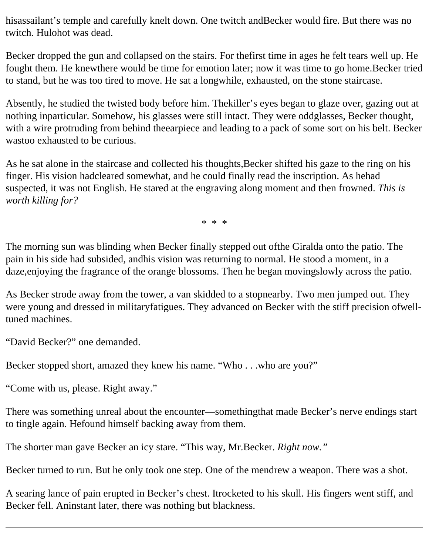hisassailant's temple and carefully knelt down. One twitch andBecker would fire. But there was no twitch. Hulohot was dead.

Becker dropped the gun and collapsed on the stairs. For thefirst time in ages he felt tears well up. He fought them. He knewthere would be time for emotion later; now it was time to go home.Becker tried to stand, but he was too tired to move. He sat a longwhile, exhausted, on the stone staircase.

Absently, he studied the twisted body before him. Thekiller's eyes began to glaze over, gazing out at nothing inparticular. Somehow, his glasses were still intact. They were oddglasses, Becker thought, with a wire protruding from behind theearpiece and leading to a pack of some sort on his belt. Becker wastoo exhausted to be curious.

As he sat alone in the staircase and collected his thoughts,Becker shifted his gaze to the ring on his finger. His vision hadcleared somewhat, and he could finally read the inscription. As hehad suspected, it was not English. He stared at the engraving along moment and then frowned. *This is worth killing for?*

\* \* \*

The morning sun was blinding when Becker finally stepped out ofthe Giralda onto the patio. The pain in his side had subsided, andhis vision was returning to normal. He stood a moment, in a daze,enjoying the fragrance of the orange blossoms. Then he began movingslowly across the patio.

As Becker strode away from the tower, a van skidded to a stopnearby. Two men jumped out. They were young and dressed in militaryfatigues. They advanced on Becker with the stiff precision ofwelltuned machines.

"David Becker?" one demanded.

Becker stopped short, amazed they knew his name. "Who . . .who are you?"

"Come with us, please. Right away."

There was something unreal about the encounter—somethingthat made Becker's nerve endings start to tingle again. Hefound himself backing away from them.

The shorter man gave Becker an icy stare. "This way, Mr.Becker. *Right now."*

Becker turned to run. But he only took one step. One of the mendrew a weapon. There was a shot.

A searing lance of pain erupted in Becker's chest. Itrocketed to his skull. His fingers went stiff, and Becker fell. Aninstant later, there was nothing but blackness.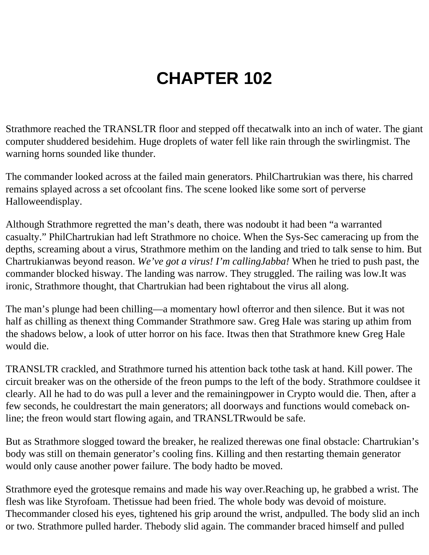## **CHAPTER 102**

Strathmore reached the TRANSLTR floor and stepped off thecatwalk into an inch of water. The giant computer shuddered besidehim. Huge droplets of water fell like rain through the swirlingmist. The warning horns sounded like thunder.

The commander looked across at the failed main generators. PhilChartrukian was there, his charred remains splayed across a set ofcoolant fins. The scene looked like some sort of perverse Halloweendisplay.

Although Strathmore regretted the man's death, there was nodoubt it had been "a warranted casualty." PhilChartrukian had left Strathmore no choice. When the Sys-Sec cameracing up from the depths, screaming about a virus, Strathmore methim on the landing and tried to talk sense to him. But Chartrukianwas beyond reason. *We've got a virus! I'm callingJabba!* When he tried to push past, the commander blocked hisway. The landing was narrow. They struggled. The railing was low.It was ironic, Strathmore thought, that Chartrukian had been rightabout the virus all along.

The man's plunge had been chilling—a momentary howl ofterror and then silence. But it was not half as chilling as thenext thing Commander Strathmore saw. Greg Hale was staring up athim from the shadows below, a look of utter horror on his face. Itwas then that Strathmore knew Greg Hale would die.

TRANSLTR crackled, and Strathmore turned his attention back tothe task at hand. Kill power. The circuit breaker was on the otherside of the freon pumps to the left of the body. Strathmore couldsee it clearly. All he had to do was pull a lever and the remainingpower in Crypto would die. Then, after a few seconds, he couldrestart the main generators; all doorways and functions would comeback online; the freon would start flowing again, and TRANSLTRwould be safe.

But as Strathmore slogged toward the breaker, he realized therewas one final obstacle: Chartrukian's body was still on themain generator's cooling fins. Killing and then restarting themain generator would only cause another power failure. The body hadto be moved.

Strathmore eyed the grotesque remains and made his way over.Reaching up, he grabbed a wrist. The flesh was like Styrofoam. Thetissue had been fried. The whole body was devoid of moisture. Thecommander closed his eyes, tightened his grip around the wrist, andpulled. The body slid an inch or two. Strathmore pulled harder. Thebody slid again. The commander braced himself and pulled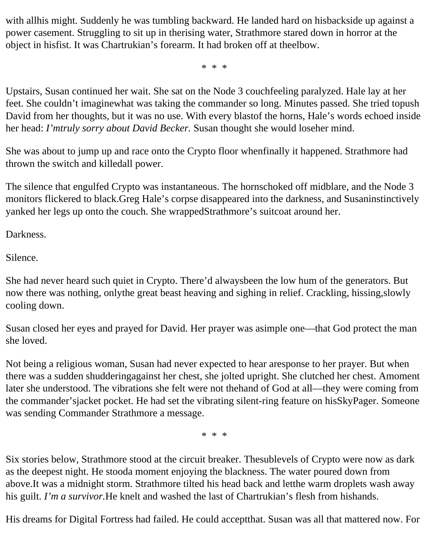with allhis might. Suddenly he was tumbling backward. He landed hard on hisbackside up against a power casement. Struggling to sit up in therising water, Strathmore stared down in horror at the object in hisfist. It was Chartrukian's forearm. It had broken off at theelbow.

\* \* \*

Upstairs, Susan continued her wait. She sat on the Node 3 couchfeeling paralyzed. Hale lay at her feet. She couldn't imaginewhat was taking the commander so long. Minutes passed. She tried topush David from her thoughts, but it was no use. With every blastof the horns, Hale's words echoed inside her head: *I'mtruly sorry about David Becker.* Susan thought she would loseher mind.

She was about to jump up and race onto the Crypto floor whenfinally it happened. Strathmore had thrown the switch and killedall power.

The silence that engulfed Crypto was instantaneous. The hornschoked off midblare, and the Node 3 monitors flickered to black.Greg Hale's corpse disappeared into the darkness, and Susaninstinctively yanked her legs up onto the couch. She wrappedStrathmore's suitcoat around her.

Darkness.

Silence.

She had never heard such quiet in Crypto. There'd alwaysbeen the low hum of the generators. But now there was nothing, onlythe great beast heaving and sighing in relief. Crackling, hissing,slowly cooling down.

Susan closed her eyes and prayed for David. Her prayer was asimple one—that God protect the man she loved.

Not being a religious woman, Susan had never expected to hear aresponse to her prayer. But when there was a sudden shudderingagainst her chest, she jolted upright. She clutched her chest. Amoment later she understood. The vibrations she felt were not thehand of God at all—they were coming from the commander'sjacket pocket. He had set the vibrating silent-ring feature on hisSkyPager. Someone was sending Commander Strathmore a message.

\* \* \*

Six stories below, Strathmore stood at the circuit breaker. Thesublevels of Crypto were now as dark as the deepest night. He stooda moment enjoying the blackness. The water poured down from above.It was a midnight storm. Strathmore tilted his head back and letthe warm droplets wash away his guilt. *I'm a survivor.*He knelt and washed the last of Chartrukian's flesh from hishands.

His dreams for Digital Fortress had failed. He could acceptthat. Susan was all that mattered now. For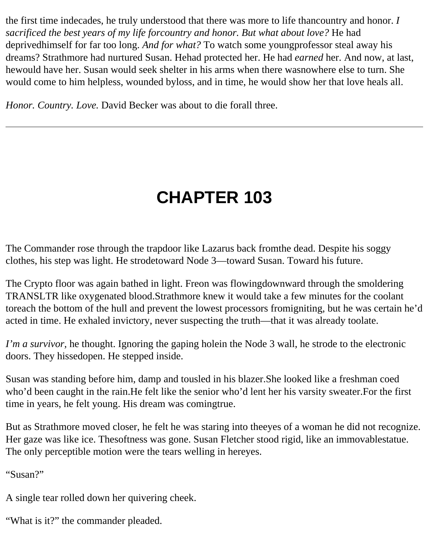the first time indecades, he truly understood that there was more to life thancountry and honor. *I sacrificed the best years of my life forcountry and honor. But what about love?* He had deprivedhimself for far too long. *And for what?* To watch some youngprofessor steal away his dreams? Strathmore had nurtured Susan. Hehad protected her. He had *earned* her. And now, at last, hewould have her. Susan would seek shelter in his arms when there wasnowhere else to turn. She would come to him helpless, wounded byloss, and in time, he would show her that love heals all.

*Honor. Country. Love.* David Becker was about to die forall three.

### **CHAPTER 103**

The Commander rose through the trapdoor like Lazarus back fromthe dead. Despite his soggy clothes, his step was light. He strodetoward Node 3—toward Susan. Toward his future.

The Crypto floor was again bathed in light. Freon was flowingdownward through the smoldering TRANSLTR like oxygenated blood.Strathmore knew it would take a few minutes for the coolant toreach the bottom of the hull and prevent the lowest processors fromigniting, but he was certain he'd acted in time. He exhaled invictory, never suspecting the truth—that it was already toolate.

*I'm a survivor*, he thought. Ignoring the gaping holein the Node 3 wall, he strode to the electronic doors. They hissedopen. He stepped inside.

Susan was standing before him, damp and tousled in his blazer.She looked like a freshman coed who'd been caught in the rain.He felt like the senior who'd lent her his varsity sweater.For the first time in years, he felt young. His dream was comingtrue.

But as Strathmore moved closer, he felt he was staring into theeyes of a woman he did not recognize. Her gaze was like ice. Thesoftness was gone. Susan Fletcher stood rigid, like an immovablestatue. The only perceptible motion were the tears welling in hereyes.

"Susan?"

A single tear rolled down her quivering cheek.

"What is it?" the commander pleaded.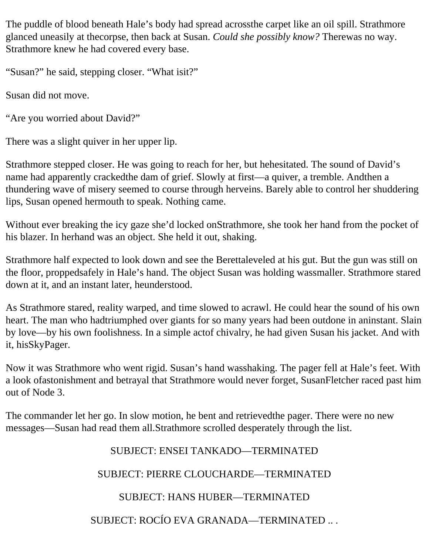The puddle of blood beneath Hale's body had spread acrossthe carpet like an oil spill. Strathmore glanced uneasily at thecorpse, then back at Susan. *Could she possibly know?* Therewas no way. Strathmore knew he had covered every base.

"Susan?" he said, stepping closer. "What isit?"

Susan did not move.

"Are you worried about David?"

There was a slight quiver in her upper lip.

Strathmore stepped closer. He was going to reach for her, but hehesitated. The sound of David's name had apparently crackedthe dam of grief. Slowly at first—a quiver, a tremble. Andthen a thundering wave of misery seemed to course through herveins. Barely able to control her shuddering lips, Susan opened hermouth to speak. Nothing came.

Without ever breaking the icy gaze she'd locked onStrathmore, she took her hand from the pocket of his blazer. In herhand was an object. She held it out, shaking.

Strathmore half expected to look down and see the Berettaleveled at his gut. But the gun was still on the floor, proppedsafely in Hale's hand. The object Susan was holding wassmaller. Strathmore stared down at it, and an instant later, heunderstood.

As Strathmore stared, reality warped, and time slowed to acrawl. He could hear the sound of his own heart. The man who hadtriumphed over giants for so many years had been outdone in aninstant. Slain by love—by his own foolishness. In a simple actof chivalry, he had given Susan his jacket. And with it, hisSkyPager.

Now it was Strathmore who went rigid. Susan's hand wasshaking. The pager fell at Hale's feet. With a look ofastonishment and betrayal that Strathmore would never forget, SusanFletcher raced past him out of Node 3.

The commander let her go. In slow motion, he bent and retrievedthe pager. There were no new messages—Susan had read them all.Strathmore scrolled desperately through the list.

#### SUBJECT: ENSEI TANKADO—TERMINATED

### SUBJECT: PIERRE CLOUCHARDE—TERMINATED

### SUBJECT: HANS HUBER—TERMINATED

### SUBJECT: ROCÍO EVA GRANADA—TERMINATED .. .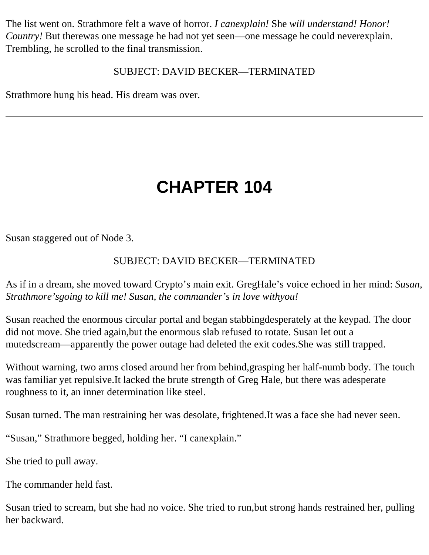The list went on. Strathmore felt a wave of horror. *I canexplain!* She *will understand! Honor! Country!* But therewas one message he had not yet seen—one message he could neverexplain. Trembling, he scrolled to the final transmission.

#### SUBJECT: DAVID BECKER—TERMINATED

Strathmore hung his head. His dream was over.

### **CHAPTER 104**

Susan staggered out of Node 3.

### SUBJECT: DAVID BECKER—TERMINATED

As if in a dream, she moved toward Crypto's main exit. GregHale's voice echoed in her mind: *Susan, Strathmore'sgoing to kill me! Susan, the commander's in love withyou!*

Susan reached the enormous circular portal and began stabbingdesperately at the keypad. The door did not move. She tried again,but the enormous slab refused to rotate. Susan let out a mutedscream—apparently the power outage had deleted the exit codes.She was still trapped.

Without warning, two arms closed around her from behind,grasping her half-numb body. The touch was familiar yet repulsive.It lacked the brute strength of Greg Hale, but there was adesperate roughness to it, an inner determination like steel.

Susan turned. The man restraining her was desolate, frightened.It was a face she had never seen.

"Susan," Strathmore begged, holding her. "I canexplain."

She tried to pull away.

The commander held fast.

Susan tried to scream, but she had no voice. She tried to run,but strong hands restrained her, pulling her backward.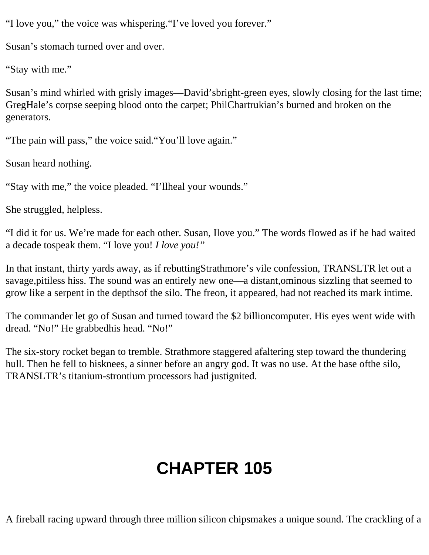"I love you," the voice was whispering."I've loved you forever."

Susan's stomach turned over and over.

"Stay with me."

Susan's mind whirled with grisly images—David'sbright-green eyes, slowly closing for the last time; GregHale's corpse seeping blood onto the carpet; PhilChartrukian's burned and broken on the generators.

"The pain will pass," the voice said."You'll love again."

Susan heard nothing.

"Stay with me," the voice pleaded. "I'llheal your wounds."

She struggled, helpless.

"I did it for us. We're made for each other. Susan, Ilove you." The words flowed as if he had waited a decade tospeak them. "I love you! *I love you!"*

In that instant, thirty yards away, as if rebuttingStrathmore's vile confession, TRANSLTR let out a savage,pitiless hiss. The sound was an entirely new one—a distant,ominous sizzling that seemed to grow like a serpent in the depthsof the silo. The freon, it appeared, had not reached its mark intime.

The commander let go of Susan and turned toward the \$2 billioncomputer. His eyes went wide with dread. "No!" He grabbedhis head. "No!"

The six-story rocket began to tremble. Strathmore staggered afaltering step toward the thundering hull. Then he fell to hisknees, a sinner before an angry god. It was no use. At the base ofthe silo, TRANSLTR's titanium-strontium processors had justignited.

# **CHAPTER 105**

A fireball racing upward through three million silicon chipsmakes a unique sound. The crackling of a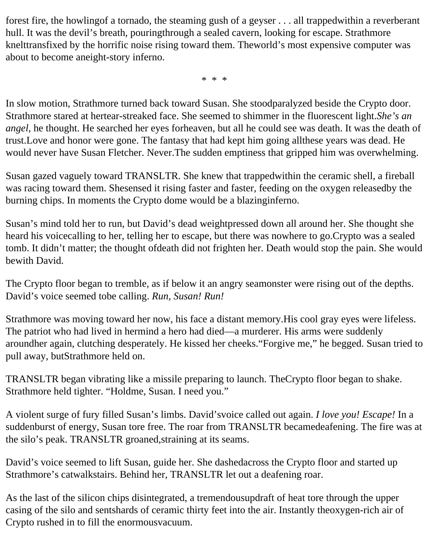forest fire, the howlingof a tornado, the steaming gush of a geyser . . . all trappedwithin a reverberant hull. It was the devil's breath, pouringthrough a sealed cavern, looking for escape. Strathmore knelttransfixed by the horrific noise rising toward them. Theworld's most expensive computer was about to become aneight-story inferno.

\* \* \*

In slow motion, Strathmore turned back toward Susan. She stoodparalyzed beside the Crypto door. Strathmore stared at hertear-streaked face. She seemed to shimmer in the fluorescent light.*She's an angel,* he thought. He searched her eyes forheaven, but all he could see was death. It was the death of trust.Love and honor were gone. The fantasy that had kept him going allthese years was dead. He would never have Susan Fletcher. Never.The sudden emptiness that gripped him was overwhelming.

Susan gazed vaguely toward TRANSLTR. She knew that trappedwithin the ceramic shell, a fireball was racing toward them. Shesensed it rising faster and faster, feeding on the oxygen releasedby the burning chips. In moments the Crypto dome would be a blazinginferno.

Susan's mind told her to run, but David's dead weightpressed down all around her. She thought she heard his voicecalling to her, telling her to escape, but there was nowhere to go.Crypto was a sealed tomb. It didn't matter; the thought ofdeath did not frighten her. Death would stop the pain. She would bewith David.

The Crypto floor began to tremble, as if below it an angry seamonster were rising out of the depths. David's voice seemed tobe calling. *Run, Susan! Run!*

Strathmore was moving toward her now, his face a distant memory.His cool gray eyes were lifeless. The patriot who had lived in hermind a hero had died—a murderer. His arms were suddenly aroundher again, clutching desperately. He kissed her cheeks."Forgive me," he begged. Susan tried to pull away, butStrathmore held on.

TRANSLTR began vibrating like a missile preparing to launch. TheCrypto floor began to shake. Strathmore held tighter. "Holdme, Susan. I need you."

A violent surge of fury filled Susan's limbs. David'svoice called out again. *I love you! Escape!* In a suddenburst of energy, Susan tore free. The roar from TRANSLTR becamedeafening. The fire was at the silo's peak. TRANSLTR groaned,straining at its seams.

David's voice seemed to lift Susan, guide her. She dashedacross the Crypto floor and started up Strathmore's catwalkstairs. Behind her, TRANSLTR let out a deafening roar.

As the last of the silicon chips disintegrated, a tremendousupdraft of heat tore through the upper casing of the silo and sentshards of ceramic thirty feet into the air. Instantly theoxygen-rich air of Crypto rushed in to fill the enormousvacuum.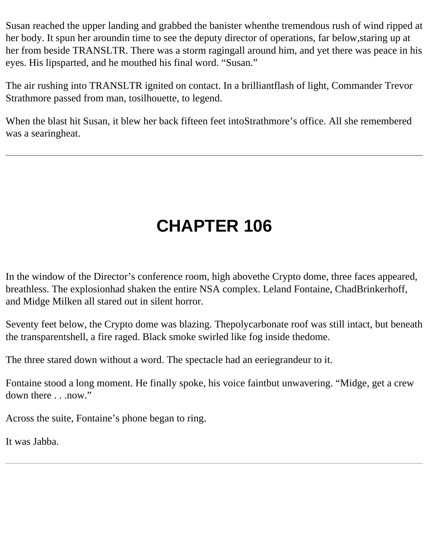Susan reached the upper landing and grabbed the banister whenthe tremendous rush of wind ripped at her body. It spun her aroundin time to see the deputy director of operations, far below,staring up at her from beside TRANSLTR. There was a storm ragingall around him, and yet there was peace in his eyes. His lipsparted, and he mouthed his final word. "Susan."

The air rushing into TRANSLTR ignited on contact. In a brilliantflash of light, Commander Trevor Strathmore passed from man, tosilhouette, to legend.

When the blast hit Susan, it blew her back fifteen feet intoStrathmore's office. All she remembered was a searingheat.

## **CHAPTER 106**

In the window of the Director's conference room, high abovethe Crypto dome, three faces appeared, breathless. The explosionhad shaken the entire NSA complex. Leland Fontaine, ChadBrinkerhoff, and Midge Milken all stared out in silent horror.

Seventy feet below, the Crypto dome was blazing. Thepolycarbonate roof was still intact, but beneath the transparentshell, a fire raged. Black smoke swirled like fog inside thedome.

The three stared down without a word. The spectacle had an eeriegrandeur to it.

Fontaine stood a long moment. He finally spoke, his voice faintbut unwavering. "Midge, get a crew down there . . .now."

Across the suite, Fontaine's phone began to ring.

It was Jabba.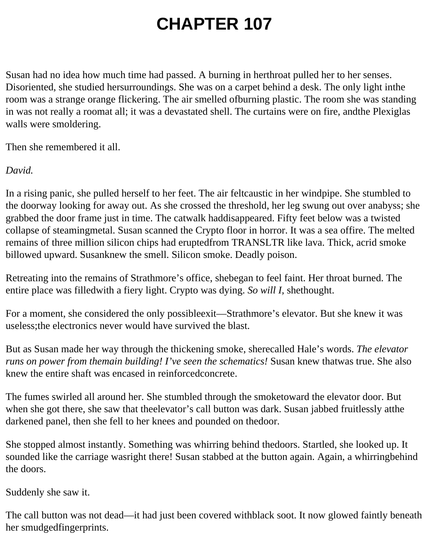## **CHAPTER 107**

Susan had no idea how much time had passed. A burning in herthroat pulled her to her senses. Disoriented, she studied hersurroundings. She was on a carpet behind a desk. The only light inthe room was a strange orange flickering. The air smelled ofburning plastic. The room she was standing in was not really a roomat all; it was a devastated shell. The curtains were on fire, andthe Plexiglas walls were smoldering.

Then she remembered it all.

#### *David.*

In a rising panic, she pulled herself to her feet. The air feltcaustic in her windpipe. She stumbled to the doorway looking for away out. As she crossed the threshold, her leg swung out over anabyss; she grabbed the door frame just in time. The catwalk haddisappeared. Fifty feet below was a twisted collapse of steamingmetal. Susan scanned the Crypto floor in horror. It was a sea offire. The melted remains of three million silicon chips had eruptedfrom TRANSLTR like lava. Thick, acrid smoke billowed upward. Susanknew the smell. Silicon smoke. Deadly poison.

Retreating into the remains of Strathmore's office, shebegan to feel faint. Her throat burned. The entire place was filledwith a fiery light. Crypto was dying. *So will I,* shethought.

For a moment, she considered the only possibleexit—Strathmore's elevator. But she knew it was useless;the electronics never would have survived the blast.

But as Susan made her way through the thickening smoke, sherecalled Hale's words. *The elevator runs on power from themain building! I've seen the schematics!* Susan knew thatwas true. She also knew the entire shaft was encased in reinforcedconcrete.

The fumes swirled all around her. She stumbled through the smoketoward the elevator door. But when she got there, she saw that theelevator's call button was dark. Susan jabbed fruitlessly atthe darkened panel, then she fell to her knees and pounded on thedoor.

She stopped almost instantly. Something was whirring behind thedoors. Startled, she looked up. It sounded like the carriage wasright there! Susan stabbed at the button again. Again, a whirringbehind the doors.

Suddenly she saw it.

The call button was not dead—it had just been covered withblack soot. It now glowed faintly beneath her smudgedfingerprints.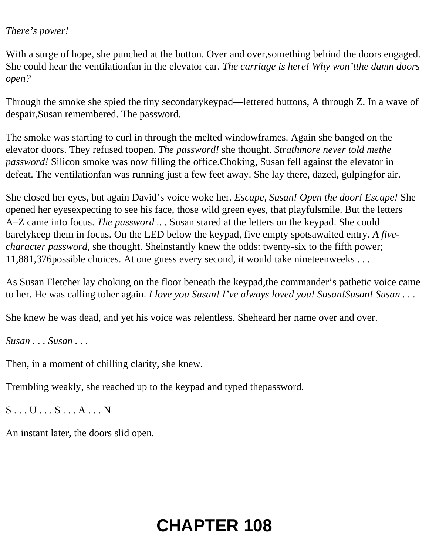#### *There's power!*

With a surge of hope, she punched at the button. Over and over, something behind the doors engaged. She could hear the ventilationfan in the elevator car. *The carriage is here! Why won'tthe damn doors open?*

Through the smoke she spied the tiny secondarykeypad—lettered buttons, A through Z. In a wave of despair,Susan remembered. The password.

The smoke was starting to curl in through the melted windowframes. Again she banged on the elevator doors. They refused toopen. *The password!* she thought. *Strathmore never told methe password!* Silicon smoke was now filling the office.Choking, Susan fell against the elevator in defeat. The ventilationfan was running just a few feet away. She lay there, dazed, gulpingfor air.

She closed her eyes, but again David's voice woke her. *Escape, Susan! Open the door! Escape!* She opened her eyesexpecting to see his face, those wild green eyes, that playfulsmile. But the letters A–Z came into focus. *The password .. .* Susan stared at the letters on the keypad. She could barelykeep them in focus. On the LED below the keypad, five empty spotsawaited entry. *A fivecharacter password,* she thought. Sheinstantly knew the odds: twenty-six to the fifth power; 11,881,376possible choices. At one guess every second, it would take nineteenweeks . . .

As Susan Fletcher lay choking on the floor beneath the keypad,the commander's pathetic voice came to her. He was calling toher again. *I love you Susan! I've always loved you! Susan!Susan! Susan . . .*

She knew he was dead, and yet his voice was relentless. Sheheard her name over and over.

*Susan . . . Susan . . .*

Then, in a moment of chilling clarity, she knew.

Trembling weakly, she reached up to the keypad and typed thepassword.

 $S \ldots U \ldots S \ldots A \ldots N$ 

An instant later, the doors slid open.

### **CHAPTER 108**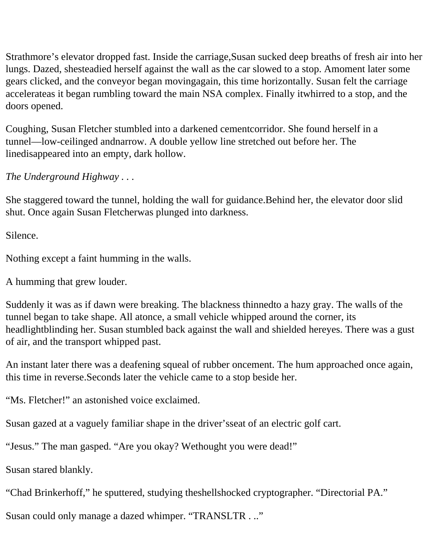Strathmore's elevator dropped fast. Inside the carriage,Susan sucked deep breaths of fresh air into her lungs. Dazed, shesteadied herself against the wall as the car slowed to a stop. Amoment later some gears clicked, and the conveyor began movingagain, this time horizontally. Susan felt the carriage accelerateas it began rumbling toward the main NSA complex. Finally itwhirred to a stop, and the doors opened.

Coughing, Susan Fletcher stumbled into a darkened cementcorridor. She found herself in a tunnel—low-ceilinged andnarrow. A double yellow line stretched out before her. The linedisappeared into an empty, dark hollow.

*The Underground Highway . . .*

She staggered toward the tunnel, holding the wall for guidance.Behind her, the elevator door slid shut. Once again Susan Fletcherwas plunged into darkness.

Silence.

Nothing except a faint humming in the walls.

A humming that grew louder.

Suddenly it was as if dawn were breaking. The blackness thinnedto a hazy gray. The walls of the tunnel began to take shape. All atonce, a small vehicle whipped around the corner, its headlightblinding her. Susan stumbled back against the wall and shielded hereyes. There was a gust of air, and the transport whipped past.

An instant later there was a deafening squeal of rubber oncement. The hum approached once again, this time in reverse.Seconds later the vehicle came to a stop beside her.

"Ms. Fletcher!" an astonished voice exclaimed.

Susan gazed at a vaguely familiar shape in the driver'sseat of an electric golf cart.

"Jesus." The man gasped. "Are you okay? Wethought you were dead!"

Susan stared blankly.

"Chad Brinkerhoff," he sputtered, studying theshellshocked cryptographer. "Directorial PA."

Susan could only manage a dazed whimper. "TRANSLTR . .."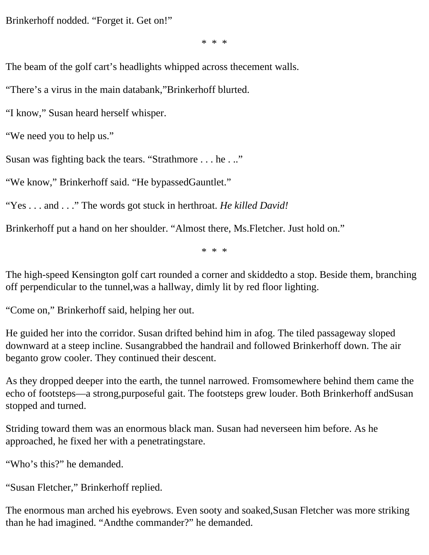Brinkerhoff nodded. "Forget it. Get on!"

\* \* \*

The beam of the golf cart's headlights whipped across thecement walls.

"There's a virus in the main databank,"Brinkerhoff blurted.

"I know," Susan heard herself whisper.

"We need you to help us."

Susan was fighting back the tears. "Strathmore . . . he . .."

"We know," Brinkerhoff said. "He bypassedGauntlet."

"Yes . . . and . . ." The words got stuck in herthroat. *He killed David!*

Brinkerhoff put a hand on her shoulder. "Almost there, Ms.Fletcher. Just hold on."

\* \* \*

The high-speed Kensington golf cart rounded a corner and skiddedto a stop. Beside them, branching off perpendicular to the tunnel,was a hallway, dimly lit by red floor lighting.

"Come on," Brinkerhoff said, helping her out.

He guided her into the corridor. Susan drifted behind him in afog. The tiled passageway sloped downward at a steep incline. Susangrabbed the handrail and followed Brinkerhoff down. The air beganto grow cooler. They continued their descent.

As they dropped deeper into the earth, the tunnel narrowed. Fromsomewhere behind them came the echo of footsteps—a strong,purposeful gait. The footsteps grew louder. Both Brinkerhoff andSusan stopped and turned.

Striding toward them was an enormous black man. Susan had neverseen him before. As he approached, he fixed her with a penetratingstare.

"Who's this?" he demanded.

"Susan Fletcher," Brinkerhoff replied.

The enormous man arched his eyebrows. Even sooty and soaked,Susan Fletcher was more striking than he had imagined. "Andthe commander?" he demanded.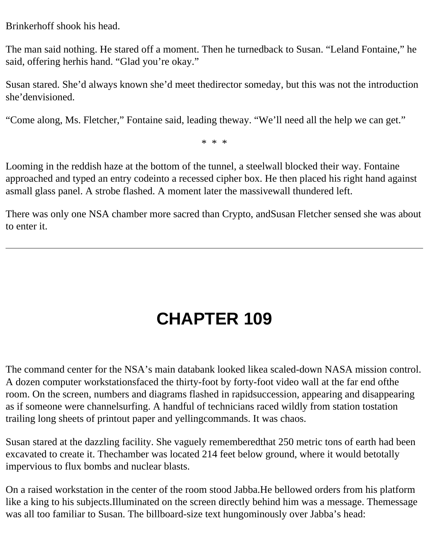Brinkerhoff shook his head.

The man said nothing. He stared off a moment. Then he turnedback to Susan. "Leland Fontaine," he said, offering herhis hand. "Glad you're okay."

Susan stared. She'd always known she'd meet thedirector someday, but this was not the introduction she'denvisioned.

"Come along, Ms. Fletcher," Fontaine said, leading theway. "We'll need all the help we can get."

\* \* \*

Looming in the reddish haze at the bottom of the tunnel, a steelwall blocked their way. Fontaine approached and typed an entry codeinto a recessed cipher box. He then placed his right hand against asmall glass panel. A strobe flashed. A moment later the massivewall thundered left.

There was only one NSA chamber more sacred than Crypto, andSusan Fletcher sensed she was about to enter it.

## **CHAPTER 109**

The command center for the NSA's main databank looked likea scaled-down NASA mission control. A dozen computer workstationsfaced the thirty-foot by forty-foot video wall at the far end ofthe room. On the screen, numbers and diagrams flashed in rapidsuccession, appearing and disappearing as if someone were channelsurfing. A handful of technicians raced wildly from station tostation trailing long sheets of printout paper and yellingcommands. It was chaos.

Susan stared at the dazzling facility. She vaguely rememberedthat 250 metric tons of earth had been excavated to create it. Thechamber was located 214 feet below ground, where it would betotally impervious to flux bombs and nuclear blasts.

On a raised workstation in the center of the room stood Jabba.He bellowed orders from his platform like a king to his subjects.Illuminated on the screen directly behind him was a message. Themessage was all too familiar to Susan. The billboard-size text hungominously over Jabba's head: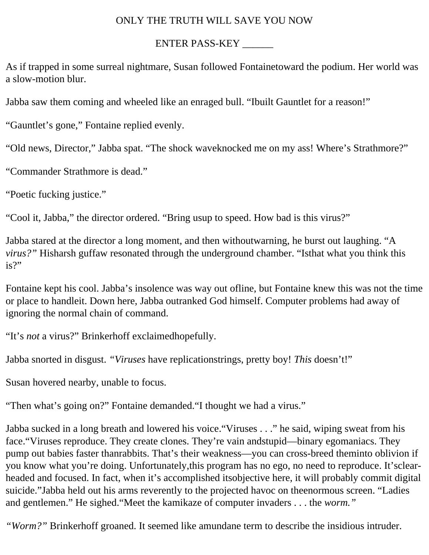#### ONLY THE TRUTH WILL SAVE YOU NOW

#### ENTER PASS-KEY \_\_\_\_\_\_

As if trapped in some surreal nightmare, Susan followed Fontainetoward the podium. Her world was a slow-motion blur.

Jabba saw them coming and wheeled like an enraged bull. "Ibuilt Gauntlet for a reason!"

"Gauntlet's gone," Fontaine replied evenly.

"Old news, Director," Jabba spat. "The shock waveknocked me on my ass! Where's Strathmore?"

"Commander Strathmore is dead."

"Poetic fucking justice."

"Cool it, Jabba," the director ordered. "Bring usup to speed. How bad is this virus?"

Jabba stared at the director a long moment, and then withoutwarning, he burst out laughing. "A *virus?"* Hisharsh guffaw resonated through the underground chamber. "Isthat what you think this is?"

Fontaine kept his cool. Jabba's insolence was way out ofline, but Fontaine knew this was not the time or place to handleit. Down here, Jabba outranked God himself. Computer problems had away of ignoring the normal chain of command.

"It's *not* a virus?" Brinkerhoff exclaimedhopefully.

Jabba snorted in disgust. *"Viruses* have replicationstrings, pretty boy! *This* doesn't!"

Susan hovered nearby, unable to focus.

"Then what's going on?" Fontaine demanded."I thought we had a virus."

Jabba sucked in a long breath and lowered his voice."Viruses . . ." he said, wiping sweat from his face."Viruses reproduce. They create clones. They're vain andstupid—binary egomaniacs. They pump out babies faster thanrabbits. That's their weakness—you can cross-breed theminto oblivion if you know what you're doing. Unfortunately,this program has no ego, no need to reproduce. It'sclearheaded and focused. In fact, when it's accomplished itsobjective here, it will probably commit digital suicide."Jabba held out his arms reverently to the projected havoc on theenormous screen. "Ladies and gentlemen." He sighed."Meet the kamikaze of computer invaders . . . the *worm."*

*"Worm?"* Brinkerhoff groaned. It seemed like amundane term to describe the insidious intruder.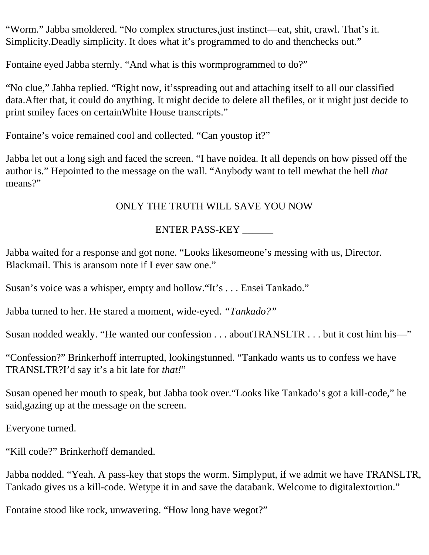"Worm." Jabba smoldered. "No complex structures,just instinct—eat, shit, crawl. That's it. Simplicity.Deadly simplicity. It does what it's programmed to do and thenchecks out."

Fontaine eyed Jabba sternly. "And what is this wormprogrammed to do?"

"No clue," Jabba replied. "Right now, it'sspreading out and attaching itself to all our classified data.After that, it could do anything. It might decide to delete all thefiles, or it might just decide to print smiley faces on certainWhite House transcripts."

Fontaine's voice remained cool and collected. "Can youstop it?"

Jabba let out a long sigh and faced the screen. "I have noidea. It all depends on how pissed off the author is." Hepointed to the message on the wall. "Anybody want to tell mewhat the hell *that* means?"

#### ONLY THE TRUTH WILL SAVE YOU NOW

### ENTER PASS-KEY \_\_\_\_\_\_

Jabba waited for a response and got none. "Looks likesomeone's messing with us, Director. Blackmail. This is aransom note if I ever saw one."

Susan's voice was a whisper, empty and hollow."It's . . . Ensei Tankado."

Jabba turned to her. He stared a moment, wide-eyed. *"Tankado?"*

Susan nodded weakly. "He wanted our confession . . . aboutTRANSLTR . . . but it cost him his—"

"Confession?" Brinkerhoff interrupted, lookingstunned. "Tankado wants us to confess we have TRANSLTR?I'd say it's a bit late for *that!*"

Susan opened her mouth to speak, but Jabba took over."Looks like Tankado's got a kill-code," he said,gazing up at the message on the screen.

Everyone turned.

"Kill code?" Brinkerhoff demanded.

Jabba nodded. "Yeah. A pass-key that stops the worm. Simplyput, if we admit we have TRANSLTR, Tankado gives us a kill-code. Wetype it in and save the databank. Welcome to digitalextortion."

Fontaine stood like rock, unwavering. "How long have wegot?"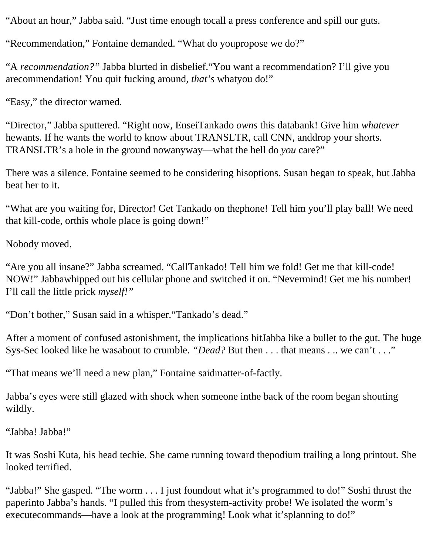"About an hour," Jabba said. "Just time enough tocall a press conference and spill our guts.

"Recommendation," Fontaine demanded. "What do youpropose we do?"

"A *recommendation?"* Jabba blurted in disbelief."You want a recommendation? I'll give you arecommendation! You quit fucking around, *that's* whatyou do!"

"Easy," the director warned.

"Director," Jabba sputtered. "Right now, EnseiTankado *owns* this databank! Give him *whatever* hewants. If he wants the world to know about TRANSLTR, call CNN, anddrop your shorts. TRANSLTR's a hole in the ground nowanyway—what the hell do *you* care?"

There was a silence. Fontaine seemed to be considering hisoptions. Susan began to speak, but Jabba beat her to it.

"What are you waiting for, Director! Get Tankado on thephone! Tell him you'll play ball! We need that kill-code, orthis whole place is going down!"

Nobody moved.

"Are you all insane?" Jabba screamed. "CallTankado! Tell him we fold! Get me that kill-code! NOW!" Jabbawhipped out his cellular phone and switched it on. "Nevermind! Get me his number! I'll call the little prick *myself!"*

"Don't bother," Susan said in a whisper."Tankado's dead."

After a moment of confused astonishment, the implications hitJabba like a bullet to the gut. The huge Sys-Sec looked like he wasabout to crumble. *"Dead?* But then . . . that means . .. we can't . . ."

"That means we'll need a new plan," Fontaine saidmatter-of-factly.

Jabba's eyes were still glazed with shock when someone inthe back of the room began shouting wildly.

"Jabba! Jabba!"

It was Soshi Kuta, his head techie. She came running toward thepodium trailing a long printout. She looked terrified.

"Jabba!" She gasped. "The worm . . . I just foundout what it's programmed to do!" Soshi thrust the paperinto Jabba's hands. "I pulled this from thesystem-activity probe! We isolated the worm's executecommands—have a look at the programming! Look what it'splanning to do!"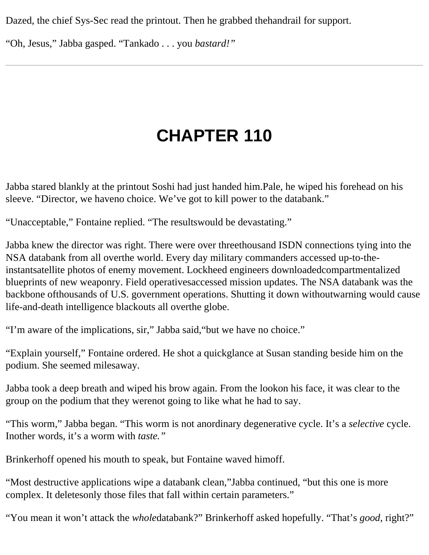Dazed, the chief Sys-Sec read the printout. Then he grabbed thehandrail for support.

"Oh, Jesus," Jabba gasped. "Tankado . . . you *bastard!"*

## **CHAPTER 110**

Jabba stared blankly at the printout Soshi had just handed him.Pale, he wiped his forehead on his sleeve. "Director, we haveno choice. We've got to kill power to the databank."

"Unacceptable," Fontaine replied. "The resultswould be devastating."

Jabba knew the director was right. There were over threethousand ISDN connections tying into the NSA databank from all overthe world. Every day military commanders accessed up-to-theinstantsatellite photos of enemy movement. Lockheed engineers downloadedcompartmentalized blueprints of new weaponry. Field operativesaccessed mission updates. The NSA databank was the backbone ofthousands of U.S. government operations. Shutting it down withoutwarning would cause life-and-death intelligence blackouts all overthe globe.

"I'm aware of the implications, sir," Jabba said,"but we have no choice."

"Explain yourself," Fontaine ordered. He shot a quickglance at Susan standing beside him on the podium. She seemed milesaway.

Jabba took a deep breath and wiped his brow again. From the lookon his face, it was clear to the group on the podium that they werenot going to like what he had to say.

"This worm," Jabba began. "This worm is not anordinary degenerative cycle. It's a *selective* cycle. Inother words, it's a worm with *taste."*

Brinkerhoff opened his mouth to speak, but Fontaine waved himoff.

"Most destructive applications wipe a databank clean,"Jabba continued, "but this one is more complex. It deletesonly those files that fall within certain parameters."

"You mean it won't attack the *whole*databank?" Brinkerhoff asked hopefully. "That's *good,* right?"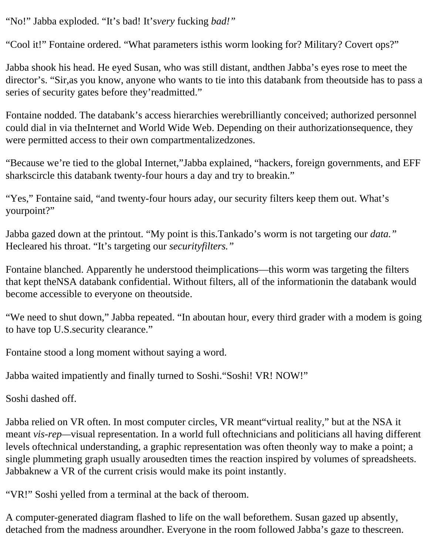"No!" Jabba exploded. "It's bad! It's*very* fucking *bad!"*

"Cool it!" Fontaine ordered. "What parameters isthis worm looking for? Military? Covert ops?"

Jabba shook his head. He eyed Susan, who was still distant, andthen Jabba's eyes rose to meet the director's. "Sir,as you know, anyone who wants to tie into this databank from theoutside has to pass a series of security gates before they'readmitted."

Fontaine nodded. The databank's access hierarchies werebrilliantly conceived; authorized personnel could dial in via theInternet and World Wide Web. Depending on their authorizationsequence, they were permitted access to their own compartmentalizedzones.

"Because we're tied to the global Internet,"Jabba explained, "hackers, foreign governments, and EFF sharkscircle this databank twenty-four hours a day and try to breakin."

"Yes," Fontaine said, "and twenty-four hours aday, our security filters keep them out. What's yourpoint?"

Jabba gazed down at the printout. "My point is this.Tankado's worm is not targeting our *data."* Hecleared his throat. "It's targeting our *securityfilters."*

Fontaine blanched. Apparently he understood theimplications—this worm was targeting the filters that kept theNSA databank confidential. Without filters, all of the informationin the databank would become accessible to everyone on theoutside.

"We need to shut down," Jabba repeated. "In aboutan hour, every third grader with a modem is going to have top U.S.security clearance."

Fontaine stood a long moment without saying a word.

Jabba waited impatiently and finally turned to Soshi."Soshi! VR! NOW!"

Soshi dashed off.

Jabba relied on VR often. In most computer circles, VR meant"virtual reality," but at the NSA it meant *vis-rep—*visual representation. In a world full oftechnicians and politicians all having different levels oftechnical understanding, a graphic representation was often theonly way to make a point; a single plummeting graph usually arousedten times the reaction inspired by volumes of spreadsheets. Jabbaknew a VR of the current crisis would make its point instantly.

"VR!" Soshi yelled from a terminal at the back of theroom.

A computer-generated diagram flashed to life on the wall beforethem. Susan gazed up absently, detached from the madness aroundher. Everyone in the room followed Jabba's gaze to thescreen.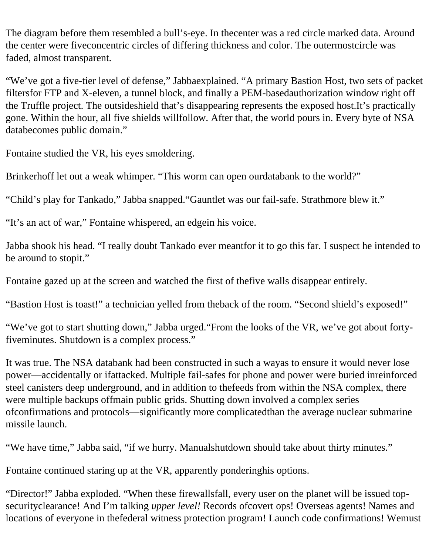The diagram before them resembled a bull's-eye. In thecenter was a red circle marked data. Around the center were fiveconcentric circles of differing thickness and color. The outermostcircle was faded, almost transparent.

"We've got a five-tier level of defense," Jabbaexplained. "A primary Bastion Host, two sets of packet filtersfor FTP and X-eleven, a tunnel block, and finally a PEM-basedauthorization window right off the Truffle project. The outsideshield that's disappearing represents the exposed host.It's practically gone. Within the hour, all five shields willfollow. After that, the world pours in. Every byte of NSA databecomes public domain."

Fontaine studied the VR, his eyes smoldering.

Brinkerhoff let out a weak whimper. "This worm can open ourdatabank to the world?"

"Child's play for Tankado," Jabba snapped."Gauntlet was our fail-safe. Strathmore blew it."

"It's an act of war," Fontaine whispered, an edgein his voice.

Jabba shook his head. "I really doubt Tankado ever meantfor it to go this far. I suspect he intended to be around to stopit."

Fontaine gazed up at the screen and watched the first of thefive walls disappear entirely.

"Bastion Host is toast!" a technician yelled from theback of the room. "Second shield's exposed!"

"We've got to start shutting down," Jabba urged."From the looks of the VR, we've got about fortyfiveminutes. Shutdown is a complex process."

It was true. The NSA databank had been constructed in such a wayas to ensure it would never lose power—accidentally or ifattacked. Multiple fail-safes for phone and power were buried inreinforced steel canisters deep underground, and in addition to thefeeds from within the NSA complex, there were multiple backups offmain public grids. Shutting down involved a complex series ofconfirmations and protocols—significantly more complicatedthan the average nuclear submarine missile launch.

"We have time," Jabba said, "if we hurry. Manualshutdown should take about thirty minutes."

Fontaine continued staring up at the VR, apparently ponderinghis options.

"Director!" Jabba exploded. "When these firewallsfall, every user on the planet will be issued topsecurityclearance! And I'm talking *upper level!* Records ofcovert ops! Overseas agents! Names and locations of everyone in thefederal witness protection program! Launch code confirmations! Wemust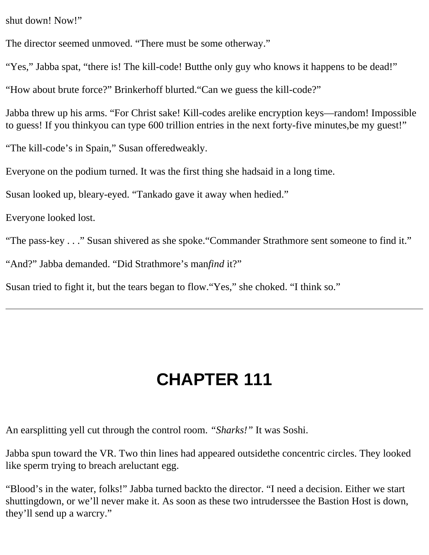shut down! Now!"

The director seemed unmoved. "There must be some otherway."

"Yes," Jabba spat, "there is! The kill-code! Butthe only guy who knows it happens to be dead!"

"How about brute force?" Brinkerhoff blurted."Can we guess the kill-code?"

Jabba threw up his arms. "For Christ sake! Kill-codes arelike encryption keys—random! Impossible to guess! If you thinkyou can type 600 trillion entries in the next forty-five minutes,be my guest!"

"The kill-code's in Spain," Susan offeredweakly.

Everyone on the podium turned. It was the first thing she hadsaid in a long time.

Susan looked up, bleary-eyed. "Tankado gave it away when hedied."

Everyone looked lost.

"The pass-key . . ." Susan shivered as she spoke."Commander Strathmore sent someone to find it."

"And?" Jabba demanded. "Did Strathmore's man*find* it?"

Susan tried to fight it, but the tears began to flow."Yes," she choked. "I think so."

### **CHAPTER 111**

An earsplitting yell cut through the control room. *"Sharks!"* It was Soshi.

Jabba spun toward the VR. Two thin lines had appeared outsidethe concentric circles. They looked like sperm trying to breach areluctant egg.

"Blood's in the water, folks!" Jabba turned backto the director. "I need a decision. Either we start shuttingdown, or we'll never make it. As soon as these two intruderssee the Bastion Host is down, they'll send up a warcry."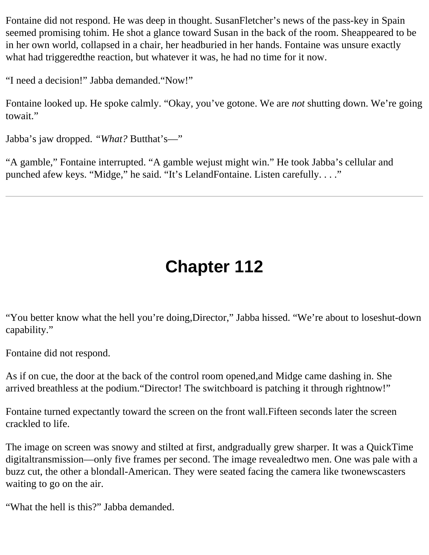Fontaine did not respond. He was deep in thought. SusanFletcher's news of the pass-key in Spain seemed promising tohim. He shot a glance toward Susan in the back of the room. Sheappeared to be in her own world, collapsed in a chair, her headburied in her hands. Fontaine was unsure exactly what had triggeredthe reaction, but whatever it was, he had no time for it now.

"I need a decision!" Jabba demanded."Now!"

Fontaine looked up. He spoke calmly. "Okay, you've gotone. We are *not* shutting down. We're going towait."

Jabba's jaw dropped. *"What?* Butthat's—"

"A gamble," Fontaine interrupted. "A gamble wejust might win." He took Jabba's cellular and punched afew keys. "Midge," he said. "It's LelandFontaine. Listen carefully. . . ."

### **Chapter 112**

"You better know what the hell you're doing,Director," Jabba hissed. "We're about to loseshut-down capability."

Fontaine did not respond.

As if on cue, the door at the back of the control room opened,and Midge came dashing in. She arrived breathless at the podium."Director! The switchboard is patching it through rightnow!"

Fontaine turned expectantly toward the screen on the front wall.Fifteen seconds later the screen crackled to life.

The image on screen was snowy and stilted at first, andgradually grew sharper. It was a QuickTime digitaltransmission—only five frames per second. The image revealedtwo men. One was pale with a buzz cut, the other a blondall-American. They were seated facing the camera like twonewscasters waiting to go on the air.

"What the hell is this?" Jabba demanded.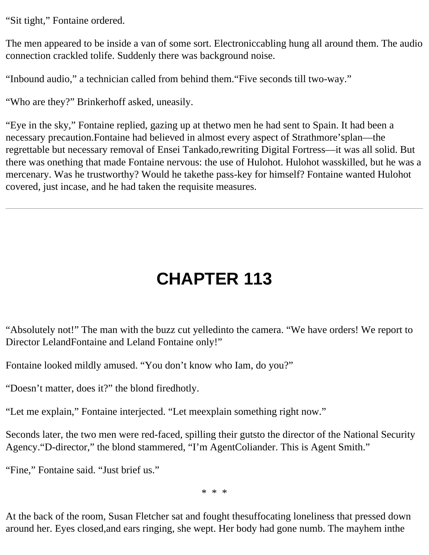"Sit tight," Fontaine ordered.

The men appeared to be inside a van of some sort. Electroniccabling hung all around them. The audio connection crackled tolife. Suddenly there was background noise.

"Inbound audio," a technician called from behind them."Five seconds till two-way."

"Who are they?" Brinkerhoff asked, uneasily.

"Eye in the sky," Fontaine replied, gazing up at thetwo men he had sent to Spain. It had been a necessary precaution.Fontaine had believed in almost every aspect of Strathmore'splan—the regrettable but necessary removal of Ensei Tankado,rewriting Digital Fortress—it was all solid. But there was onething that made Fontaine nervous: the use of Hulohot. Hulohot wasskilled, but he was a mercenary. Was he trustworthy? Would he takethe pass-key for himself? Fontaine wanted Hulohot covered, just incase, and he had taken the requisite measures.

## **CHAPTER 113**

"Absolutely not!" The man with the buzz cut yelledinto the camera. "We have orders! We report to Director LelandFontaine and Leland Fontaine only!"

Fontaine looked mildly amused. "You don't know who Iam, do you?"

"Doesn't matter, does it?" the blond firedhotly.

"Let me explain," Fontaine interjected. "Let meexplain something right now."

Seconds later, the two men were red-faced, spilling their gutsto the director of the National Security Agency."D-director," the blond stammered, "I'm AgentColiander. This is Agent Smith."

"Fine," Fontaine said. "Just brief us."

\* \* \*

At the back of the room, Susan Fletcher sat and fought thesuffocating loneliness that pressed down around her. Eyes closed,and ears ringing, she wept. Her body had gone numb. The mayhem inthe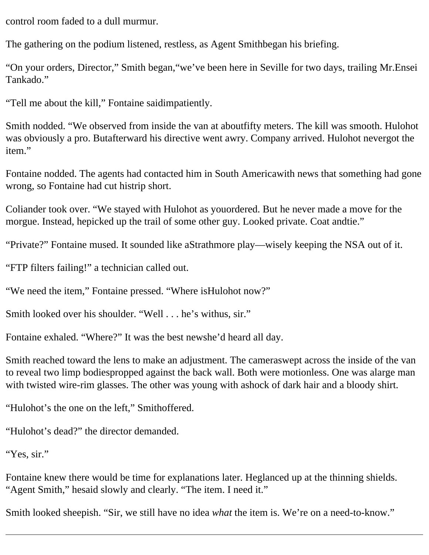control room faded to a dull murmur.

The gathering on the podium listened, restless, as Agent Smithbegan his briefing.

"On your orders, Director," Smith began,"we've been here in Seville for two days, trailing Mr.Ensei Tankado."

"Tell me about the kill," Fontaine saidimpatiently.

Smith nodded. "We observed from inside the van at aboutfifty meters. The kill was smooth. Hulohot was obviously a pro. Butafterward his directive went awry. Company arrived. Hulohot nevergot the item."

Fontaine nodded. The agents had contacted him in South Americawith news that something had gone wrong, so Fontaine had cut histrip short.

Coliander took over. "We stayed with Hulohot as youordered. But he never made a move for the morgue. Instead, hepicked up the trail of some other guy. Looked private. Coat andtie."

"Private?" Fontaine mused. It sounded like aStrathmore play—wisely keeping the NSA out of it.

"FTP filters failing!" a technician called out.

"We need the item," Fontaine pressed. "Where isHulohot now?"

Smith looked over his shoulder. "Well . . . he's withus, sir."

Fontaine exhaled. "Where?" It was the best newshe'd heard all day.

Smith reached toward the lens to make an adjustment. The cameraswept across the inside of the van to reveal two limp bodiespropped against the back wall. Both were motionless. One was alarge man with twisted wire-rim glasses. The other was young with ashock of dark hair and a bloody shirt.

"Hulohot's the one on the left," Smithoffered.

"Hulohot's dead?" the director demanded.

"Yes, sir."

Fontaine knew there would be time for explanations later. Heglanced up at the thinning shields. "Agent Smith," hesaid slowly and clearly. "The item. I need it."

Smith looked sheepish. "Sir, we still have no idea *what* the item is. We're on a need-to-know."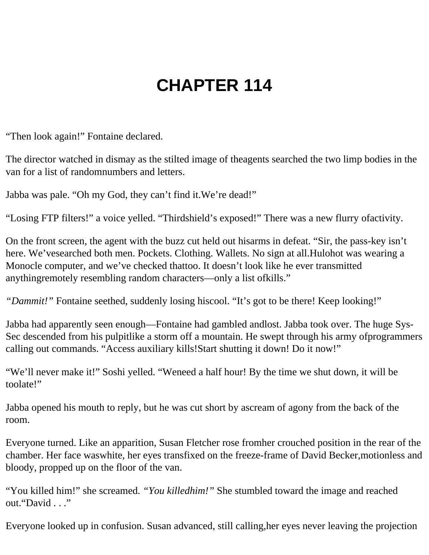## **CHAPTER 114**

"Then look again!" Fontaine declared.

The director watched in dismay as the stilted image of theagents searched the two limp bodies in the van for a list of randomnumbers and letters.

Jabba was pale. "Oh my God, they can't find it.We're dead!"

"Losing FTP filters!" a voice yelled. "Thirdshield's exposed!" There was a new flurry ofactivity.

On the front screen, the agent with the buzz cut held out hisarms in defeat. "Sir, the pass-key isn't here. We'vesearched both men. Pockets. Clothing. Wallets. No sign at all.Hulohot was wearing a Monocle computer, and we've checked thattoo. It doesn't look like he ever transmitted anythingremotely resembling random characters—only a list ofkills."

*"Dammit!"* Fontaine seethed, suddenly losing hiscool. "It's got to be there! Keep looking!"

Jabba had apparently seen enough—Fontaine had gambled andlost. Jabba took over. The huge Sys-Sec descended from his pulpitlike a storm off a mountain. He swept through his army ofprogrammers calling out commands. "Access auxiliary kills!Start shutting it down! Do it now!"

"We'll never make it!" Soshi yelled. "Weneed a half hour! By the time we shut down, it will be toolate!"

Jabba opened his mouth to reply, but he was cut short by ascream of agony from the back of the room.

Everyone turned. Like an apparition, Susan Fletcher rose fromher crouched position in the rear of the chamber. Her face waswhite, her eyes transfixed on the freeze-frame of David Becker,motionless and bloody, propped up on the floor of the van.

"You killed him!" she screamed. *"You killedhim!"* She stumbled toward the image and reached out. "David . . ."

Everyone looked up in confusion. Susan advanced, still calling,her eyes never leaving the projection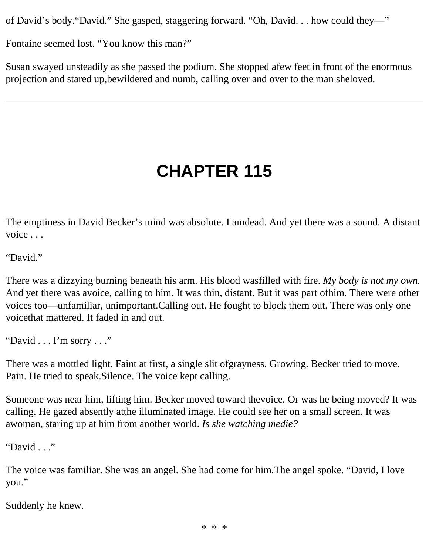of David's body."David." She gasped, staggering forward. "Oh, David. . . how could they—"

Fontaine seemed lost. "You know this man?"

Susan swayed unsteadily as she passed the podium. She stopped afew feet in front of the enormous projection and stared up,bewildered and numb, calling over and over to the man sheloved.

### **CHAPTER 115**

The emptiness in David Becker's mind was absolute. I amdead. And yet there was a sound. A distant voice . . .

"David."

There was a dizzying burning beneath his arm. His blood wasfilled with fire. *My body is not my own.* And yet there was avoice, calling to him. It was thin, distant. But it was part ofhim. There were other voices too—unfamiliar, unimportant.Calling out. He fought to block them out. There was only one voicethat mattered. It faded in and out.

"David . . . I'm sorry . . ."

There was a mottled light. Faint at first, a single slit ofgrayness. Growing. Becker tried to move. Pain. He tried to speak.Silence. The voice kept calling.

Someone was near him, lifting him. Becker moved toward thevoice. Or was he being moved? It was calling. He gazed absently atthe illuminated image. He could see her on a small screen. It was awoman, staring up at him from another world. *Is she watching medie?*

"David . . ."

The voice was familiar. She was an angel. She had come for him.The angel spoke. "David, I love you."

Suddenly he knew.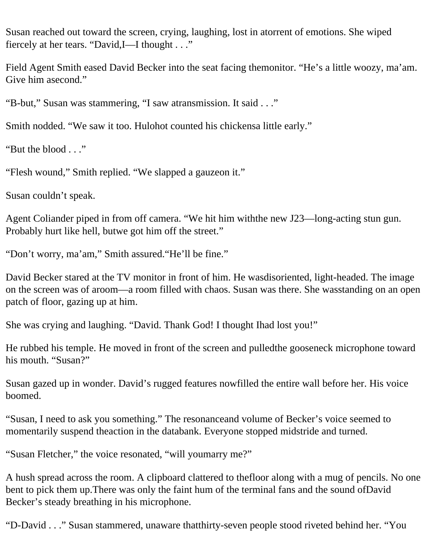Susan reached out toward the screen, crying, laughing, lost in atorrent of emotions. She wiped fiercely at her tears. "David,I—I thought . . ."

Field Agent Smith eased David Becker into the seat facing themonitor. "He's a little woozy, ma'am. Give him asecond."

"B-but," Susan was stammering, "I saw atransmission. It said . . ."

Smith nodded. "We saw it too. Hulohot counted his chickensa little early."

"But the blood . . ."

"Flesh wound," Smith replied. "We slapped a gauzeon it."

Susan couldn't speak.

Agent Coliander piped in from off camera. "We hit him withthe new J23—long-acting stun gun. Probably hurt like hell, butwe got him off the street."

"Don't worry, ma'am," Smith assured."He'll be fine."

David Becker stared at the TV monitor in front of him. He wasdisoriented, light-headed. The image on the screen was of aroom—a room filled with chaos. Susan was there. She wasstanding on an open patch of floor, gazing up at him.

She was crying and laughing. "David. Thank God! I thought Ihad lost you!"

He rubbed his temple. He moved in front of the screen and pulledthe gooseneck microphone toward his mouth. "Susan?"

Susan gazed up in wonder. David's rugged features nowfilled the entire wall before her. His voice boomed.

"Susan, I need to ask you something." The resonanceand volume of Becker's voice seemed to momentarily suspend theaction in the databank. Everyone stopped midstride and turned.

"Susan Fletcher," the voice resonated, "will youmarry me?"

A hush spread across the room. A clipboard clattered to thefloor along with a mug of pencils. No one bent to pick them up.There was only the faint hum of the terminal fans and the sound ofDavid Becker's steady breathing in his microphone.

"D-David . . ." Susan stammered, unaware thatthirty-seven people stood riveted behind her. "You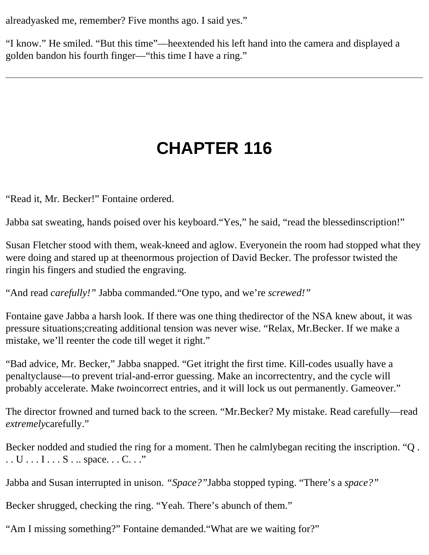alreadyasked me, remember? Five months ago. I said yes."

"I know." He smiled. "But this time"—heextended his left hand into the camera and displayed a golden bandon his fourth finger—"this time I have a ring."

### **CHAPTER 116**

"Read it, Mr. Becker!" Fontaine ordered.

Jabba sat sweating, hands poised over his keyboard."Yes," he said, "read the blessedinscription!"

Susan Fletcher stood with them, weak-kneed and aglow. Everyonein the room had stopped what they were doing and stared up at theenormous projection of David Becker. The professor twisted the ringin his fingers and studied the engraving.

"And read *carefully!"* Jabba commanded."One typo, and we're *screwed!"*

Fontaine gave Jabba a harsh look. If there was one thing thedirector of the NSA knew about, it was pressure situations;creating additional tension was never wise. "Relax, Mr.Becker. If we make a mistake, we'll reenter the code till weget it right."

"Bad advice, Mr. Becker," Jabba snapped. "Get itright the first time. Kill-codes usually have a penaltyclause—to prevent trial-and-error guessing. Make an incorrectentry, and the cycle will probably accelerate. Make *two*incorrect entries, and it will lock us out permanently. Gameover."

The director frowned and turned back to the screen. "Mr.Becker? My mistake. Read carefully—read *extremely*carefully."

Becker nodded and studied the ring for a moment. Then he calmlybegan reciting the inscription. "Q . . . U . . . I . . . S . .. space. . . C. . ."

Jabba and Susan interrupted in unison. *"Space?"*Jabba stopped typing. "There's a *space?"*

Becker shrugged, checking the ring. "Yeah. There's abunch of them."

"Am I missing something?" Fontaine demanded."What are we waiting for?"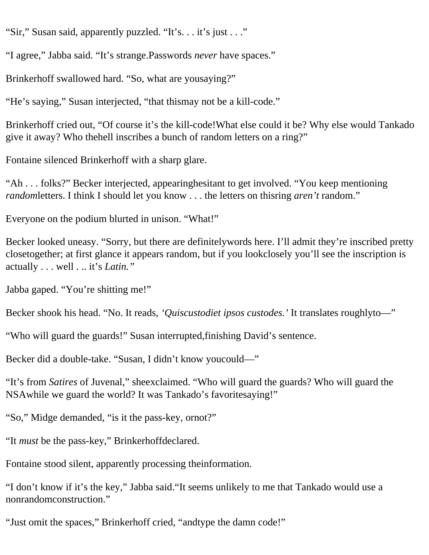"Sir," Susan said, apparently puzzled. "It's. . . it's just . . ."

"I agree," Jabba said. "It's strange.Passwords *never* have spaces."

Brinkerhoff swallowed hard. "So, what are yousaying?"

"He's saying," Susan interjected, "that thismay not be a kill-code."

Brinkerhoff cried out, "Of course it's the kill-code!What else could it be? Why else would Tankado give it away? Who thehell inscribes a bunch of random letters on a ring?"

Fontaine silenced Brinkerhoff with a sharp glare.

"Ah . . . folks?" Becker interjected, appearinghesitant to get involved. "You keep mentioning *random* letters. I think I should let you know . . . the letters on thisring *aren't* random."

Everyone on the podium blurted in unison. "What!"

Becker looked uneasy. "Sorry, but there are definitelywords here. I'll admit they're inscribed pretty closetogether; at first glance it appears random, but if you lookclosely you'll see the inscription is actually . . . well . .. it's *Latin."*

Jabba gaped. "You're shitting me!"

Becker shook his head. "No. It reads, *'Quiscustodiet ipsos custodes.'* It translates roughlyto—"

"Who will guard the guards!" Susan interrupted,finishing David's sentence.

Becker did a double-take. "Susan, I didn't know youcould—"

"It's from *Satires* of Juvenal," sheexclaimed. "Who will guard the guards? Who will guard the NSAwhile we guard the world? It was Tankado's favoritesaying!"

"So," Midge demanded, "is it the pass-key, ornot?"

"It *must* be the pass-key," Brinkerhoffdeclared.

Fontaine stood silent, apparently processing theinformation.

"I don't know if it's the key," Jabba said."It seems unlikely to me that Tankado would use a nonrandomconstruction."

"Just omit the spaces," Brinkerhoff cried, "andtype the damn code!"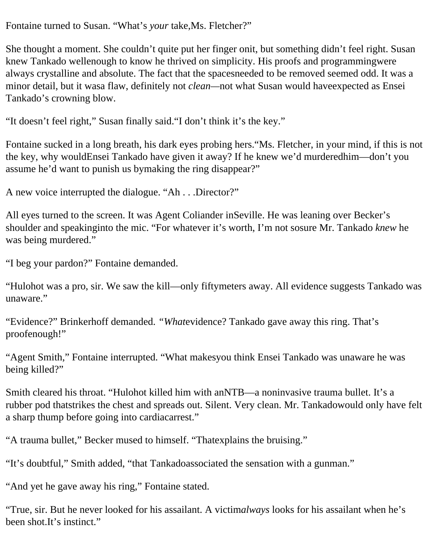Fontaine turned to Susan. "What's *your* take,Ms. Fletcher?"

She thought a moment. She couldn't quite put her finger onit, but something didn't feel right. Susan knew Tankado wellenough to know he thrived on simplicity. His proofs and programmingwere always crystalline and absolute. The fact that the spacesneeded to be removed seemed odd. It was a minor detail, but it wasa flaw, definitely not *clean—*not what Susan would haveexpected as Ensei Tankado's crowning blow.

"It doesn't feel right," Susan finally said."I don't think it's the key."

Fontaine sucked in a long breath, his dark eyes probing hers."Ms. Fletcher, in your mind, if this is not the key, why wouldEnsei Tankado have given it away? If he knew we'd murderedhim—don't you assume he'd want to punish us bymaking the ring disappear?"

A new voice interrupted the dialogue. "Ah . . .Director?"

All eyes turned to the screen. It was Agent Coliander inSeville. He was leaning over Becker's shoulder and speakinginto the mic. "For whatever it's worth, I'm not sosure Mr. Tankado *knew* he was being murdered."

"I beg your pardon?" Fontaine demanded.

"Hulohot was a pro, sir. We saw the kill—only fiftymeters away. All evidence suggests Tankado was unaware."

"Evidence?" Brinkerhoff demanded. *"What*evidence? Tankado gave away this ring. That's proofenough!"

"Agent Smith," Fontaine interrupted. "What makesyou think Ensei Tankado was unaware he was being killed?"

Smith cleared his throat. "Hulohot killed him with anNTB—a noninvasive trauma bullet. It's a rubber pod thatstrikes the chest and spreads out. Silent. Very clean. Mr. Tankadowould only have felt a sharp thump before going into cardiacarrest."

"A trauma bullet," Becker mused to himself. "Thatexplains the bruising."

"It's doubtful," Smith added, "that Tankadoassociated the sensation with a gunman."

"And yet he gave away his ring," Fontaine stated.

"True, sir. But he never looked for his assailant. A victim*always* looks for his assailant when he's been shot.It's instinct."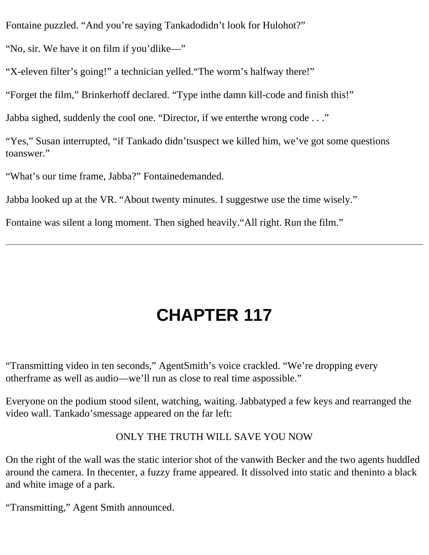Fontaine puzzled. "And you're saying Tankadodidn't look for Hulohot?"

"No, sir. We have it on film if you'dlike—"

"X-eleven filter's going!" a technician yelled."The worm's halfway there!"

"Forget the film," Brinkerhoff declared. "Type inthe damn kill-code and finish this!"

Jabba sighed, suddenly the cool one. "Director, if we enterthe wrong code . . ."

"Yes," Susan interrupted, "if Tankado didn'tsuspect we killed him, we've got some questions toanswer."

"What's our time frame, Jabba?" Fontainedemanded.

Jabba looked up at the VR. "About twenty minutes. I suggestwe use the time wisely."

Fontaine was silent a long moment. Then sighed heavily."All right. Run the film."

## **CHAPTER 117**

"Transmitting video in ten seconds," AgentSmith's voice crackled. "We're dropping every otherframe as well as audio—we'll run as close to real time aspossible."

Everyone on the podium stood silent, watching, waiting. Jabbatyped a few keys and rearranged the video wall. Tankado'smessage appeared on the far left:

### ONLY THE TRUTH WILL SAVE YOU NOW

On the right of the wall was the static interior shot of the vanwith Becker and the two agents huddled around the camera. In thecenter, a fuzzy frame appeared. It dissolved into static and theninto a black and white image of a park.

"Transmitting," Agent Smith announced.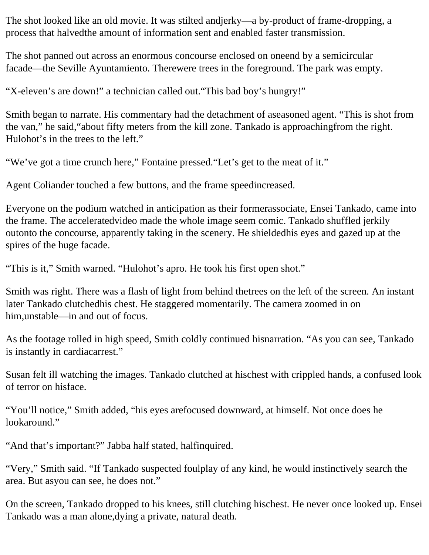The shot looked like an old movie. It was stilted andjerky—a by-product of frame-dropping, a process that halvedthe amount of information sent and enabled faster transmission.

The shot panned out across an enormous concourse enclosed on oneend by a semicircular facade—the Seville Ayuntamiento. Therewere trees in the foreground. The park was empty.

"X-eleven's are down!" a technician called out."This bad boy's hungry!"

Smith began to narrate. His commentary had the detachment of aseasoned agent. "This is shot from the van," he said,"about fifty meters from the kill zone. Tankado is approachingfrom the right. Hulohot's in the trees to the left."

"We've got a time crunch here," Fontaine pressed."Let's get to the meat of it."

Agent Coliander touched a few buttons, and the frame speedincreased.

Everyone on the podium watched in anticipation as their formerassociate, Ensei Tankado, came into the frame. The acceleratedvideo made the whole image seem comic. Tankado shuffled jerkily outonto the concourse, apparently taking in the scenery. He shieldedhis eyes and gazed up at the spires of the huge facade.

"This is it," Smith warned. "Hulohot's apro. He took his first open shot."

Smith was right. There was a flash of light from behind thetrees on the left of the screen. An instant later Tankado clutchedhis chest. He staggered momentarily. The camera zoomed in on him,unstable—in and out of focus.

As the footage rolled in high speed, Smith coldly continued hisnarration. "As you can see, Tankado is instantly in cardiacarrest."

Susan felt ill watching the images. Tankado clutched at hischest with crippled hands, a confused look of terror on hisface.

"You'll notice," Smith added, "his eyes arefocused downward, at himself. Not once does he lookaround."

"And that's important?" Jabba half stated, halfinquired.

"Very," Smith said. "If Tankado suspected foulplay of any kind, he would instinctively search the area. But asyou can see, he does not."

On the screen, Tankado dropped to his knees, still clutching hischest. He never once looked up. Ensei Tankado was a man alone,dying a private, natural death.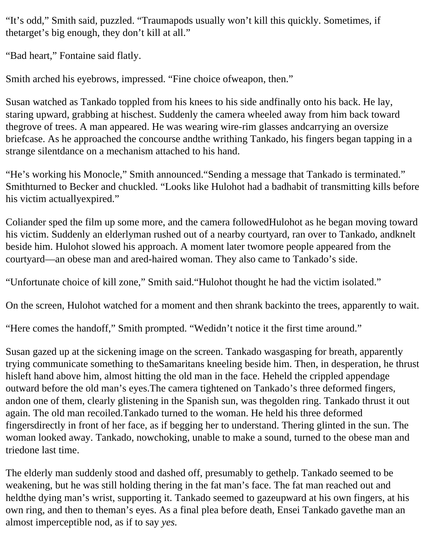"It's odd," Smith said, puzzled. "Traumapods usually won't kill this quickly. Sometimes, if thetarget's big enough, they don't kill at all."

"Bad heart," Fontaine said flatly.

Smith arched his eyebrows, impressed. "Fine choice ofweapon, then."

Susan watched as Tankado toppled from his knees to his side andfinally onto his back. He lay, staring upward, grabbing at hischest. Suddenly the camera wheeled away from him back toward thegrove of trees. A man appeared. He was wearing wire-rim glasses andcarrying an oversize briefcase. As he approached the concourse andthe writhing Tankado, his fingers began tapping in a strange silentdance on a mechanism attached to his hand.

"He's working his Monocle," Smith announced."Sending a message that Tankado is terminated." Smithturned to Becker and chuckled. "Looks like Hulohot had a badhabit of transmitting kills before his victim actuallyexpired."

Coliander sped the film up some more, and the camera followedHulohot as he began moving toward his victim. Suddenly an elderlyman rushed out of a nearby courtyard, ran over to Tankado, andknelt beside him. Hulohot slowed his approach. A moment later twomore people appeared from the courtyard—an obese man and ared-haired woman. They also came to Tankado's side.

"Unfortunate choice of kill zone," Smith said."Hulohot thought he had the victim isolated."

On the screen, Hulohot watched for a moment and then shrank backinto the trees, apparently to wait.

"Here comes the handoff," Smith prompted. "Wedidn't notice it the first time around."

Susan gazed up at the sickening image on the screen. Tankado wasgasping for breath, apparently trying communicate something to theSamaritans kneeling beside him. Then, in desperation, he thrust hisleft hand above him, almost hitting the old man in the face. Heheld the crippled appendage outward before the old man's eyes.The camera tightened on Tankado's three deformed fingers, andon one of them, clearly glistening in the Spanish sun, was thegolden ring. Tankado thrust it out again. The old man recoiled.Tankado turned to the woman. He held his three deformed fingersdirectly in front of her face, as if begging her to understand. Thering glinted in the sun. The woman looked away. Tankado, nowchoking, unable to make a sound, turned to the obese man and triedone last time.

The elderly man suddenly stood and dashed off, presumably to gethelp. Tankado seemed to be weakening, but he was still holding thering in the fat man's face. The fat man reached out and heldthe dying man's wrist, supporting it. Tankado seemed to gazeupward at his own fingers, at his own ring, and then to theman's eyes. As a final plea before death, Ensei Tankado gavethe man an almost imperceptible nod, as if to say *yes.*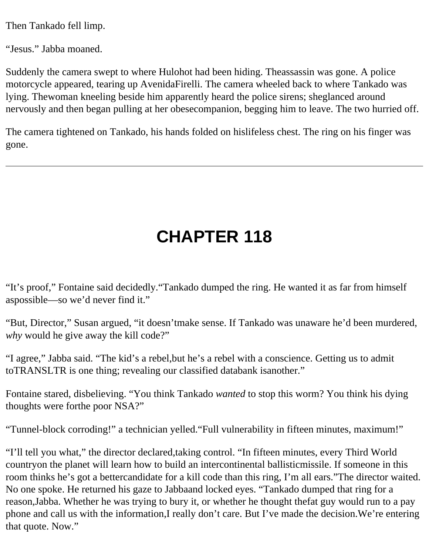Then Tankado fell limp.

"Jesus." Jabba moaned.

Suddenly the camera swept to where Hulohot had been hiding. Theassassin was gone. A police motorcycle appeared, tearing up AvenidaFirelli. The camera wheeled back to where Tankado was lying. Thewoman kneeling beside him apparently heard the police sirens; sheglanced around nervously and then began pulling at her obesecompanion, begging him to leave. The two hurried off.

The camera tightened on Tankado, his hands folded on hislifeless chest. The ring on his finger was gone.

### **CHAPTER 118**

"It's proof," Fontaine said decidedly."Tankado dumped the ring. He wanted it as far from himself aspossible—so we'd never find it."

"But, Director," Susan argued, "it doesn'tmake sense. If Tankado was unaware he'd been murdered, *why* would he give away the kill code?"

"I agree," Jabba said. "The kid's a rebel,but he's a rebel with a conscience. Getting us to admit toTRANSLTR is one thing; revealing our classified databank isanother."

Fontaine stared, disbelieving. "You think Tankado *wanted* to stop this worm? You think his dying thoughts were forthe poor NSA?"

"Tunnel-block corroding!" a technician yelled."Full vulnerability in fifteen minutes, maximum!"

"I'll tell you what," the director declared,taking control. "In fifteen minutes, every Third World countryon the planet will learn how to build an intercontinental ballisticmissile. If someone in this room thinks he's got a bettercandidate for a kill code than this ring, I'm all ears."The director waited. No one spoke. He returned his gaze to Jabbaand locked eyes. "Tankado dumped that ring for a reason,Jabba. Whether he was trying to bury it, or whether he thought thefat guy would run to a pay phone and call us with the information,I really don't care. But I've made the decision.We're entering that quote. Now."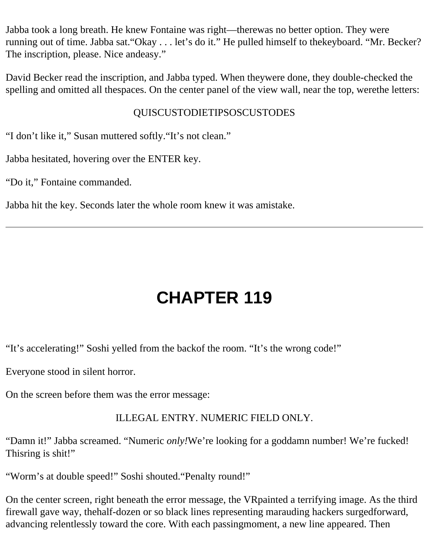Jabba took a long breath. He knew Fontaine was right—therewas no better option. They were running out of time. Jabba sat."Okay . . . let's do it." He pulled himself to thekeyboard. "Mr. Becker? The inscription, please. Nice andeasy."

David Becker read the inscription, and Jabba typed. When theywere done, they double-checked the spelling and omitted all thespaces. On the center panel of the view wall, near the top, werethe letters:

#### QUISCUSTODIETIPSOSCUSTODES

"I don't like it," Susan muttered softly."It's not clean."

Jabba hesitated, hovering over the ENTER key.

"Do it," Fontaine commanded.

Jabba hit the key. Seconds later the whole room knew it was amistake.

## **CHAPTER 119**

"It's accelerating!" Soshi yelled from the backof the room. "It's the wrong code!"

Everyone stood in silent horror.

On the screen before them was the error message:

### ILLEGAL ENTRY. NUMERIC FIELD ONLY.

"Damn it!" Jabba screamed. "Numeric *only!*We're looking for a goddamn number! We're fucked! Thisring is shit!"

"Worm's at double speed!" Soshi shouted."Penalty round!"

On the center screen, right beneath the error message, the VRpainted a terrifying image. As the third firewall gave way, thehalf-dozen or so black lines representing marauding hackers surgedforward, advancing relentlessly toward the core. With each passingmoment, a new line appeared. Then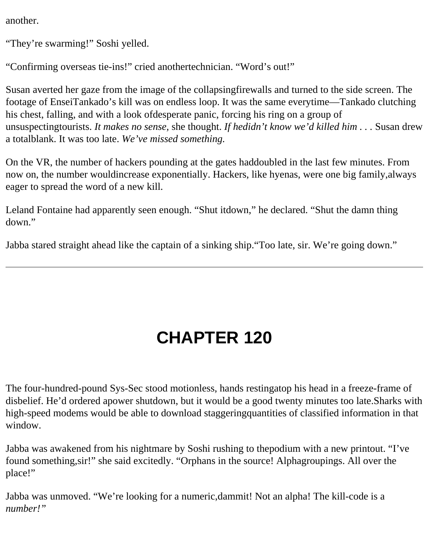another.

"They're swarming!" Soshi yelled.

"Confirming overseas tie-ins!" cried anothertechnician. "Word's out!"

Susan averted her gaze from the image of the collapsingfirewalls and turned to the side screen. The footage of EnseiTankado's kill was on endless loop. It was the same everytime—Tankado clutching his chest, falling, and with a look ofdesperate panic, forcing his ring on a group of unsuspectingtourists. *It makes no sense,* she thought. *If hedidn't know we'd killed him . . .* Susan drew a totalblank. It was too late. *We've missed something.*

On the VR, the number of hackers pounding at the gates haddoubled in the last few minutes. From now on, the number wouldincrease exponentially. Hackers, like hyenas, were one big family,always eager to spread the word of a new kill.

Leland Fontaine had apparently seen enough. "Shut itdown," he declared. "Shut the damn thing down."

Jabba stared straight ahead like the captain of a sinking ship."Too late, sir. We're going down."

## **CHAPTER 120**

The four-hundred-pound Sys-Sec stood motionless, hands restingatop his head in a freeze-frame of disbelief. He'd ordered apower shutdown, but it would be a good twenty minutes too late.Sharks with high-speed modems would be able to download staggeringquantities of classified information in that window.

Jabba was awakened from his nightmare by Soshi rushing to thepodium with a new printout. "I've found something,sir!" she said excitedly. "Orphans in the source! Alphagroupings. All over the place!"

Jabba was unmoved. "We're looking for a numeric,dammit! Not an alpha! The kill-code is a *number!"*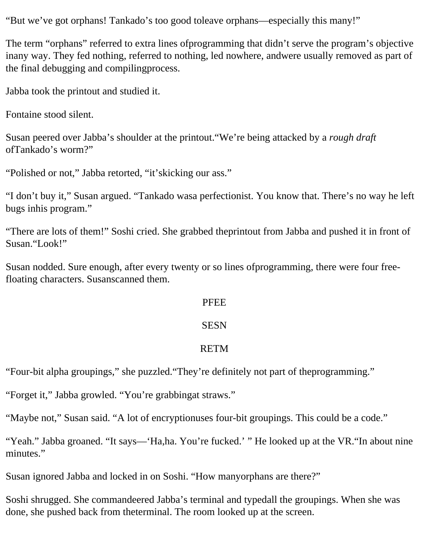"But we've got orphans! Tankado's too good toleave orphans—especially this many!"

The term "orphans" referred to extra lines ofprogramming that didn't serve the program's objective inany way. They fed nothing, referred to nothing, led nowhere, andwere usually removed as part of the final debugging and compilingprocess.

Jabba took the printout and studied it.

Fontaine stood silent.

Susan peered over Jabba's shoulder at the printout."We're being attacked by a *rough draft* ofTankado's worm?"

"Polished or not," Jabba retorted, "it'skicking our ass."

"I don't buy it," Susan argued. "Tankado wasa perfectionist. You know that. There's no way he left bugs inhis program."

"There are lots of them!" Soshi cried. She grabbed theprintout from Jabba and pushed it in front of Susan."Look!"

Susan nodded. Sure enough, after every twenty or so lines ofprogramming, there were four freefloating characters. Susanscanned them.

### PFEE

### SESN

### RETM

"Four-bit alpha groupings," she puzzled."They're definitely not part of theprogramming."

"Forget it," Jabba growled. "You're grabbingat straws."

"Maybe not," Susan said. "A lot of encryptionuses four-bit groupings. This could be a code."

"Yeah." Jabba groaned. "It says—'Ha,ha. You're fucked.' " He looked up at the VR."In about nine minutes."

Susan ignored Jabba and locked in on Soshi. "How manyorphans are there?"

Soshi shrugged. She commandeered Jabba's terminal and typedall the groupings. When she was done, she pushed back from theterminal. The room looked up at the screen.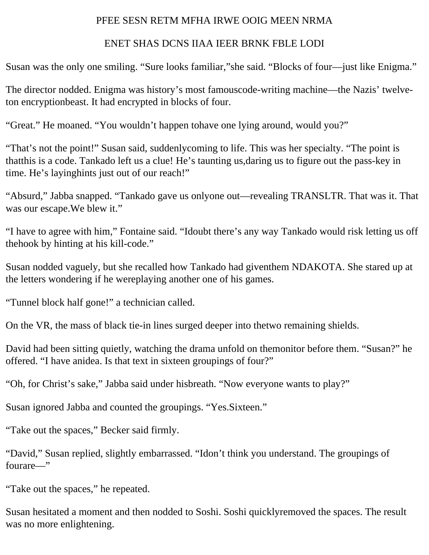### PFEE SESN RETM MFHA IRWE OOIG MEEN NRMA

### ENET SHAS DCNS IIAA IEER BRNK FBLE LODI

Susan was the only one smiling. "Sure looks familiar,"she said. "Blocks of four—just like Enigma."

The director nodded. Enigma was history's most famouscode-writing machine—the Nazis' twelveton encryptionbeast. It had encrypted in blocks of four.

"Great." He moaned. "You wouldn't happen tohave one lying around, would you?"

"That's not the point!" Susan said, suddenlycoming to life. This was her specialty. "The point is thatthis is a code. Tankado left us a clue! He's taunting us,daring us to figure out the pass-key in time. He's layinghints just out of our reach!"

"Absurd," Jabba snapped. "Tankado gave us onlyone out—revealing TRANSLTR. That was it. That was our escape.We blew it."

"I have to agree with him," Fontaine said. "Idoubt there's any way Tankado would risk letting us off thehook by hinting at his kill-code."

Susan nodded vaguely, but she recalled how Tankado had giventhem NDAKOTA. She stared up at the letters wondering if he wereplaying another one of his games.

"Tunnel block half gone!" a technician called.

On the VR, the mass of black tie-in lines surged deeper into thetwo remaining shields.

David had been sitting quietly, watching the drama unfold on themonitor before them. "Susan?" he offered. "I have anidea. Is that text in sixteen groupings of four?"

"Oh, for Christ's sake," Jabba said under hisbreath. "Now everyone wants to play?"

Susan ignored Jabba and counted the groupings. "Yes.Sixteen."

"Take out the spaces," Becker said firmly.

"David," Susan replied, slightly embarrassed. "Idon't think you understand. The groupings of fourare—"

"Take out the spaces," he repeated.

Susan hesitated a moment and then nodded to Soshi. Soshi quicklyremoved the spaces. The result was no more enlightening.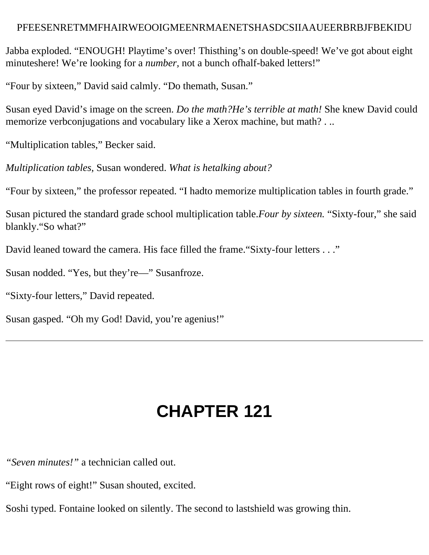#### PFEESENRETMMFHAIRWEOOIGMEENRMAENETSHASDCSIIAAUEERBRBJFBEKIDU

Jabba exploded. "ENOUGH! Playtime's over! Thisthing's on double-speed! We've got about eight minuteshere! We're looking for a *number,* not a bunch ofhalf-baked letters!"

"Four by sixteen," David said calmly. "Do themath, Susan."

Susan eyed David's image on the screen. *Do the math?He's terrible at math!* She knew David could memorize verbconjugations and vocabulary like a Xerox machine, but math? . ..

"Multiplication tables," Becker said.

*Multiplication tables,* Susan wondered. *What is hetalking about?*

"Four by sixteen," the professor repeated. "I hadto memorize multiplication tables in fourth grade."

Susan pictured the standard grade school multiplication table.*Four by sixteen.* "Sixty-four," she said blankly. "So what?"

David leaned toward the camera. His face filled the frame. "Sixty-four letters . . ."

Susan nodded. "Yes, but they're—" Susanfroze.

"Sixty-four letters," David repeated.

Susan gasped. "Oh my God! David, you're agenius!"

# **CHAPTER 121**

*"Seven minutes!"* a technician called out.

"Eight rows of eight!" Susan shouted, excited.

Soshi typed. Fontaine looked on silently. The second to lastshield was growing thin.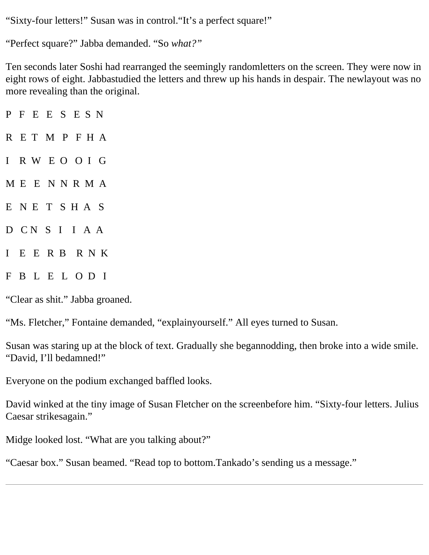"Sixty-four letters!" Susan was in control."It's a perfect square!"

"Perfect square?" Jabba demanded. "So *what?"*

Ten seconds later Soshi had rearranged the seemingly randomletters on the screen. They were now in eight rows of eight. Jabbastudied the letters and threw up his hands in despair. The newlayout was no more revealing than the original.

P F E E S E S N R E T M P F H A I R W E O O I G M E E N N R M A E N E T S H A S D CN S I I A A I E E R B R N K F B L E L O D I

"Clear as shit." Jabba groaned.

"Ms. Fletcher," Fontaine demanded, "explainyourself." All eyes turned to Susan.

Susan was staring up at the block of text. Gradually she begannodding, then broke into a wide smile. "David, I'll bedamned!"

Everyone on the podium exchanged baffled looks.

David winked at the tiny image of Susan Fletcher on the screenbefore him. "Sixty-four letters. Julius Caesar strikesagain."

Midge looked lost. "What are you talking about?"

"Caesar box." Susan beamed. "Read top to bottom.Tankado's sending us a message."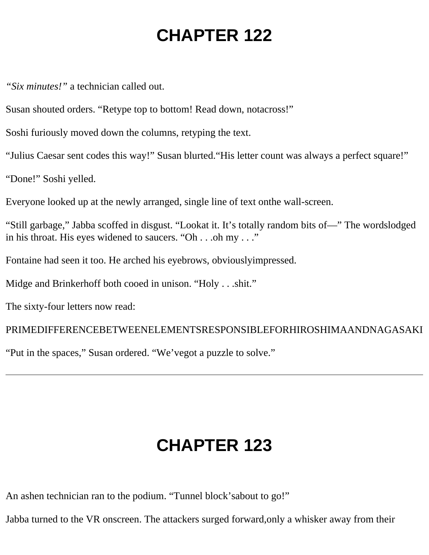## **CHAPTER 122**

*"Six minutes!"* a technician called out.

Susan shouted orders. "Retype top to bottom! Read down, notacross!"

Soshi furiously moved down the columns, retyping the text.

"Julius Caesar sent codes this way!" Susan blurted."His letter count was always a perfect square!"

"Done!" Soshi yelled.

Everyone looked up at the newly arranged, single line of text onthe wall-screen.

"Still garbage," Jabba scoffed in disgust. "Lookat it. It's totally random bits of—" The wordslodged in his throat. His eyes widened to saucers. "Oh . . .oh my . . ."

Fontaine had seen it too. He arched his eyebrows, obviouslyimpressed.

Midge and Brinkerhoff both cooed in unison. "Holy . . .shit."

The sixty-four letters now read:

PRIMEDIFFERENCEBETWEENELEMENTSRESPONSIBLEFORHIROSHIMAANDNAGASAKI

"Put in the spaces," Susan ordered. "We'vegot a puzzle to solve."

# **CHAPTER 123**

An ashen technician ran to the podium. "Tunnel block's about to go!"

Jabba turned to the VR onscreen. The attackers surged forward,only a whisker away from their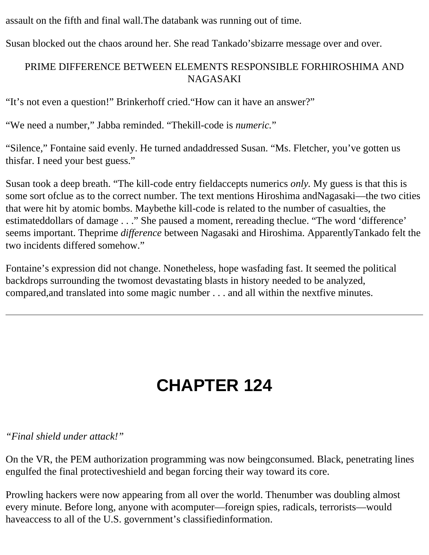assault on the fifth and final wall.The databank was running out of time.

Susan blocked out the chaos around her. She read Tankado'sbizarre message over and over.

### PRIME DIFFERENCE BETWEEN ELEMENTS RESPONSIBLE FORHIROSHIMA AND NAGASAKI

"It's not even a question!" Brinkerhoff cried."How can it have an answer?"

"We need a number," Jabba reminded. "Thekill-code is *numeric.*"

"Silence," Fontaine said evenly. He turned andaddressed Susan. "Ms. Fletcher, you've gotten us thisfar. I need your best guess."

Susan took a deep breath. "The kill-code entry fieldaccepts numerics *only.* My guess is that this is some sort ofclue as to the correct number. The text mentions Hiroshima andNagasaki—the two cities that were hit by atomic bombs. Maybethe kill-code is related to the number of casualties, the estimateddollars of damage . . ." She paused a moment, rereading theclue. "The word 'difference' seems important. Theprime *difference* between Nagasaki and Hiroshima. ApparentlyTankado felt the two incidents differed somehow."

Fontaine's expression did not change. Nonetheless, hope wasfading fast. It seemed the political backdrops surrounding the twomost devastating blasts in history needed to be analyzed, compared,and translated into some magic number . . . and all within the nextfive minutes.

# **CHAPTER 124**

### *"Final shield under attack!"*

On the VR, the PEM authorization programming was now beingconsumed. Black, penetrating lines engulfed the final protectiveshield and began forcing their way toward its core.

Prowling hackers were now appearing from all over the world. Thenumber was doubling almost every minute. Before long, anyone with acomputer—foreign spies, radicals, terrorists—would haveaccess to all of the U.S. government's classifiedinformation.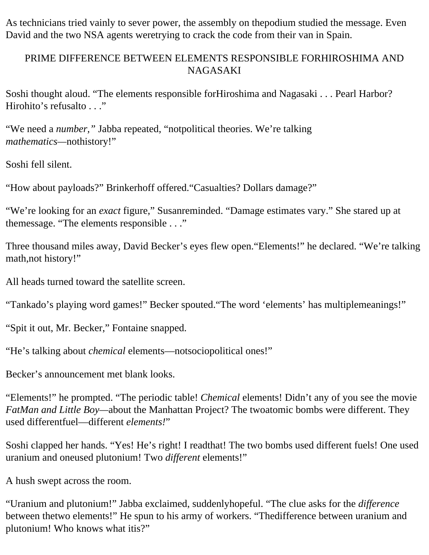As technicians tried vainly to sever power, the assembly on thepodium studied the message. Even David and the two NSA agents weretrying to crack the code from their van in Spain.

### PRIME DIFFERENCE BETWEEN ELEMENTS RESPONSIBLE FORHIROSHIMA AND NAGASAKI

Soshi thought aloud. "The elements responsible forHiroshima and Nagasaki . . . Pearl Harbor? Hirohito's refusalto . . ."

"We need a *number,"* Jabba repeated, "notpolitical theories. We're talking *mathematics—*nothistory!"

Soshi fell silent.

"How about payloads?" Brinkerhoff offered."Casualties? Dollars damage?"

"We're looking for an *exact* figure," Susanreminded. "Damage estimates vary." She stared up at themessage. "The elements responsible . . ."

Three thousand miles away, David Becker's eyes flew open."Elements!" he declared. "We're talking math,not history!"

All heads turned toward the satellite screen.

"Tankado's playing word games!" Becker spouted."The word 'elements' has multiplemeanings!"

"Spit it out, Mr. Becker," Fontaine snapped.

"He's talking about *chemical* elements—notsociopolitical ones!"

Becker's announcement met blank looks.

"Elements!" he prompted. "The periodic table! *Chemical* elements! Didn't any of you see the movie *FatMan and Little Boy—*about the Manhattan Project? The twoatomic bombs were different. They used differentfuel—different *elements!*"

Soshi clapped her hands. "Yes! He's right! I readthat! The two bombs used different fuels! One used uranium and oneused plutonium! Two *different* elements!"

A hush swept across the room.

"Uranium and plutonium!" Jabba exclaimed, suddenlyhopeful. "The clue asks for the *difference* between thetwo elements!" He spun to his army of workers. "Thedifference between uranium and plutonium! Who knows what itis?"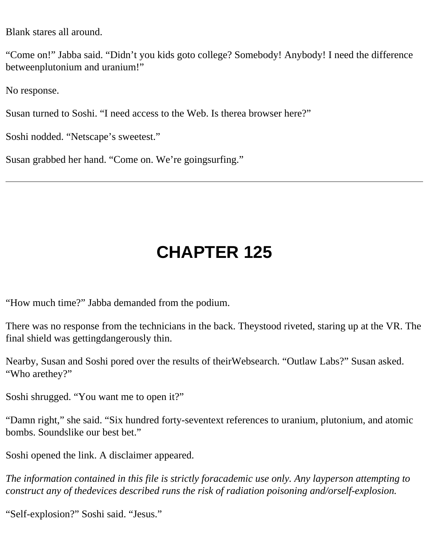Blank stares all around.

"Come on!" Jabba said. "Didn't you kids goto college? Somebody! Anybody! I need the difference betweenplutonium and uranium!"

No response.

Susan turned to Soshi. "I need access to the Web. Is therea browser here?"

Soshi nodded. "Netscape's sweetest."

Susan grabbed her hand. "Come on. We're goingsurfing."

### **CHAPTER 125**

"How much time?" Jabba demanded from the podium.

There was no response from the technicians in the back. Theystood riveted, staring up at the VR. The final shield was gettingdangerously thin.

Nearby, Susan and Soshi pored over the results of theirWebsearch. "Outlaw Labs?" Susan asked. "Who arethey?"

Soshi shrugged. "You want me to open it?"

"Damn right," she said. "Six hundred forty-seventext references to uranium, plutonium, and atomic bombs. Soundslike our best bet."

Soshi opened the link. A disclaimer appeared.

*The information contained in this file is strictly foracademic use only. Any layperson attempting to construct any of thedevices described runs the risk of radiation poisoning and/orself-explosion.*

"Self-explosion?" Soshi said. "Jesus."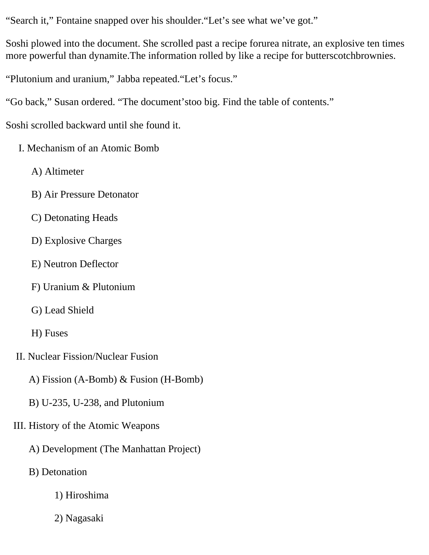"Search it," Fontaine snapped over his shoulder."Let's see what we've got."

Soshi plowed into the document. She scrolled past a recipe forurea nitrate, an explosive ten times more powerful than dynamite.The information rolled by like a recipe for butterscotchbrownies.

"Plutonium and uranium," Jabba repeated."Let's focus."

"Go back," Susan ordered. "The document'stoo big. Find the table of contents."

Soshi scrolled backward until she found it.

- I. Mechanism of an Atomic Bomb
	- A) Altimeter
	- B) Air Pressure Detonator
	- C) Detonating Heads
	- D) Explosive Charges
	- E) Neutron Deflector
	- F) Uranium & Plutonium
	- G) Lead Shield
	- H) Fuses
- II. Nuclear Fission/Nuclear Fusion
	- A) Fission (A-Bomb) & Fusion (H-Bomb)
	- B) U-235, U-238, and Plutonium
- III. History of the Atomic Weapons
	- A) Development (The Manhattan Project)
	- B) Detonation
		- 1) Hiroshima
		- 2) Nagasaki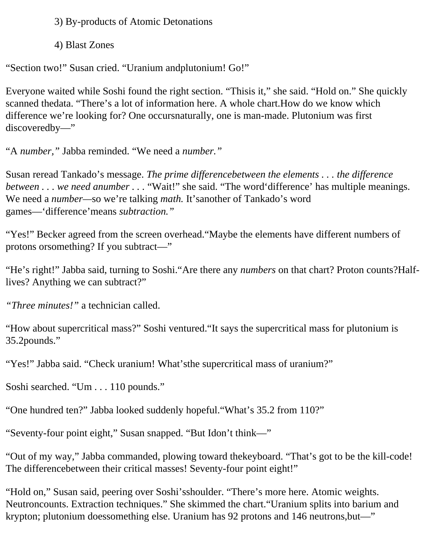3) By-products of Atomic Detonations

4) Blast Zones

"Section two!" Susan cried. "Uranium andplutonium! Go!"

Everyone waited while Soshi found the right section. "Thisis it," she said. "Hold on." She quickly scanned thedata. "There's a lot of information here. A whole chart.How do we know which difference we're looking for? One occursnaturally, one is man-made. Plutonium was first discoveredby—"

"A *number,"* Jabba reminded. "We need a *number."*

Susan reread Tankado's message. *The prime differencebetween the elements . . . the difference between . . . we need anumber . . .* "Wait!" she said. "The word'difference' has multiple meanings. We need a *number—*so we're talking *math.* It'sanother of Tankado's word games—'difference'means *subtraction."*

"Yes!" Becker agreed from the screen overhead."Maybe the elements have different numbers of protons orsomething? If you subtract—"

"He's right!" Jabba said, turning to Soshi."Are there any *numbers* on that chart? Proton counts?Halflives? Anything we can subtract?"

*"Three minutes!"* a technician called.

"How about supercritical mass?" Soshi ventured."It says the supercritical mass for plutonium is 35.2pounds."

"Yes!" Jabba said. "Check uranium! What'sthe supercritical mass of uranium?"

Soshi searched. "Um . . . 110 pounds."

"One hundred ten?" Jabba looked suddenly hopeful."What's 35.2 from 110?"

"Seventy-four point eight," Susan snapped. "But Idon't think—"

"Out of my way," Jabba commanded, plowing toward thekeyboard. "That's got to be the kill-code! The differencebetween their critical masses! Seventy-four point eight!"

"Hold on," Susan said, peering over Soshi'sshoulder. "There's more here. Atomic weights. Neutroncounts. Extraction techniques." She skimmed the chart."Uranium splits into barium and krypton; plutonium doessomething else. Uranium has 92 protons and 146 neutrons,but—"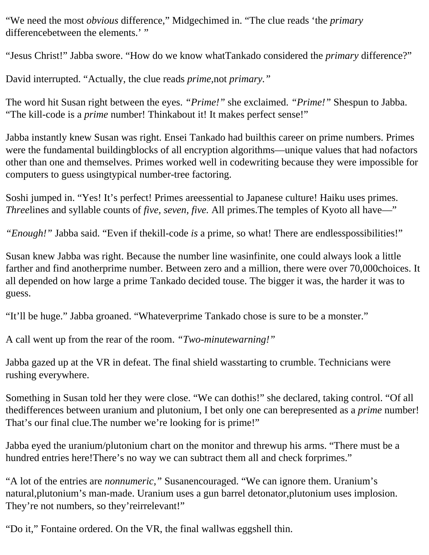"We need the most *obvious* difference," Midgechimed in. "The clue reads 'the *primary* differencebetween the elements.'"

"Jesus Christ!" Jabba swore. "How do we know whatTankado considered the *primary* difference?"

David interrupted. "Actually, the clue reads *prime,*not *primary."*

The word hit Susan right between the eyes. *"Prime!"* she exclaimed. *"Prime!"* Shespun to Jabba. "The kill-code is a *prime* number! Thinkabout it! It makes perfect sense!"

Jabba instantly knew Susan was right. Ensei Tankado had builthis career on prime numbers. Primes were the fundamental buildingblocks of all encryption algorithms—unique values that had nofactors other than one and themselves. Primes worked well in codewriting because they were impossible for computers to guess usingtypical number-tree factoring.

Soshi jumped in. "Yes! It's perfect! Primes areessential to Japanese culture! Haiku uses primes. *Threelines and syllable counts of <i>five, seven, five.* All primes. The temples of Kyoto all have—"

*"Enough!"* Jabba said. "Even if thekill-code *is* a prime, so what! There are endlesspossibilities!"

Susan knew Jabba was right. Because the number line wasinfinite, one could always look a little farther and find anotherprime number. Between zero and a million, there were over 70,000choices. It all depended on how large a prime Tankado decided touse. The bigger it was, the harder it was to guess.

"It'll be huge." Jabba groaned. "Whateverprime Tankado chose is sure to be a monster."

A call went up from the rear of the room. *"Two-minutewarning!"*

Jabba gazed up at the VR in defeat. The final shield wasstarting to crumble. Technicians were rushing everywhere.

Something in Susan told her they were close. "We can dothis!" she declared, taking control. "Of all thedifferences between uranium and plutonium, I bet only one can berepresented as a *prime* number! That's our final clue.The number we're looking for is prime!"

Jabba eyed the uranium/plutonium chart on the monitor and threwup his arms. "There must be a hundred entries here! There's no way we can subtract them all and check forprimes."

"A lot of the entries are *nonnumeric,"* Susanencouraged. "We can ignore them. Uranium's natural,plutonium's man-made. Uranium uses a gun barrel detonator,plutonium uses implosion. They're not numbers, so they'reirrelevant!"

"Do it," Fontaine ordered. On the VR, the final wallwas eggshell thin.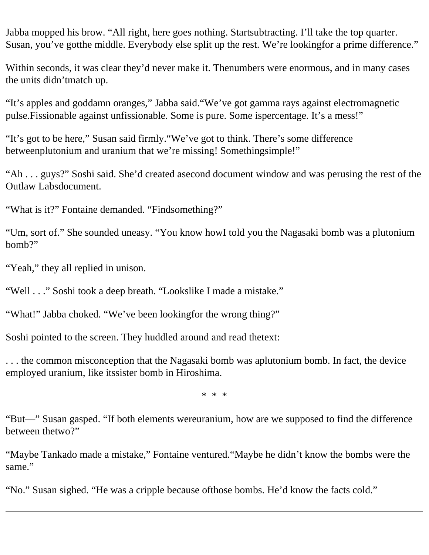Jabba mopped his brow. "All right, here goes nothing. Startsubtracting. I'll take the top quarter. Susan, you've gotthe middle. Everybody else split up the rest. We're lookingfor a prime difference."

Within seconds, it was clear they'd never make it. Thenumbers were enormous, and in many cases the units didn'tmatch up.

"It's apples and goddamn oranges," Jabba said."We've got gamma rays against electromagnetic pulse.Fissionable against unfissionable. Some is pure. Some ispercentage. It's a mess!"

"It's got to be here," Susan said firmly."We've got to think. There's some difference betweenplutonium and uranium that we're missing! Somethingsimple!"

"Ah . . . guys?" Soshi said. She'd created asecond document window and was perusing the rest of the Outlaw Labsdocument.

"What is it?" Fontaine demanded. "Findsomething?"

"Um, sort of." She sounded uneasy. "You know howI told you the Nagasaki bomb was a plutonium bomb?"

"Yeah," they all replied in unison.

"Well . . ." Soshi took a deep breath. "Lookslike I made a mistake."

"What!" Jabba choked. "We've been lookingfor the wrong thing?"

Soshi pointed to the screen. They huddled around and read thetext:

. . . the common misconception that the Nagasaki bomb was aplutonium bomb. In fact, the device employed uranium, like itssister bomb in Hiroshima.

\* \* \*

"But—" Susan gasped. "If both elements wereuranium, how are we supposed to find the difference between thetwo?"

"Maybe Tankado made a mistake," Fontaine ventured."Maybe he didn't know the bombs were the same."

"No." Susan sighed. "He was a cripple because ofthose bombs. He'd know the facts cold."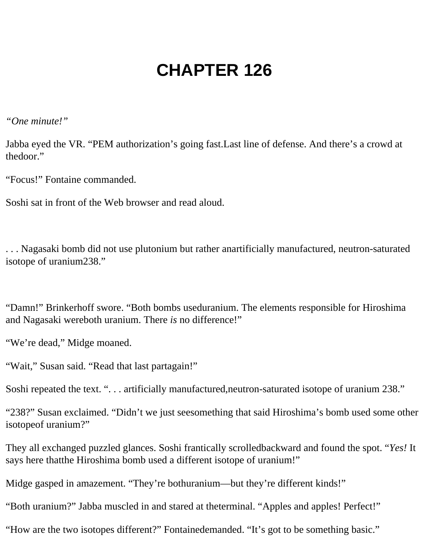### **CHAPTER 126**

*"One minute!"*

Jabba eyed the VR. "PEM authorization's going fast.Last line of defense. And there's a crowd at thedoor."

"Focus!" Fontaine commanded.

Soshi sat in front of the Web browser and read aloud.

. . . Nagasaki bomb did not use plutonium but rather anartificially manufactured, neutron-saturated isotope of uranium238."

"Damn!" Brinkerhoff swore. "Both bombs useduranium. The elements responsible for Hiroshima and Nagasaki wereboth uranium. There *is* no difference!"

"We're dead," Midge moaned.

"Wait," Susan said. "Read that last partagain!"

Soshi repeated the text. ". . . artificially manufactured,neutron-saturated isotope of uranium 238."

"238?" Susan exclaimed. "Didn't we just seesomething that said Hiroshima's bomb used some other isotopeof uranium?"

They all exchanged puzzled glances. Soshi frantically scrolledbackward and found the spot. "*Yes!* It says here thatthe Hiroshima bomb used a different isotope of uranium!"

Midge gasped in amazement. "They're bothuranium—but they're different kinds!"

"Both uranium?" Jabba muscled in and stared at theterminal. "Apples and apples! Perfect!"

"How are the two isotopes different?" Fontainedemanded. "It's got to be something basic."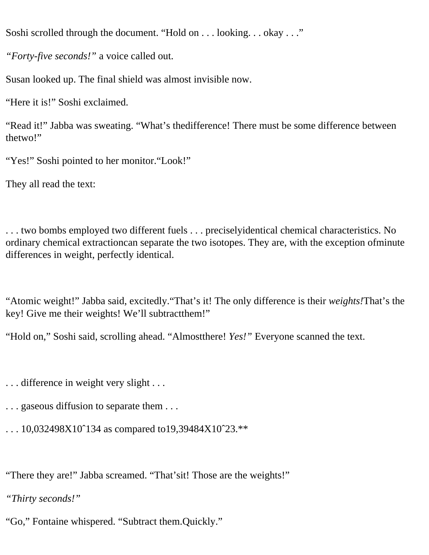Soshi scrolled through the document. "Hold on . . . looking. . . okay . . ."

*"Forty-five seconds!"* a voice called out.

Susan looked up. The final shield was almost invisible now.

"Here it is!" Soshi exclaimed.

"Read it!" Jabba was sweating. "What's thedifference! There must be some difference between thetwo!"

"Yes!" Soshi pointed to her monitor."Look!"

They all read the text:

. . . two bombs employed two different fuels . . . preciselyidentical chemical characteristics. No ordinary chemical extractioncan separate the two isotopes. They are, with the exception ofminute differences in weight, perfectly identical.

"Atomic weight!" Jabba said, excitedly."That's it! The only difference is their *weights!*That's the key! Give me their weights! We'll subtractthem!"

"Hold on," Soshi said, scrolling ahead. "Almostthere! *Yes!"* Everyone scanned the text.

... difference in weight very slight ...

. . . gaseous diffusion to separate them . . .

. . . 10,032498X10ˆ134 as compared to19,39484X10ˆ23.\*\*

"There they are!" Jabba screamed. "That'sit! Those are the weights!"

*"Thirty seconds!"*

"Go," Fontaine whispered. "Subtract them.Quickly."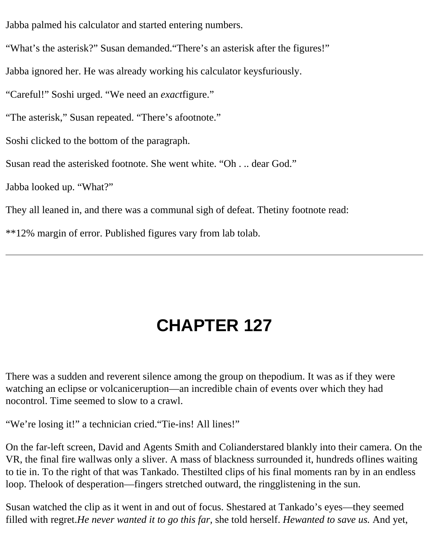Jabba palmed his calculator and started entering numbers.

"What's the asterisk?" Susan demanded. "There's an asterisk after the figures!"

Jabba ignored her. He was already working his calculator keysfuriously.

"Careful!" Soshi urged. "We need an *exact*figure."

"The asterisk," Susan repeated. "There's afootnote."

Soshi clicked to the bottom of the paragraph.

Susan read the asterisked footnote. She went white. "Oh . .. dear God."

Jabba looked up. "What?"

They all leaned in, and there was a communal sigh of defeat. Thetiny footnote read:

\*\*12% margin of error. Published figures vary from lab tolab.

# **CHAPTER 127**

There was a sudden and reverent silence among the group on thepodium. It was as if they were watching an eclipse or volcaniceruption—an incredible chain of events over which they had nocontrol. Time seemed to slow to a crawl.

"We're losing it!" a technician cried."Tie-ins! All lines!"

On the far-left screen, David and Agents Smith and Colianderstared blankly into their camera. On the VR, the final fire wallwas only a sliver. A mass of blackness surrounded it, hundreds oflines waiting to tie in. To the right of that was Tankado. Thestilted clips of his final moments ran by in an endless loop. Thelook of desperation—fingers stretched outward, the ringglistening in the sun.

Susan watched the clip as it went in and out of focus. Shestared at Tankado's eyes—they seemed filled with regret.*He never wanted it to go this far,* she told herself. *Hewanted to save us.* And yet,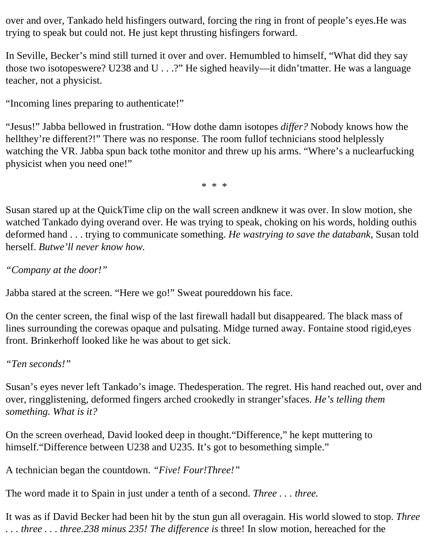over and over, Tankado held hisfingers outward, forcing the ring in front of people's eyes.He was trying to speak but could not. He just kept thrusting hisfingers forward.

In Seville, Becker's mind still turned it over and over. Hemumbled to himself, "What did they say those two isotopeswere? U238 and U . . .?" He sighed heavily—it didn'tmatter. He was a language teacher, not a physicist.

"Incoming lines preparing to authenticate!"

"Jesus!" Jabba bellowed in frustration. "How dothe damn isotopes *differ?* Nobody knows how the hellthey're different?!" There was no response. The room fullof technicians stood helplessly watching the VR. Jabba spun back tothe monitor and threw up his arms. "Where's a nuclearfucking physicist when you need one!"

\* \* \*

Susan stared up at the QuickTime clip on the wall screen andknew it was over. In slow motion, she watched Tankado dying overand over. He was trying to speak, choking on his words, holding outhis deformed hand . . . trying to communicate something. *He wastrying to save the databank,* Susan told herself. *Butwe'll never know how.*

*"Company at the door!"*

Jabba stared at the screen. "Here we go!" Sweat poureddown his face.

On the center screen, the final wisp of the last firewall hadall but disappeared. The black mass of lines surrounding the corewas opaque and pulsating. Midge turned away. Fontaine stood rigid,eyes front. Brinkerhoff looked like he was about to get sick.

*"Ten seconds!"*

Susan's eyes never left Tankado's image. Thedesperation. The regret. His hand reached out, over and over, ringglistening, deformed fingers arched crookedly in stranger'sfaces. *He's telling them something. What is it?*

On the screen overhead, David looked deep in thought."Difference," he kept muttering to himself. "Difference between U238 and U235. It's got to besomething simple."

A technician began the countdown. *"Five! Four!Three!"*

The word made it to Spain in just under a tenth of a second. *Three . . . three.*

It was as if David Becker had been hit by the stun gun all overagain. His world slowed to stop. *Three . . . three . . . three.238 minus 235! The difference is* three! In slow motion, hereached for the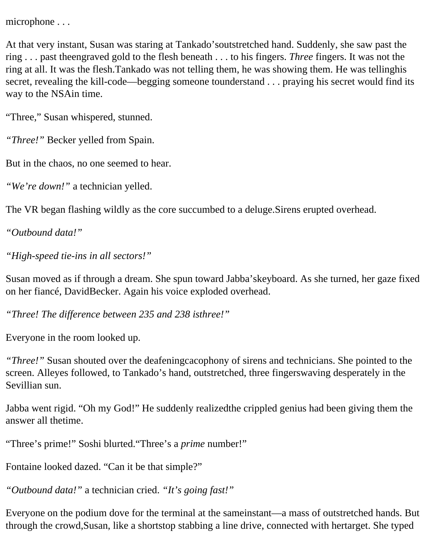microphone . . .

At that very instant, Susan was staring at Tankado'soutstretched hand. Suddenly, she saw past the ring . . . past theengraved gold to the flesh beneath . . . to his fingers. *Three* fingers. It was not the ring at all. It was the flesh.Tankado was not telling them, he was showing them. He was tellinghis secret, revealing the kill-code—begging someone tounderstand . . . praying his secret would find its way to the NSAin time.

"Three," Susan whispered, stunned.

*"Three!"* Becker yelled from Spain.

But in the chaos, no one seemed to hear.

*"We're down!"* a technician yelled.

The VR began flashing wildly as the core succumbed to a deluge.Sirens erupted overhead.

*"Outbound data!"*

*"High-speed tie-ins in all sectors!"*

Susan moved as if through a dream. She spun toward Jabba'skeyboard. As she turned, her gaze fixed on her fiancé, DavidBecker. Again his voice exploded overhead.

*"Three! The difference between 235 and 238 isthree!"*

Everyone in the room looked up.

*"Three!"* Susan shouted over the deafeningcacophony of sirens and technicians. She pointed to the screen. Alleyes followed, to Tankado's hand, outstretched, three fingerswaving desperately in the Sevillian sun.

Jabba went rigid. "Oh my God!" He suddenly realizedthe crippled genius had been giving them the answer all thetime.

"Three's prime!" Soshi blurted."Three's a *prime* number!"

Fontaine looked dazed. "Can it be that simple?"

*"Outbound data!"* a technician cried. *"It's going fast!"*

Everyone on the podium dove for the terminal at the sameinstant—a mass of outstretched hands. But through the crowd,Susan, like a shortstop stabbing a line drive, connected with hertarget. She typed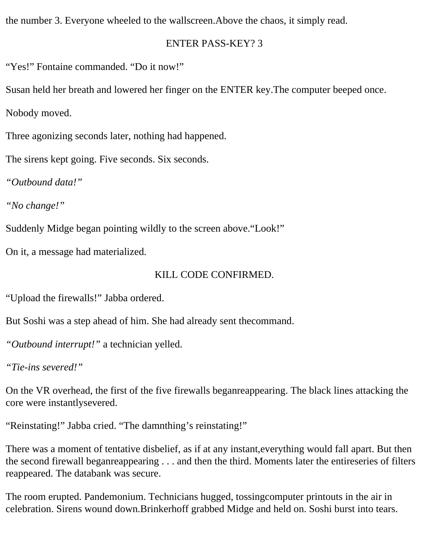the number 3. Everyone wheeled to the wallscreen.Above the chaos, it simply read.

### ENTER PASS-KEY? 3

"Yes!" Fontaine commanded. "Do it now!"

Susan held her breath and lowered her finger on the ENTER key.The computer beeped once.

Nobody moved.

Three agonizing seconds later, nothing had happened.

The sirens kept going. Five seconds. Six seconds.

*"Outbound data!"*

*"No change!"*

Suddenly Midge began pointing wildly to the screen above."Look!"

On it, a message had materialized.

### KILL CODE CONFIRMED.

"Upload the firewalls!" Jabba ordered.

But Soshi was a step ahead of him. She had already sent thecommand.

*"Outbound interrupt!"* a technician yelled.

*"Tie-ins severed!"*

On the VR overhead, the first of the five firewalls beganreappearing. The black lines attacking the core were instantlysevered.

"Reinstating!" Jabba cried. "The damnthing's reinstating!"

There was a moment of tentative disbelief, as if at any instant,everything would fall apart. But then the second firewall beganreappearing . . . and then the third. Moments later the entireseries of filters reappeared. The databank was secure.

The room erupted. Pandemonium. Technicians hugged, tossingcomputer printouts in the air in celebration. Sirens wound down.Brinkerhoff grabbed Midge and held on. Soshi burst into tears.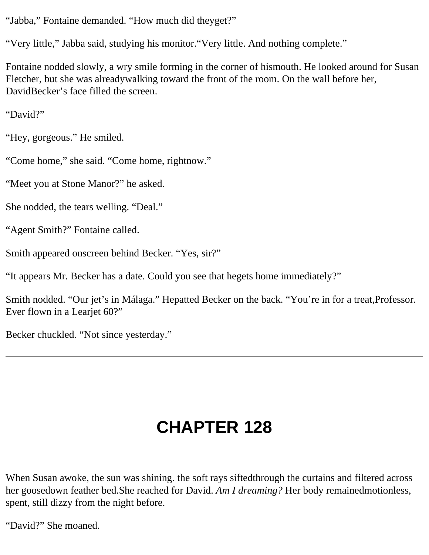"Jabba," Fontaine demanded. "How much did theyget?"

"Very little," Jabba said, studying his monitor."Very little. And nothing complete."

Fontaine nodded slowly, a wry smile forming in the corner of hismouth. He looked around for Susan Fletcher, but she was alreadywalking toward the front of the room. On the wall before her, DavidBecker's face filled the screen.

"David?"

"Hey, gorgeous." He smiled.

"Come home," she said. "Come home, rightnow."

"Meet you at Stone Manor?" he asked.

She nodded, the tears welling. "Deal."

"Agent Smith?" Fontaine called.

Smith appeared onscreen behind Becker. "Yes, sir?"

"It appears Mr. Becker has a date. Could you see that hegets home immediately?"

Smith nodded. "Our jet's in Málaga." Hepatted Becker on the back. "You're in for a treat,Professor. Ever flown in a Learjet 60?"

Becker chuckled. "Not since yesterday."

# **CHAPTER 128**

When Susan awoke, the sun was shining. the soft rays siftedthrough the curtains and filtered across her goosedown feather bed.She reached for David. *Am I dreaming?* Her body remainedmotionless, spent, still dizzy from the night before.

"David?" She moaned.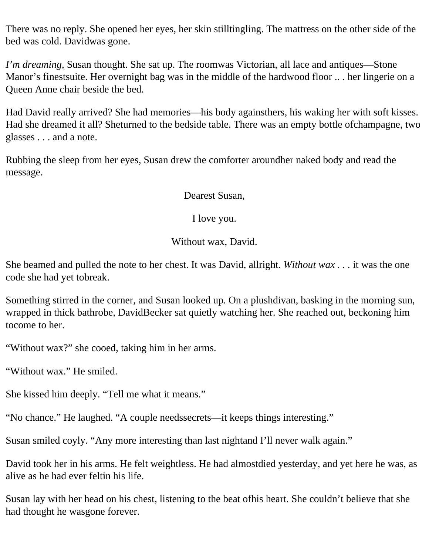There was no reply. She opened her eyes, her skin stilltingling. The mattress on the other side of the bed was cold. Davidwas gone.

*I'm dreaming*, Susan thought. She sat up. The roomwas Victorian, all lace and antiques—Stone Manor's finestsuite. Her overnight bag was in the middle of the hardwood floor .. . her lingerie on a Queen Anne chair beside the bed.

Had David really arrived? She had memories—his body againsthers, his waking her with soft kisses. Had she dreamed it all? Sheturned to the bedside table. There was an empty bottle ofchampagne, two glasses . . . and a note.

Rubbing the sleep from her eyes, Susan drew the comforter aroundher naked body and read the message.

Dearest Susan,

I love you.

Without wax, David.

She beamed and pulled the note to her chest. It was David, allright. *Without wax . . .* it was the one code she had yet tobreak.

Something stirred in the corner, and Susan looked up. On a plushdivan, basking in the morning sun, wrapped in thick bathrobe, DavidBecker sat quietly watching her. She reached out, beckoning him tocome to her.

"Without wax?" she cooed, taking him in her arms.

"Without wax." He smiled.

She kissed him deeply. "Tell me what it means."

"No chance." He laughed. "A couple needssecrets—it keeps things interesting."

Susan smiled coyly. "Any more interesting than last nightand I'll never walk again."

David took her in his arms. He felt weightless. He had almostdied yesterday, and yet here he was, as alive as he had ever feltin his life.

Susan lay with her head on his chest, listening to the beat ofhis heart. She couldn't believe that she had thought he wasgone forever.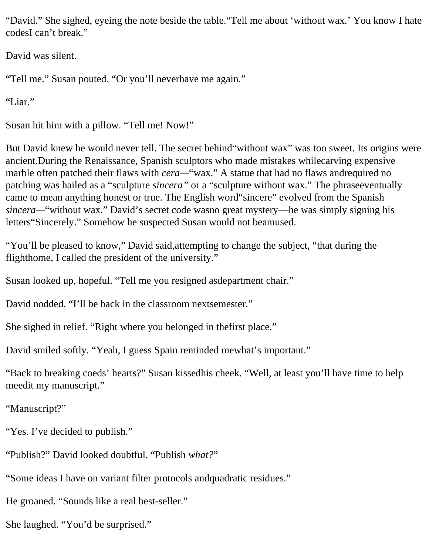"David." She sighed, eyeing the note beside the table."Tell me about 'without wax.' You know I hate codesI can't break."

David was silent.

"Tell me." Susan pouted. "Or you'll neverhave me again."

"Liar."

Susan hit him with a pillow. "Tell me! Now!"

But David knew he would never tell. The secret behind"without wax" was too sweet. Its origins were ancient.During the Renaissance, Spanish sculptors who made mistakes whilecarving expensive marble often patched their flaws with *cera—*"wax." A statue that had no flaws andrequired no patching was hailed as a "sculpture *sincera"* or a "sculpture without wax." The phraseeventually came to mean anything honest or true. The English word"sincere" evolved from the Spanish *sincera—*"without wax." David's secret code wasno great mystery—he was simply signing his letters"Sincerely." Somehow he suspected Susan would not beamused.

"You'll be pleased to know," David said,attempting to change the subject, "that during the flighthome, I called the president of the university."

Susan looked up, hopeful. "Tell me you resigned asdepartment chair."

David nodded. "I'll be back in the classroom nextsemester."

She sighed in relief. "Right where you belonged in thefirst place."

David smiled softly. "Yeah, I guess Spain reminded mewhat's important."

"Back to breaking coeds' hearts?" Susan kissedhis cheek. "Well, at least you'll have time to help meedit my manuscript."

"Manuscript?"

"Yes. I've decided to publish."

"Publish?" David looked doubtful. "Publish *what?*"

"Some ideas I have on variant filter protocols andquadratic residues."

He groaned. "Sounds like a real best-seller."

She laughed. "You'd be surprised."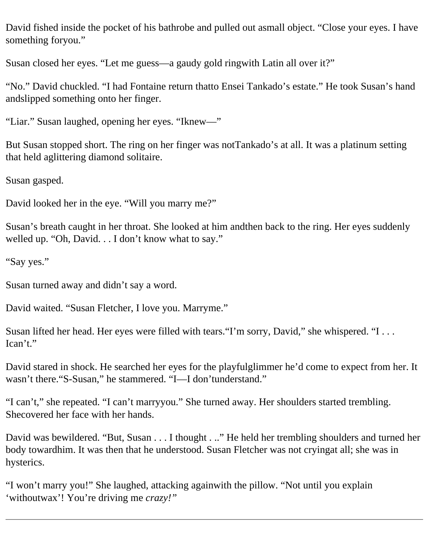David fished inside the pocket of his bathrobe and pulled out asmall object. "Close your eyes. I have something foryou."

Susan closed her eyes. "Let me guess—a gaudy gold ringwith Latin all over it?"

"No." David chuckled. "I had Fontaine return thatto Ensei Tankado's estate." He took Susan's hand andslipped something onto her finger.

"Liar." Susan laughed, opening her eyes. "Iknew—"

But Susan stopped short. The ring on her finger was notTankado's at all. It was a platinum setting that held aglittering diamond solitaire.

Susan gasped.

David looked her in the eye. "Will you marry me?"

Susan's breath caught in her throat. She looked at him andthen back to the ring. Her eyes suddenly welled up. "Oh, David. . . I don't know what to say."

"Say yes."

Susan turned away and didn't say a word.

David waited. "Susan Fletcher, I love you. Marryme."

Susan lifted her head. Her eyes were filled with tears."I'm sorry, David," she whispered. "I . . . Ican't."

David stared in shock. He searched her eyes for the playfulglimmer he'd come to expect from her. It wasn't there."S-Susan," he stammered. "I—I don'tunderstand."

"I can't," she repeated. "I can't marryyou." She turned away. Her shoulders started trembling. Shecovered her face with her hands.

David was bewildered. "But, Susan . . . I thought . .." He held her trembling shoulders and turned her body towardhim. It was then that he understood. Susan Fletcher was not cryingat all; she was in hysterics.

"I won't marry you!" She laughed, attacking againwith the pillow. "Not until you explain 'withoutwax'! You're driving me *crazy!"*